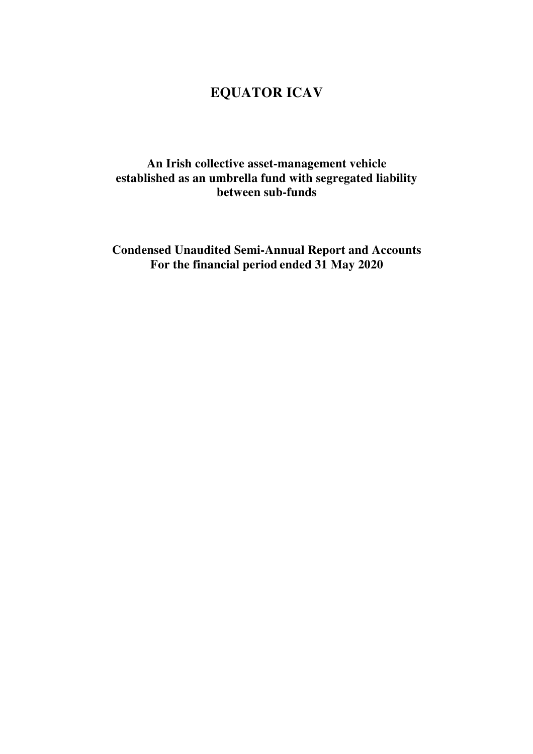# **EQUATOR ICAV**

## **An Irish collective asset-management vehicle established as an umbrella fund with segregated liability between sub-funds**

**Condensed Unaudited Semi-Annual Report and Accounts For the financial period ended 31 May 2020**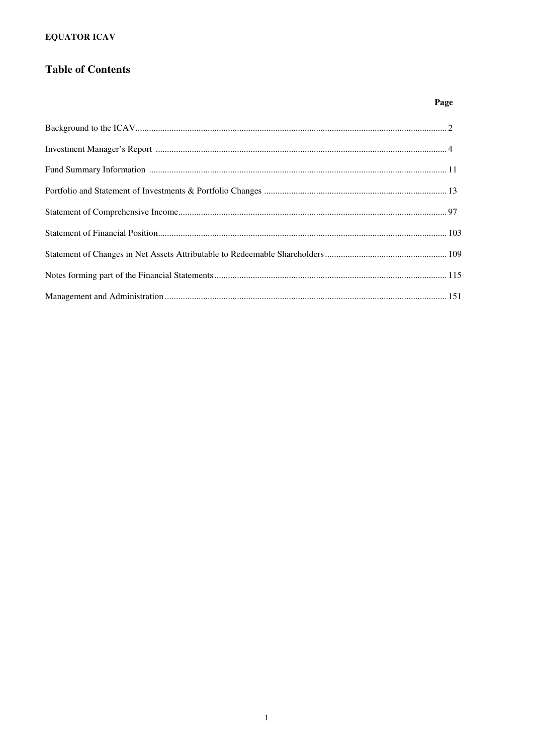### **EQUATOR ICAV**

## **Table of Contents**

### Page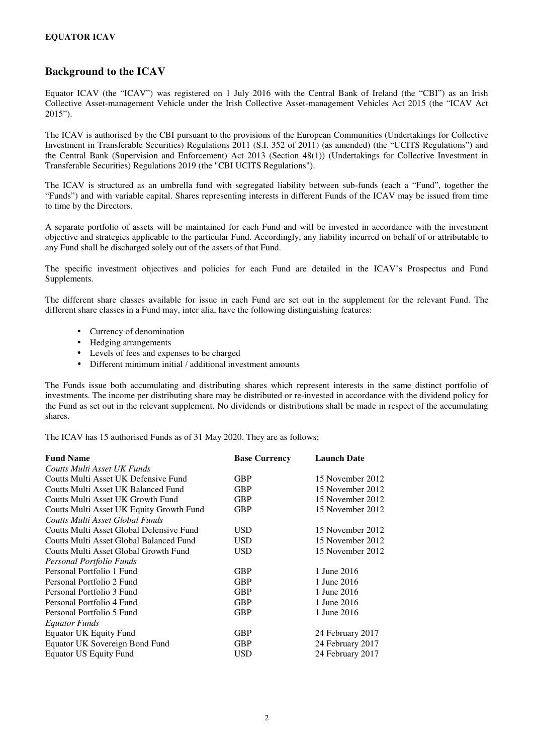#### **EQUATOR ICAV**

### **Background to the ICAV**

Equator ICAV (the "ICAV") was registered on 1 July 2016 with the Central Bank of Ireland (the "CBI") as an Irish Collective Asset-management Vehicle under the Irish Collective Asset-management Vehicles Act 2015 (the "ICAV Act 2015").

The ICAV is authorised by the CBI pursuant to the provisions of the European Communities (Undertakings for Collective Investment in Transferable Securities) Regulations 2011 (S.I. 352 of 2011) (as amended) (the "UCITS Regulations") and the Central Bank (Supervision and Enforcement) Act 2013 (Section 48(1)) (Undertakings for Collective Investment in Transferable Securities) Regulations 2019 (the "CBI UCITS Regulations").

The ICAV is structured as an umbrella fund with segregated liability between sub-funds (each a "Fund", together the "Funds") and with variable capital. Shares representing interests in different Funds of the ICAV may be issued from time to time by the Directors.

A separate portfolio of assets will be maintained for each Fund and will be invested in accordance with the investment objective and strategies applicable to the particular Fund. Accordingly, any liability incurred on behalf of or attributable to any Fund shall be discharged solely out of the assets of that Fund.

The specific investment objectives and policies for each Fund are detailed in the ICAV's Prospectus and Fund Supplements.

The different share classes available for issue in each Fund are set out in the supplement for the relevant Fund. The different share classes in a Fund may, inter alia, have the following distinguishing features:

- Currency of denomination
- Hedging arrangements
- Levels of fees and expenses to be charged
- Different minimum initial / additional investment amounts

The Funds issue both accumulating and distributing shares which represent interests in the same distinct portfolio of investments. The income per distributing share may be distributed or re-invested in accordance with the dividend policy for the Fund as set out in the relevant supplement. No dividends or distributions shall be made in respect of the accumulating shares.

The ICAV has 15 authorised Funds as of 31 May 2020. They are as follows:

| <b>Fund Name</b>                         | <b>Base Currency</b> | <b>Launch Date</b> |
|------------------------------------------|----------------------|--------------------|
| Coutts Multi Asset UK Funds              |                      |                    |
| Coutts Multi Asset UK Defensive Fund     | <b>GBP</b>           | 15 November 2012   |
| Coutts Multi Asset UK Balanced Fund      | <b>GBP</b>           | 15 November 2012   |
| Coutts Multi Asset UK Growth Fund        | <b>GBP</b>           | 15 November 2012   |
| Coutts Multi Asset UK Equity Growth Fund | GBP                  | 15 November 2012   |
| Coutts Multi Asset Global Funds          |                      |                    |
| Coutts Multi Asset Global Defensive Fund | USD                  | 15 November 2012   |
| Coutts Multi Asset Global Balanced Fund  | <b>USD</b>           | 15 November 2012   |
| Coutts Multi Asset Global Growth Fund    | <b>USD</b>           | 15 November 2012   |
| Personal Portfolio Funds                 |                      |                    |
| Personal Portfolio 1 Fund                | <b>GBP</b>           | 1 June 2016        |
| Personal Portfolio 2 Fund                | <b>GBP</b>           | 1 June 2016        |
| Personal Portfolio 3 Fund                | <b>GBP</b>           | 1 June 2016        |
| Personal Portfolio 4 Fund                | <b>GBP</b>           | 1 June 2016        |
| Personal Portfolio 5 Fund                | <b>GBP</b>           | 1 June 2016        |
| Equator Funds                            |                      |                    |
| <b>Equator UK Equity Fund</b>            | <b>GBP</b>           | 24 February 2017   |
| Equator UK Sovereign Bond Fund           | <b>GBP</b>           | 24 February 2017   |
| Equator US Equity Fund                   | USD                  | 24 February 2017   |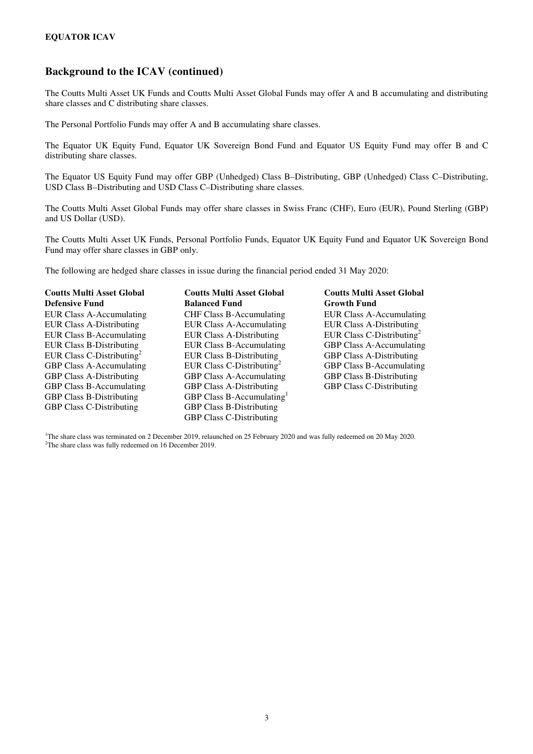### **Background to the ICAV (continued)**

The Coutts Multi Asset UK Funds and Coutts Multi Asset Global Funds may offer A and B accumulating and distributing share classes and C distributing share classes.

The Personal Portfolio Funds may offer A and B accumulating share classes.

The Equator UK Equity Fund, Equator UK Sovereign Bond Fund and Equator US Equity Fund may offer B and C distributing share classes.

The Equator US Equity Fund may offer GBP (Unhedged) Class B–Distributing, GBP (Unhedged) Class C–Distributing, USD Class B–Distributing and USD Class C–Distributing share classes.

The Coutts Multi Asset Global Funds may offer share classes in Swiss Franc (CHF), Euro (EUR), Pound Sterling (GBP) and US Dollar (USD).

The Coutts Multi Asset UK Funds, Personal Portfolio Funds, Equator UK Equity Fund and Equator UK Sovereign Bond Fund may offer share classes in GBP only.

The following are hedged share classes in issue during the financial period ended 31 May 2020:

| <b>Coutts Multi Asset Global</b><br><b>Defensive Fund</b> | <b>Coutts Multi Asset Global</b><br><b>Balanced Fund</b> | <b>Coutts Multi Asset Global</b><br><b>Growth Fund</b> |
|-----------------------------------------------------------|----------------------------------------------------------|--------------------------------------------------------|
| <b>EUR Class A-Accumulating</b>                           |                                                          |                                                        |
|                                                           | <b>CHF Class B-Accumulating</b>                          | EUR Class A-Accumulating                               |
| <b>EUR Class A-Distributing</b>                           | <b>EUR Class A-Accumulating</b>                          | <b>EUR Class A-Distributing</b>                        |
| <b>EUR Class B-Accumulating</b>                           | <b>EUR Class A-Distributing</b>                          | EUR Class C-Distributing <sup>2</sup>                  |
| <b>EUR Class B-Distributing</b>                           | <b>EUR Class B-Accumulating</b>                          | GBP Class A-Accumulating                               |
| EUR Class C-Distributing <sup>2</sup>                     | <b>EUR Class B-Distributing</b>                          | <b>GBP Class A-Distributing</b>                        |
| <b>GBP Class A-Accumulating</b>                           | EUR Class C-Distributing                                 | <b>GBP Class B-Accumulating</b>                        |
| <b>GBP Class A-Distributing</b>                           | <b>GBP Class A-Accumulating</b>                          | <b>GBP Class B-Distributing</b>                        |
| <b>GBP Class B-Accumulating</b>                           | <b>GBP Class A-Distributing</b>                          | <b>GBP Class C-Distributing</b>                        |
| <b>GBP Class B-Distributing</b>                           | GBP Class B-Accumulating                                 |                                                        |
| <b>GBP Class C-Distributing</b>                           | <b>GBP Class B-Distributing</b>                          |                                                        |
|                                                           | <b>GBP Class C-Distributing</b>                          |                                                        |

<sup>1</sup>The share class was terminated on 2 December 2019, relaunched on 25 February 2020 and was fully redeemed on 20 May 2020. <sup>2</sup>The share class was fully redeemed on 16 December 2019.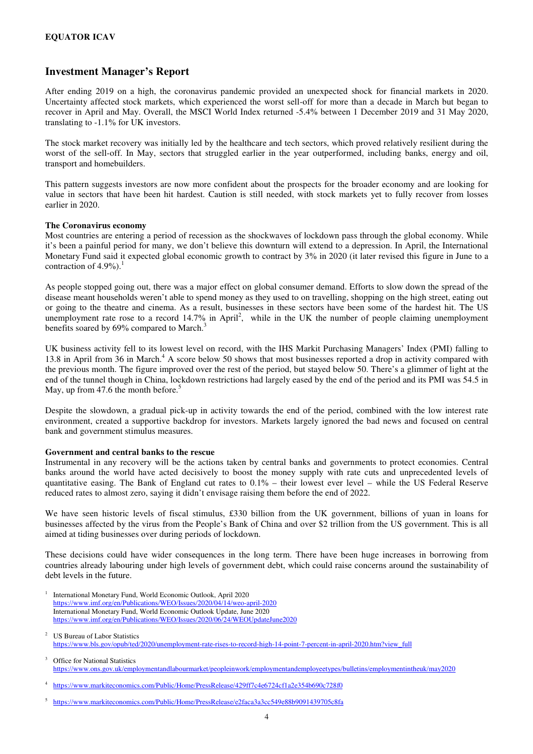### **Investment Manager's Report**

After ending 2019 on a high, the coronavirus pandemic provided an unexpected shock for financial markets in 2020. Uncertainty affected stock markets, which experienced the worst sell-off for more than a decade in March but began to recover in April and May. Overall, the MSCI World Index returned -5.4% between 1 December 2019 and 31 May 2020, translating to -1.1% for UK investors.

The stock market recovery was initially led by the healthcare and tech sectors, which proved relatively resilient during the worst of the sell-off. In May, sectors that struggled earlier in the year outperformed, including banks, energy and oil, transport and homebuilders.

This pattern suggests investors are now more confident about the prospects for the broader economy and are looking for value in sectors that have been hit hardest. Caution is still needed, with stock markets yet to fully recover from losses earlier in 2020.

#### **The Coronavirus economy**

Most countries are entering a period of recession as the shockwaves of lockdown pass through the global economy. While it's been a painful period for many, we don't believe this downturn will extend to a depression. In April, the International Monetary Fund said it expected global economic growth to contract by 3% in 2020 (it later revised this figure in June to a contraction of  $4.9\%$ ).

As people stopped going out, there was a major effect on global consumer demand. Efforts to slow down the spread of the disease meant households weren't able to spend money as they used to on travelling, shopping on the high street, eating out or going to the theatre and cinema. As a result, businesses in these sectors have been some of the hardest hit. The US unemployment rate rose to a record  $14.7\%$  in April<sup>2</sup>, while in the UK the number of people claiming unemployment benefits soared by 69% compared to March.<sup>3</sup>

UK business activity fell to its lowest level on record, with the IHS Markit Purchasing Managers' Index (PMI) falling to 13.8 in April from 36 in March.<sup>4</sup> A score below 50 shows that most businesses reported a drop in activity compared with the previous month. The figure improved over the rest of the period, but stayed below 50. There's a glimmer of light at the end of the tunnel though in China, lockdown restrictions had largely eased by the end of the period and its PMI was 54.5 in May, up from  $47.6$  the month before.<sup>5</sup>

Despite the slowdown, a gradual pick-up in activity towards the end of the period, combined with the low interest rate environment, created a supportive backdrop for investors. Markets largely ignored the bad news and focused on central bank and government stimulus measures.

#### **Government and central banks to the rescue**

Instrumental in any recovery will be the actions taken by central banks and governments to protect economies. Central banks around the world have acted decisively to boost the money supply with rate cuts and unprecedented levels of quantitative easing. The Bank of England cut rates to 0.1% – their lowest ever level – while the US Federal Reserve reduced rates to almost zero, saying it didn't envisage raising them before the end of 2022.

We have seen historic levels of fiscal stimulus, £330 billion from the UK government, billions of yuan in loans for businesses affected by the virus from the People's Bank of China and over \$2 trillion from the US government. This is all aimed at tiding businesses over during periods of lockdown.

These decisions could have wider consequences in the long term. There have been huge increases in borrowing from countries already labouring under high levels of government debt, which could raise concerns around the sustainability of debt levels in the future.

- 1 International Monetary Fund, World Economic Outlook, April 2020 https://www.imf.org/en/Publications/WEO/Issues/2020/04/14/weo-april-2020 International Monetary Fund, World Economic Outlook Update, June 2020 https://www.imf.org/en/Publications/WEO/Issues/2020/06/24/WEOUpdateJune2020
- 2 US Bureau of Labor Statistics https://www.bls.gov/opub/ted/2020/unemployment-rate-rises-to-record-high-14-point-7-percent-in-april-2020.htm?view\_full
- 3 Office for National Statistics https://www.ons.gov.uk/employmentandlabourmarket/peopleinwork/employmentandemployeetypes/bulletins/employmentintheuk/may2020
- 4 https://www.markiteconomics.com/Public/Home/PressRelease/429ff7c4e6724cf1a2e354b690c728f0

<sup>5</sup> https://www.markiteconomics.com/Public/Home/PressRelease/e2faca3a3cc549e88b9091439705c8fa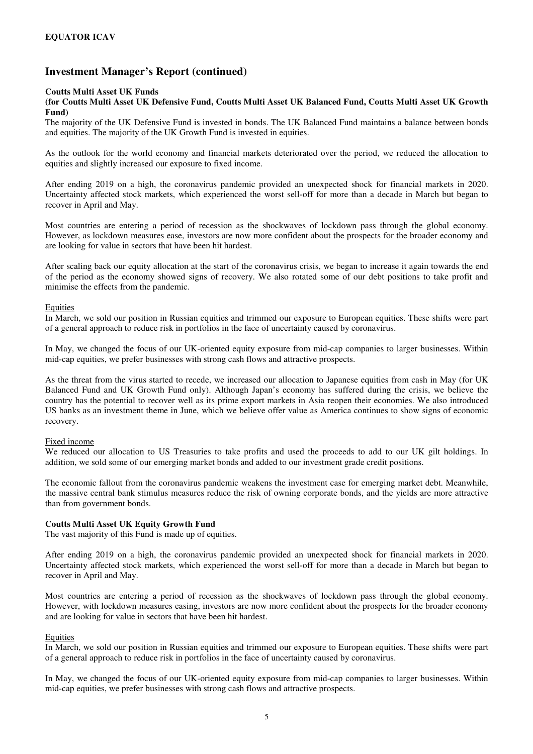#### **Coutts Multi Asset UK Funds**

#### **(for Coutts Multi Asset UK Defensive Fund, Coutts Multi Asset UK Balanced Fund, Coutts Multi Asset UK Growth Fund)**

The majority of the UK Defensive Fund is invested in bonds. The UK Balanced Fund maintains a balance between bonds and equities. The majority of the UK Growth Fund is invested in equities.

As the outlook for the world economy and financial markets deteriorated over the period, we reduced the allocation to equities and slightly increased our exposure to fixed income.

After ending 2019 on a high, the coronavirus pandemic provided an unexpected shock for financial markets in 2020. Uncertainty affected stock markets, which experienced the worst sell-off for more than a decade in March but began to recover in April and May.

Most countries are entering a period of recession as the shockwaves of lockdown pass through the global economy. However, as lockdown measures ease, investors are now more confident about the prospects for the broader economy and are looking for value in sectors that have been hit hardest.

After scaling back our equity allocation at the start of the coronavirus crisis, we began to increase it again towards the end of the period as the economy showed signs of recovery. We also rotated some of our debt positions to take profit and minimise the effects from the pandemic.

#### **Equities**

In March, we sold our position in Russian equities and trimmed our exposure to European equities. These shifts were part of a general approach to reduce risk in portfolios in the face of uncertainty caused by coronavirus.

In May, we changed the focus of our UK-oriented equity exposure from mid-cap companies to larger businesses. Within mid-cap equities, we prefer businesses with strong cash flows and attractive prospects.

As the threat from the virus started to recede, we increased our allocation to Japanese equities from cash in May (for UK Balanced Fund and UK Growth Fund only). Although Japan's economy has suffered during the crisis, we believe the country has the potential to recover well as its prime export markets in Asia reopen their economies. We also introduced US banks as an investment theme in June, which we believe offer value as America continues to show signs of economic recovery.

#### Fixed income

We reduced our allocation to US Treasuries to take profits and used the proceeds to add to our UK gilt holdings. In addition, we sold some of our emerging market bonds and added to our investment grade credit positions.

The economic fallout from the coronavirus pandemic weakens the investment case for emerging market debt. Meanwhile, the massive central bank stimulus measures reduce the risk of owning corporate bonds, and the yields are more attractive than from government bonds.

#### **Coutts Multi Asset UK Equity Growth Fund**

The vast majority of this Fund is made up of equities.

After ending 2019 on a high, the coronavirus pandemic provided an unexpected shock for financial markets in 2020. Uncertainty affected stock markets, which experienced the worst sell-off for more than a decade in March but began to recover in April and May.

Most countries are entering a period of recession as the shockwaves of lockdown pass through the global economy. However, with lockdown measures easing, investors are now more confident about the prospects for the broader economy and are looking for value in sectors that have been hit hardest.

#### **Equities**

In March, we sold our position in Russian equities and trimmed our exposure to European equities. These shifts were part of a general approach to reduce risk in portfolios in the face of uncertainty caused by coronavirus.

In May, we changed the focus of our UK-oriented equity exposure from mid-cap companies to larger businesses. Within mid-cap equities, we prefer businesses with strong cash flows and attractive prospects.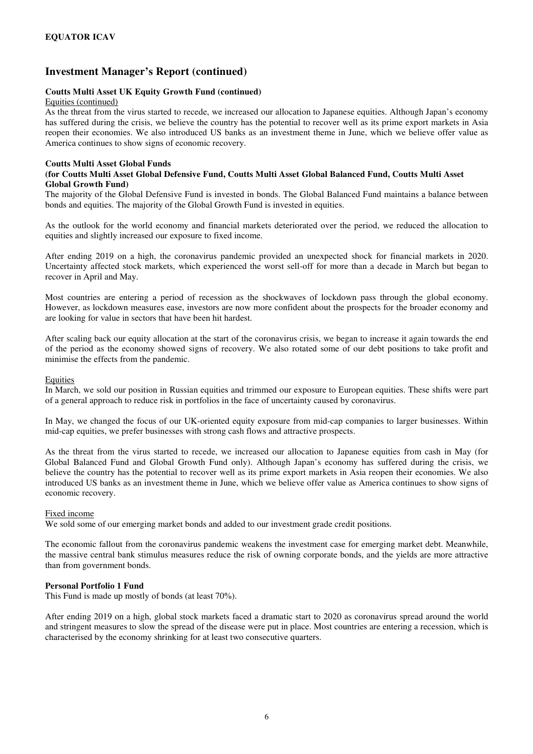#### **Coutts Multi Asset UK Equity Growth Fund (continued)**

#### Equities (continued)

As the threat from the virus started to recede, we increased our allocation to Japanese equities. Although Japan's economy has suffered during the crisis, we believe the country has the potential to recover well as its prime export markets in Asia reopen their economies. We also introduced US banks as an investment theme in June, which we believe offer value as America continues to show signs of economic recovery.

#### **Coutts Multi Asset Global Funds**

#### **(for Coutts Multi Asset Global Defensive Fund, Coutts Multi Asset Global Balanced Fund, Coutts Multi Asset Global Growth Fund)**

The majority of the Global Defensive Fund is invested in bonds. The Global Balanced Fund maintains a balance between bonds and equities. The majority of the Global Growth Fund is invested in equities.

As the outlook for the world economy and financial markets deteriorated over the period, we reduced the allocation to equities and slightly increased our exposure to fixed income.

After ending 2019 on a high, the coronavirus pandemic provided an unexpected shock for financial markets in 2020. Uncertainty affected stock markets, which experienced the worst sell-off for more than a decade in March but began to recover in April and May.

Most countries are entering a period of recession as the shockwaves of lockdown pass through the global economy. However, as lockdown measures ease, investors are now more confident about the prospects for the broader economy and are looking for value in sectors that have been hit hardest.

After scaling back our equity allocation at the start of the coronavirus crisis, we began to increase it again towards the end of the period as the economy showed signs of recovery. We also rotated some of our debt positions to take profit and minimise the effects from the pandemic.

#### Equities

In March, we sold our position in Russian equities and trimmed our exposure to European equities. These shifts were part of a general approach to reduce risk in portfolios in the face of uncertainty caused by coronavirus.

In May, we changed the focus of our UK-oriented equity exposure from mid-cap companies to larger businesses. Within mid-cap equities, we prefer businesses with strong cash flows and attractive prospects.

As the threat from the virus started to recede, we increased our allocation to Japanese equities from cash in May (for Global Balanced Fund and Global Growth Fund only). Although Japan's economy has suffered during the crisis, we believe the country has the potential to recover well as its prime export markets in Asia reopen their economies. We also introduced US banks as an investment theme in June, which we believe offer value as America continues to show signs of economic recovery.

#### Fixed income

We sold some of our emerging market bonds and added to our investment grade credit positions.

The economic fallout from the coronavirus pandemic weakens the investment case for emerging market debt. Meanwhile, the massive central bank stimulus measures reduce the risk of owning corporate bonds, and the yields are more attractive than from government bonds.

#### **Personal Portfolio 1 Fund**

This Fund is made up mostly of bonds (at least 70%).

After ending 2019 on a high, global stock markets faced a dramatic start to 2020 as coronavirus spread around the world and stringent measures to slow the spread of the disease were put in place. Most countries are entering a recession, which is characterised by the economy shrinking for at least two consecutive quarters.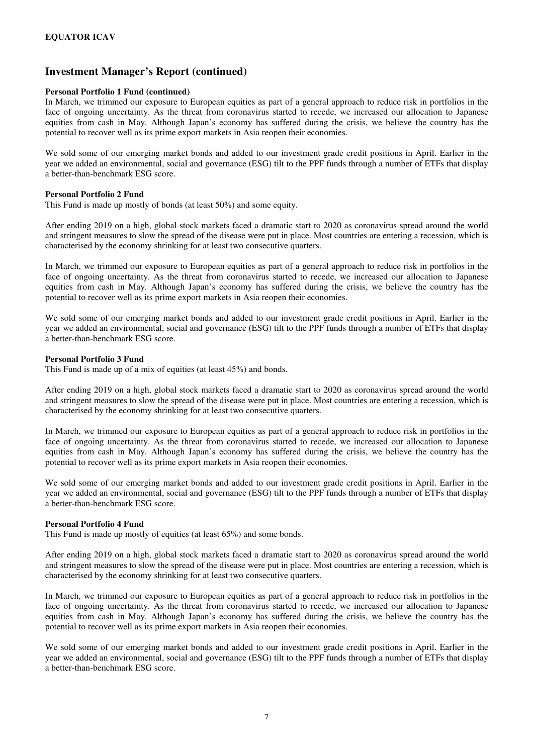#### **Personal Portfolio 1 Fund (continued)**

In March, we trimmed our exposure to European equities as part of a general approach to reduce risk in portfolios in the face of ongoing uncertainty. As the threat from coronavirus started to recede, we increased our allocation to Japanese equities from cash in May. Although Japan's economy has suffered during the crisis, we believe the country has the potential to recover well as its prime export markets in Asia reopen their economies.

We sold some of our emerging market bonds and added to our investment grade credit positions in April. Earlier in the year we added an environmental, social and governance (ESG) tilt to the PPF funds through a number of ETFs that display a better-than-benchmark ESG score.

#### **Personal Portfolio 2 Fund**

This Fund is made up mostly of bonds (at least 50%) and some equity.

After ending 2019 on a high, global stock markets faced a dramatic start to 2020 as coronavirus spread around the world and stringent measures to slow the spread of the disease were put in place. Most countries are entering a recession, which is characterised by the economy shrinking for at least two consecutive quarters.

In March, we trimmed our exposure to European equities as part of a general approach to reduce risk in portfolios in the face of ongoing uncertainty. As the threat from coronavirus started to recede, we increased our allocation to Japanese equities from cash in May. Although Japan's economy has suffered during the crisis, we believe the country has the potential to recover well as its prime export markets in Asia reopen their economies.

We sold some of our emerging market bonds and added to our investment grade credit positions in April. Earlier in the year we added an environmental, social and governance (ESG) tilt to the PPF funds through a number of ETFs that display a better-than-benchmark ESG score.

#### **Personal Portfolio 3 Fund**

This Fund is made up of a mix of equities (at least 45%) and bonds.

After ending 2019 on a high, global stock markets faced a dramatic start to 2020 as coronavirus spread around the world and stringent measures to slow the spread of the disease were put in place. Most countries are entering a recession, which is characterised by the economy shrinking for at least two consecutive quarters.

In March, we trimmed our exposure to European equities as part of a general approach to reduce risk in portfolios in the face of ongoing uncertainty. As the threat from coronavirus started to recede, we increased our allocation to Japanese equities from cash in May. Although Japan's economy has suffered during the crisis, we believe the country has the potential to recover well as its prime export markets in Asia reopen their economies.

We sold some of our emerging market bonds and added to our investment grade credit positions in April. Earlier in the year we added an environmental, social and governance (ESG) tilt to the PPF funds through a number of ETFs that display a better-than-benchmark ESG score.

#### **Personal Portfolio 4 Fund**

This Fund is made up mostly of equities (at least 65%) and some bonds.

After ending 2019 on a high, global stock markets faced a dramatic start to 2020 as coronavirus spread around the world and stringent measures to slow the spread of the disease were put in place. Most countries are entering a recession, which is characterised by the economy shrinking for at least two consecutive quarters.

In March, we trimmed our exposure to European equities as part of a general approach to reduce risk in portfolios in the face of ongoing uncertainty. As the threat from coronavirus started to recede, we increased our allocation to Japanese equities from cash in May. Although Japan's economy has suffered during the crisis, we believe the country has the potential to recover well as its prime export markets in Asia reopen their economies.

We sold some of our emerging market bonds and added to our investment grade credit positions in April. Earlier in the year we added an environmental, social and governance (ESG) tilt to the PPF funds through a number of ETFs that display a better-than-benchmark ESG score.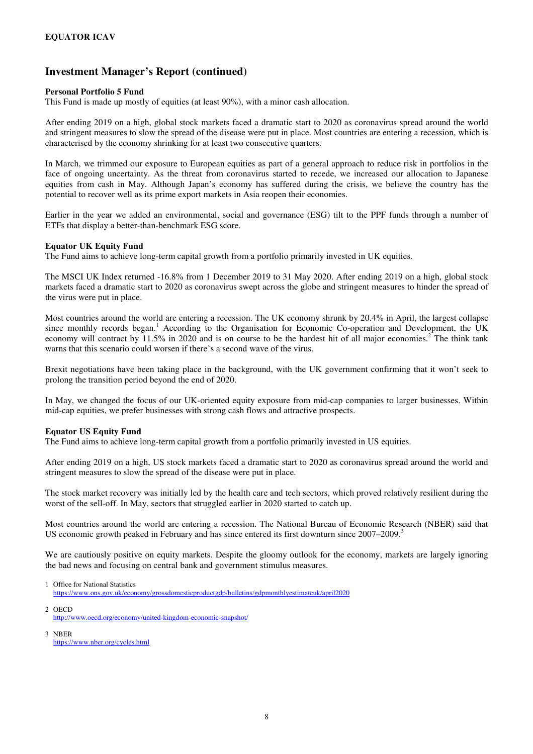#### **Personal Portfolio 5 Fund**

This Fund is made up mostly of equities (at least 90%), with a minor cash allocation.

After ending 2019 on a high, global stock markets faced a dramatic start to 2020 as coronavirus spread around the world and stringent measures to slow the spread of the disease were put in place. Most countries are entering a recession, which is characterised by the economy shrinking for at least two consecutive quarters.

In March, we trimmed our exposure to European equities as part of a general approach to reduce risk in portfolios in the face of ongoing uncertainty. As the threat from coronavirus started to recede, we increased our allocation to Japanese equities from cash in May. Although Japan's economy has suffered during the crisis, we believe the country has the potential to recover well as its prime export markets in Asia reopen their economies.

Earlier in the year we added an environmental, social and governance (ESG) tilt to the PPF funds through a number of ETFs that display a better-than-benchmark ESG score.

#### **Equator UK Equity Fund**

The Fund aims to achieve long-term capital growth from a portfolio primarily invested in UK equities.

The MSCI UK Index returned -16.8% from 1 December 2019 to 31 May 2020. After ending 2019 on a high, global stock markets faced a dramatic start to 2020 as coronavirus swept across the globe and stringent measures to hinder the spread of the virus were put in place.

Most countries around the world are entering a recession. The UK economy shrunk by 20.4% in April, the largest collapse since monthly records began.<sup>1</sup> According to the Organisation for Economic Co-operation and Development, the UK economy will contract by  $11.5\%$  in 2020 and is on course to be the hardest hit of all major economies.<sup>2</sup> The think tank warns that this scenario could worsen if there's a second wave of the virus.

Brexit negotiations have been taking place in the background, with the UK government confirming that it won't seek to prolong the transition period beyond the end of 2020.

In May, we changed the focus of our UK-oriented equity exposure from mid-cap companies to larger businesses. Within mid-cap equities, we prefer businesses with strong cash flows and attractive prospects.

#### **Equator US Equity Fund**

The Fund aims to achieve long-term capital growth from a portfolio primarily invested in US equities.

After ending 2019 on a high, US stock markets faced a dramatic start to 2020 as coronavirus spread around the world and stringent measures to slow the spread of the disease were put in place.

The stock market recovery was initially led by the health care and tech sectors, which proved relatively resilient during the worst of the sell-off. In May, sectors that struggled earlier in 2020 started to catch up.

Most countries around the world are entering a recession. The National Bureau of Economic Research (NBER) said that US economic growth peaked in February and has since entered its first downturn since 2007–2009.<sup>3</sup>

We are cautiously positive on equity markets. Despite the gloomy outlook for the economy, markets are largely ignoring the bad news and focusing on central bank and government stimulus measures.

- 2 OECD http://www.oecd.org/economy/united-kingdom-economic-snapshot/
- 3 NBER https://www.nber.org/cycles.html

<sup>1</sup> Office for National Statistics https://www.ons.gov.uk/economy/grossdomesticproductgdp/bulletins/gdpmonthlyestimateuk/april2020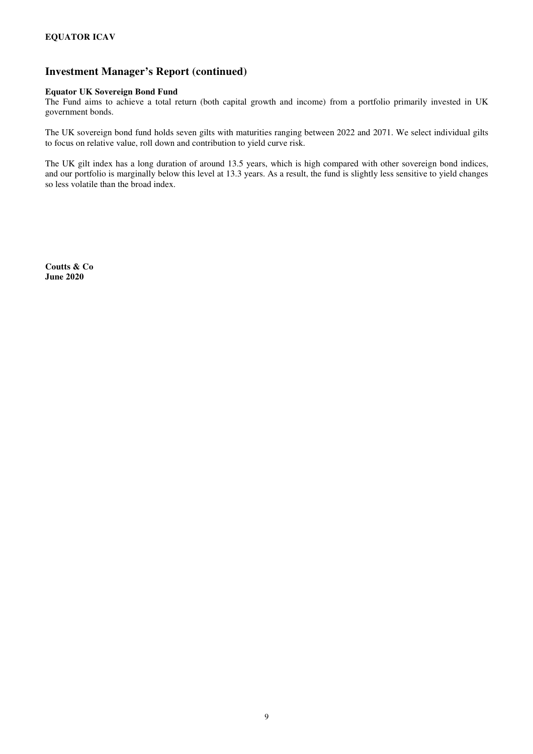#### **Equator UK Sovereign Bond Fund**

The Fund aims to achieve a total return (both capital growth and income) from a portfolio primarily invested in UK government bonds.

The UK sovereign bond fund holds seven gilts with maturities ranging between 2022 and 2071. We select individual gilts to focus on relative value, roll down and contribution to yield curve risk.

The UK gilt index has a long duration of around 13.5 years, which is high compared with other sovereign bond indices, and our portfolio is marginally below this level at 13.3 years. As a result, the fund is slightly less sensitive to yield changes so less volatile than the broad index.

**Coutts & Co June 2020**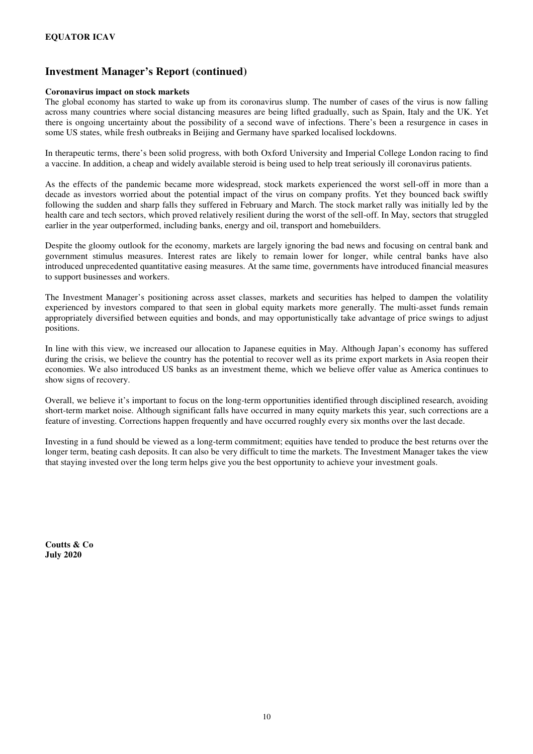#### **Coronavirus impact on stock markets**

The global economy has started to wake up from its coronavirus slump. The number of cases of the virus is now falling across many countries where social distancing measures are being lifted gradually, such as Spain, Italy and the UK. Yet there is ongoing uncertainty about the possibility of a second wave of infections. There's been a resurgence in cases in some US states, while fresh outbreaks in Beijing and Germany have sparked localised lockdowns.

In therapeutic terms, there's been solid progress, with both Oxford University and Imperial College London racing to find a vaccine. In addition, a cheap and widely available steroid is being used to help treat seriously ill coronavirus patients.

As the effects of the pandemic became more widespread, stock markets experienced the worst sell-off in more than a decade as investors worried about the potential impact of the virus on company profits. Yet they bounced back swiftly following the sudden and sharp falls they suffered in February and March. The stock market rally was initially led by the health care and tech sectors, which proved relatively resilient during the worst of the sell-off. In May, sectors that struggled earlier in the year outperformed, including banks, energy and oil, transport and homebuilders.

Despite the gloomy outlook for the economy, markets are largely ignoring the bad news and focusing on central bank and government stimulus measures. Interest rates are likely to remain lower for longer, while central banks have also introduced unprecedented quantitative easing measures. At the same time, governments have introduced financial measures to support businesses and workers.

The Investment Manager's positioning across asset classes, markets and securities has helped to dampen the volatility experienced by investors compared to that seen in global equity markets more generally. The multi-asset funds remain appropriately diversified between equities and bonds, and may opportunistically take advantage of price swings to adjust positions.

In line with this view, we increased our allocation to Japanese equities in May. Although Japan's economy has suffered during the crisis, we believe the country has the potential to recover well as its prime export markets in Asia reopen their economies. We also introduced US banks as an investment theme, which we believe offer value as America continues to show signs of recovery.

Overall, we believe it's important to focus on the long-term opportunities identified through disciplined research, avoiding short-term market noise. Although significant falls have occurred in many equity markets this year, such corrections are a feature of investing. Corrections happen frequently and have occurred roughly every six months over the last decade.

Investing in a fund should be viewed as a long-term commitment; equities have tended to produce the best returns over the longer term, beating cash deposits. It can also be very difficult to time the markets. The Investment Manager takes the view that staying invested over the long term helps give you the best opportunity to achieve your investment goals.

**Coutts & Co July 2020**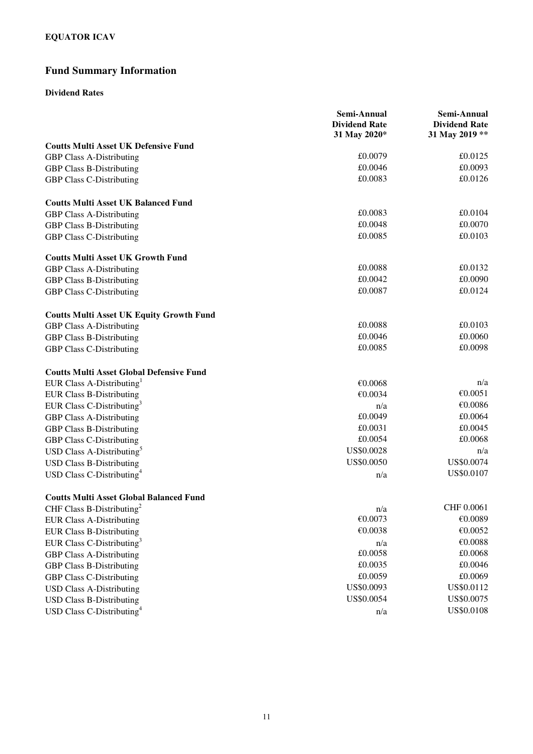## **Fund Summary Information**

### **Dividend Rates**

|                                                 | Semi-Annual<br><b>Dividend Rate</b><br>31 May 2020* | Semi-Annual<br><b>Dividend Rate</b><br>31 May 2019 ** |
|-------------------------------------------------|-----------------------------------------------------|-------------------------------------------------------|
| <b>Coutts Multi Asset UK Defensive Fund</b>     |                                                     |                                                       |
| <b>GBP Class A-Distributing</b>                 | £0.0079                                             | £0.0125                                               |
| <b>GBP Class B-Distributing</b>                 | £0.0046                                             | £0.0093                                               |
| <b>GBP Class C-Distributing</b>                 | £0.0083                                             | £0.0126                                               |
| <b>Coutts Multi Asset UK Balanced Fund</b>      |                                                     |                                                       |
| <b>GBP Class A-Distributing</b>                 | £0.0083                                             | £0.0104                                               |
| <b>GBP Class B-Distributing</b>                 | £0.0048                                             | £0.0070                                               |
| <b>GBP Class C-Distributing</b>                 | £0.0085                                             | £0.0103                                               |
| <b>Coutts Multi Asset UK Growth Fund</b>        |                                                     |                                                       |
| <b>GBP Class A-Distributing</b>                 | £0.0088                                             | £0.0132                                               |
| <b>GBP Class B-Distributing</b>                 | £0.0042                                             | £0.0090                                               |
| <b>GBP Class C-Distributing</b>                 | £0.0087                                             | £0.0124                                               |
| <b>Coutts Multi Asset UK Equity Growth Fund</b> |                                                     |                                                       |
| <b>GBP Class A-Distributing</b>                 | £0.0088                                             | £0.0103                                               |
| <b>GBP Class B-Distributing</b>                 | £0.0046                                             | £0.0060                                               |
| <b>GBP Class C-Distributing</b>                 | £0.0085                                             | £0.0098                                               |
| <b>Coutts Multi Asset Global Defensive Fund</b> |                                                     |                                                       |
| EUR Class A-Distributing                        | €0.0068                                             | n/a                                                   |
| <b>EUR Class B-Distributing</b>                 | €0.0034                                             | €0.0051                                               |
| EUR Class C-Distributing <sup>3</sup>           | n/a                                                 | €0.0086                                               |
| <b>GBP Class A-Distributing</b>                 | £0.0049                                             | £0.0064                                               |
| <b>GBP Class B-Distributing</b>                 | £0.0031                                             | £0.0045                                               |
| GBP Class C-Distributing                        | £0.0054                                             | £0.0068                                               |
| USD Class A-Distributing <sup>5</sup>           | US\$0.0028                                          | n/a                                                   |
| <b>USD Class B-Distributing</b>                 | US\$0.0050                                          | US\$0.0074                                            |
| USD Class C-Distributing <sup>4</sup>           | n/a                                                 | US\$0.0107                                            |
| <b>Coutts Multi Asset Global Balanced Fund</b>  |                                                     |                                                       |
| CHF Class B-Distributing <sup>2</sup>           | n/a                                                 | CHF 0.0061                                            |
| <b>EUR Class A-Distributing</b>                 | €0.0073                                             | €0.0089                                               |
| <b>EUR Class B-Distributing</b>                 | €0.0038                                             | €0.0052                                               |
| EUR Class C-Distributing <sup>3</sup>           | n/a                                                 | $\mathcal{K}0.0088$                                   |
| <b>GBP Class A-Distributing</b>                 | £0.0058                                             | £0.0068                                               |
| <b>GBP Class B-Distributing</b>                 | £0.0035                                             | £0.0046                                               |
| <b>GBP Class C-Distributing</b>                 | £0.0059                                             | £0.0069                                               |
| <b>USD Class A-Distributing</b>                 | US\$0.0093                                          | US\$0.0112                                            |
| <b>USD Class B-Distributing</b>                 | US\$0.0054                                          | US\$0.0075                                            |
| USD Class C-Distributing <sup>4</sup>           | n/a                                                 | US\$0.0108                                            |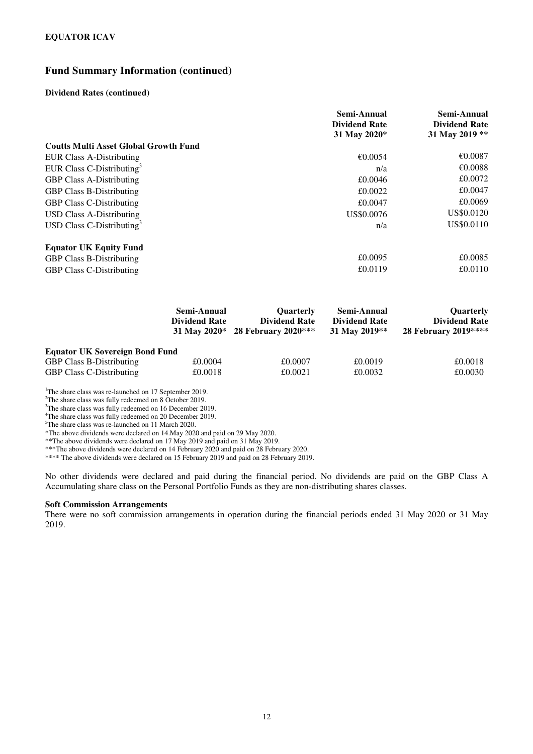### **Fund Summary Information (continued)**

#### **Dividend Rates (continued)**

|                                              | Semi-Annual<br><b>Dividend Rate</b><br>31 May 2020* | Semi-Annual<br><b>Dividend Rate</b><br>31 May 2019 ** |
|----------------------------------------------|-----------------------------------------------------|-------------------------------------------------------|
| <b>Coutts Multi Asset Global Growth Fund</b> |                                                     |                                                       |
| <b>EUR Class A-Distributing</b>              | €0.0054                                             | €0.0087                                               |
| EUR Class C-Distributing <sup>3</sup>        | n/a                                                 | €0.0088                                               |
| <b>GBP Class A-Distributing</b>              | £0.0046                                             | £0.0072                                               |
| <b>GBP Class B-Distributing</b>              | £0.0022                                             | £0.0047                                               |
| <b>GBP Class C-Distributing</b>              | £0.0047                                             | £0.0069                                               |
| <b>USD Class A-Distributing</b>              | US\$0,0076                                          | US\$0.0120                                            |
| USD Class C-Distributing <sup>3</sup>        | n/a                                                 | US\$0.0110                                            |
| <b>Equator UK Equity Fund</b>                |                                                     |                                                       |
| <b>GBP Class B-Distributing</b>              | £0.0095                                             | £0.0085                                               |
| <b>GBP Class C-Distributing</b>              | £0.0119                                             | £0.0110                                               |

|                                       | Semi-Annual<br><b>Dividend Rate</b> | <b>Ouarterly</b><br><b>Dividend Rate</b><br>31 May 2020* 28 February 2020*** | Semi-Annual<br><b>Dividend Rate</b><br>31 May 2019** | Quarterly<br><b>Dividend Rate</b><br>28 February 2019**** |
|---------------------------------------|-------------------------------------|------------------------------------------------------------------------------|------------------------------------------------------|-----------------------------------------------------------|
| <b>Equator UK Sovereign Bond Fund</b> |                                     |                                                                              |                                                      |                                                           |
| <b>GBP Class B-Distributing</b>       | £0.0004                             | £0.0007                                                                      | £0.0019                                              | £0.0018                                                   |
| <b>GBP Class C-Distributing</b>       | £0.0018                             | £0.0021                                                                      | £0.0032                                              | £0.0030                                                   |

<sup>1</sup>The share class was re-launched on 17 September 2019.

<sup>2</sup>The share class was fully redeemed on 8 October 2019.

<sup>3</sup>The share class was fully redeemed on 16 December 2019.

<sup>4</sup>The share class was fully redeemed on 20 December 2019.

<sup>5</sup>The share class was re-launched on 11 March 2020.

\*The above dividends were declared on 14.May 2020 and paid on 29 May 2020.

\*\*The above dividends were declared on 17 May 2019 and paid on 31 May 2019.

\*\*\*The above dividends were declared on 14 February 2020 and paid on 28 February 2020.

\*\*\*\* The above dividends were declared on 15 February 2019 and paid on 28 February 2019.

No other dividends were declared and paid during the financial period. No dividends are paid on the GBP Class A Accumulating share class on the Personal Portfolio Funds as they are non-distributing shares classes.

#### **Soft Commission Arrangements**

There were no soft commission arrangements in operation during the financial periods ended 31 May 2020 or 31 May 2019.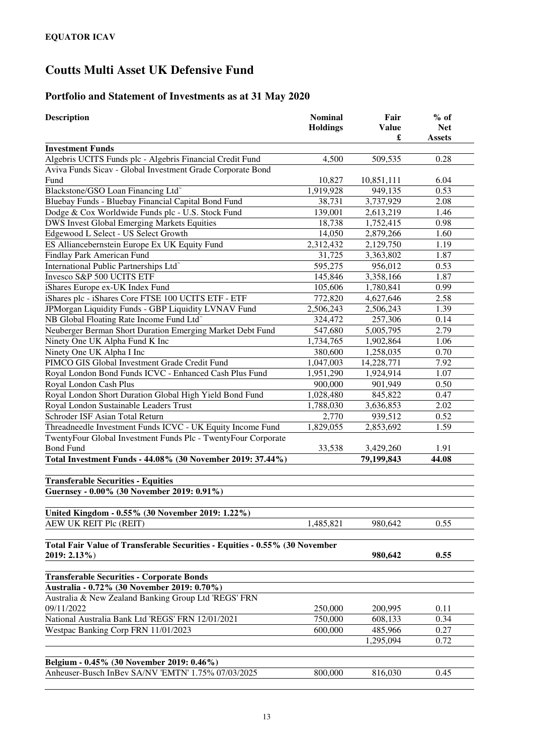## **Portfolio and Statement of Investments as at 31 May 2020**

| <b>Description</b>                                                          | <b>Nominal</b><br><b>Holdings</b> | Fair<br><b>Value</b><br>£ | $%$ of<br><b>Net</b><br><b>Assets</b> |
|-----------------------------------------------------------------------------|-----------------------------------|---------------------------|---------------------------------------|
| <b>Investment Funds</b>                                                     |                                   |                           |                                       |
| Algebris UCITS Funds plc - Algebris Financial Credit Fund                   | 4,500                             | 509,535                   | 0.28                                  |
| Aviva Funds Sicav - Global Investment Grade Corporate Bond                  |                                   |                           |                                       |
| Fund                                                                        | 10,827                            | 10,851,111                | 6.04                                  |
| Blackstone/GSO Loan Financing Ltd <sup>~</sup>                              | 1,919,928                         | 949,135                   | 0.53                                  |
| Bluebay Funds - Bluebay Financial Capital Bond Fund                         | 38,731                            | 3,737,929                 | 2.08                                  |
| Dodge & Cox Worldwide Funds plc - U.S. Stock Fund                           | 139,001                           | 2,613,219                 | 1.46                                  |
| <b>DWS Invest Global Emerging Markets Equities</b>                          | 18,738                            | 1,752,415                 | 0.98                                  |
| Edgewood L Select - US Select Growth                                        | 14,050                            | 2,879,266                 | 1.60                                  |
| ES Alliancebernstein Europe Ex UK Equity Fund                               | 2,312,432                         | 2,129,750                 | 1.19                                  |
| Findlay Park American Fund                                                  | 31,725                            | 3,363,802                 | 1.87                                  |
| International Public Partnerships Ltd <sup>®</sup>                          | 595,275                           | 956,012                   | 0.53                                  |
| Invesco S&P 500 UCITS ETF                                                   | 145,846                           | 3,358,166                 | 1.87                                  |
| iShares Europe ex-UK Index Fund                                             | 105,606                           | 1,780,841                 | 0.99                                  |
| iShares plc - iShares Core FTSE 100 UCITS ETF - ETF                         | 772,820                           | 4,627,646                 | 2.58                                  |
| JPMorgan Liquidity Funds - GBP Liquidity LVNAV Fund                         | 2,506,243                         | 2,506,243                 | 1.39                                  |
| NB Global Floating Rate Income Fund Ltd <sup>®</sup>                        | 324,472                           | 257,306                   | 0.14                                  |
| Neuberger Berman Short Duration Emerging Market Debt Fund                   | 547,680                           | 5,005,795                 | 2.79                                  |
| Ninety One UK Alpha Fund K Inc                                              | 1,734,765                         | 1,902,864                 | 1.06                                  |
| Ninety One UK Alpha I Inc                                                   | 380,600                           | 1,258,035                 | 0.70                                  |
| PIMCO GIS Global Investment Grade Credit Fund                               | 1,047,003                         | 14,228,771                | 7.92                                  |
| Royal London Bond Funds ICVC - Enhanced Cash Plus Fund                      | 1,951,290                         | 1,924,914                 | 1.07                                  |
| Royal London Cash Plus                                                      | 900,000                           | 901,949                   | 0.50                                  |
| Royal London Short Duration Global High Yield Bond Fund                     | 1,028,480                         | 845,822                   | 0.47                                  |
| Royal London Sustainable Leaders Trust                                      | 1,788,030                         | 3,636,853                 | 2.02                                  |
| Schroder ISF Asian Total Return                                             | 2,770                             | 939,512                   | 0.52                                  |
| Threadneedle Investment Funds ICVC - UK Equity Income Fund                  | 1,829,055                         | 2,853,692                 | 1.59                                  |
| TwentyFour Global Investment Funds Plc - TwentyFour Corporate               |                                   |                           |                                       |
| <b>Bond Fund</b>                                                            | 33,538                            | 3,429,260                 | 1.91                                  |
| Total Investment Funds - 44.08% (30 November 2019: 37.44%)                  |                                   | 79,199,843                | 44.08                                 |
| <b>Transferable Securities - Equities</b>                                   |                                   |                           |                                       |
| Guernsey - 0.00% (30 November 2019: 0.91%)                                  |                                   |                           |                                       |
| United Kingdom - 0.55% (30 November 2019: 1.22%)                            |                                   |                           |                                       |
| AEW UK REIT Plc (REIT)                                                      | 1,485,821                         | 980,642                   | 0.55                                  |
| Total Fair Value of Transferable Securities - Equities - 0.55% (30 November |                                   |                           |                                       |
| 2019: 2.13%)                                                                |                                   | 980,642                   | 0.55                                  |
| <b>Transferable Securities - Corporate Bonds</b>                            |                                   |                           |                                       |
| Australia - 0.72% (30 November 2019: 0.70%)                                 |                                   |                           |                                       |
| Australia & New Zealand Banking Group Ltd 'REGS' FRN<br>09/11/2022          | 250,000                           | 200,995                   | 0.11                                  |
| National Australia Bank Ltd 'REGS' FRN 12/01/2021                           | 750,000                           | 608,133                   | 0.34                                  |
| Westpac Banking Corp FRN 11/01/2023                                         | 600,000                           | 485,966                   | 0.27                                  |
|                                                                             |                                   | 1,295,094                 | 0.72                                  |
|                                                                             |                                   |                           |                                       |
| Belgium - 0.45% (30 November 2019: 0.46%)                                   |                                   |                           |                                       |
| Anheuser-Busch InBev SA/NV 'EMTN' 1.75% 07/03/2025                          | 800,000                           | 816,030                   | 0.45                                  |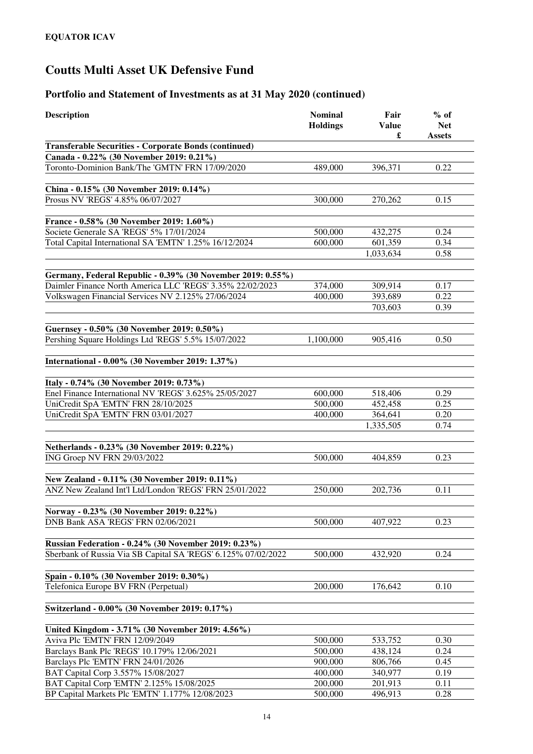| <b>Description</b>                                                                   | <b>Nominal</b><br><b>Holdings</b> | Fair<br><b>Value</b><br>£ | $%$ of<br><b>Net</b><br><b>Assets</b> |
|--------------------------------------------------------------------------------------|-----------------------------------|---------------------------|---------------------------------------|
| <b>Transferable Securities - Corporate Bonds (continued)</b>                         |                                   |                           |                                       |
| Canada - 0.22% (30 November 2019: 0.21%)                                             |                                   |                           |                                       |
| Toronto-Dominion Bank/The 'GMTN' FRN 17/09/2020                                      | 489,000                           | 396,371                   | 0.22                                  |
|                                                                                      |                                   |                           |                                       |
| China - 0.15% (30 November 2019: 0.14%)                                              |                                   |                           |                                       |
| Prosus NV 'REGS' 4.85% 06/07/2027                                                    | 300,000                           | 270,262                   | 0.15                                  |
|                                                                                      |                                   |                           |                                       |
| France - 0.58% (30 November 2019: 1.60%)<br>Societe Generale SA 'REGS' 5% 17/01/2024 | 500,000                           | 432,275                   | 0.24                                  |
| Total Capital International SA 'EMTN' 1.25% 16/12/2024                               | 600,000                           | 601,359                   | 0.34                                  |
|                                                                                      |                                   | 1,033,634                 | 0.58                                  |
|                                                                                      |                                   |                           |                                       |
| Germany, Federal Republic - 0.39% (30 November 2019: 0.55%)                          |                                   |                           |                                       |
| Daimler Finance North America LLC 'REGS' 3.35% 22/02/2023                            | 374,000                           | 309,914                   | 0.17                                  |
| Volkswagen Financial Services NV 2.125% 27/06/2024                                   | 400,000                           | 393,689                   | 0.22                                  |
|                                                                                      |                                   | 703,603                   | 0.39                                  |
|                                                                                      |                                   |                           |                                       |
| Guernsey - 0.50% (30 November 2019: 0.50%)                                           |                                   |                           |                                       |
| Pershing Square Holdings Ltd 'REGS' 5.5% 15/07/2022                                  | 1,100,000                         | 905,416                   | 0.50                                  |
| International - 0.00% (30 November 2019: 1.37%)                                      |                                   |                           |                                       |
|                                                                                      |                                   |                           |                                       |
| Italy - 0.74% (30 November 2019: 0.73%)                                              |                                   |                           |                                       |
| Enel Finance International NV 'REGS' 3.625% 25/05/2027                               | 600,000                           | 518,406                   | 0.29                                  |
| UniCredit SpA 'EMTN' FRN 28/10/2025                                                  | 500,000                           | 452,458                   | 0.25                                  |
| UniCredit SpA 'EMTN' FRN 03/01/2027                                                  | 400,000                           | 364,641                   | 0.20                                  |
|                                                                                      |                                   | 1,335,505                 | 0.74                                  |
|                                                                                      |                                   |                           |                                       |
| Netherlands - 0.23% (30 November 2019: 0.22%)                                        |                                   |                           |                                       |
| ING Groep NV FRN 29/03/2022                                                          | 500,000                           | 404,859                   | 0.23                                  |
| New Zealand - 0.11% (30 November 2019: 0.11%)                                        |                                   |                           |                                       |
| ANZ New Zealand Int'l Ltd/London 'REGS' FRN 25/01/2022                               | 250,000                           | 202,736                   | 0.11                                  |
|                                                                                      |                                   |                           |                                       |
| Norway - 0.23% (30 November 2019: 0.22%)                                             |                                   |                           |                                       |
| DNB Bank ASA 'REGS' FRN 02/06/2021                                                   | 500,000                           | 407,922                   | 0.23                                  |
|                                                                                      |                                   |                           |                                       |
| Russian Federation - 0.24% (30 November 2019: 0.23%)                                 |                                   |                           |                                       |
| Sberbank of Russia Via SB Capital SA 'REGS' 6.125% 07/02/2022                        | 500,000                           | 432,920                   | 0.24                                  |
|                                                                                      |                                   |                           |                                       |
| Spain - 0.10% (30 November 2019: 0.30%)                                              |                                   |                           |                                       |
| Telefonica Europe BV FRN (Perpetual)                                                 | 200,000                           | 176,642                   | 0.10                                  |
| Switzerland - 0.00% (30 November 2019: 0.17%)                                        |                                   |                           |                                       |
|                                                                                      |                                   |                           |                                       |
| United Kingdom - 3.71% (30 November 2019: 4.56%)                                     |                                   |                           |                                       |
| Aviva Plc 'EMTN' FRN 12/09/2049                                                      | 500,000                           | 533,752                   | 0.30                                  |
| Barclays Bank Plc 'REGS' 10.179% 12/06/2021                                          | 500,000                           | 438,124                   | 0.24                                  |
| Barclays Plc 'EMTN' FRN 24/01/2026                                                   | 900,000                           | 806,766                   | 0.45                                  |
| BAT Capital Corp 3.557% 15/08/2027                                                   | 400,000                           | 340,977                   | 0.19                                  |
| BAT Capital Corp 'EMTN' 2.125% 15/08/2025                                            | 200,000                           | 201,913                   | 0.11                                  |
| BP Capital Markets Plc 'EMTN' 1.177% 12/08/2023                                      | 500,000                           | 496,913                   | 0.28                                  |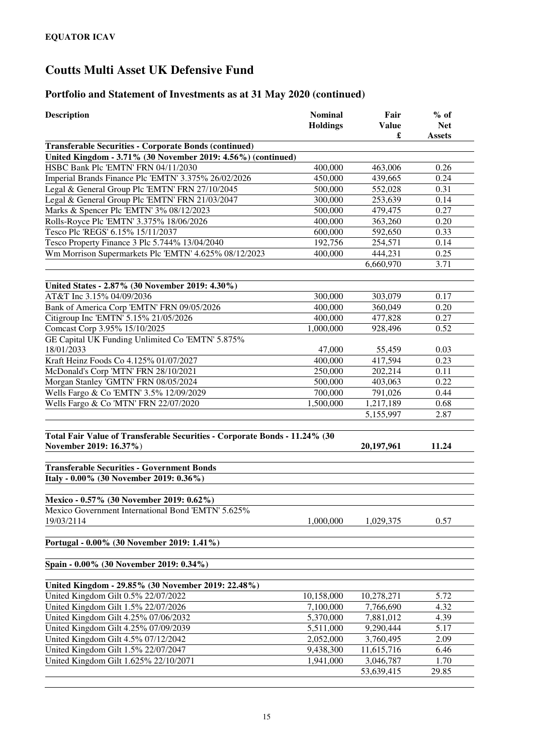| <b>Description</b>                                                                                   | <b>Nominal</b><br><b>Holdings</b> | Fair<br><b>Value</b><br>£ | $%$ of<br><b>Net</b><br><b>Assets</b> |
|------------------------------------------------------------------------------------------------------|-----------------------------------|---------------------------|---------------------------------------|
| <b>Transferable Securities - Corporate Bonds (continued)</b>                                         |                                   |                           |                                       |
| United Kingdom - 3.71% (30 November 2019: 4.56%) (continued)                                         |                                   |                           |                                       |
| HSBC Bank Plc 'EMTN' FRN 04/11/2030                                                                  | 400,000                           | 463,006                   | 0.26                                  |
| Imperial Brands Finance Plc 'EMTN' 3.375% 26/02/2026                                                 | 450,000                           | 439,665                   | 0.24                                  |
| Legal & General Group Plc 'EMTN' FRN 27/10/2045                                                      | 500,000                           | 552,028                   | 0.31                                  |
| Legal & General Group Plc 'EMTN' FRN 21/03/2047                                                      | 300,000                           | 253,639                   | 0.14                                  |
| Marks & Spencer Plc 'EMTN' 3% 08/12/2023                                                             | 500,000                           | 479,475                   | 0.27                                  |
| Rolls-Royce Plc 'EMTN' 3.375% 18/06/2026                                                             | 400,000                           | 363,260                   | 0.20                                  |
| Tesco Plc 'REGS' 6.15% 15/11/2037                                                                    | 600,000                           | 592,650                   | 0.33                                  |
| Tesco Property Finance 3 Plc 5.744% 13/04/2040                                                       | 192,756                           | 254,571                   | 0.14                                  |
| Wm Morrison Supermarkets Plc 'EMTN' 4.625% 08/12/2023                                                | 400,000                           | 444,231                   | 0.25                                  |
|                                                                                                      |                                   | 6,660,970                 | 3.71                                  |
| United States - 2.87% (30 November 2019: 4.30%)                                                      |                                   |                           |                                       |
| AT&T Inc 3.15% 04/09/2036                                                                            | 300,000                           | 303,079                   | 0.17                                  |
| Bank of America Corp 'EMTN' FRN 09/05/2026                                                           | 400,000                           | 360,049                   | 0.20                                  |
| Citigroup Inc 'EMTN' 5.15% 21/05/2026                                                                | 400,000                           | 477,828                   | 0.27                                  |
| Comcast Corp 3.95% 15/10/2025                                                                        | 1,000,000                         | 928,496                   | 0.52                                  |
| GE Capital UK Funding Unlimited Co 'EMTN' 5.875%                                                     |                                   |                           |                                       |
| 18/01/2033                                                                                           | 47,000                            | 55,459                    | 0.03                                  |
| Kraft Heinz Foods Co 4.125% 01/07/2027                                                               | 400,000                           | 417,594                   | 0.23                                  |
| McDonald's Corp 'MTN' FRN 28/10/2021                                                                 | 250,000                           | 202,214                   | 0.11                                  |
| Morgan Stanley 'GMTN' FRN 08/05/2024                                                                 | 500,000                           | 403,063                   | 0.22                                  |
| Wells Fargo & Co 'EMTN' 3.5% 12/09/2029                                                              | 700,000                           | 791,026                   | 0.44                                  |
| Wells Fargo & Co 'MTN' FRN 22/07/2020                                                                | 1,500,000                         | 1,217,189                 | 0.68                                  |
|                                                                                                      |                                   | 5,155,997                 | 2.87                                  |
|                                                                                                      |                                   |                           |                                       |
| Total Fair Value of Transferable Securities - Corporate Bonds - 11.24% (30<br>November 2019: 16.37%) |                                   | 20, 197, 961              | 11.24                                 |
|                                                                                                      |                                   |                           |                                       |
| <b>Transferable Securities - Government Bonds</b>                                                    |                                   |                           |                                       |
| Italy - 0.00% (30 November 2019: 0.36%)                                                              |                                   |                           |                                       |
| Mexico - 0.57% (30 November 2019: 0.62%)                                                             |                                   |                           |                                       |
| Mexico Government International Bond 'EMTN' 5.625%                                                   |                                   |                           |                                       |
| 19/03/2114                                                                                           | 1,000,000                         | 1,029,375                 | 0.57                                  |
|                                                                                                      |                                   |                           |                                       |
| Portugal - 0.00% (30 November 2019: 1.41%)                                                           |                                   |                           |                                       |
| Spain - 0.00% (30 November 2019: 0.34%)                                                              |                                   |                           |                                       |
| United Kingdom - 29.85% (30 November 2019: 22.48%)                                                   |                                   |                           |                                       |
| United Kingdom Gilt 0.5% 22/07/2022                                                                  | 10,158,000                        | 10,278,271                | 5.72                                  |
| United Kingdom Gilt 1.5% 22/07/2026                                                                  | 7,100,000                         | 7,766,690                 | 4.32                                  |
| United Kingdom Gilt 4.25% 07/06/2032                                                                 | 5,370,000                         | 7,881,012                 | 4.39                                  |
| United Kingdom Gilt 4.25% 07/09/2039                                                                 | 5,511,000                         | 9,290,444                 | 5.17                                  |
| United Kingdom Gilt 4.5% 07/12/2042                                                                  | 2,052,000                         | 3,760,495                 | 2.09                                  |
| United Kingdom Gilt 1.5% 22/07/2047                                                                  | 9,438,300                         | 11,615,716                | 6.46                                  |
| United Kingdom Gilt 1.625% 22/10/2071                                                                | 1,941,000                         | 3,046,787                 | 1.70                                  |
|                                                                                                      |                                   | 53,639,415                | 29.85                                 |
|                                                                                                      |                                   |                           |                                       |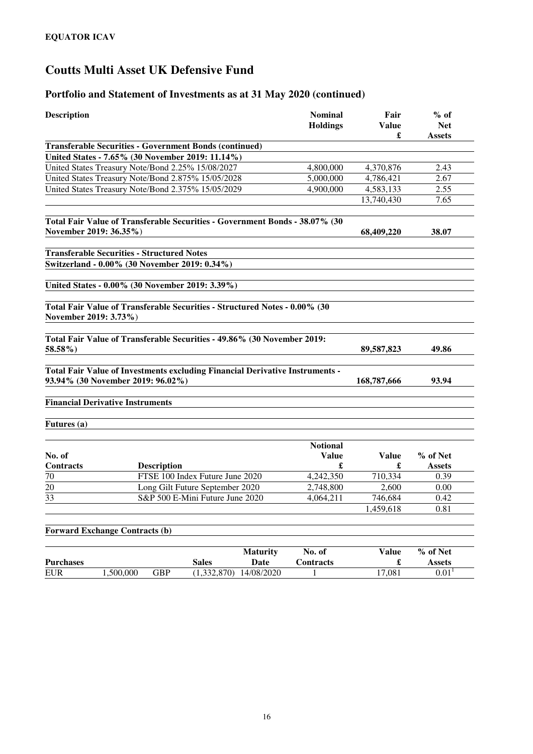| <b>Description</b>               | <b>Nominal</b><br><b>Holdings</b>                                                                                                                     |                 |                                      |                      | $%$ of<br><b>Net</b><br><b>Assets</b> |
|----------------------------------|-------------------------------------------------------------------------------------------------------------------------------------------------------|-----------------|--------------------------------------|----------------------|---------------------------------------|
|                                  | <b>Transferable Securities - Government Bonds (continued)</b>                                                                                         |                 |                                      | £                    |                                       |
|                                  | United States - 7.65% (30 November 2019: 11.14%)                                                                                                      |                 |                                      |                      |                                       |
|                                  | United States Treasury Note/Bond 2.25% 15/08/2027                                                                                                     |                 | 4,800,000                            | 4,370,876            | 2.43                                  |
|                                  | United States Treasury Note/Bond 2.875% 15/05/2028                                                                                                    |                 | 5,000,000                            | 4,786,421            | 2.67                                  |
|                                  | United States Treasury Note/Bond 2.375% 15/05/2029                                                                                                    |                 | 4,900,000                            | 4,583,133            | 2.55                                  |
|                                  |                                                                                                                                                       |                 |                                      | 13,740,430           | 7.65                                  |
|                                  | Total Fair Value of Transferable Securities - Government Bonds - 38.07% (30<br>November 2019: 36.35%)                                                 |                 |                                      | 68,409,220           | 38.07                                 |
|                                  | <b>Transferable Securities - Structured Notes</b>                                                                                                     |                 |                                      |                      |                                       |
|                                  | Switzerland - 0.00% (30 November 2019: 0.34%)                                                                                                         |                 |                                      |                      |                                       |
|                                  | United States - 0.00% (30 November 2019: 3.39%)                                                                                                       |                 |                                      |                      |                                       |
| November 2019: 3.73%)<br>58.58%) | Total Fair Value of Transferable Securities - Structured Notes - 0.00% (30<br>Total Fair Value of Transferable Securities - 49.86% (30 November 2019: |                 |                                      | 89,587,823           | 49.86                                 |
|                                  | Total Fair Value of Investments excluding Financial Derivative Instruments -<br>93.94% (30 November 2019: 96.02%)                                     |                 |                                      | 168,787,666          | 93.94                                 |
|                                  | <b>Financial Derivative Instruments</b>                                                                                                               |                 |                                      |                      |                                       |
| Futures (a)                      |                                                                                                                                                       |                 |                                      |                      |                                       |
| No. of<br>Contracts              |                                                                                                                                                       |                 | <b>Notional</b><br><b>Value</b><br>£ | <b>Value</b>         | % of Net                              |
| 70                               | <b>Description</b><br>FTSE 100 Index Future June 2020                                                                                                 |                 | 4,242,350                            | 710,334              | <b>Assets</b><br>0.39                 |
| $\overline{20}$                  | Long Gilt Future September 2020                                                                                                                       |                 | 2,748,800                            | 2,600                | 0.00                                  |
| $\overline{33}$                  | S&P 500 E-Mini Future June 2020                                                                                                                       |                 | 4,064,211                            | 746,684              | 0.42                                  |
|                                  |                                                                                                                                                       |                 |                                      | 1,459,618            | 0.81                                  |
|                                  |                                                                                                                                                       |                 |                                      |                      |                                       |
|                                  | <b>Forward Exchange Contracts (b)</b>                                                                                                                 |                 |                                      |                      |                                       |
|                                  |                                                                                                                                                       | <b>Maturity</b> | No. of                               | <b>Value</b>         | % of Net                              |
| <b>Purchases</b>                 | <b>Sales</b>                                                                                                                                          | Date            | Contracts                            | $\pmb{\mathfrak{L}}$ | <b>Assets</b>                         |
| ${\rm EUR}$                      | 1,500,000<br><b>GBP</b><br>(1,332,870)                                                                                                                | 14/08/2020      | 1                                    | 17,081               | 0.01 <sup>1</sup>                     |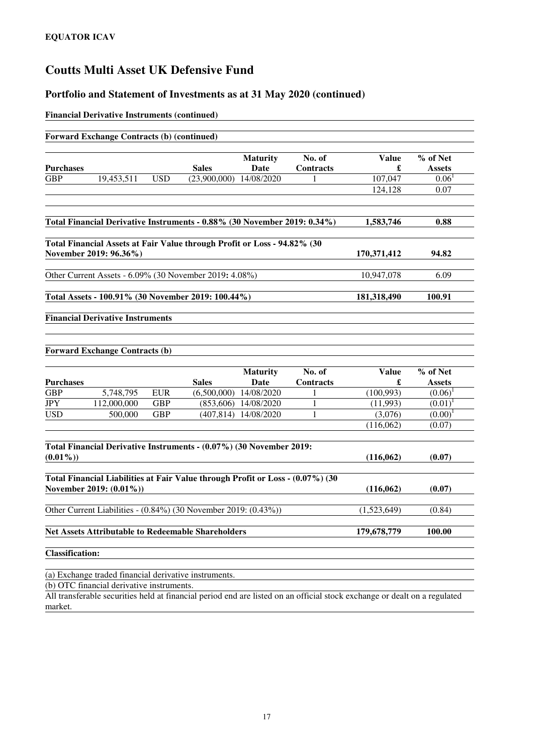### **Portfolio and Statement of Investments as at 31 May 2020 (continued)**

#### **Financial Derivative Instruments (continued)**

|                        | <b>Forward Exchange Contracts (b) (continued)</b>                                                         |            |                             |                         |                            |                   |                           |
|------------------------|-----------------------------------------------------------------------------------------------------------|------------|-----------------------------|-------------------------|----------------------------|-------------------|---------------------------|
| <b>Purchases</b>       |                                                                                                           |            | <b>Sales</b>                | <b>Maturity</b><br>Date | No. of<br><b>Contracts</b> | <b>Value</b><br>£ | % of Net<br><b>Assets</b> |
| <b>GBP</b>             | 19,453,511                                                                                                | <b>USD</b> | $(23,900,000)$ $14/08/2020$ |                         | 1                          | 107,047           | 0.06 <sup>1</sup>         |
|                        |                                                                                                           |            |                             |                         |                            | 124,128           | 0.07                      |
|                        |                                                                                                           |            |                             |                         |                            |                   |                           |
|                        | Total Financial Derivative Instruments - 0.88% (30 November 2019: 0.34%)                                  |            |                             |                         |                            | 1,583,746         | 0.88                      |
|                        | Total Financial Assets at Fair Value through Profit or Loss - 94.82% (30<br>November 2019: 96.36%)        |            |                             |                         |                            | 170,371,412       | 94.82                     |
|                        | Other Current Assets - 6.09% (30 November 2019: 4.08%)                                                    |            |                             |                         |                            | 10,947,078        | 6.09                      |
|                        | Total Assets - 100.91% (30 November 2019: 100.44%)                                                        |            |                             |                         |                            | 181,318,490       | 100.91                    |
|                        | <b>Forward Exchange Contracts (b)</b>                                                                     |            |                             |                         |                            |                   |                           |
| <b>Purchases</b>       |                                                                                                           |            | <b>Sales</b>                | <b>Maturity</b><br>Date | No. of<br><b>Contracts</b> | <b>Value</b><br>£ | % of Net<br><b>Assets</b> |
| <b>GBP</b>             | 5,748,795                                                                                                 | <b>EUR</b> | (6,500,000)                 | 14/08/2020              | 1                          | (100,993)         | $(0.06)^1$                |
| <b>JPY</b>             | 112,000,000                                                                                               | <b>GBP</b> | (853, 606)                  | 14/08/2020              | 1                          | (11,993)          | $(0.01)^{1}$              |
| <b>USD</b>             | 500,000                                                                                                   | <b>GBP</b> | (407, 814)                  | 14/08/2020              | 1                          | (3,076)           | (0.00)                    |
|                        |                                                                                                           |            |                             |                         |                            | (116,062)         | (0.07)                    |
| $(0.01\%)$             | Total Financial Derivative Instruments - (0.07%) (30 November 2019:                                       |            |                             |                         |                            | (116,062)         | (0.07)                    |
|                        | Total Financial Liabilities at Fair Value through Profit or Loss - (0.07%) (30<br>November 2019: (0.01%)) |            |                             |                         |                            | (116,062)         | (0.07)                    |
|                        | Other Current Liabilities - (0.84%) (30 November 2019: (0.43%))                                           |            |                             |                         |                            | (1,523,649)       | (0.84)                    |
|                        | <b>Net Assets Attributable to Redeemable Shareholders</b>                                                 |            |                             |                         |                            | 179,678,779       | 100.00                    |
| <b>Classification:</b> |                                                                                                           |            |                             |                         |                            |                   |                           |

(a) Exchange traded financial derivative instruments.

(b) OTC financial derivative instruments.

All transferable securities held at financial period end are listed on an official stock exchange or dealt on a regulated market.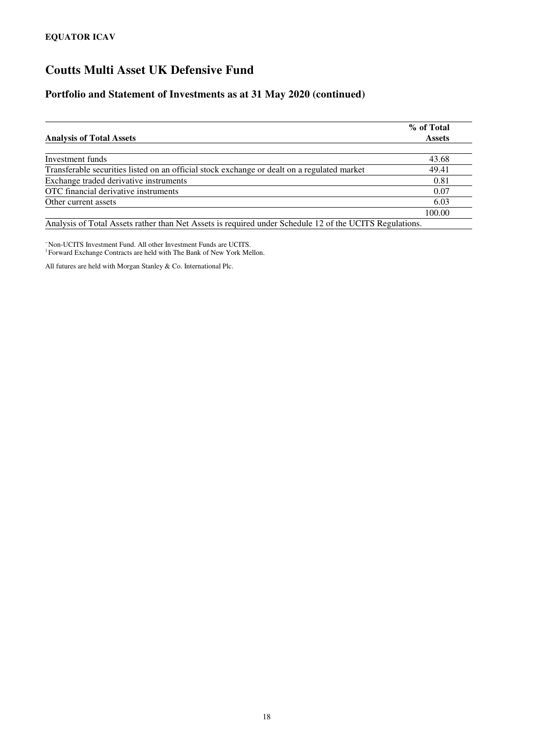### **Portfolio and Statement of Investments as at 31 May 2020 (continued)**

| % of Total<br><b>Assets</b> |
|-----------------------------|
|                             |
| 43.68                       |
| 49.41                       |
| 0.81                        |
| 0.07                        |
| 6.03                        |
| 100.00                      |
|                             |

Analysis of Total Assets rather than Net Assets is required under Schedule 12 of the UCITS Regulations.

<sup>~</sup>Non-UCITS Investment Fund. All other Investment Funds are UCITS. 1 Forward Exchange Contracts are held with The Bank of New York Mellon.

All futures are held with Morgan Stanley & Co. International Plc.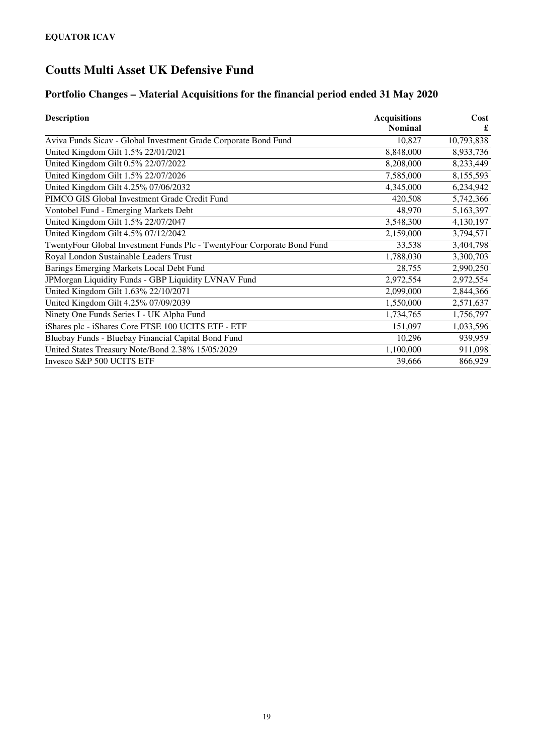## **Portfolio Changes – Material Acquisitions for the financial period ended 31 May 2020**

| <b>Description</b>                                                      | <b>Acquisitions</b> | Cost       |  |
|-------------------------------------------------------------------------|---------------------|------------|--|
|                                                                         | <b>Nominal</b>      | £          |  |
| Aviva Funds Sicav - Global Investment Grade Corporate Bond Fund         | 10.827              | 10,793,838 |  |
| United Kingdom Gilt 1.5% 22/01/2021                                     | 8,848,000           | 8,933,736  |  |
| United Kingdom Gilt 0.5% 22/07/2022                                     | 8,208,000           | 8,233,449  |  |
| United Kingdom Gilt 1.5% 22/07/2026                                     | 7,585,000           | 8,155,593  |  |
| United Kingdom Gilt 4.25% 07/06/2032                                    | 4,345,000           | 6,234,942  |  |
| PIMCO GIS Global Investment Grade Credit Fund                           | 420,508             | 5,742,366  |  |
| Vontobel Fund - Emerging Markets Debt                                   | 48,970              | 5,163,397  |  |
| United Kingdom Gilt 1.5% 22/07/2047                                     | 3,548,300           | 4,130,197  |  |
| United Kingdom Gilt 4.5% 07/12/2042                                     | 2,159,000           | 3,794,571  |  |
| TwentyFour Global Investment Funds Plc - TwentyFour Corporate Bond Fund | 33,538              | 3,404,798  |  |
| Royal London Sustainable Leaders Trust                                  | 1,788,030           | 3,300,703  |  |
| Barings Emerging Markets Local Debt Fund                                | 28,755              | 2,990,250  |  |
| JPMorgan Liquidity Funds - GBP Liquidity LVNAV Fund                     | 2,972,554           | 2,972,554  |  |
| United Kingdom Gilt 1.63% 22/10/2071                                    | 2,099,000           | 2,844,366  |  |
| United Kingdom Gilt 4.25% 07/09/2039                                    | 1,550,000           | 2,571,637  |  |
| Ninety One Funds Series I - UK Alpha Fund                               | 1,734,765           | 1,756,797  |  |
| iShares plc - iShares Core FTSE 100 UCITS ETF - ETF                     | 151,097             | 1,033,596  |  |
| Bluebay Funds - Bluebay Financial Capital Bond Fund                     | 10,296              | 939,959    |  |
| United States Treasury Note/Bond 2.38% 15/05/2029                       | 1,100,000           | 911,098    |  |
| Invesco S&P 500 UCITS ETF                                               | 39,666              | 866,929    |  |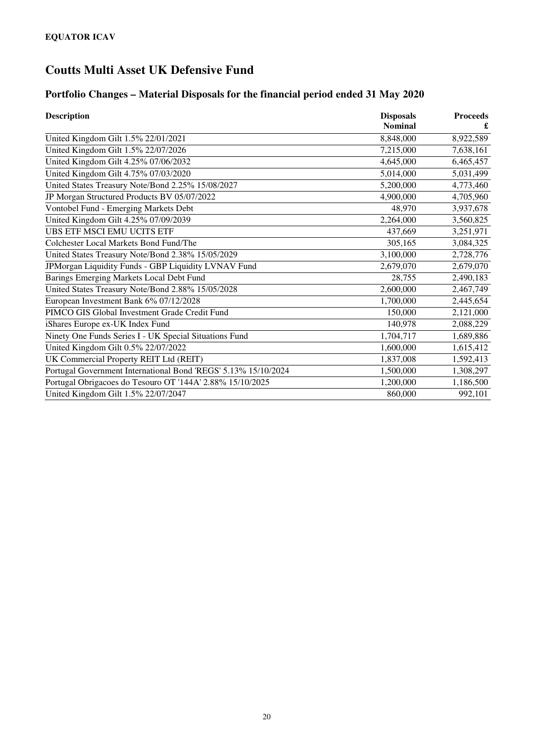## **Portfolio Changes – Material Disposals for the financial period ended 31 May 2020**

| <b>Description</b>                                             | <b>Disposals</b> | <b>Proceeds</b> |  |
|----------------------------------------------------------------|------------------|-----------------|--|
|                                                                | <b>Nominal</b>   | £               |  |
| United Kingdom Gilt 1.5% 22/01/2021                            | 8,848,000        | 8,922,589       |  |
| United Kingdom Gilt 1.5% 22/07/2026                            | 7,215,000        | 7,638,161       |  |
| United Kingdom Gilt 4.25% 07/06/2032                           | 4,645,000        | 6,465,457       |  |
| United Kingdom Gilt 4.75% 07/03/2020                           | 5,014,000        | 5,031,499       |  |
| United States Treasury Note/Bond 2.25% 15/08/2027              | 5,200,000        | 4,773,460       |  |
| JP Morgan Structured Products BV 05/07/2022                    | 4,900,000        | 4,705,960       |  |
| Vontobel Fund - Emerging Markets Debt                          | 48,970           | 3,937,678       |  |
| United Kingdom Gilt 4.25% 07/09/2039                           | 2,264,000        | 3,560,825       |  |
| UBS ETF MSCI EMU UCITS ETF                                     | 437,669          | 3,251,971       |  |
| Colchester Local Markets Bond Fund/The                         | 305,165          | 3,084,325       |  |
| United States Treasury Note/Bond 2.38% 15/05/2029              | 3,100,000        | 2,728,776       |  |
| JPMorgan Liquidity Funds - GBP Liquidity LVNAV Fund            | 2,679,070        | 2,679,070       |  |
| Barings Emerging Markets Local Debt Fund                       | 28,755           | 2,490,183       |  |
| United States Treasury Note/Bond 2.88% 15/05/2028              | 2,600,000        | 2,467,749       |  |
| European Investment Bank 6% 07/12/2028                         | 1,700,000        | 2,445,654       |  |
| PIMCO GIS Global Investment Grade Credit Fund                  | 150,000          | 2,121,000       |  |
| iShares Europe ex-UK Index Fund                                | 140,978          | 2,088,229       |  |
| Ninety One Funds Series I - UK Special Situations Fund         | 1,704,717        | 1,689,886       |  |
| United Kingdom Gilt 0.5% 22/07/2022                            | 1,600,000        | 1,615,412       |  |
| UK Commercial Property REIT Ltd (REIT)                         | 1,837,008        | 1,592,413       |  |
| Portugal Government International Bond 'REGS' 5.13% 15/10/2024 | 1,500,000        | 1,308,297       |  |
| Portugal Obrigacoes do Tesouro OT '144A' 2.88% 15/10/2025      | 1,200,000        | 1,186,500       |  |
| United Kingdom Gilt 1.5% 22/07/2047                            | 860,000          | 992,101         |  |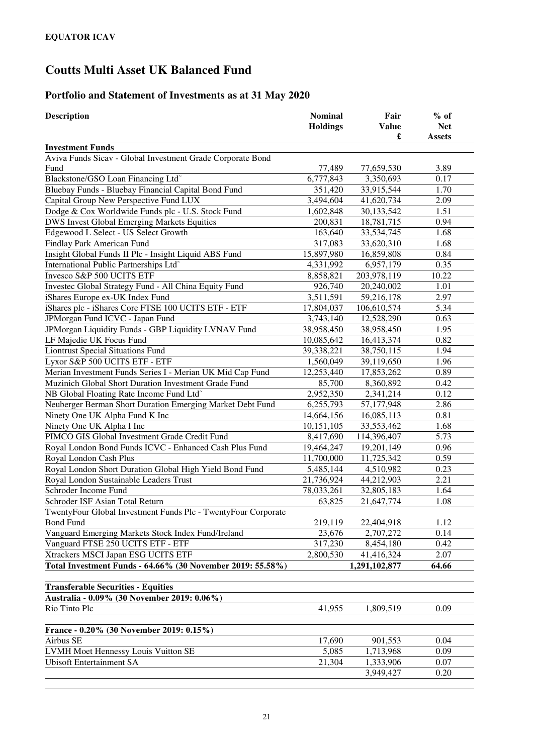## **Portfolio and Statement of Investments as at 31 May 2020**

| <b>Description</b>                                            | <b>Nominal</b><br><b>Holdings</b> | Fair<br><b>Value</b><br>£ | $%$ of<br><b>Net</b><br><b>Assets</b> |
|---------------------------------------------------------------|-----------------------------------|---------------------------|---------------------------------------|
| <b>Investment Funds</b>                                       |                                   |                           |                                       |
| Aviva Funds Sicav - Global Investment Grade Corporate Bond    |                                   |                           |                                       |
| Fund                                                          | 77,489                            | 77,659,530                | 3.89                                  |
| Blackstone/GSO Loan Financing Ltd <sup>~</sup>                | 6,777,843                         | 3,350,693                 | 0.17                                  |
| Bluebay Funds - Bluebay Financial Capital Bond Fund           | 351,420                           | 33,915,544                | 1.70                                  |
| Capital Group New Perspective Fund LUX                        | 3,494,604                         | 41,620,734                | 2.09                                  |
| Dodge & Cox Worldwide Funds plc - U.S. Stock Fund             | 1,602,848                         | 30,133,542                | 1.51                                  |
| DWS Invest Global Emerging Markets Equities                   | 200,831                           | 18,781,715                | 0.94                                  |
| Edgewood L Select - US Select Growth                          | 163,640                           | 33,534,745                | 1.68                                  |
| Findlay Park American Fund                                    | 317,083                           | 33,620,310                | 1.68                                  |
| Insight Global Funds II Plc - Insight Liquid ABS Fund         | 15,897,980                        | 16,859,808                | 0.84                                  |
| International Public Partnerships Ltd <sup>-</sup>            | 4,331,992                         | 6,957,179                 | 0.35                                  |
| Invesco S&P 500 UCITS ETF                                     | 8,858,821                         | 203,978,119               | 10.22                                 |
| Investec Global Strategy Fund - All China Equity Fund         | 926,740                           | 20,240,002                | 1.01                                  |
| iShares Europe ex-UK Index Fund                               | 3,511,591                         | 59,216,178                | 2.97                                  |
| iShares plc - iShares Core FTSE 100 UCITS ETF - ETF           | 17,804,037                        | 106,610,574               | 5.34                                  |
| JPMorgan Fund ICVC - Japan Fund                               | 3,743,140                         | 12,528,290                | 0.63                                  |
| JPMorgan Liquidity Funds - GBP Liquidity LVNAV Fund           | 38,958,450                        | 38,958,450                | 1.95                                  |
| LF Majedie UK Focus Fund                                      | 10,085,642                        | 16,413,374                | 0.82                                  |
| <b>Liontrust Special Situations Fund</b>                      | 39,338,221                        | 38,750,115                | 1.94                                  |
| Lyxor S&P 500 UCITS ETF - ETF                                 | 1,560,049                         | 39,119,650                | 1.96                                  |
| Merian Investment Funds Series I - Merian UK Mid Cap Fund     | 12,253,440                        | 17,853,262                | 0.89                                  |
| Muzinich Global Short Duration Investment Grade Fund          | 85,700                            | 8,360,892                 | 0.42                                  |
| NB Global Floating Rate Income Fund Ltd <sup>®</sup>          | 2,952,350                         | 2,341,214                 | 0.12                                  |
| Neuberger Berman Short Duration Emerging Market Debt Fund     | 6,255,793                         | 57,177,948                | 2.86                                  |
| Ninety One UK Alpha Fund K Inc                                | 14,664,156                        | 16,085,113                | 0.81                                  |
| Ninety One UK Alpha I Inc                                     | 10,151,105                        | 33,553,462                | 1.68                                  |
| PIMCO GIS Global Investment Grade Credit Fund                 | 8,417,690                         | 114,396,407               | 5.73                                  |
| Royal London Bond Funds ICVC - Enhanced Cash Plus Fund        | 19,464,247                        | 19,201,149                | 0.96                                  |
| Royal London Cash Plus                                        | 11,700,000                        | 11,725,342                | 0.59                                  |
| Royal London Short Duration Global High Yield Bond Fund       | 5,485,144                         | 4,510,982                 | 0.23                                  |
| Royal London Sustainable Leaders Trust                        | 21,736,924                        | 44,212,903                | 2.21                                  |
| Schroder Income Fund                                          | 78,033,261                        | 32,805,183                | 1.64                                  |
| Schroder ISF Asian Total Return                               | 63,825                            | 21,647,774                | 1.08                                  |
| TwentyFour Global Investment Funds Plc - TwentyFour Corporate |                                   |                           |                                       |
| <b>Bond Fund</b>                                              | 219,119                           | 22,404,918                | 1.12                                  |
| Vanguard Emerging Markets Stock Index Fund/Ireland            | 23,676                            | 2,707,272                 | 0.14                                  |
| Vanguard FTSE 250 UCITS ETF - ETF                             | 317,230                           | 8,454,180                 | 0.42                                  |
| Xtrackers MSCI Japan ESG UCITS ETF                            | 2,800,530                         | 41,416,324                | 2.07                                  |
| Total Investment Funds - 64.66% (30 November 2019: 55.58%)    |                                   | 1,291,102,877             | 64.66                                 |
|                                                               |                                   |                           |                                       |
| <b>Transferable Securities - Equities</b>                     |                                   |                           |                                       |
| Australia - 0.09% (30 November 2019: 0.06%)                   |                                   |                           |                                       |
| Rio Tinto Plc                                                 | 41,955                            | 1,809,519                 | 0.09                                  |
| France - 0.20% (30 November 2019: 0.15%)                      |                                   |                           |                                       |
| Airbus SE                                                     | 17,690                            | 901,553                   | 0.04                                  |
| LVMH Moet Hennessy Louis Vuitton SE                           | 5,085                             | 1,713,968                 | 0.09                                  |
| <b>Ubisoft Entertainment SA</b>                               | 21,304                            | 1,333,906                 | 0.07                                  |
|                                                               |                                   | 3,949,427                 | 0.20                                  |
|                                                               |                                   |                           |                                       |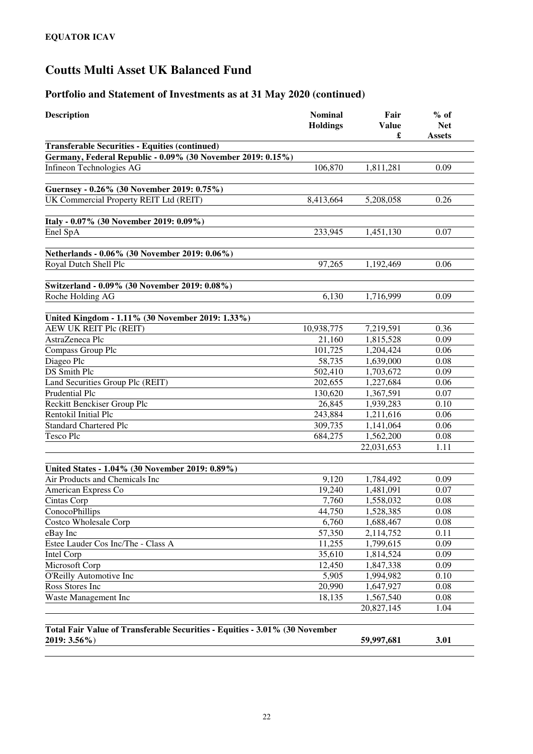| <b>Description</b>                                                          | <b>Nominal</b><br><b>Holdings</b> | Fair<br><b>Value</b><br>£ | $%$ of<br><b>Net</b><br><b>Assets</b> |
|-----------------------------------------------------------------------------|-----------------------------------|---------------------------|---------------------------------------|
| <b>Transferable Securities - Equities (continued)</b>                       |                                   |                           |                                       |
| Germany, Federal Republic - 0.09% (30 November 2019: 0.15%)                 |                                   |                           |                                       |
| Infineon Technologies AG                                                    | 106,870                           | 1,811,281                 | 0.09                                  |
|                                                                             |                                   |                           |                                       |
| Guernsey - 0.26% (30 November 2019: 0.75%)                                  |                                   |                           |                                       |
| UK Commercial Property REIT Ltd (REIT)                                      | 8,413,664                         | 5,208,058                 | 0.26                                  |
|                                                                             |                                   |                           |                                       |
| Italy - 0.07% (30 November 2019: 0.09%)                                     |                                   |                           |                                       |
| Enel SpA                                                                    | 233,945                           | 1,451,130                 | 0.07                                  |
|                                                                             |                                   |                           |                                       |
| Netherlands - 0.06% (30 November 2019: 0.06%)                               |                                   |                           |                                       |
| Royal Dutch Shell Plc                                                       | 97,265                            | 1,192,469                 | 0.06                                  |
|                                                                             |                                   |                           |                                       |
| Switzerland - 0.09% (30 November 2019: 0.08%)                               |                                   |                           |                                       |
| Roche Holding AG                                                            | 6,130                             | 1,716,999                 | 0.09                                  |
|                                                                             |                                   |                           |                                       |
| United Kingdom - 1.11% (30 November 2019: 1.33%)<br>AEW UK REIT Plc (REIT)  | 10,938,775                        | 7,219,591                 | 0.36                                  |
| AstraZeneca Plc                                                             | 21,160                            | 1,815,528                 | 0.09                                  |
| Compass Group Plc                                                           | 101,725                           | 1,204,424                 | 0.06                                  |
| Diageo Plc                                                                  | 58,735                            | 1,639,000                 | 0.08                                  |
| DS Smith Plc                                                                | 502,410                           | 1,703,672                 | 0.09                                  |
| Land Securities Group Plc (REIT)                                            | 202,655                           | 1,227,684                 | 0.06                                  |
| Prudential Plc                                                              | 130,620                           | 1,367,591                 | 0.07                                  |
| Reckitt Benckiser Group Plc                                                 | 26,845                            | 1,939,283                 | 0.10                                  |
| Rentokil Initial Plc                                                        | 243,884                           | 1,211,616                 | 0.06                                  |
| <b>Standard Chartered Plc</b>                                               | 309,735                           | 1,141,064                 | 0.06                                  |
| Tesco Plc                                                                   | 684,275                           | 1,562,200                 | 0.08                                  |
|                                                                             |                                   | 22,031,653                | 1.11                                  |
|                                                                             |                                   |                           |                                       |
| United States - 1.04% (30 November 2019: 0.89%)                             |                                   |                           |                                       |
| Air Products and Chemicals Inc                                              | 9,120                             | 1,784,492                 | 0.09                                  |
| American Express Co                                                         | 19,240                            | 1,481,091                 | 0.07                                  |
| Cintas Corp                                                                 | 7,760                             | 1,558,032                 | 0.08                                  |
| ConocoPhillips                                                              | 44,750                            | 1,528,385                 | 0.08                                  |
| <b>Costco Wholesale Corp</b>                                                | 6,760                             | 1,688,467                 | 0.08                                  |
| eBay Inc                                                                    | 57,350                            | 2,114,752                 | 0.11                                  |
| Estee Lauder Cos Inc/The - Class A                                          | 11,255                            | 1,799,615                 | 0.09                                  |
| Intel Corp                                                                  | 35,610                            | 1,814,524                 | 0.09                                  |
| Microsoft Corp                                                              | 12,450                            | 1,847,338                 | 0.09                                  |
| O'Reilly Automotive Inc                                                     | 5,905                             | 1,994,982                 | 0.10                                  |
| Ross Stores Inc                                                             | 20,990                            | 1,647,927                 | 0.08                                  |
| Waste Management Inc                                                        | 18,135                            | 1,567,540                 | 0.08                                  |
|                                                                             |                                   | 20,827,145                | 1.04                                  |
|                                                                             |                                   |                           |                                       |
| Total Fair Value of Transferable Securities - Equities - 3.01% (30 November |                                   |                           |                                       |
| 2019: 3.56%)                                                                |                                   | 59,997,681                | 3.01                                  |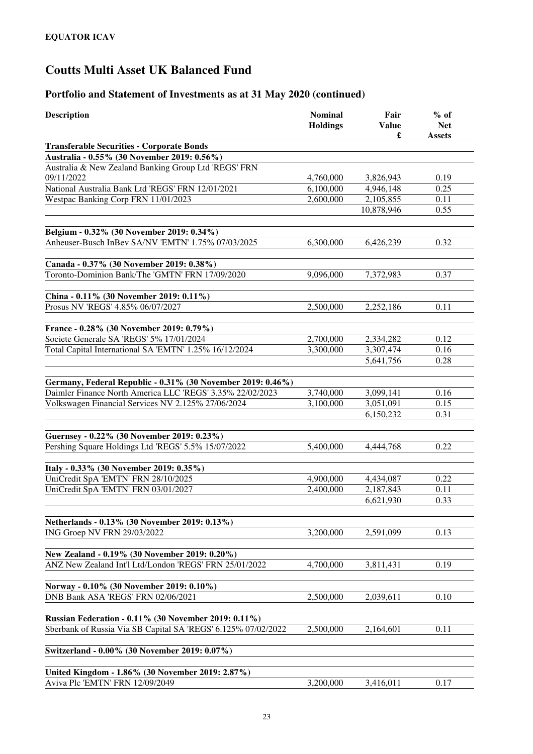| <b>Description</b>                                                                          | <b>Nominal</b><br><b>Holdings</b> | Fair<br><b>Value</b><br>£ | $%$ of<br><b>Net</b><br><b>Assets</b> |
|---------------------------------------------------------------------------------------------|-----------------------------------|---------------------------|---------------------------------------|
| <b>Transferable Securities - Corporate Bonds</b>                                            |                                   |                           |                                       |
| Australia - 0.55% (30 November 2019: 0.56%)                                                 |                                   |                           |                                       |
| Australia & New Zealand Banking Group Ltd 'REGS' FRN                                        |                                   |                           |                                       |
| 09/11/2022                                                                                  | 4,760,000                         | 3,826,943                 | 0.19                                  |
| National Australia Bank Ltd 'REGS' FRN 12/01/2021                                           | 6,100,000                         | 4,946,148                 | 0.25                                  |
| Westpac Banking Corp FRN 11/01/2023                                                         | 2,600,000                         | 2,105,855                 | 0.11                                  |
|                                                                                             |                                   | 10,878,946                | 0.55                                  |
|                                                                                             |                                   |                           |                                       |
| Belgium - 0.32% (30 November 2019: 0.34%)                                                   |                                   |                           |                                       |
| Anheuser-Busch InBev SA/NV 'EMTN' 1.75% 07/03/2025                                          | 6,300,000                         | 6,426,239                 | 0.32                                  |
|                                                                                             |                                   |                           |                                       |
| Canada - 0.37% (30 November 2019: 0.38%)<br>Toronto-Dominion Bank/The 'GMTN' FRN 17/09/2020 | 9,096,000                         |                           | 0.37                                  |
|                                                                                             |                                   | 7,372,983                 |                                       |
| China - 0.11% (30 November 2019: 0.11%)                                                     |                                   |                           |                                       |
| Prosus NV 'REGS' 4.85% 06/07/2027                                                           | 2,500,000                         | 2,252,186                 | 0.11                                  |
|                                                                                             |                                   |                           |                                       |
| France - 0.28% (30 November 2019: 0.79%)                                                    |                                   |                           |                                       |
| Societe Generale SA 'REGS' 5% 17/01/2024                                                    | 2,700,000                         | 2,334,282                 | 0.12                                  |
| Total Capital International SA 'EMTN' 1.25% 16/12/2024                                      | 3,300,000                         | 3,307,474                 | 0.16                                  |
|                                                                                             |                                   | 5,641,756                 | 0.28                                  |
|                                                                                             |                                   |                           |                                       |
| Germany, Federal Republic - 0.31% (30 November 2019: 0.46%)                                 |                                   |                           |                                       |
| Daimler Finance North America LLC 'REGS' 3.35% 22/02/2023                                   | 3,740,000                         | 3,099,141                 | 0.16                                  |
| Volkswagen Financial Services NV 2.125% 27/06/2024                                          | 3,100,000                         | 3,051,091                 | 0.15                                  |
|                                                                                             |                                   | 6,150,232                 | 0.31                                  |
|                                                                                             |                                   |                           |                                       |
| Guernsey - 0.22% (30 November 2019: 0.23%)                                                  |                                   |                           |                                       |
| Pershing Square Holdings Ltd 'REGS' 5.5% 15/07/2022                                         | 5,400,000                         | 4,444,768                 | 0.22                                  |
| Italy - 0.33% (30 November 2019: 0.35%)                                                     |                                   |                           |                                       |
| UniCredit SpA 'EMTN' FRN 28/10/2025                                                         | 4,900,000                         | 4,434,087                 | 0.22                                  |
| UniCredit SpA 'EMTN' FRN 03/01/2027                                                         | 2,400,000                         | 2,187,843                 | 0.11                                  |
|                                                                                             |                                   | 6,621,930                 | 0.33                                  |
|                                                                                             |                                   |                           |                                       |
| Netherlands - 0.13% (30 November 2019: 0.13%)                                               |                                   |                           |                                       |
| ING Groep NV FRN 29/03/2022                                                                 | 3,200,000                         | 2,591,099                 | 0.13                                  |
|                                                                                             |                                   |                           |                                       |
| New Zealand - 0.19% (30 November 2019: 0.20%)                                               |                                   |                           |                                       |
| ANZ New Zealand Int'l Ltd/London 'REGS' FRN 25/01/2022                                      | 4,700,000                         | 3,811,431                 | 0.19                                  |
|                                                                                             |                                   |                           |                                       |
| Norway - 0.10% (30 November 2019: 0.10%)                                                    |                                   |                           |                                       |
| DNB Bank ASA 'REGS' FRN 02/06/2021                                                          | 2,500,000                         | 2,039,611                 | 0.10                                  |
|                                                                                             |                                   |                           |                                       |
| <b>Russian Federation - 0.11% (30 November 2019: 0.11%)</b>                                 |                                   |                           |                                       |
| Sberbank of Russia Via SB Capital SA 'REGS' 6.125% 07/02/2022                               | 2,500,000                         | 2,164,601                 | 0.11                                  |
| Switzerland - 0.00% (30 November 2019: 0.07%)                                               |                                   |                           |                                       |
|                                                                                             |                                   |                           |                                       |
| United Kingdom - 1.86% (30 November 2019: 2.87%)                                            |                                   |                           |                                       |
| Aviva Plc 'EMTN' FRN 12/09/2049                                                             | 3,200,000                         | 3,416,011                 | 0.17                                  |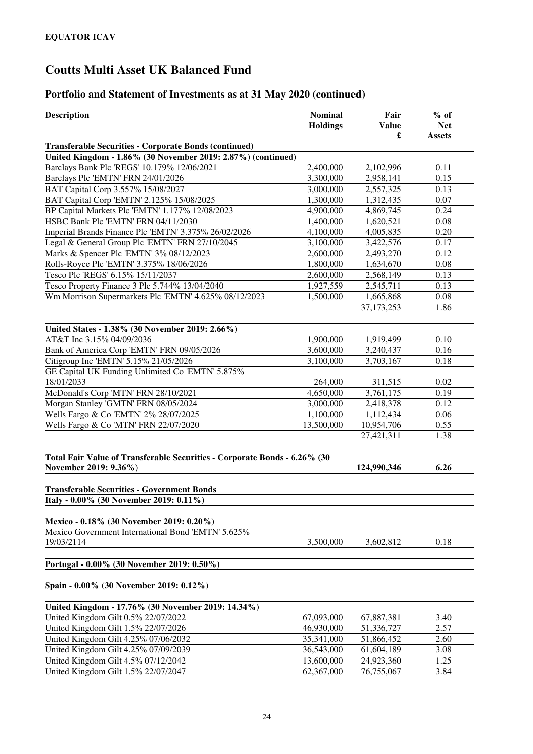| <b>Description</b>                                                        | <b>Nominal</b>  | Fair         | $%$ of        |
|---------------------------------------------------------------------------|-----------------|--------------|---------------|
|                                                                           | <b>Holdings</b> | <b>Value</b> | <b>Net</b>    |
|                                                                           |                 | £            | <b>Assets</b> |
| <b>Transferable Securities - Corporate Bonds (continued)</b>              |                 |              |               |
| United Kingdom - 1.86% (30 November 2019: 2.87%) (continued)              |                 |              |               |
| Barclays Bank Plc 'REGS' 10.179% 12/06/2021                               | 2,400,000       | 2,102,996    | 0.11          |
| Barclays Plc 'EMTN' FRN 24/01/2026                                        | 3,300,000       | 2,958,141    | 0.15          |
| BAT Capital Corp 3.557% 15/08/2027                                        | 3,000,000       | 2,557,325    | 0.13          |
| BAT Capital Corp 'EMTN' 2.125% 15/08/2025                                 | 1,300,000       | 1,312,435    | 0.07          |
| BP Capital Markets Plc 'EMTN' 1.177% 12/08/2023                           | 4,900,000       | 4,869,745    | 0.24          |
| HSBC Bank Plc 'EMTN' FRN 04/11/2030                                       | 1,400,000       | 1,620,521    | 0.08          |
| Imperial Brands Finance Plc 'EMTN' 3.375% 26/02/2026                      | 4,100,000       | 4,005,835    | 0.20          |
| Legal & General Group Plc 'EMTN' FRN 27/10/2045                           | 3,100,000       | 3,422,576    | 0.17          |
| Marks & Spencer Plc 'EMTN' 3% 08/12/2023                                  | 2,600,000       | 2,493,270    | 0.12          |
| Rolls-Royce Plc 'EMTN' 3.375% 18/06/2026                                  | 1,800,000       | 1,634,670    | 0.08          |
| Tesco Plc 'REGS' 6.15% 15/11/2037                                         | 2,600,000       | 2,568,149    | 0.13          |
| Tesco Property Finance 3 Plc 5.744% 13/04/2040                            | 1,927,559       | 2,545,711    | 0.13          |
| Wm Morrison Supermarkets Plc 'EMTN' 4.625% 08/12/2023                     | 1,500,000       | 1,665,868    | 0.08          |
|                                                                           |                 | 37, 173, 253 | 1.86          |
|                                                                           |                 |              |               |
| United States - 1.38% (30 November 2019: 2.66%)                           |                 |              |               |
| AT&T Inc 3.15% 04/09/2036                                                 | 1,900,000       | 1,919,499    | 0.10          |
| Bank of America Corp 'EMTN' FRN 09/05/2026                                | 3,600,000       | 3,240,437    | 0.16          |
| Citigroup Inc 'EMTN' 5.15% 21/05/2026                                     | 3,100,000       | 3,703,167    | 0.18          |
| GE Capital UK Funding Unlimited Co 'EMTN' 5.875%                          |                 |              |               |
| 18/01/2033                                                                | 264,000         | 311,515      | 0.02          |
| McDonald's Corp 'MTN' FRN 28/10/2021                                      | 4,650,000       | 3,761,175    | 0.19          |
| Morgan Stanley 'GMTN' FRN 08/05/2024                                      | 3,000,000       | 2,418,378    | 0.12          |
| Wells Fargo & Co 'EMTN' 2% 28/07/2025                                     | 1,100,000       | 1,112,434    | 0.06          |
| Wells Fargo & Co 'MTN' FRN 22/07/2020                                     | 13,500,000      | 10,954,706   | 0.55          |
|                                                                           |                 | 27,421,311   | 1.38          |
|                                                                           |                 |              |               |
| Total Fair Value of Transferable Securities - Corporate Bonds - 6.26% (30 |                 |              |               |
| November 2019: 9.36%)                                                     |                 | 124,990,346  | 6.26          |
| <b>Transferable Securities - Government Bonds</b>                         |                 |              |               |
| Italy - 0.00% (30 November 2019: 0.11%)                                   |                 |              |               |
|                                                                           |                 |              |               |
| Mexico - 0.18% (30 November 2019: 0.20%)                                  |                 |              |               |
| Mexico Government International Bond 'EMTN' 5.625%                        |                 |              |               |
| 19/03/2114                                                                | 3,500,000       | 3,602,812    | 0.18          |
|                                                                           |                 |              |               |
| Portugal - 0.00% (30 November 2019: 0.50%)                                |                 |              |               |
|                                                                           |                 |              |               |
| Spain - 0.00% (30 November 2019: 0.12%)                                   |                 |              |               |
| United Kingdom - 17.76% (30 November 2019: 14.34%)                        |                 |              |               |
| United Kingdom Gilt 0.5% 22/07/2022                                       | 67,093,000      | 67,887,381   | 3.40          |
| United Kingdom Gilt 1.5% 22/07/2026                                       | 46,930,000      | 51,336,727   | 2.57          |
| United Kingdom Gilt 4.25% 07/06/2032                                      | 35,341,000      | 51,866,452   | 2.60          |
| United Kingdom Gilt 4.25% 07/09/2039                                      | 36,543,000      | 61,604,189   | 3.08          |
| United Kingdom Gilt 4.5% 07/12/2042                                       | 13,600,000      | 24,923,360   | 1.25          |
| United Kingdom Gilt 1.5% 22/07/2047                                       | 62,367,000      | 76,755,067   | 3.84          |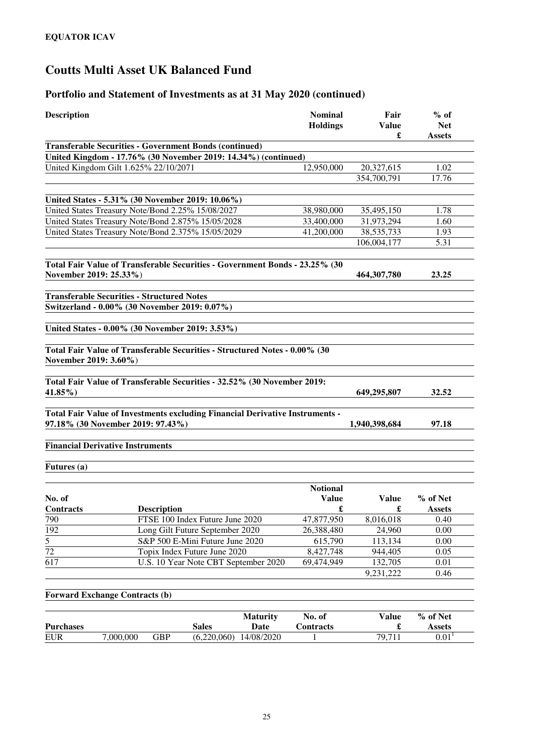| <b>Transferable Securities - Government Bonds (continued)</b><br>United Kingdom - 17.76% (30 November 2019: 14.34%) (continued)<br>United Kingdom Gilt 1.625% 22/10/2071<br>12,950,000<br>1.02<br>20,327,615<br>17.76<br>354,700,791<br>United States - 5.31% (30 November 2019: 10.06%)<br>United States Treasury Note/Bond 2.25% 15/08/2027<br>38,980,000<br>35,495,150<br>1.78<br>United States Treasury Note/Bond 2.875% 15/05/2028<br>33,400,000<br>31,973,294<br>1.60<br>United States Treasury Note/Bond 2.375% 15/05/2029<br>41,200,000<br>38, 535, 733<br>1.93<br>5.31<br>106,004,177<br>Total Fair Value of Transferable Securities - Government Bonds - 23.25% (30<br>November 2019: 25.33%)<br>464, 307, 780<br>23.25<br><b>Transferable Securities - Structured Notes</b><br>Switzerland - 0.00% (30 November 2019: 0.07%)<br>United States - 0.00% (30 November 2019: 3.53%)<br>Total Fair Value of Transferable Securities - Structured Notes - 0.00% (30<br>November 2019: 3.60%)<br>Total Fair Value of Transferable Securities - 32.52% (30 November 2019:<br>$41.85\%$<br>32.52<br>649,295,807<br>Total Fair Value of Investments excluding Financial Derivative Instruments -<br>97.18% (30 November 2019: 97.43%)<br>97.18<br>1,940,398,684<br><b>Financial Derivative Instruments</b><br>Futures (a)<br><b>Notional</b><br><b>Value</b><br>% of Net<br><b>Value</b><br>$\pmb{\mathfrak{L}}$<br>Contracts<br><b>Description</b><br>$\mathbf f$<br><b>Assets</b><br>FTSE 100 Index Future June 2020<br>47,877,950<br>790<br>8,016,018<br>0.40<br>192<br>Long Gilt Future September 2020<br>26,388,480<br>24,960<br>0.00<br>$\overline{5}$<br>S&P 500 E-Mini Future June 2020<br>615,790<br>113,134<br>0.00<br>$\overline{72}$<br>Topix Index Future June 2020<br>8,427,748<br>0.05<br>944,405<br>617<br>U.S. 10 Year Note CBT September 2020<br>132,705<br>69,474,949<br>0.01<br>9,231,222<br>0.46<br><b>Forward Exchange Contracts (b)</b><br>No. of<br>% of Net<br><b>Value</b><br><b>Maturity</b><br><b>Purchases</b><br><b>Sales</b><br>Date<br>Contracts<br><b>Assets</b><br>$0.01$ <sup>1</sup><br>79,711<br>7,000,000<br><b>GBP</b><br>(6,220,060)<br>14/08/2020<br><b>EUR</b><br>1 | <b>Description</b> |  | <b>Nominal</b><br><b>Holdings</b> | Fair<br><b>Value</b> | $%$ of<br><b>Net</b> |
|----------------------------------------------------------------------------------------------------------------------------------------------------------------------------------------------------------------------------------------------------------------------------------------------------------------------------------------------------------------------------------------------------------------------------------------------------------------------------------------------------------------------------------------------------------------------------------------------------------------------------------------------------------------------------------------------------------------------------------------------------------------------------------------------------------------------------------------------------------------------------------------------------------------------------------------------------------------------------------------------------------------------------------------------------------------------------------------------------------------------------------------------------------------------------------------------------------------------------------------------------------------------------------------------------------------------------------------------------------------------------------------------------------------------------------------------------------------------------------------------------------------------------------------------------------------------------------------------------------------------------------------------------------------------------------------------------------------------------------------------------------------------------------------------------------------------------------------------------------------------------------------------------------------------------------------------------------------------------------------------------------------------------------------------------------------------------------------------------------------------------------------------------------------------------------------------------------------|--------------------|--|-----------------------------------|----------------------|----------------------|
|                                                                                                                                                                                                                                                                                                                                                                                                                                                                                                                                                                                                                                                                                                                                                                                                                                                                                                                                                                                                                                                                                                                                                                                                                                                                                                                                                                                                                                                                                                                                                                                                                                                                                                                                                                                                                                                                                                                                                                                                                                                                                                                                                                                                                |                    |  |                                   | £                    | <b>Assets</b>        |
|                                                                                                                                                                                                                                                                                                                                                                                                                                                                                                                                                                                                                                                                                                                                                                                                                                                                                                                                                                                                                                                                                                                                                                                                                                                                                                                                                                                                                                                                                                                                                                                                                                                                                                                                                                                                                                                                                                                                                                                                                                                                                                                                                                                                                |                    |  |                                   |                      |                      |
|                                                                                                                                                                                                                                                                                                                                                                                                                                                                                                                                                                                                                                                                                                                                                                                                                                                                                                                                                                                                                                                                                                                                                                                                                                                                                                                                                                                                                                                                                                                                                                                                                                                                                                                                                                                                                                                                                                                                                                                                                                                                                                                                                                                                                |                    |  |                                   |                      |                      |
|                                                                                                                                                                                                                                                                                                                                                                                                                                                                                                                                                                                                                                                                                                                                                                                                                                                                                                                                                                                                                                                                                                                                                                                                                                                                                                                                                                                                                                                                                                                                                                                                                                                                                                                                                                                                                                                                                                                                                                                                                                                                                                                                                                                                                |                    |  |                                   |                      |                      |
|                                                                                                                                                                                                                                                                                                                                                                                                                                                                                                                                                                                                                                                                                                                                                                                                                                                                                                                                                                                                                                                                                                                                                                                                                                                                                                                                                                                                                                                                                                                                                                                                                                                                                                                                                                                                                                                                                                                                                                                                                                                                                                                                                                                                                |                    |  |                                   |                      |                      |
|                                                                                                                                                                                                                                                                                                                                                                                                                                                                                                                                                                                                                                                                                                                                                                                                                                                                                                                                                                                                                                                                                                                                                                                                                                                                                                                                                                                                                                                                                                                                                                                                                                                                                                                                                                                                                                                                                                                                                                                                                                                                                                                                                                                                                |                    |  |                                   |                      |                      |
|                                                                                                                                                                                                                                                                                                                                                                                                                                                                                                                                                                                                                                                                                                                                                                                                                                                                                                                                                                                                                                                                                                                                                                                                                                                                                                                                                                                                                                                                                                                                                                                                                                                                                                                                                                                                                                                                                                                                                                                                                                                                                                                                                                                                                |                    |  |                                   |                      |                      |
|                                                                                                                                                                                                                                                                                                                                                                                                                                                                                                                                                                                                                                                                                                                                                                                                                                                                                                                                                                                                                                                                                                                                                                                                                                                                                                                                                                                                                                                                                                                                                                                                                                                                                                                                                                                                                                                                                                                                                                                                                                                                                                                                                                                                                |                    |  |                                   |                      |                      |
|                                                                                                                                                                                                                                                                                                                                                                                                                                                                                                                                                                                                                                                                                                                                                                                                                                                                                                                                                                                                                                                                                                                                                                                                                                                                                                                                                                                                                                                                                                                                                                                                                                                                                                                                                                                                                                                                                                                                                                                                                                                                                                                                                                                                                |                    |  |                                   |                      |                      |
|                                                                                                                                                                                                                                                                                                                                                                                                                                                                                                                                                                                                                                                                                                                                                                                                                                                                                                                                                                                                                                                                                                                                                                                                                                                                                                                                                                                                                                                                                                                                                                                                                                                                                                                                                                                                                                                                                                                                                                                                                                                                                                                                                                                                                |                    |  |                                   |                      |                      |
|                                                                                                                                                                                                                                                                                                                                                                                                                                                                                                                                                                                                                                                                                                                                                                                                                                                                                                                                                                                                                                                                                                                                                                                                                                                                                                                                                                                                                                                                                                                                                                                                                                                                                                                                                                                                                                                                                                                                                                                                                                                                                                                                                                                                                |                    |  |                                   |                      |                      |
|                                                                                                                                                                                                                                                                                                                                                                                                                                                                                                                                                                                                                                                                                                                                                                                                                                                                                                                                                                                                                                                                                                                                                                                                                                                                                                                                                                                                                                                                                                                                                                                                                                                                                                                                                                                                                                                                                                                                                                                                                                                                                                                                                                                                                |                    |  |                                   |                      |                      |
|                                                                                                                                                                                                                                                                                                                                                                                                                                                                                                                                                                                                                                                                                                                                                                                                                                                                                                                                                                                                                                                                                                                                                                                                                                                                                                                                                                                                                                                                                                                                                                                                                                                                                                                                                                                                                                                                                                                                                                                                                                                                                                                                                                                                                |                    |  |                                   |                      |                      |
|                                                                                                                                                                                                                                                                                                                                                                                                                                                                                                                                                                                                                                                                                                                                                                                                                                                                                                                                                                                                                                                                                                                                                                                                                                                                                                                                                                                                                                                                                                                                                                                                                                                                                                                                                                                                                                                                                                                                                                                                                                                                                                                                                                                                                |                    |  |                                   |                      |                      |
|                                                                                                                                                                                                                                                                                                                                                                                                                                                                                                                                                                                                                                                                                                                                                                                                                                                                                                                                                                                                                                                                                                                                                                                                                                                                                                                                                                                                                                                                                                                                                                                                                                                                                                                                                                                                                                                                                                                                                                                                                                                                                                                                                                                                                |                    |  |                                   |                      |                      |
|                                                                                                                                                                                                                                                                                                                                                                                                                                                                                                                                                                                                                                                                                                                                                                                                                                                                                                                                                                                                                                                                                                                                                                                                                                                                                                                                                                                                                                                                                                                                                                                                                                                                                                                                                                                                                                                                                                                                                                                                                                                                                                                                                                                                                |                    |  |                                   |                      |                      |
|                                                                                                                                                                                                                                                                                                                                                                                                                                                                                                                                                                                                                                                                                                                                                                                                                                                                                                                                                                                                                                                                                                                                                                                                                                                                                                                                                                                                                                                                                                                                                                                                                                                                                                                                                                                                                                                                                                                                                                                                                                                                                                                                                                                                                |                    |  |                                   |                      |                      |
|                                                                                                                                                                                                                                                                                                                                                                                                                                                                                                                                                                                                                                                                                                                                                                                                                                                                                                                                                                                                                                                                                                                                                                                                                                                                                                                                                                                                                                                                                                                                                                                                                                                                                                                                                                                                                                                                                                                                                                                                                                                                                                                                                                                                                |                    |  |                                   |                      |                      |
|                                                                                                                                                                                                                                                                                                                                                                                                                                                                                                                                                                                                                                                                                                                                                                                                                                                                                                                                                                                                                                                                                                                                                                                                                                                                                                                                                                                                                                                                                                                                                                                                                                                                                                                                                                                                                                                                                                                                                                                                                                                                                                                                                                                                                |                    |  |                                   |                      |                      |
|                                                                                                                                                                                                                                                                                                                                                                                                                                                                                                                                                                                                                                                                                                                                                                                                                                                                                                                                                                                                                                                                                                                                                                                                                                                                                                                                                                                                                                                                                                                                                                                                                                                                                                                                                                                                                                                                                                                                                                                                                                                                                                                                                                                                                |                    |  |                                   |                      |                      |
|                                                                                                                                                                                                                                                                                                                                                                                                                                                                                                                                                                                                                                                                                                                                                                                                                                                                                                                                                                                                                                                                                                                                                                                                                                                                                                                                                                                                                                                                                                                                                                                                                                                                                                                                                                                                                                                                                                                                                                                                                                                                                                                                                                                                                |                    |  |                                   |                      |                      |
|                                                                                                                                                                                                                                                                                                                                                                                                                                                                                                                                                                                                                                                                                                                                                                                                                                                                                                                                                                                                                                                                                                                                                                                                                                                                                                                                                                                                                                                                                                                                                                                                                                                                                                                                                                                                                                                                                                                                                                                                                                                                                                                                                                                                                | No. of             |  |                                   |                      |                      |
|                                                                                                                                                                                                                                                                                                                                                                                                                                                                                                                                                                                                                                                                                                                                                                                                                                                                                                                                                                                                                                                                                                                                                                                                                                                                                                                                                                                                                                                                                                                                                                                                                                                                                                                                                                                                                                                                                                                                                                                                                                                                                                                                                                                                                |                    |  |                                   |                      |                      |
|                                                                                                                                                                                                                                                                                                                                                                                                                                                                                                                                                                                                                                                                                                                                                                                                                                                                                                                                                                                                                                                                                                                                                                                                                                                                                                                                                                                                                                                                                                                                                                                                                                                                                                                                                                                                                                                                                                                                                                                                                                                                                                                                                                                                                |                    |  |                                   |                      |                      |
|                                                                                                                                                                                                                                                                                                                                                                                                                                                                                                                                                                                                                                                                                                                                                                                                                                                                                                                                                                                                                                                                                                                                                                                                                                                                                                                                                                                                                                                                                                                                                                                                                                                                                                                                                                                                                                                                                                                                                                                                                                                                                                                                                                                                                |                    |  |                                   |                      |                      |
|                                                                                                                                                                                                                                                                                                                                                                                                                                                                                                                                                                                                                                                                                                                                                                                                                                                                                                                                                                                                                                                                                                                                                                                                                                                                                                                                                                                                                                                                                                                                                                                                                                                                                                                                                                                                                                                                                                                                                                                                                                                                                                                                                                                                                |                    |  |                                   |                      |                      |
|                                                                                                                                                                                                                                                                                                                                                                                                                                                                                                                                                                                                                                                                                                                                                                                                                                                                                                                                                                                                                                                                                                                                                                                                                                                                                                                                                                                                                                                                                                                                                                                                                                                                                                                                                                                                                                                                                                                                                                                                                                                                                                                                                                                                                |                    |  |                                   |                      |                      |
|                                                                                                                                                                                                                                                                                                                                                                                                                                                                                                                                                                                                                                                                                                                                                                                                                                                                                                                                                                                                                                                                                                                                                                                                                                                                                                                                                                                                                                                                                                                                                                                                                                                                                                                                                                                                                                                                                                                                                                                                                                                                                                                                                                                                                |                    |  |                                   |                      |                      |
|                                                                                                                                                                                                                                                                                                                                                                                                                                                                                                                                                                                                                                                                                                                                                                                                                                                                                                                                                                                                                                                                                                                                                                                                                                                                                                                                                                                                                                                                                                                                                                                                                                                                                                                                                                                                                                                                                                                                                                                                                                                                                                                                                                                                                |                    |  |                                   |                      |                      |
|                                                                                                                                                                                                                                                                                                                                                                                                                                                                                                                                                                                                                                                                                                                                                                                                                                                                                                                                                                                                                                                                                                                                                                                                                                                                                                                                                                                                                                                                                                                                                                                                                                                                                                                                                                                                                                                                                                                                                                                                                                                                                                                                                                                                                |                    |  |                                   |                      |                      |
|                                                                                                                                                                                                                                                                                                                                                                                                                                                                                                                                                                                                                                                                                                                                                                                                                                                                                                                                                                                                                                                                                                                                                                                                                                                                                                                                                                                                                                                                                                                                                                                                                                                                                                                                                                                                                                                                                                                                                                                                                                                                                                                                                                                                                |                    |  |                                   |                      |                      |
|                                                                                                                                                                                                                                                                                                                                                                                                                                                                                                                                                                                                                                                                                                                                                                                                                                                                                                                                                                                                                                                                                                                                                                                                                                                                                                                                                                                                                                                                                                                                                                                                                                                                                                                                                                                                                                                                                                                                                                                                                                                                                                                                                                                                                |                    |  |                                   |                      |                      |
|                                                                                                                                                                                                                                                                                                                                                                                                                                                                                                                                                                                                                                                                                                                                                                                                                                                                                                                                                                                                                                                                                                                                                                                                                                                                                                                                                                                                                                                                                                                                                                                                                                                                                                                                                                                                                                                                                                                                                                                                                                                                                                                                                                                                                |                    |  |                                   |                      |                      |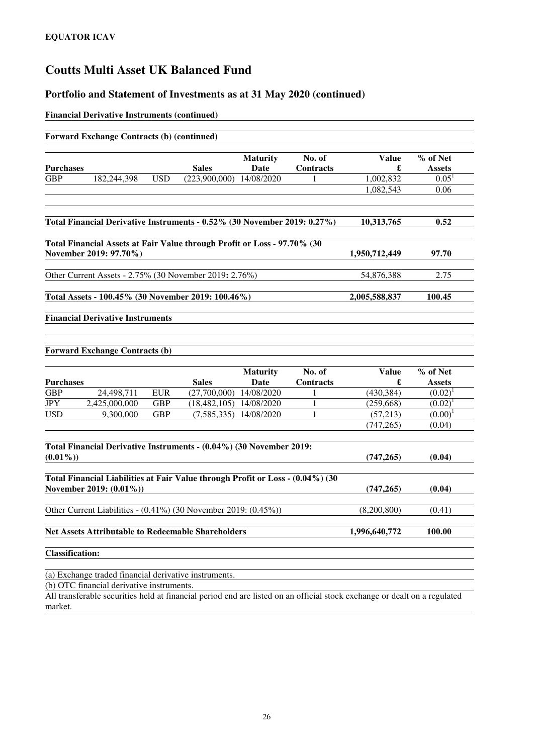### **Portfolio and Statement of Investments as at 31 May 2020 (continued)**

#### **Financial Derivative Instruments (continued)**

|                  | <b>Forward Exchange Contracts (b) (continued)</b>                                                         |            |                          |                         |                            |                   |                           |
|------------------|-----------------------------------------------------------------------------------------------------------|------------|--------------------------|-------------------------|----------------------------|-------------------|---------------------------|
| <b>Purchases</b> |                                                                                                           |            | <b>Sales</b>             | <b>Maturity</b><br>Date | No. of<br><b>Contracts</b> | <b>Value</b><br>£ | % of Net<br><b>Assets</b> |
| <b>GBP</b>       | 182,244,398                                                                                               | <b>USD</b> | (223,900,000) 14/08/2020 |                         | 1                          | 1,002,832         | $0.05^1$                  |
|                  |                                                                                                           |            |                          |                         |                            | 1,082,543         | 0.06                      |
|                  |                                                                                                           |            |                          |                         |                            |                   |                           |
|                  | Total Financial Derivative Instruments - 0.52% (30 November 2019: 0.27%)                                  |            |                          |                         |                            | 10,313,765        | 0.52                      |
|                  | Total Financial Assets at Fair Value through Profit or Loss - 97.70% (30<br>November 2019: 97.70%)        |            |                          |                         |                            | 1,950,712,449     | 97.70                     |
|                  | Other Current Assets - 2.75% (30 November 2019: 2.76%)                                                    |            |                          |                         |                            | 54,876,388        | 2.75                      |
|                  | Total Assets - 100.45% (30 November 2019: 100.46%)                                                        |            |                          |                         |                            | 2,005,588,837     | 100.45                    |
|                  | <b>Forward Exchange Contracts (b)</b>                                                                     |            |                          |                         |                            |                   |                           |
| <b>Purchases</b> |                                                                                                           |            | <b>Sales</b>             | <b>Maturity</b><br>Date | No. of<br><b>Contracts</b> | <b>Value</b><br>£ | % of Net<br><b>Assets</b> |
| <b>GBP</b>       | 24,498,711                                                                                                | <b>EUR</b> | (27,700,000)             | 14/08/2020              | 1                          | (430, 384)        | $(0.02)^1$                |
| <b>JPY</b>       | 2,425,000,000                                                                                             | <b>GBP</b> | (18, 482, 105)           | 14/08/2020              | 1                          | (259, 668)        | $(0.02)^{1}$              |
| <b>USD</b>       | 9,300,000                                                                                                 | <b>GBP</b> | (7, 585, 335)            | 14/08/2020              | 1                          | (57,213)          | (0.00)                    |
|                  |                                                                                                           |            |                          |                         |                            | (747, 265)        | (0.04)                    |
|                  | Total Financial Derivative Instruments - (0.04%) (30 November 2019:                                       |            |                          |                         |                            |                   |                           |
| $(0.01\%)$       |                                                                                                           |            |                          |                         |                            | (747, 265)        | (0.04)                    |
|                  | Total Financial Liabilities at Fair Value through Profit or Loss - (0.04%) (30<br>November 2019: (0.01%)) |            |                          |                         |                            | (747, 265)        | (0.04)                    |
|                  | Other Current Liabilities - (0.41%) (30 November 2019: (0.45%))                                           |            |                          |                         |                            | (8,200,800)       | (0.41)                    |
|                  | <b>Net Assets Attributable to Redeemable Shareholders</b>                                                 |            |                          |                         |                            | 1,996,640,772     | 100.00                    |
|                  |                                                                                                           |            |                          |                         |                            |                   |                           |

(a) Exchange traded financial derivative instruments.

(b) OTC financial derivative instruments.

All transferable securities held at financial period end are listed on an official stock exchange or dealt on a regulated market.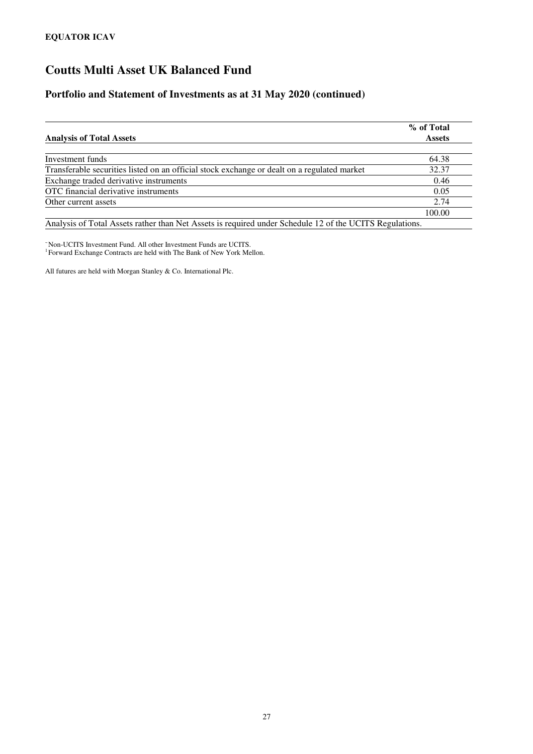### **Portfolio and Statement of Investments as at 31 May 2020 (continued)**

| <b>Analysis of Total Assets</b>                                                             | % of Total<br><b>Assets</b> |
|---------------------------------------------------------------------------------------------|-----------------------------|
|                                                                                             |                             |
| Investment funds                                                                            | 64.38                       |
| Transferable securities listed on an official stock exchange or dealt on a regulated market | 32.37                       |
| Exchange traded derivative instruments                                                      | 0.46                        |
| OTC financial derivative instruments                                                        | 0.05                        |
| Other current assets                                                                        | 2.74                        |
|                                                                                             | 100.00                      |

Analysis of Total Assets rather than Net Assets is required under Schedule 12 of the UCITS Regulations.

<sup>~</sup>Non-UCITS Investment Fund. All other Investment Funds are UCITS. 1 Forward Exchange Contracts are held with The Bank of New York Mellon.

All futures are held with Morgan Stanley & Co. International Plc.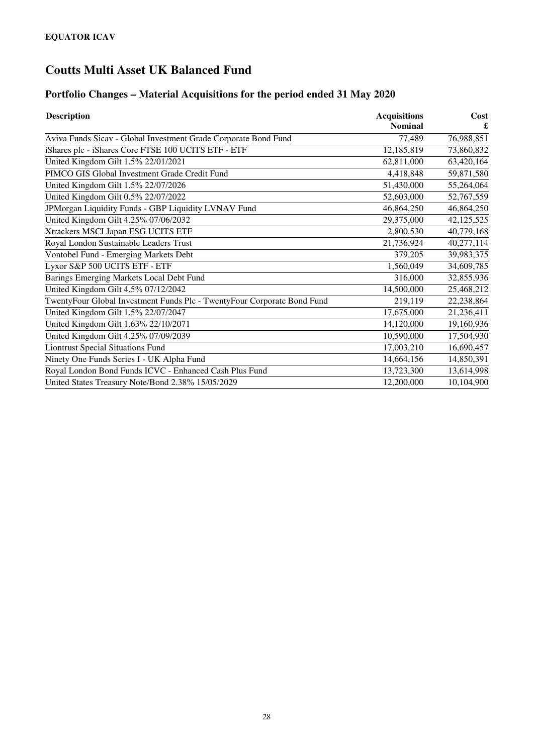## **Portfolio Changes – Material Acquisitions for the period ended 31 May 2020**

| <b>Description</b>                                                      | <b>Acquisitions</b> | Cost       |  |
|-------------------------------------------------------------------------|---------------------|------------|--|
|                                                                         | <b>Nominal</b>      |            |  |
| Aviva Funds Sicav - Global Investment Grade Corporate Bond Fund         | 77,489              | 76,988,851 |  |
| iShares plc - iShares Core FTSE 100 UCITS ETF - ETF                     | 12,185,819          | 73,860,832 |  |
| United Kingdom Gilt 1.5% 22/01/2021                                     | 62,811,000          | 63,420,164 |  |
| PIMCO GIS Global Investment Grade Credit Fund                           | 4,418,848           | 59,871,580 |  |
| United Kingdom Gilt 1.5% 22/07/2026                                     | 51,430,000          | 55,264,064 |  |
| United Kingdom Gilt 0.5% 22/07/2022                                     | 52,603,000          | 52,767,559 |  |
| JPMorgan Liquidity Funds - GBP Liquidity LVNAV Fund                     | 46,864,250          | 46,864,250 |  |
| United Kingdom Gilt 4.25% 07/06/2032                                    | 29,375,000          | 42,125,525 |  |
| Xtrackers MSCI Japan ESG UCITS ETF                                      | 2,800,530           | 40,779,168 |  |
| Royal London Sustainable Leaders Trust                                  | 21,736,924          | 40,277,114 |  |
| <b>Vontobel Fund - Emerging Markets Debt</b>                            | 379,205             | 39,983,375 |  |
| Lyxor S&P 500 UCITS ETF - ETF                                           | 1,560,049           | 34,609,785 |  |
| Barings Emerging Markets Local Debt Fund                                | 316,000             | 32,855,936 |  |
| United Kingdom Gilt 4.5% 07/12/2042                                     | 14,500,000          | 25,468,212 |  |
| TwentyFour Global Investment Funds Plc - TwentyFour Corporate Bond Fund | 219,119             | 22,238,864 |  |
| United Kingdom Gilt 1.5% 22/07/2047                                     | 17,675,000          | 21,236,411 |  |
| United Kingdom Gilt 1.63% 22/10/2071                                    | 14,120,000          | 19,160,936 |  |
| United Kingdom Gilt 4.25% 07/09/2039                                    | 10,590,000          | 17,504,930 |  |
| <b>Liontrust Special Situations Fund</b>                                | 17,003,210          | 16,690,457 |  |
| Ninety One Funds Series I - UK Alpha Fund                               | 14,664,156          | 14,850,391 |  |
| Royal London Bond Funds ICVC - Enhanced Cash Plus Fund                  | 13,723,300          | 13,614,998 |  |
| United States Treasury Note/Bond 2.38% 15/05/2029                       | 12,200,000          | 10,104,900 |  |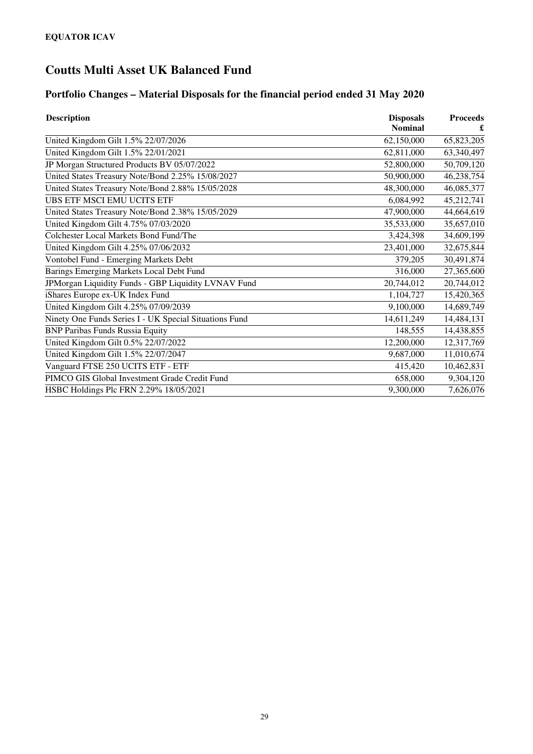## **Portfolio Changes – Material Disposals for the financial period ended 31 May 2020**

| <b>Description</b>                                     | <b>Disposals</b> | <b>Proceeds</b> |  |
|--------------------------------------------------------|------------------|-----------------|--|
|                                                        | <b>Nominal</b>   |                 |  |
| United Kingdom Gilt 1.5% 22/07/2026                    | 62,150,000       | 65,823,205      |  |
| United Kingdom Gilt 1.5% 22/01/2021                    | 62,811,000       | 63,340,497      |  |
| JP Morgan Structured Products BV 05/07/2022            | 52,800,000       | 50,709,120      |  |
| United States Treasury Note/Bond 2.25% 15/08/2027      | 50,900,000       | 46,238,754      |  |
| United States Treasury Note/Bond 2.88% 15/05/2028      | 48,300,000       | 46,085,377      |  |
| <b>UBS ETF MSCI EMU UCITS ETF</b>                      | 6,084,992        | 45,212,741      |  |
| United States Treasury Note/Bond 2.38% 15/05/2029      | 47,900,000       | 44,664,619      |  |
| United Kingdom Gilt 4.75% 07/03/2020                   | 35,533,000       | 35,657,010      |  |
| Colchester Local Markets Bond Fund/The                 | 3,424,398        | 34,609,199      |  |
| United Kingdom Gilt 4.25% 07/06/2032                   | 23,401,000       | 32,675,844      |  |
| Vontobel Fund - Emerging Markets Debt                  | 379,205          | 30,491,874      |  |
| Barings Emerging Markets Local Debt Fund               | 316,000          | 27,365,600      |  |
| JPMorgan Liquidity Funds - GBP Liquidity LVNAV Fund    | 20,744,012       | 20,744,012      |  |
| iShares Europe ex-UK Index Fund                        | 1,104,727        | 15,420,365      |  |
| United Kingdom Gilt 4.25% 07/09/2039                   | 9,100,000        | 14,689,749      |  |
| Ninety One Funds Series I - UK Special Situations Fund | 14,611,249       | 14,484,131      |  |
| <b>BNP Paribas Funds Russia Equity</b>                 | 148,555          | 14,438,855      |  |
| United Kingdom Gilt 0.5% 22/07/2022                    | 12,200,000       | 12,317,769      |  |
| United Kingdom Gilt 1.5% 22/07/2047                    | 9,687,000        | 11,010,674      |  |
| Vanguard FTSE 250 UCITS ETF - ETF                      | 415,420          | 10,462,831      |  |
| PIMCO GIS Global Investment Grade Credit Fund          | 658,000          | 9,304,120       |  |
| HSBC Holdings Plc FRN 2.29% 18/05/2021                 | 9,300,000        | 7,626,076       |  |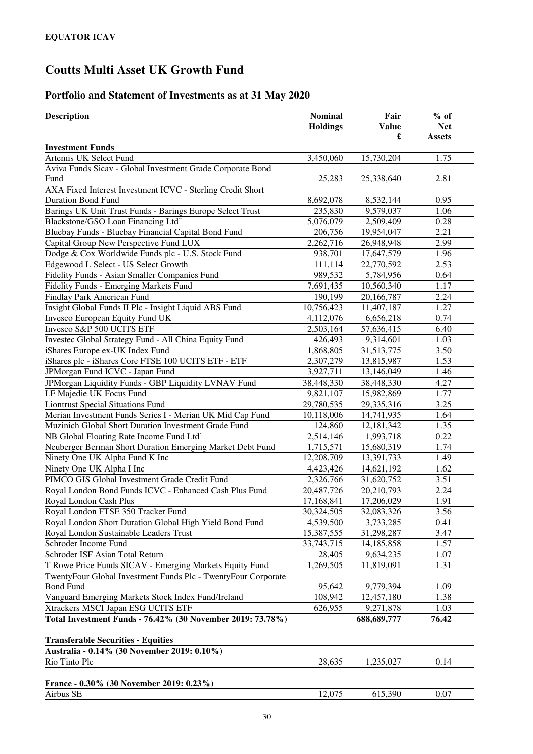## **Portfolio and Statement of Investments as at 31 May 2020**

| <b>Description</b>                                                 | <b>Nominal</b><br><b>Holdings</b> | Fair<br><b>Value</b><br>£ | $%$ of<br><b>Net</b><br><b>Assets</b> |
|--------------------------------------------------------------------|-----------------------------------|---------------------------|---------------------------------------|
| <b>Investment Funds</b>                                            |                                   |                           |                                       |
| Artemis UK Select Fund                                             | 3,450,060                         | 15,730,204                | 1.75                                  |
| Aviva Funds Sicav - Global Investment Grade Corporate Bond<br>Fund | 25,283                            | 25,338,640                | 2.81                                  |
| AXA Fixed Interest Investment ICVC - Sterling Credit Short         |                                   |                           |                                       |
| <b>Duration Bond Fund</b>                                          | 8,692,078                         | 8,532,144                 | 0.95                                  |
| Barings UK Unit Trust Funds - Barings Europe Select Trust          | 235,830                           | 9,579,037                 | 1.06                                  |
| Blackstone/GSO Loan Financing Ltd <sup>~</sup>                     | 5,076,079                         | 2,509,409                 | 0.28                                  |
| Bluebay Funds - Bluebay Financial Capital Bond Fund                | 206,756                           | 19,954,047                | 2.21                                  |
| Capital Group New Perspective Fund LUX                             | 2,262,716                         | 26,948,948                | 2.99                                  |
| Dodge & Cox Worldwide Funds plc - U.S. Stock Fund                  | 938,701                           | 17,647,579                | 1.96                                  |
| Edgewood L Select - US Select Growth                               | 111,114                           | 22,770,592                | 2.53                                  |
| Fidelity Funds - Asian Smaller Companies Fund                      | 989,532                           | 5,784,956                 | 0.64                                  |
| <b>Fidelity Funds - Emerging Markets Fund</b>                      | 7,691,435                         | 10,560,340                | 1.17                                  |
| Findlay Park American Fund                                         | 190,199                           | 20,166,787                | 2.24                                  |
| Insight Global Funds II Plc - Insight Liquid ABS Fund              | 10,756,423                        | 11,407,187                | 1.27                                  |
| Invesco European Equity Fund UK                                    | 4,112,076                         | 6,656,218                 | 0.74                                  |
| Invesco S&P 500 UCITS ETF                                          | 2,503,164                         | 57,636,415                | 6.40                                  |
| Investec Global Strategy Fund - All China Equity Fund              | 426,493                           | 9,314,601                 | 1.03                                  |
| iShares Europe ex-UK Index Fund                                    | 1,868,805                         | 31,513,775                | 3.50                                  |
| iShares plc - iShares Core FTSE 100 UCITS ETF - ETF                | 2,307,279                         | 13,815,987                | 1.53                                  |
| JPMorgan Fund ICVC - Japan Fund                                    | 3,927,711                         | 13,146,049                | 1.46                                  |
| JPMorgan Liquidity Funds - GBP Liquidity LVNAV Fund                | 38,448,330                        | 38,448,330                | 4.27                                  |
| LF Majedie UK Focus Fund                                           | 9,821,107                         | 15,982,869                | 1.77                                  |
| <b>Liontrust Special Situations Fund</b>                           | 29,780,535                        | 29,335,316                | 3.25                                  |
| Merian Investment Funds Series I - Merian UK Mid Cap Fund          | 10,118,006                        | 14,741,935                | 1.64                                  |
| Muzinich Global Short Duration Investment Grade Fund               | 124,860                           | 12,181,342                | 1.35                                  |
| NB Global Floating Rate Income Fund Ltd <sup>®</sup>               | 2,514,146                         | 1,993,718                 | 0.22                                  |
| Neuberger Berman Short Duration Emerging Market Debt Fund          | 1,715,571                         | 15,680,319                | 1.74                                  |
| Ninety One UK Alpha Fund K Inc                                     | 12,208,709                        | 13,391,733                | 1.49                                  |
| Ninety One UK Alpha I Inc                                          | 4,423,426                         | 14,621,192                | 1.62                                  |
| PIMCO GIS Global Investment Grade Credit Fund                      | 2,326,766                         | 31,620,752                | 3.51                                  |
| Royal London Bond Funds ICVC - Enhanced Cash Plus Fund             | 20,487,726                        | 20,210,793                | 2.24                                  |
| Royal London Cash Plus                                             | 17,168,841                        | 17,206,029                | 1.91                                  |
| Royal London FTSE 350 Tracker Fund                                 | 30,324,505                        | 32,083,326                | 3.56                                  |
| Royal London Short Duration Global High Yield Bond Fund            | 4,539,500                         | 3,733,285                 | 0.41                                  |
| Royal London Sustainable Leaders Trust                             | 15,387,555                        | 31,298,287                | 3.47                                  |
| Schroder Income Fund                                               | 33,743,715                        | 14,185,858                | 1.57                                  |
| Schroder ISF Asian Total Return                                    | 28,405                            | 9,634,235                 | 1.07                                  |
| T Rowe Price Funds SICAV - Emerging Markets Equity Fund            | 1,269,505                         | 11,819,091                | 1.31                                  |
| TwentyFour Global Investment Funds Plc - TwentyFour Corporate      |                                   |                           |                                       |
| <b>Bond Fund</b>                                                   | 95,642                            | 9,779,394                 | 1.09                                  |
| Vanguard Emerging Markets Stock Index Fund/Ireland                 | 108,942                           | 12,457,180                | 1.38                                  |
| Xtrackers MSCI Japan ESG UCITS ETF                                 | 626,955                           | 9,271,878                 | 1.03                                  |
| Total Investment Funds - 76.42% (30 November 2019: 73.78%)         |                                   | 688,689,777               | 76.42                                 |
| <b>Transferable Securities - Equities</b>                          |                                   |                           |                                       |
| Australia - 0.14% (30 November 2019: 0.10%)                        |                                   |                           |                                       |
| Rio Tinto Plc                                                      | 28,635                            | 1,235,027                 | 0.14                                  |
| France - 0.30% (30 November 2019: 0.23%)                           |                                   |                           |                                       |
| Airbus SE                                                          | 12,075                            | 615,390                   | 0.07                                  |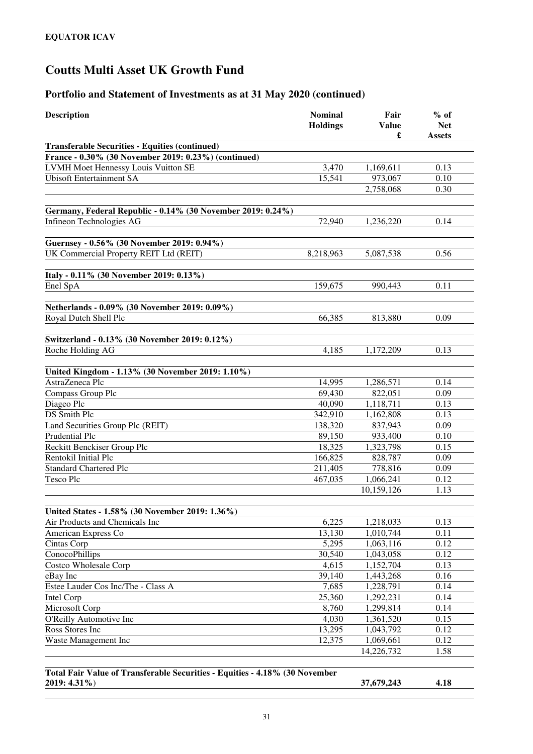| <b>Description</b>                                          | <b>Nominal</b><br><b>Holdings</b> | Fair<br><b>Value</b><br>£ | $%$ of<br><b>Net</b><br><b>Assets</b> |
|-------------------------------------------------------------|-----------------------------------|---------------------------|---------------------------------------|
| <b>Transferable Securities - Equities (continued)</b>       |                                   |                           |                                       |
| France - 0.30% (30 November 2019: 0.23%) (continued)        |                                   |                           |                                       |
| LVMH Moet Hennessy Louis Vuitton SE                         | 3,470                             | 1,169,611                 | 0.13                                  |
| <b>Ubisoft Entertainment SA</b>                             | 15,541                            | 973,067                   | 0.10                                  |
|                                                             |                                   | 2,758,068                 | 0.30                                  |
| Germany, Federal Republic - 0.14% (30 November 2019: 0.24%) |                                   |                           |                                       |
| Infineon Technologies AG                                    | 72,940                            | 1,236,220                 | 0.14                                  |
|                                                             |                                   |                           |                                       |
| Guernsey - 0.56% (30 November 2019: 0.94%)                  |                                   |                           |                                       |
| UK Commercial Property REIT Ltd (REIT)                      | 8,218,963                         | 5,087,538                 | 0.56                                  |
|                                                             |                                   |                           |                                       |
| Italy - 0.11% (30 November 2019: 0.13%)                     |                                   |                           |                                       |
| Enel SpA                                                    | 159,675                           | 990,443                   | 0.11                                  |
| Netherlands - 0.09% (30 November 2019: 0.09%)               |                                   |                           |                                       |
| Royal Dutch Shell Plc                                       | 66,385                            | 813,880                   | 0.09                                  |
|                                                             |                                   |                           |                                       |
| Switzerland - 0.13% (30 November 2019: 0.12%)               |                                   |                           |                                       |
| Roche Holding AG                                            | 4,185                             | 1,172,209                 | 0.13                                  |
|                                                             |                                   |                           |                                       |
| United Kingdom - 1.13% (30 November 2019: 1.10%)            |                                   |                           |                                       |
| AstraZeneca Plc                                             | 14,995                            | 1,286,571                 | 0.14                                  |
| Compass Group Plc                                           | 69,430                            | 822,051                   | 0.09                                  |
| Diageo Plc                                                  | 40,090                            | 1,118,711                 | 0.13                                  |
| DS Smith Plc                                                | 342,910                           | 1,162,808                 | 0.13                                  |
| Land Securities Group Plc (REIT)                            | 138,320                           | 837,943                   | 0.09                                  |
| Prudential Plc                                              | 89,150                            | 933,400                   | 0.10                                  |
| Reckitt Benckiser Group Plc                                 | 18,325                            | 1,323,798                 | 0.15                                  |
| Rentokil Initial Plc                                        | 166,825                           | 828,787                   | 0.09                                  |
| <b>Standard Chartered Plc</b>                               | 211,405                           | 778,816                   | 0.09                                  |
| Tesco Plc                                                   | 467,035                           | 1,066,241                 | 0.12                                  |
|                                                             |                                   | 10,159,126                | 1.13                                  |
| United States - 1.58% (30 November 2019: 1.36%)             |                                   |                           |                                       |
| Air Products and Chemicals Inc                              | 6,225                             | 1,218,033                 | 0.13                                  |
| American Express Co                                         | 13,130                            | 1,010,744                 | 0.11                                  |
| Cintas Corp                                                 | 5,295                             | 1,063,116                 | 0.12                                  |
| ConocoPhillips                                              | 30,540                            | 1,043,058                 | 0.12                                  |
| Costco Wholesale Corp                                       | 4,615                             | 1,152,704                 | 0.13                                  |
| eBay Inc                                                    | 39,140                            | 1,443,268                 | 0.16                                  |
| Estee Lauder Cos Inc/The - Class A                          | 7,685                             | 1,228,791                 | 0.14                                  |
| Intel Corp                                                  | 25,360                            | 1,292,231                 | 0.14                                  |
| Microsoft Corp                                              | 8,760                             | 1,299,814                 | 0.14                                  |
| O'Reilly Automotive Inc                                     | 4,030                             | 1,361,520                 | 0.15                                  |
| Ross Stores Inc                                             | 13,295                            | 1,043,792                 | 0.12                                  |
| Waste Management Inc                                        | 12,375                            | 1,069,661                 | 0.12                                  |
|                                                             |                                   | 14,226,732                | 1.58                                  |
|                                                             |                                   |                           |                                       |

| Total Fair Value of Transferable Securities - Equities - 4.18% (30 November |            |      |
|-----------------------------------------------------------------------------|------------|------|
| $2019: 4.31\%$                                                              | 37,679,243 | 4.18 |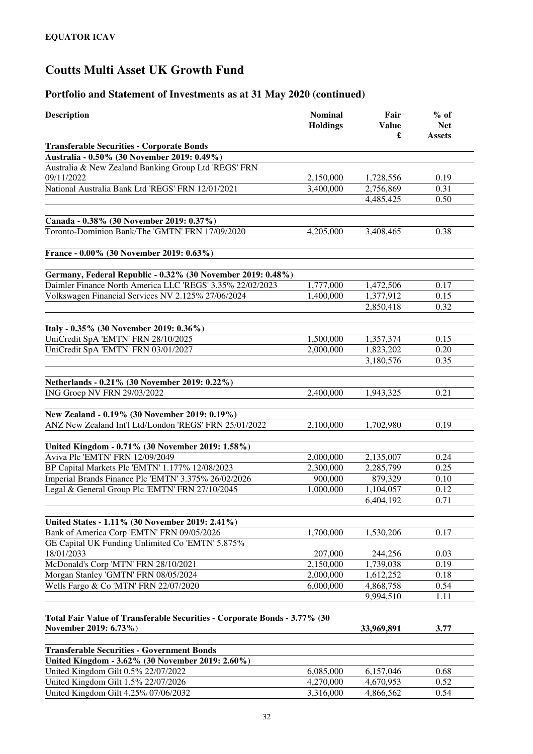| <b>Description</b>                                                                                      | <b>Nominal</b><br><b>Holdings</b> | Fair<br><b>Value</b><br>£ | $%$ of<br><b>Net</b><br><b>Assets</b> |
|---------------------------------------------------------------------------------------------------------|-----------------------------------|---------------------------|---------------------------------------|
| <b>Transferable Securities - Corporate Bonds</b>                                                        |                                   |                           |                                       |
| Australia - 0.50% (30 November 2019: 0.49%)                                                             |                                   |                           |                                       |
| Australia & New Zealand Banking Group Ltd 'REGS' FRN<br>09/11/2022                                      | 2,150,000                         | 1,728,556                 | 0.19                                  |
| National Australia Bank Ltd 'REGS' FRN 12/01/2021                                                       | 3,400,000                         | 2,756,869<br>4,485,425    | 0.31<br>0.50                          |
| Canada - 0.38% (30 November 2019: 0.37%)                                                                |                                   |                           |                                       |
| Toronto-Dominion Bank/The 'GMTN' FRN 17/09/2020                                                         | 4,205,000                         | 3,408,465                 | 0.38                                  |
| France - 0.00% (30 November 2019: 0.63%)                                                                |                                   |                           |                                       |
| Germany, Federal Republic - 0.32% (30 November 2019: 0.48%)                                             |                                   |                           |                                       |
| Daimler Finance North America LLC 'REGS' 3.35% 22/02/2023                                               | 1,777,000                         | 1,472,506                 | 0.17                                  |
| Volkswagen Financial Services NV 2.125% 27/06/2024                                                      | 1,400,000                         | 1,377,912                 | 0.15                                  |
|                                                                                                         |                                   | 2,850,418                 | 0.32                                  |
| Italy - 0.35% (30 November 2019: 0.36%)                                                                 |                                   |                           |                                       |
| UniCredit SpA 'EMTN' FRN 28/10/2025                                                                     | 1,500,000                         | 1,357,374                 | 0.15                                  |
| UniCredit SpA 'EMTN' FRN 03/01/2027                                                                     | 2,000,000                         | 1,823,202                 | 0.20                                  |
|                                                                                                         |                                   | 3,180,576                 | 0.35                                  |
| Netherlands - 0.21% (30 November 2019: 0.22%)                                                           |                                   |                           |                                       |
| ING Groep NV FRN 29/03/2022                                                                             | 2,400,000                         | 1,943,325                 | 0.21                                  |
|                                                                                                         |                                   |                           |                                       |
| New Zealand - 0.19% (30 November 2019: 0.19%)<br>ANZ New Zealand Int'l Ltd/London 'REGS' FRN 25/01/2022 | 2,100,000                         | 1,702,980                 | 0.19                                  |
|                                                                                                         |                                   |                           |                                       |
| United Kingdom - 0.71% (30 November 2019: 1.58%)                                                        |                                   |                           |                                       |
| Aviva Plc 'EMTN' FRN 12/09/2049                                                                         | 2,000,000                         | 2,135,007                 | 0.24                                  |
| BP Capital Markets Plc 'EMTN' 1.177% 12/08/2023                                                         | 2,300,000                         | 2,285,799                 | 0.25                                  |
| Imperial Brands Finance Plc 'EMTN' 3.375% 26/02/2026                                                    | 900,000                           | 879,329                   | 0.10                                  |
| Legal & General Group Plc 'EMTN' FRN 27/10/2045                                                         | 1,000,000                         | 1,104,057                 | 0.12                                  |
|                                                                                                         |                                   | 6,404,192                 | 0.71                                  |
| United States - 1.11% (30 November 2019: 2.41%)                                                         |                                   |                           |                                       |
| Bank of America Corp 'EMTN' FRN 09/05/2026                                                              | 1,700,000                         | 1,530,206                 | 0.17                                  |
| GE Capital UK Funding Unlimited Co 'EMTN' 5.875%                                                        |                                   |                           |                                       |
| 18/01/2033                                                                                              | 207,000                           | 244,256                   | 0.03                                  |
| McDonald's Corp 'MTN' FRN 28/10/2021                                                                    | 2,150,000<br>2,000,000            | 1,739,038                 | 0.19<br>0.18                          |
| Morgan Stanley 'GMTN' FRN 08/05/2024<br>Wells Fargo & Co 'MTN' FRN 22/07/2020                           |                                   | 1,612,252<br>4,868,758    | 0.54                                  |
|                                                                                                         | 6,000,000                         | 9,994,510                 | 1.11                                  |
|                                                                                                         |                                   |                           |                                       |
| Total Fair Value of Transferable Securities - Corporate Bonds - 3.77% (30                               |                                   |                           |                                       |
| November 2019: 6.73%)                                                                                   |                                   | 33,969,891                | 3.77                                  |
| <b>Transferable Securities - Government Bonds</b>                                                       |                                   |                           |                                       |
| United Kingdom - 3.62% (30 November 2019: 2.60%)                                                        |                                   |                           |                                       |
| United Kingdom Gilt 0.5% 22/07/2022                                                                     | 6,085,000                         | 6,157,046                 | 0.68                                  |
| United Kingdom Gilt 1.5% 22/07/2026                                                                     | 4,270,000                         | 4,670,953                 | 0.52                                  |
| United Kingdom Gilt 4.25% 07/06/2032                                                                    | 3,316,000                         | 4,866,562                 | 0.54                                  |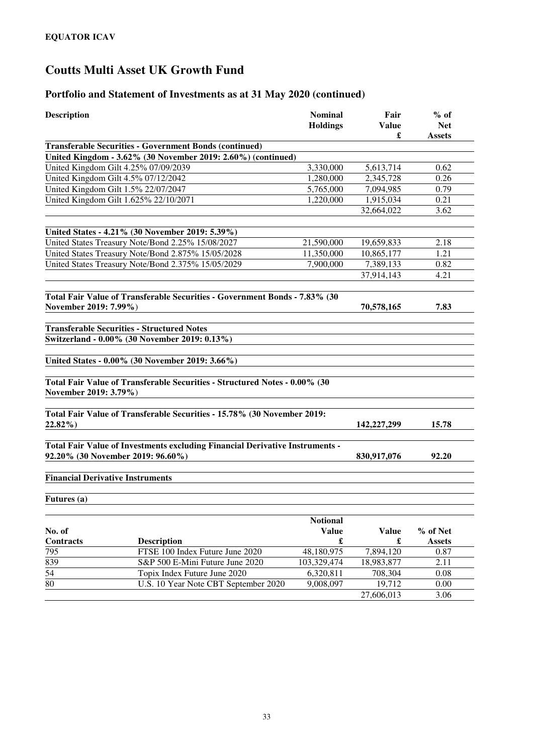### **Portfolio and Statement of Investments as at 31 May 2020 (continued)**

| <b>Description</b>                      |                                                                                                                   | <b>Nominal</b><br><b>Holdings</b> | Fair<br><b>Value</b><br>£ | $%$ of<br><b>Net</b><br><b>Assets</b> |
|-----------------------------------------|-------------------------------------------------------------------------------------------------------------------|-----------------------------------|---------------------------|---------------------------------------|
|                                         | <b>Transferable Securities - Government Bonds (continued)</b>                                                     |                                   |                           |                                       |
|                                         | United Kingdom - 3.62% (30 November 2019: 2.60%) (continued)                                                      |                                   |                           |                                       |
|                                         | United Kingdom Gilt 4.25% 07/09/2039                                                                              | 3.330,000                         | 5,613,714                 | 0.62                                  |
|                                         | United Kingdom Gilt 4.5% 07/12/2042                                                                               | 1,280,000                         | 2,345,728                 | 0.26                                  |
|                                         | United Kingdom Gilt 1.5% 22/07/2047                                                                               | 5,765,000                         | 7,094,985                 | 0.79                                  |
|                                         | United Kingdom Gilt 1.625% 22/10/2071                                                                             | 1,220,000                         | 1,915,034                 | 0.21                                  |
|                                         |                                                                                                                   |                                   | 32,664,022                | 3.62                                  |
|                                         | United States - 4.21% (30 November 2019: 5.39%)                                                                   |                                   |                           |                                       |
|                                         | United States Treasury Note/Bond 2.25% 15/08/2027                                                                 | 21,590,000                        | 19,659,833                | 2.18                                  |
|                                         | United States Treasury Note/Bond 2.875% 15/05/2028                                                                | 11,350,000                        | 10,865,177                | 1.21                                  |
|                                         | United States Treasury Note/Bond 2.375% 15/05/2029                                                                | 7,900,000                         | 7,389,133                 | 0.82                                  |
|                                         |                                                                                                                   |                                   | 37,914,143                | 4.21                                  |
| November 2019: 7.99%)                   | Total Fair Value of Transferable Securities - Government Bonds - 7.83% (30                                        |                                   | 70,578,165                | 7.83                                  |
|                                         | <b>Transferable Securities - Structured Notes</b>                                                                 |                                   |                           |                                       |
|                                         |                                                                                                                   |                                   |                           |                                       |
|                                         | Switzerland - 0.00% (30 November 2019: 0.13%)                                                                     |                                   |                           |                                       |
|                                         | United States - 0.00% (30 November 2019: 3.66%)                                                                   |                                   |                           |                                       |
| November 2019: 3.79%)                   | Total Fair Value of Transferable Securities - Structured Notes - 0.00% (30                                        |                                   |                           |                                       |
| 22.82%)                                 | Total Fair Value of Transferable Securities - 15.78% (30 November 2019:                                           |                                   | 142,227,299               | 15.78                                 |
|                                         | Total Fair Value of Investments excluding Financial Derivative Instruments -<br>92.20% (30 November 2019: 96.60%) |                                   | 830,917,076               | 92.20                                 |
| <b>Financial Derivative Instruments</b> |                                                                                                                   |                                   |                           |                                       |
| Futures (a)                             |                                                                                                                   |                                   |                           |                                       |
| No. of                                  |                                                                                                                   | <b>Notional</b><br><b>Value</b>   | <b>Value</b>              | % of Net                              |
| Contracts                               | <b>Description</b>                                                                                                | $\pmb{\mathfrak{L}}$              | $\pmb{\mathfrak{L}}$      | <b>Assets</b>                         |
| $\overline{795}$                        | FTSE 100 Index Future June 2020                                                                                   | 48,180,975                        | 7,894,120                 | 0.87                                  |
| 839                                     | S&P 500 E-Mini Future June 2020                                                                                   | 103,329,474                       | 18,983,877                | 2.11                                  |
| $\overline{54}$                         | Topix Index Future June 2020                                                                                      | 6,320,811                         | 708,304                   | 0.08                                  |
| $\overline{80}$                         | U.S. 10 Year Note CBT September 2020                                                                              | 9,008,097                         | 19,712                    | 0.00                                  |
|                                         |                                                                                                                   |                                   | 27,606,013                | 3.06                                  |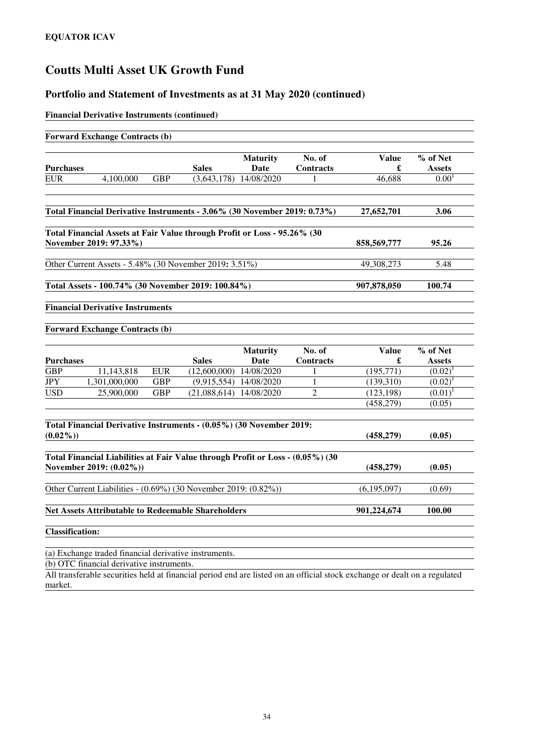### **Portfolio and Statement of Investments as at 31 May 2020 (continued)**

#### **Financial Derivative Instruments (continued)**

| <b>Forward Exchange Contracts (b)</b>                                                                                                                                                                                              |            |                           |                          |                  |             |               |
|------------------------------------------------------------------------------------------------------------------------------------------------------------------------------------------------------------------------------------|------------|---------------------------|--------------------------|------------------|-------------|---------------|
|                                                                                                                                                                                                                                    |            |                           | <b>Maturity</b>          | No. of           | Value       | % of Net      |
| <b>Purchases</b>                                                                                                                                                                                                                   |            | <b>Sales</b>              | <b>Date</b>              | <b>Contracts</b> | £           | <b>Assets</b> |
| 4,100,000<br><b>EUR</b>                                                                                                                                                                                                            | <b>GBP</b> |                           | $(3,643,178)$ 14/08/2020 |                  | 46,688      | $0.00^{1}$    |
| Total Financial Derivative Instruments - 3.06% (30 November 2019: 0.73%)                                                                                                                                                           |            |                           |                          |                  | 27,652,701  | 3.06          |
| Total Financial Assets at Fair Value through Profit or Loss - 95.26% (30                                                                                                                                                           |            |                           |                          |                  |             |               |
| November 2019: 97.33%)                                                                                                                                                                                                             |            |                           |                          |                  | 858,569,777 | 95.26         |
| Other Current Assets - 5.48% (30 November 2019: 3.51%)                                                                                                                                                                             |            |                           |                          |                  | 49,308,273  | 5.48          |
| Total Assets - 100.74% (30 November 2019: 100.84%)                                                                                                                                                                                 |            |                           |                          |                  | 907,878,050 | 100.74        |
| <b>Financial Derivative Instruments</b>                                                                                                                                                                                            |            |                           |                          |                  |             |               |
| <b>Forward Exchange Contracts (b)</b>                                                                                                                                                                                              |            |                           |                          |                  |             |               |
|                                                                                                                                                                                                                                    |            |                           | <b>Maturity</b>          | No. of           | Value       | % of Net      |
| <b>Purchases</b>                                                                                                                                                                                                                   |            | <b>Sales</b>              | Date                     | <b>Contracts</b> | £           | <b>Assets</b> |
| 11,143,818<br><b>GBP</b>                                                                                                                                                                                                           | <b>EUR</b> | $(12,600,000)$ 14/08/2020 |                          | 1                | (195,771)   | $(0.02)^1$    |
| <b>JPY</b><br>1,301,000,000                                                                                                                                                                                                        | <b>GBP</b> |                           | (9,915,554) 14/08/2020   | 1                | (139,310)   | $(0.02)^1$    |
| <b>USD</b><br>25,900,000                                                                                                                                                                                                           | <b>GBP</b> | $(21,088,614)$ 14/08/2020 |                          | $\overline{2}$   | (123, 198)  | $(0.01)^1$    |
|                                                                                                                                                                                                                                    |            |                           |                          |                  | (458, 279)  | (0.05)        |
| Total Financial Derivative Instruments - (0.05%) (30 November 2019:                                                                                                                                                                |            |                           |                          |                  |             |               |
| $(0.02\%)$                                                                                                                                                                                                                         |            |                           |                          |                  | (458, 279)  | (0.05)        |
| Total Financial Liabilities at Fair Value through Profit or Loss - (0.05%) (30                                                                                                                                                     |            |                           |                          |                  |             |               |
| November 2019: (0.02%))                                                                                                                                                                                                            |            |                           |                          |                  | (458, 279)  | (0.05)        |
| Other Current Liabilities - (0.69%) (30 November 2019: (0.82%))                                                                                                                                                                    |            |                           |                          |                  | (6,195,097) | (0.69)        |
| <b>Net Assets Attributable to Redeemable Shareholders</b>                                                                                                                                                                          |            | 901,224,674               | 100.00                   |                  |             |               |
| <b>Classification:</b>                                                                                                                                                                                                             |            |                           |                          |                  |             |               |
| (a) Exchange traded financial derivative instruments.                                                                                                                                                                              |            |                           |                          |                  |             |               |
| $(1)$ of $\Box$ $\Box$ $(1)$ $(1)$ $(1)$ $(1)$ $(1)$ $(1)$ $(1)$ $(1)$ $(1)$ $(1)$ $(1)$ $(1)$ $(1)$ $(1)$ $(1)$ $(1)$ $(1)$ $(1)$ $(1)$ $(1)$ $(1)$ $(1)$ $(1)$ $(1)$ $(1)$ $(1)$ $(1)$ $(1)$ $(1)$ $(1)$ $(1)$ $(1)$ $(1)$ $(1)$ |            |                           |                          |                  |             |               |

(b) OTC financial derivative instruments.

All transferable securities held at financial period end are listed on an official stock exchange or dealt on a regulated market.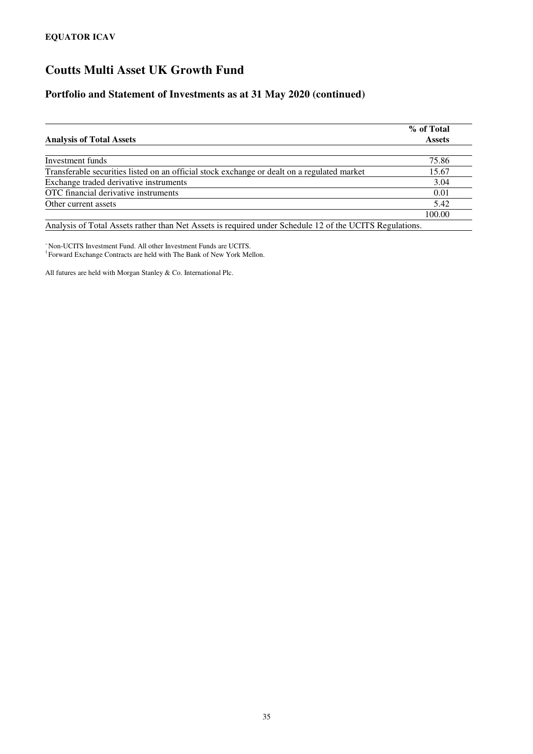### **Portfolio and Statement of Investments as at 31 May 2020 (continued)**

| <b>Analysis of Total Assets</b>                                                                         | % of Total<br><b>Assets</b> |  |  |
|---------------------------------------------------------------------------------------------------------|-----------------------------|--|--|
|                                                                                                         |                             |  |  |
| Investment funds                                                                                        | 75.86                       |  |  |
| Transferable securities listed on an official stock exchange or dealt on a regulated market             | 15.67                       |  |  |
| Exchange traded derivative instruments                                                                  | 3.04                        |  |  |
| OTC financial derivative instruments                                                                    | 0.01                        |  |  |
| Other current assets                                                                                    | 5.42                        |  |  |
|                                                                                                         | 100.00                      |  |  |
| Analysis of Total Assets rather than Net Assets is required under Schedule 12 of the UCITS Regulations. |                             |  |  |

<sup>~</sup>Non-UCITS Investment Fund. All other Investment Funds are UCITS. <sup>1</sup> Forward Exchange Contracts are held with The Bank of New York Mellon.

All futures are held with Morgan Stanley & Co. International Plc.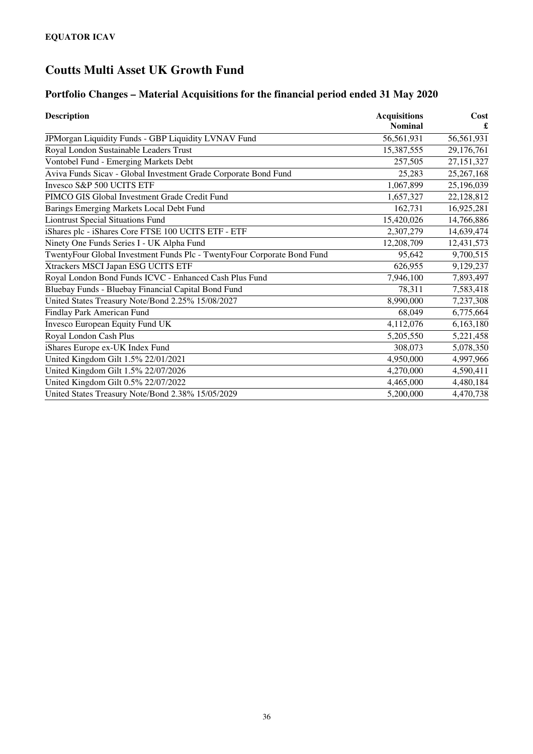### **Portfolio Changes – Material Acquisitions for the financial period ended 31 May 2020**

| <b>Description</b>                                                      | <b>Acquisitions</b> | Cost         |
|-------------------------------------------------------------------------|---------------------|--------------|
|                                                                         | <b>Nominal</b>      |              |
| JPMorgan Liquidity Funds - GBP Liquidity LVNAV Fund                     | 56,561,931          | 56,561,931   |
| Royal London Sustainable Leaders Trust                                  | 15,387,555          | 29,176,761   |
| Vontobel Fund - Emerging Markets Debt                                   | 257,505             | 27,151,327   |
| Aviva Funds Sicav - Global Investment Grade Corporate Bond Fund         | 25,283              | 25, 267, 168 |
| Invesco S&P 500 UCITS ETF                                               | 1,067,899           | 25,196,039   |
| PIMCO GIS Global Investment Grade Credit Fund                           | 1,657,327           | 22,128,812   |
| Barings Emerging Markets Local Debt Fund                                | 162,731             | 16,925,281   |
| <b>Liontrust Special Situations Fund</b>                                | 15,420,026          | 14,766,886   |
| iShares plc - iShares Core FTSE 100 UCITS ETF - ETF                     | 2,307,279           | 14,639,474   |
| Ninety One Funds Series I - UK Alpha Fund                               | 12,208,709          | 12,431,573   |
| TwentyFour Global Investment Funds Plc - TwentyFour Corporate Bond Fund | 95,642              | 9,700,515    |
| Xtrackers MSCI Japan ESG UCITS ETF                                      | 626,955             | 9,129,237    |
| Royal London Bond Funds ICVC - Enhanced Cash Plus Fund                  | 7,946,100           | 7,893,497    |
| Bluebay Funds - Bluebay Financial Capital Bond Fund                     | 78,311              | 7,583,418    |
| United States Treasury Note/Bond 2.25% 15/08/2027                       | 8,990,000           | 7,237,308    |
| Findlay Park American Fund                                              | 68,049              | 6,775,664    |
| Invesco European Equity Fund UK                                         | 4,112,076           | 6,163,180    |
| Royal London Cash Plus                                                  | 5,205,550           | 5,221,458    |
| iShares Europe ex-UK Index Fund                                         | 308,073             | 5,078,350    |
| United Kingdom Gilt 1.5% 22/01/2021                                     | 4,950,000           | 4,997,966    |
| United Kingdom Gilt 1.5% 22/07/2026                                     | 4,270,000           | 4,590,411    |
| United Kingdom Gilt 0.5% 22/07/2022                                     | 4,465,000           | 4,480,184    |
| United States Treasury Note/Bond 2.38% 15/05/2029                       | 5,200,000           | 4,470,738    |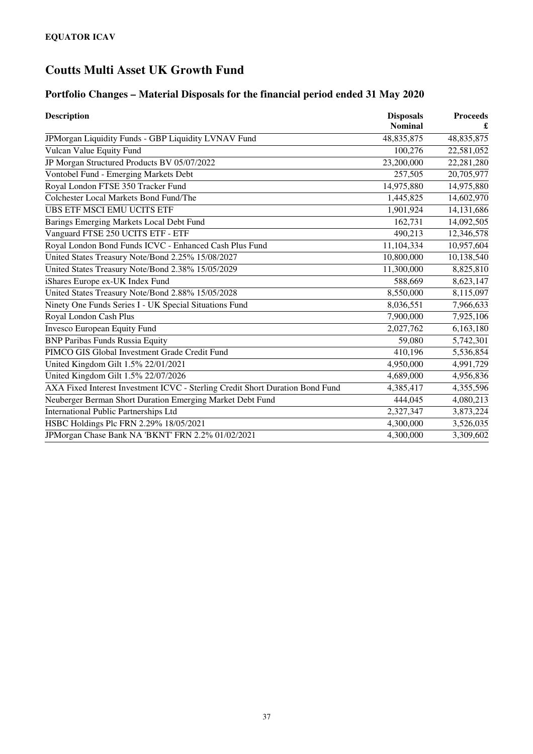### **Portfolio Changes – Material Disposals for the financial period ended 31 May 2020**

| <b>Description</b>                                                            | <b>Disposals</b><br><b>Nominal</b> | <b>Proceeds</b><br>£ |
|-------------------------------------------------------------------------------|------------------------------------|----------------------|
| JPMorgan Liquidity Funds - GBP Liquidity LVNAV Fund                           | 48,835,875                         | 48,835,875           |
| Vulcan Value Equity Fund                                                      | 100,276                            | 22,581,052           |
| JP Morgan Structured Products BV 05/07/2022                                   | 23,200,000                         | 22,281,280           |
| Vontobel Fund - Emerging Markets Debt                                         | 257,505                            | 20,705,977           |
| Royal London FTSE 350 Tracker Fund                                            | 14,975,880                         | 14,975,880           |
| Colchester Local Markets Bond Fund/The                                        | 1,445,825                          | 14,602,970           |
| <b>UBS ETF MSCI EMU UCITS ETF</b>                                             | 1,901,924                          | 14,131,686           |
| Barings Emerging Markets Local Debt Fund                                      | 162,731                            | 14,092,505           |
| Vanguard FTSE 250 UCITS ETF - ETF                                             | 490,213                            | 12,346,578           |
| Royal London Bond Funds ICVC - Enhanced Cash Plus Fund                        | 11,104,334                         | 10,957,604           |
| United States Treasury Note/Bond 2.25% 15/08/2027                             | 10,800,000                         | 10,138,540           |
| United States Treasury Note/Bond 2.38% 15/05/2029                             | 11,300,000                         | 8,825,810            |
| iShares Europe ex-UK Index Fund                                               | 588,669                            | 8,623,147            |
| United States Treasury Note/Bond 2.88% 15/05/2028                             | 8,550,000                          | 8,115,097            |
| Ninety One Funds Series I - UK Special Situations Fund                        | 8,036,551                          | 7,966,633            |
| Royal London Cash Plus                                                        | 7,900,000                          | 7,925,106            |
| Invesco European Equity Fund                                                  | 2,027,762                          | 6,163,180            |
| <b>BNP Paribas Funds Russia Equity</b>                                        | 59,080                             | 5,742,301            |
| PIMCO GIS Global Investment Grade Credit Fund                                 | 410,196                            | 5,536,854            |
| United Kingdom Gilt 1.5% 22/01/2021                                           | 4,950,000                          | 4,991,729            |
| United Kingdom Gilt 1.5% 22/07/2026                                           | 4,689,000                          | 4,956,836            |
| AXA Fixed Interest Investment ICVC - Sterling Credit Short Duration Bond Fund | 4,385,417                          | 4,355,596            |
| Neuberger Berman Short Duration Emerging Market Debt Fund                     | 444,045                            | 4,080,213            |
| <b>International Public Partnerships Ltd</b>                                  | 2,327,347                          | 3,873,224            |
| HSBC Holdings Plc FRN 2.29% 18/05/2021                                        | 4,300,000                          | 3,526,035            |
| JPMorgan Chase Bank NA 'BKNT' FRN 2.2% 01/02/2021                             | 4,300,000                          | 3,309,602            |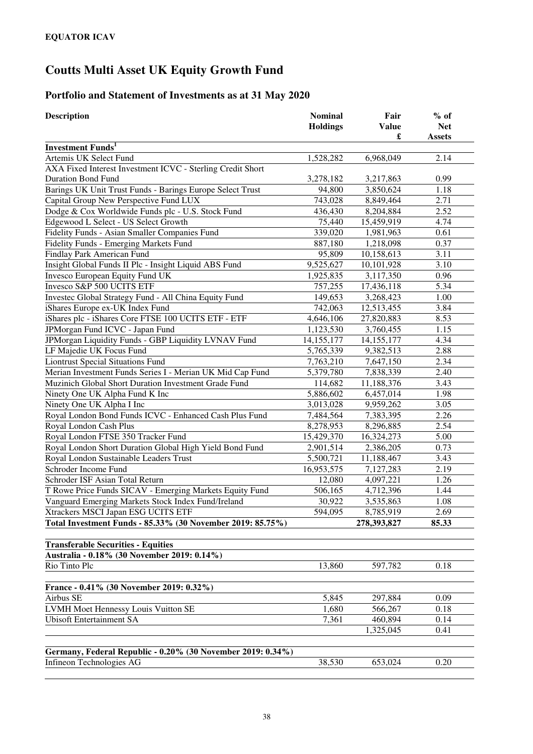### **Portfolio and Statement of Investments as at 31 May 2020**

| <b>Description</b>                                          | <b>Nominal</b><br><b>Holdings</b> | Fair<br><b>Value</b> | $%$ of<br><b>Net</b> |
|-------------------------------------------------------------|-----------------------------------|----------------------|----------------------|
|                                                             |                                   | £                    | <b>Assets</b>        |
| <b>Investment Funds</b> <sup>1</sup>                        |                                   |                      |                      |
| Artemis UK Select Fund                                      | 1,528,282                         | 6,968,049            | 2.14                 |
| AXA Fixed Interest Investment ICVC - Sterling Credit Short  |                                   |                      |                      |
| Duration Bond Fund                                          | 3,278,182                         | 3,217,863            | 0.99                 |
| Barings UK Unit Trust Funds - Barings Europe Select Trust   | 94,800                            | 3,850,624            | 1.18                 |
| Capital Group New Perspective Fund LUX                      | 743,028                           | 8,849,464            | 2.71                 |
| Dodge & Cox Worldwide Funds plc - U.S. Stock Fund           | 436,430                           | 8,204,884            | 2.52                 |
| Edgewood L Select - US Select Growth                        | 75,440                            | 15,459,919           | 4.74                 |
| Fidelity Funds - Asian Smaller Companies Fund               | 339,020                           | 1,981,963            | 0.61                 |
| Fidelity Funds - Emerging Markets Fund                      | 887,180                           | 1,218,098            | 0.37                 |
| Findlay Park American Fund                                  | 95,809                            | 10,158,613           | 3.11                 |
| Insight Global Funds II Plc - Insight Liquid ABS Fund       | 9,525,627                         | 10,101,928           | 3.10                 |
| Invesco European Equity Fund UK                             | 1,925,835                         | 3,117,350            | 0.96                 |
| Invesco S&P 500 UCITS ETF                                   | 757,255                           | 17,436,118           | 5.34                 |
| Investec Global Strategy Fund - All China Equity Fund       | 149,653                           | 3,268,423            | 1.00                 |
| iShares Europe ex-UK Index Fund                             | 742,063                           | 12,513,455           | 3.84                 |
| iShares plc - iShares Core FTSE 100 UCITS ETF - ETF         | 4,646,106                         | 27,820,883           | 8.53                 |
| JPMorgan Fund ICVC - Japan Fund                             | 1,123,530                         | 3,760,455            | 1.15                 |
| JPMorgan Liquidity Funds - GBP Liquidity LVNAV Fund         | 14,155,177                        | 14, 155, 177         | 4.34                 |
| LF Majedie UK Focus Fund                                    | 5,765,339                         | 9,382,513            | 2.88                 |
| <b>Liontrust Special Situations Fund</b>                    | 7,763,210                         | 7,647,150            | 2.34                 |
| Merian Investment Funds Series I - Merian UK Mid Cap Fund   | 5,379,780                         | 7,838,339            | 2.40                 |
| Muzinich Global Short Duration Investment Grade Fund        | 114,682                           | 11,188,376           | 3.43                 |
| Ninety One UK Alpha Fund K Inc                              | 5,886,602                         | 6,457,014            | 1.98                 |
| Ninety One UK Alpha I Inc                                   | 3,013,028                         | 9,959,262            | 3.05                 |
| Royal London Bond Funds ICVC - Enhanced Cash Plus Fund      | 7,484,564                         | 7,383,395            | 2.26                 |
| Royal London Cash Plus                                      | 8,278,953                         | 8,296,885            | 2.54                 |
| Royal London FTSE 350 Tracker Fund                          | 15,429,370                        | 16,324,273           | 5.00                 |
| Royal London Short Duration Global High Yield Bond Fund     | 2,901,514                         | 2,386,205            | 0.73                 |
| Royal London Sustainable Leaders Trust                      | 5,500,721                         | 11,188,467           | 3.43                 |
| Schroder Income Fund                                        | 16,953,575                        | 7,127,283            | 2.19                 |
| Schroder ISF Asian Total Return                             | 12,080                            | 4,097,221            | 1.26                 |
| T Rowe Price Funds SICAV - Emerging Markets Equity Fund     | 506,165                           | 4,712,396            | 1.44                 |
| Vanguard Emerging Markets Stock Index Fund/Ireland          | 30,922                            | 3,535,863            | 1.08                 |
| Xtrackers MSCI Japan ESG UCITS ETF                          | 594,095                           | 8,785,919            | 2.69                 |
| Total Investment Funds - 85.33% (30 November 2019: 85.75%)  |                                   | 278,393,827          | 85.33                |
| <b>Transferable Securities - Equities</b>                   |                                   |                      |                      |
| Australia - 0.18% (30 November 2019: 0.14%)                 |                                   |                      |                      |
| Rio Tinto Plc                                               | 13,860                            | 597,782              | 0.18                 |
| France - 0.41% (30 November 2019: 0.32%)                    |                                   |                      |                      |
| Airbus SE                                                   | 5,845                             | 297,884              | 0.09                 |
| LVMH Moet Hennessy Louis Vuitton SE                         | 1,680                             | 566,267              | 0.18                 |
| <b>Ubisoft Entertainment SA</b>                             | 7,361                             | 460,894              | 0.14                 |
|                                                             |                                   | 1,325,045            | 0.41                 |
|                                                             |                                   |                      |                      |
| Germany, Federal Republic - 0.20% (30 November 2019: 0.34%) |                                   |                      |                      |
| Infineon Technologies AG                                    | 38,530                            | 653,024              | 0.20                 |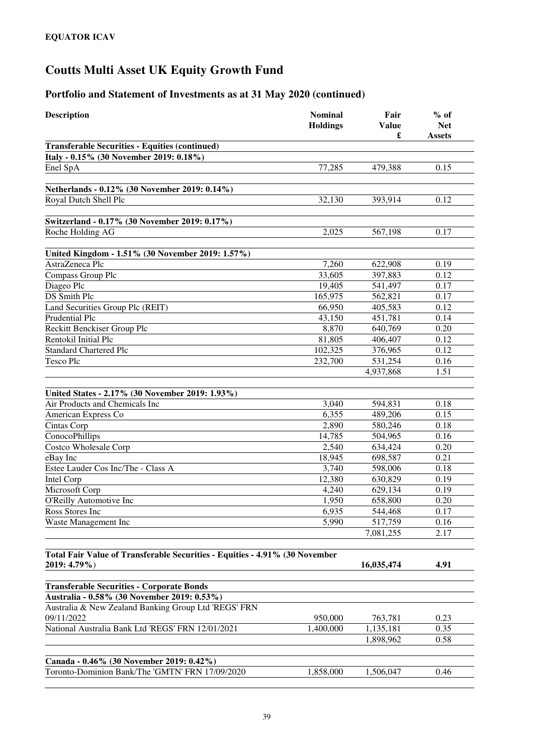| <b>Description</b>                                                                          | <b>Nominal</b><br><b>Holdings</b> | Fair<br><b>Value</b><br>£ | $%$ of<br><b>Net</b><br><b>Assets</b> |
|---------------------------------------------------------------------------------------------|-----------------------------------|---------------------------|---------------------------------------|
| <b>Transferable Securities - Equities (continued)</b>                                       |                                   |                           |                                       |
| Italy - 0.15% (30 November 2019: 0.18%)                                                     |                                   |                           |                                       |
| Enel SpA                                                                                    | 77,285                            | 479,388                   | 0.15                                  |
|                                                                                             |                                   |                           |                                       |
| Netherlands - 0.12% (30 November 2019: 0.14%)                                               |                                   |                           |                                       |
| Royal Dutch Shell Plc                                                                       | 32,130                            | 393,914                   | 0.12                                  |
| Switzerland - 0.17% (30 November 2019: 0.17%)                                               |                                   |                           |                                       |
| Roche Holding AG                                                                            | 2.025                             | 567,198                   | 0.17                                  |
| United Kingdom - 1.51% (30 November 2019: 1.57%)                                            |                                   |                           |                                       |
| AstraZeneca Plc                                                                             | 7,260                             | 622,908                   | 0.19                                  |
| Compass Group Plc                                                                           | 33,605                            | 397,883                   | 0.12                                  |
| Diageo Plc                                                                                  | 19,405                            | 541,497                   | 0.17                                  |
| DS Smith Plc                                                                                | 165,975                           | 562,821                   | 0.17                                  |
| Land Securities Group Plc (REIT)                                                            | 66,950                            | 405,583                   | 0.12                                  |
| Prudential Plc                                                                              | 43,150                            | 451,781                   | 0.14                                  |
| Reckitt Benckiser Group Plc                                                                 | 8,870                             | 640,769                   | 0.20                                  |
| Rentokil Initial Plc                                                                        | 81,805                            | 406,407                   | 0.12                                  |
| <b>Standard Chartered Plc</b>                                                               | 102,325                           | 376,965                   | 0.12                                  |
| Tesco Plc                                                                                   | 232,700                           | 531,254                   | 0.16                                  |
|                                                                                             |                                   | 4,937,868                 | 1.51                                  |
|                                                                                             |                                   |                           |                                       |
| United States - 2.17% (30 November 2019: 1.93%)                                             |                                   |                           |                                       |
| Air Products and Chemicals Inc                                                              | 3,040                             | 594,831                   | 0.18                                  |
| American Express Co                                                                         | 6,355                             | 489,206                   | 0.15                                  |
| Cintas Corp                                                                                 | 2,890                             | 580,246                   | 0.18                                  |
| ConocoPhillips                                                                              | 14,785<br>2,540                   | 504,965                   | 0.16<br>0.20                          |
| Costco Wholesale Corp                                                                       |                                   | 634,424                   | 0.21                                  |
| eBay Inc<br>Estee Lauder Cos Inc/The - Class A                                              | 18,945<br>3,740                   | 698,587                   | 0.18                                  |
| Intel Corp                                                                                  | 12,380                            | 598,006<br>630,829        | 0.19                                  |
| Microsoft Corp                                                                              | 4,240                             | 629,134                   | 0.19                                  |
| O'Reilly Automotive Inc                                                                     | 1,950                             | 658,800                   | 0.20                                  |
| Ross Stores Inc                                                                             | 6,935                             | 544,468                   | 0.17                                  |
| Waste Management Inc                                                                        | 5,990                             | 517,759                   | 0.16                                  |
|                                                                                             |                                   | 7,081,255                 | 2.17                                  |
|                                                                                             |                                   |                           |                                       |
| Total Fair Value of Transferable Securities - Equities - 4.91% (30 November<br>2019: 4.79%) |                                   | 16,035,474                | 4.91                                  |
|                                                                                             |                                   |                           |                                       |
| <b>Transferable Securities - Corporate Bonds</b>                                            |                                   |                           |                                       |
| Australia - 0.58% (30 November 2019: 0.53%)                                                 |                                   |                           |                                       |
| Australia & New Zealand Banking Group Ltd 'REGS' FRN                                        |                                   |                           |                                       |
| 09/11/2022                                                                                  | 950,000                           | 763,781                   | 0.23                                  |
| National Australia Bank Ltd 'REGS' FRN 12/01/2021                                           | 1,400,000                         | 1,135,181                 | 0.35                                  |
|                                                                                             |                                   | 1,898,962                 | 0.58                                  |
|                                                                                             |                                   |                           |                                       |
| Canada - 0.46% (30 November 2019: 0.42%)                                                    |                                   |                           |                                       |
| Toronto-Dominion Bank/The 'GMTN' FRN 17/09/2020                                             | 1,858,000                         | 1,506,047                 | 0.46                                  |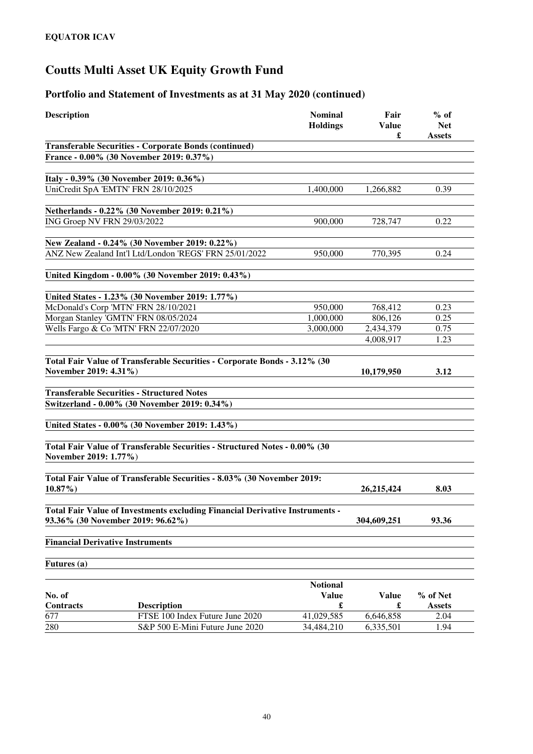| <b>Transferable Securities - Corporate Bonds (continued)</b><br>France - 0.00% (30 November 2019: 0.37%)<br>Italy - 0.39% (30 November 2019: 0.36%)<br>UniCredit SpA 'EMTN' FRN 28/10/2025<br>1,400,000<br>0.39<br>1,266,882<br>Netherlands - 0.22% (30 November 2019: 0.21%)<br>ING Groep NV FRN 29/03/2022<br>900,000<br>0.22<br>728,747<br>New Zealand - 0.24% (30 November 2019: 0.22%)<br>ANZ New Zealand Int'l Ltd/London 'REGS' FRN 25/01/2022<br>950,000<br>770,395<br>0.24<br>United Kingdom - 0.00% (30 November 2019: 0.43%)<br>United States - 1.23% (30 November 2019: 1.77%)<br>McDonald's Corp 'MTN' FRN 28/10/2021<br>950,000<br>768,412<br>0.23<br>Morgan Stanley 'GMTN' FRN 08/05/2024<br>1,000,000<br>806,126<br>0.25<br>2,434,379<br>Wells Fargo & Co 'MTN' FRN 22/07/2020<br>3,000,000<br>0.75<br>4,008,917<br>1.23<br>Total Fair Value of Transferable Securities - Corporate Bonds - 3.12% (30<br>November 2019: 4.31%)<br>10,179,950<br>3.12<br><b>Transferable Securities - Structured Notes</b><br>Switzerland - 0.00% (30 November 2019: 0.34%)<br>United States - 0.00% (30 November 2019: 1.43%)<br>Total Fair Value of Transferable Securities - Structured Notes - 0.00% (30<br>November 2019: 1.77%)<br>Total Fair Value of Transferable Securities - 8.03% (30 November 2019:<br>$10.87\%$<br>8.03<br>26,215,424<br>Total Fair Value of Investments excluding Financial Derivative Instruments -<br>93.36% (30 November 2019: 96.62%)<br>93.36<br>304,609,251<br><b>Financial Derivative Instruments</b><br>Futures (a)<br><b>Notional</b><br>No. of<br><b>Value</b><br><b>Value</b><br>% of Net<br>$\pmb{\mathfrak{L}}$<br><b>Contracts</b><br>£<br><b>Description</b><br><b>Assets</b><br>677<br>FTSE 100 Index Future June 2020<br>41,029,585<br>6,646,858<br>2.04<br>280<br>S&P 500 E-Mini Future June 2020<br>34,484,210<br>6,335,501<br>1.94 | <b>Description</b> | <b>Nominal</b><br><b>Holdings</b> | Fair<br><b>Value</b> | $%$ of<br><b>Net</b><br>£<br><b>Assets</b> |
|-------------------------------------------------------------------------------------------------------------------------------------------------------------------------------------------------------------------------------------------------------------------------------------------------------------------------------------------------------------------------------------------------------------------------------------------------------------------------------------------------------------------------------------------------------------------------------------------------------------------------------------------------------------------------------------------------------------------------------------------------------------------------------------------------------------------------------------------------------------------------------------------------------------------------------------------------------------------------------------------------------------------------------------------------------------------------------------------------------------------------------------------------------------------------------------------------------------------------------------------------------------------------------------------------------------------------------------------------------------------------------------------------------------------------------------------------------------------------------------------------------------------------------------------------------------------------------------------------------------------------------------------------------------------------------------------------------------------------------------------------------------------------------------------------------------------------------------------------------------------------------------|--------------------|-----------------------------------|----------------------|--------------------------------------------|
|                                                                                                                                                                                                                                                                                                                                                                                                                                                                                                                                                                                                                                                                                                                                                                                                                                                                                                                                                                                                                                                                                                                                                                                                                                                                                                                                                                                                                                                                                                                                                                                                                                                                                                                                                                                                                                                                                     |                    |                                   |                      |                                            |
|                                                                                                                                                                                                                                                                                                                                                                                                                                                                                                                                                                                                                                                                                                                                                                                                                                                                                                                                                                                                                                                                                                                                                                                                                                                                                                                                                                                                                                                                                                                                                                                                                                                                                                                                                                                                                                                                                     |                    |                                   |                      |                                            |
|                                                                                                                                                                                                                                                                                                                                                                                                                                                                                                                                                                                                                                                                                                                                                                                                                                                                                                                                                                                                                                                                                                                                                                                                                                                                                                                                                                                                                                                                                                                                                                                                                                                                                                                                                                                                                                                                                     |                    |                                   |                      |                                            |
|                                                                                                                                                                                                                                                                                                                                                                                                                                                                                                                                                                                                                                                                                                                                                                                                                                                                                                                                                                                                                                                                                                                                                                                                                                                                                                                                                                                                                                                                                                                                                                                                                                                                                                                                                                                                                                                                                     |                    |                                   |                      |                                            |
|                                                                                                                                                                                                                                                                                                                                                                                                                                                                                                                                                                                                                                                                                                                                                                                                                                                                                                                                                                                                                                                                                                                                                                                                                                                                                                                                                                                                                                                                                                                                                                                                                                                                                                                                                                                                                                                                                     |                    |                                   |                      |                                            |
|                                                                                                                                                                                                                                                                                                                                                                                                                                                                                                                                                                                                                                                                                                                                                                                                                                                                                                                                                                                                                                                                                                                                                                                                                                                                                                                                                                                                                                                                                                                                                                                                                                                                                                                                                                                                                                                                                     |                    |                                   |                      |                                            |
|                                                                                                                                                                                                                                                                                                                                                                                                                                                                                                                                                                                                                                                                                                                                                                                                                                                                                                                                                                                                                                                                                                                                                                                                                                                                                                                                                                                                                                                                                                                                                                                                                                                                                                                                                                                                                                                                                     |                    |                                   |                      |                                            |
|                                                                                                                                                                                                                                                                                                                                                                                                                                                                                                                                                                                                                                                                                                                                                                                                                                                                                                                                                                                                                                                                                                                                                                                                                                                                                                                                                                                                                                                                                                                                                                                                                                                                                                                                                                                                                                                                                     |                    |                                   |                      |                                            |
|                                                                                                                                                                                                                                                                                                                                                                                                                                                                                                                                                                                                                                                                                                                                                                                                                                                                                                                                                                                                                                                                                                                                                                                                                                                                                                                                                                                                                                                                                                                                                                                                                                                                                                                                                                                                                                                                                     |                    |                                   |                      |                                            |
|                                                                                                                                                                                                                                                                                                                                                                                                                                                                                                                                                                                                                                                                                                                                                                                                                                                                                                                                                                                                                                                                                                                                                                                                                                                                                                                                                                                                                                                                                                                                                                                                                                                                                                                                                                                                                                                                                     |                    |                                   |                      |                                            |
|                                                                                                                                                                                                                                                                                                                                                                                                                                                                                                                                                                                                                                                                                                                                                                                                                                                                                                                                                                                                                                                                                                                                                                                                                                                                                                                                                                                                                                                                                                                                                                                                                                                                                                                                                                                                                                                                                     |                    |                                   |                      |                                            |
|                                                                                                                                                                                                                                                                                                                                                                                                                                                                                                                                                                                                                                                                                                                                                                                                                                                                                                                                                                                                                                                                                                                                                                                                                                                                                                                                                                                                                                                                                                                                                                                                                                                                                                                                                                                                                                                                                     |                    |                                   |                      |                                            |
|                                                                                                                                                                                                                                                                                                                                                                                                                                                                                                                                                                                                                                                                                                                                                                                                                                                                                                                                                                                                                                                                                                                                                                                                                                                                                                                                                                                                                                                                                                                                                                                                                                                                                                                                                                                                                                                                                     |                    |                                   |                      |                                            |
|                                                                                                                                                                                                                                                                                                                                                                                                                                                                                                                                                                                                                                                                                                                                                                                                                                                                                                                                                                                                                                                                                                                                                                                                                                                                                                                                                                                                                                                                                                                                                                                                                                                                                                                                                                                                                                                                                     |                    |                                   |                      |                                            |
|                                                                                                                                                                                                                                                                                                                                                                                                                                                                                                                                                                                                                                                                                                                                                                                                                                                                                                                                                                                                                                                                                                                                                                                                                                                                                                                                                                                                                                                                                                                                                                                                                                                                                                                                                                                                                                                                                     |                    |                                   |                      |                                            |
|                                                                                                                                                                                                                                                                                                                                                                                                                                                                                                                                                                                                                                                                                                                                                                                                                                                                                                                                                                                                                                                                                                                                                                                                                                                                                                                                                                                                                                                                                                                                                                                                                                                                                                                                                                                                                                                                                     |                    |                                   |                      |                                            |
|                                                                                                                                                                                                                                                                                                                                                                                                                                                                                                                                                                                                                                                                                                                                                                                                                                                                                                                                                                                                                                                                                                                                                                                                                                                                                                                                                                                                                                                                                                                                                                                                                                                                                                                                                                                                                                                                                     |                    |                                   |                      |                                            |
|                                                                                                                                                                                                                                                                                                                                                                                                                                                                                                                                                                                                                                                                                                                                                                                                                                                                                                                                                                                                                                                                                                                                                                                                                                                                                                                                                                                                                                                                                                                                                                                                                                                                                                                                                                                                                                                                                     |                    |                                   |                      |                                            |
|                                                                                                                                                                                                                                                                                                                                                                                                                                                                                                                                                                                                                                                                                                                                                                                                                                                                                                                                                                                                                                                                                                                                                                                                                                                                                                                                                                                                                                                                                                                                                                                                                                                                                                                                                                                                                                                                                     |                    |                                   |                      |                                            |
|                                                                                                                                                                                                                                                                                                                                                                                                                                                                                                                                                                                                                                                                                                                                                                                                                                                                                                                                                                                                                                                                                                                                                                                                                                                                                                                                                                                                                                                                                                                                                                                                                                                                                                                                                                                                                                                                                     |                    |                                   |                      |                                            |
|                                                                                                                                                                                                                                                                                                                                                                                                                                                                                                                                                                                                                                                                                                                                                                                                                                                                                                                                                                                                                                                                                                                                                                                                                                                                                                                                                                                                                                                                                                                                                                                                                                                                                                                                                                                                                                                                                     |                    |                                   |                      |                                            |
|                                                                                                                                                                                                                                                                                                                                                                                                                                                                                                                                                                                                                                                                                                                                                                                                                                                                                                                                                                                                                                                                                                                                                                                                                                                                                                                                                                                                                                                                                                                                                                                                                                                                                                                                                                                                                                                                                     |                    |                                   |                      |                                            |
|                                                                                                                                                                                                                                                                                                                                                                                                                                                                                                                                                                                                                                                                                                                                                                                                                                                                                                                                                                                                                                                                                                                                                                                                                                                                                                                                                                                                                                                                                                                                                                                                                                                                                                                                                                                                                                                                                     |                    |                                   |                      |                                            |
|                                                                                                                                                                                                                                                                                                                                                                                                                                                                                                                                                                                                                                                                                                                                                                                                                                                                                                                                                                                                                                                                                                                                                                                                                                                                                                                                                                                                                                                                                                                                                                                                                                                                                                                                                                                                                                                                                     |                    |                                   |                      |                                            |
|                                                                                                                                                                                                                                                                                                                                                                                                                                                                                                                                                                                                                                                                                                                                                                                                                                                                                                                                                                                                                                                                                                                                                                                                                                                                                                                                                                                                                                                                                                                                                                                                                                                                                                                                                                                                                                                                                     |                    |                                   |                      |                                            |
|                                                                                                                                                                                                                                                                                                                                                                                                                                                                                                                                                                                                                                                                                                                                                                                                                                                                                                                                                                                                                                                                                                                                                                                                                                                                                                                                                                                                                                                                                                                                                                                                                                                                                                                                                                                                                                                                                     |                    |                                   |                      |                                            |
|                                                                                                                                                                                                                                                                                                                                                                                                                                                                                                                                                                                                                                                                                                                                                                                                                                                                                                                                                                                                                                                                                                                                                                                                                                                                                                                                                                                                                                                                                                                                                                                                                                                                                                                                                                                                                                                                                     |                    |                                   |                      |                                            |
|                                                                                                                                                                                                                                                                                                                                                                                                                                                                                                                                                                                                                                                                                                                                                                                                                                                                                                                                                                                                                                                                                                                                                                                                                                                                                                                                                                                                                                                                                                                                                                                                                                                                                                                                                                                                                                                                                     |                    |                                   |                      |                                            |
|                                                                                                                                                                                                                                                                                                                                                                                                                                                                                                                                                                                                                                                                                                                                                                                                                                                                                                                                                                                                                                                                                                                                                                                                                                                                                                                                                                                                                                                                                                                                                                                                                                                                                                                                                                                                                                                                                     |                    |                                   |                      |                                            |
|                                                                                                                                                                                                                                                                                                                                                                                                                                                                                                                                                                                                                                                                                                                                                                                                                                                                                                                                                                                                                                                                                                                                                                                                                                                                                                                                                                                                                                                                                                                                                                                                                                                                                                                                                                                                                                                                                     |                    |                                   |                      |                                            |
|                                                                                                                                                                                                                                                                                                                                                                                                                                                                                                                                                                                                                                                                                                                                                                                                                                                                                                                                                                                                                                                                                                                                                                                                                                                                                                                                                                                                                                                                                                                                                                                                                                                                                                                                                                                                                                                                                     |                    |                                   |                      |                                            |
|                                                                                                                                                                                                                                                                                                                                                                                                                                                                                                                                                                                                                                                                                                                                                                                                                                                                                                                                                                                                                                                                                                                                                                                                                                                                                                                                                                                                                                                                                                                                                                                                                                                                                                                                                                                                                                                                                     |                    |                                   |                      |                                            |
|                                                                                                                                                                                                                                                                                                                                                                                                                                                                                                                                                                                                                                                                                                                                                                                                                                                                                                                                                                                                                                                                                                                                                                                                                                                                                                                                                                                                                                                                                                                                                                                                                                                                                                                                                                                                                                                                                     |                    |                                   |                      |                                            |
|                                                                                                                                                                                                                                                                                                                                                                                                                                                                                                                                                                                                                                                                                                                                                                                                                                                                                                                                                                                                                                                                                                                                                                                                                                                                                                                                                                                                                                                                                                                                                                                                                                                                                                                                                                                                                                                                                     |                    |                                   |                      |                                            |
|                                                                                                                                                                                                                                                                                                                                                                                                                                                                                                                                                                                                                                                                                                                                                                                                                                                                                                                                                                                                                                                                                                                                                                                                                                                                                                                                                                                                                                                                                                                                                                                                                                                                                                                                                                                                                                                                                     |                    |                                   |                      |                                            |
|                                                                                                                                                                                                                                                                                                                                                                                                                                                                                                                                                                                                                                                                                                                                                                                                                                                                                                                                                                                                                                                                                                                                                                                                                                                                                                                                                                                                                                                                                                                                                                                                                                                                                                                                                                                                                                                                                     |                    |                                   |                      |                                            |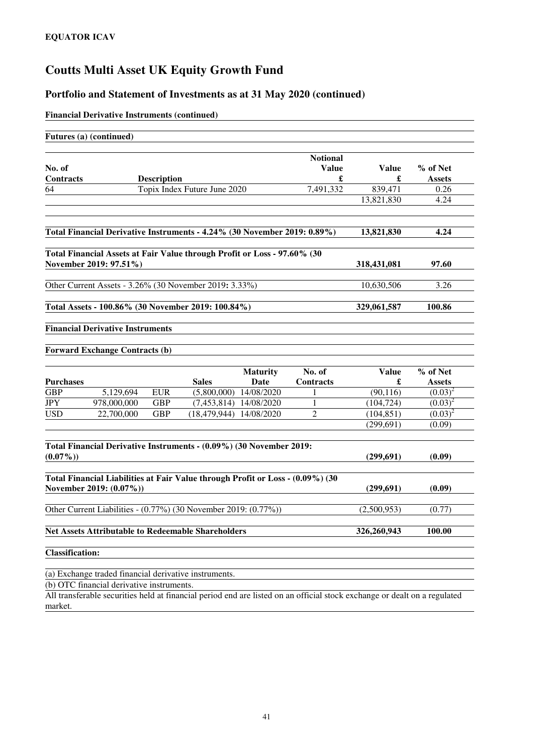#### **Portfolio and Statement of Investments as at 31 May 2020 (continued)**

#### **Financial Derivative Instruments (continued)**

| Futures (a) (continued)                                                                                   |             |                    |                              |                         |                                 |                   |                    |
|-----------------------------------------------------------------------------------------------------------|-------------|--------------------|------------------------------|-------------------------|---------------------------------|-------------------|--------------------|
|                                                                                                           |             |                    |                              |                         |                                 |                   |                    |
| No. of                                                                                                    |             |                    |                              |                         | <b>Notional</b><br><b>Value</b> | <b>Value</b>      | % of Net           |
| <b>Contracts</b>                                                                                          |             | <b>Description</b> |                              |                         | £                               | £                 | <b>Assets</b>      |
| 64                                                                                                        |             |                    | Topix Index Future June 2020 |                         | 7.491.332                       | 839,471           | 0.26               |
|                                                                                                           |             |                    |                              |                         |                                 | 13,821,830        | 4.24               |
| Total Financial Derivative Instruments - 4.24% (30 November 2019: 0.89%)                                  |             |                    |                              |                         |                                 | 13,821,830        | 4.24               |
| Total Financial Assets at Fair Value through Profit or Loss - 97.60% (30                                  |             |                    |                              |                         |                                 |                   |                    |
| November 2019: 97.51%)                                                                                    |             |                    |                              |                         |                                 | 318,431,081       | 97.60              |
| Other Current Assets - 3.26% (30 November 2019: 3.33%)                                                    |             |                    |                              |                         |                                 | 10,630,506        | 3.26               |
| Total Assets - 100.86% (30 November 2019: 100.84%)                                                        |             |                    |                              |                         |                                 | 329,061,587       | 100.86             |
| <b>Financial Derivative Instruments</b>                                                                   |             |                    |                              |                         |                                 |                   |                    |
|                                                                                                           |             |                    |                              |                         |                                 |                   |                    |
| <b>Forward Exchange Contracts (b)</b>                                                                     |             |                    |                              |                         |                                 |                   |                    |
| <b>Purchases</b>                                                                                          |             |                    | <b>Sales</b>                 | <b>Maturity</b><br>Date | No. of<br><b>Contracts</b>      | <b>Value</b><br>£ | % of Net<br>Assets |
| <b>GBP</b>                                                                                                | 5,129,694   | <b>EUR</b>         | (5,800,000)                  | 14/08/2020              | 1                               | (90, 116)         | $(0.03)^2$         |
| <b>JPY</b>                                                                                                | 978,000,000 | <b>GBP</b>         | (7, 453, 814)                | 14/08/2020              | 1                               | (104, 724)        | $(0.03)^2$         |
| <b>USD</b>                                                                                                | 22,700,000  | <b>GBP</b>         | (18, 479, 944)               | 14/08/2020              | 2                               | (104, 851)        | $(0.03)^2$         |
|                                                                                                           |             |                    |                              |                         |                                 | (299.691)         | (0.09)             |
|                                                                                                           |             |                    |                              |                         |                                 |                   |                    |
| Total Financial Derivative Instruments - (0.09%) (30 November 2019:<br>$(0.07\%)$                         |             |                    |                              |                         |                                 | (299, 691)        | (0.09)             |
| Total Financial Liabilities at Fair Value through Profit or Loss - (0.09%) (30<br>November 2019: (0.07%)) |             |                    |                              |                         |                                 | (299, 691)        | (0.09)             |
|                                                                                                           |             |                    |                              |                         |                                 |                   |                    |
| Other Current Liabilities - (0.77%) (30 November 2019: (0.77%))                                           |             |                    |                              |                         |                                 | (2,500,953)       | (0.77)             |
| Net Assets Attributable to Redeemable Shareholders                                                        |             |                    |                              |                         |                                 | 326,260,943       | 100.00             |
| <b>Classification:</b>                                                                                    |             |                    |                              |                         |                                 |                   |                    |

(a) Exchange traded financial derivative instruments.

(b) OTC financial derivative instruments.

All transferable securities held at financial period end are listed on an official stock exchange or dealt on a regulated market.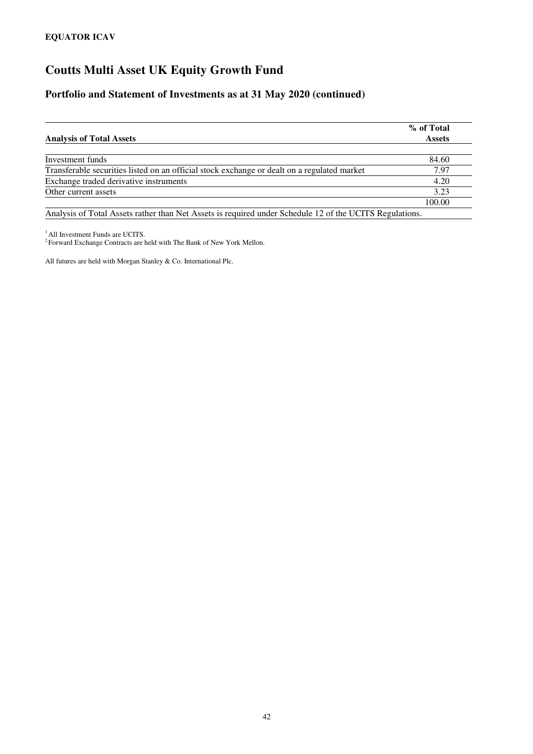#### **Portfolio and Statement of Investments as at 31 May 2020 (continued)**

| <b>Assets</b>                                                                                                                                                                                                                                                                                                                                     |
|---------------------------------------------------------------------------------------------------------------------------------------------------------------------------------------------------------------------------------------------------------------------------------------------------------------------------------------------------|
|                                                                                                                                                                                                                                                                                                                                                   |
| 84.60                                                                                                                                                                                                                                                                                                                                             |
| 7.97                                                                                                                                                                                                                                                                                                                                              |
| 4.20                                                                                                                                                                                                                                                                                                                                              |
| 3.23                                                                                                                                                                                                                                                                                                                                              |
| 100.00                                                                                                                                                                                                                                                                                                                                            |
| $\lambda$ 1 $\lambda$ cm in $\lambda$ is a $\lambda$ is a $\lambda$ is a $\lambda$ is a $\lambda$ is a $\lambda$ is a $\lambda$ is a $\lambda$ is a $\lambda$ is a $\lambda$ is a $\lambda$ is a $\lambda$ is a $\lambda$ is a $\lambda$ is a $\lambda$ is a $\lambda$ is a $\lambda$ is a $\lambda$ is a $\lambda$ is a $\lambda$ is a $\lambda$ |

Analysis of Total Assets rather than Net Assets is required under Schedule 12 of the UCITS Regulations.

<sup>1</sup> All Investment Funds are UCITS.<br><sup>2</sup> Forward Exchange Contracts are held with The Bank of New York Mellon.

All futures are held with Morgan Stanley & Co. International Plc.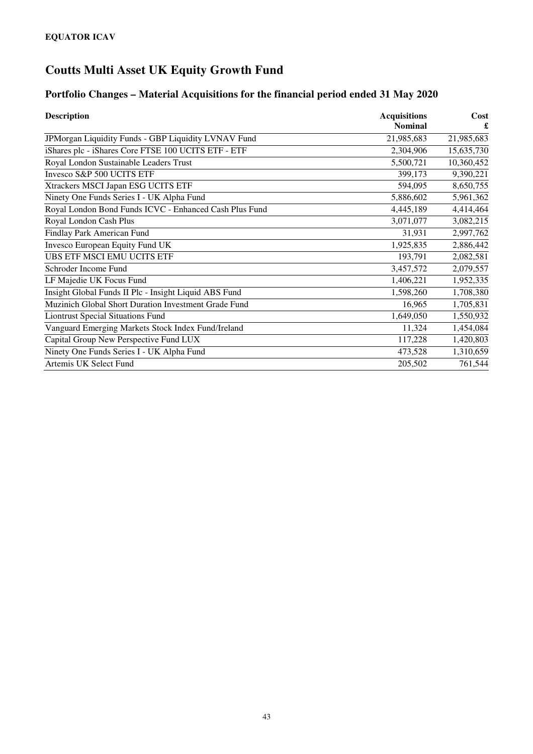### **Portfolio Changes – Material Acquisitions for the financial period ended 31 May 2020**

| <b>Description</b>                                     | <b>Acquisitions</b> | Cost       |
|--------------------------------------------------------|---------------------|------------|
|                                                        | <b>Nominal</b>      |            |
| JPMorgan Liquidity Funds - GBP Liquidity LVNAV Fund    | 21,985,683          | 21,985,683 |
| iShares plc - iShares Core FTSE 100 UCITS ETF - ETF    | 2,304,906           | 15,635,730 |
| Royal London Sustainable Leaders Trust                 | 5,500,721           | 10,360,452 |
| Invesco S&P 500 UCITS ETF                              | 399,173             | 9,390,221  |
| Xtrackers MSCI Japan ESG UCITS ETF                     | 594,095             | 8,650,755  |
| Ninety One Funds Series I - UK Alpha Fund              | 5,886,602           | 5,961,362  |
| Royal London Bond Funds ICVC - Enhanced Cash Plus Fund | 4,445,189           | 4,414,464  |
| Royal London Cash Plus                                 | 3,071,077           | 3,082,215  |
| Findlay Park American Fund                             | 31,931              | 2,997,762  |
| Invesco European Equity Fund UK                        | 1,925,835           | 2,886,442  |
| UBS ETF MSCI EMU UCITS ETF                             | 193,791             | 2,082,581  |
| Schroder Income Fund                                   | 3,457,572           | 2,079,557  |
| LF Majedie UK Focus Fund                               | 1,406,221           | 1,952,335  |
| Insight Global Funds II Plc - Insight Liquid ABS Fund  | 1,598,260           | 1,708,380  |
| Muzinich Global Short Duration Investment Grade Fund   | 16,965              | 1,705,831  |
| <b>Liontrust Special Situations Fund</b>               | 1,649,050           | 1,550,932  |
| Vanguard Emerging Markets Stock Index Fund/Ireland     | 11,324              | 1,454,084  |
| Capital Group New Perspective Fund LUX                 | 117,228             | 1,420,803  |
| Ninety One Funds Series I - UK Alpha Fund              | 473,528             | 1,310,659  |
| Artemis UK Select Fund                                 | 205,502             | 761,544    |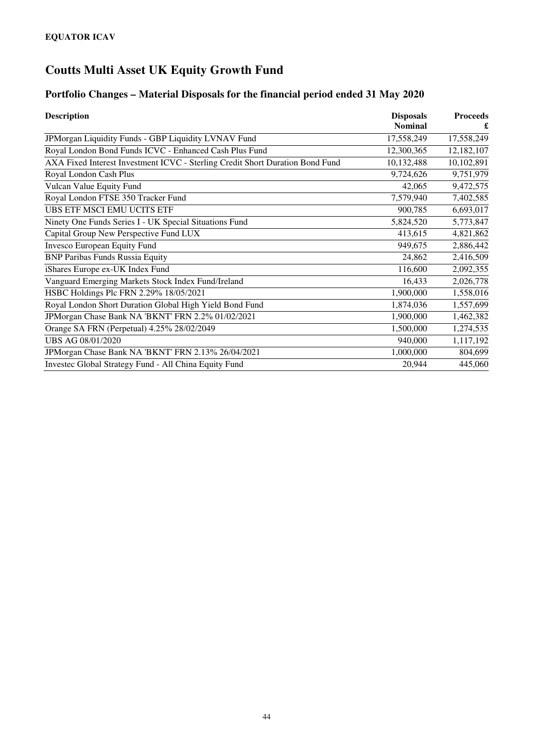### **Portfolio Changes – Material Disposals for the financial period ended 31 May 2020**

| <b>Description</b>                                                            | <b>Disposals</b> | <b>Proceeds</b> |
|-------------------------------------------------------------------------------|------------------|-----------------|
|                                                                               | <b>Nominal</b>   |                 |
| JPMorgan Liquidity Funds - GBP Liquidity LVNAV Fund                           | 17,558,249       | 17,558,249      |
| Royal London Bond Funds ICVC - Enhanced Cash Plus Fund                        | 12,300,365       | 12,182,107      |
| AXA Fixed Interest Investment ICVC - Sterling Credit Short Duration Bond Fund | 10,132,488       | 10,102,891      |
| Royal London Cash Plus                                                        | 9,724,626        | 9,751,979       |
| Vulcan Value Equity Fund                                                      | 42,065           | 9,472,575       |
| Royal London FTSE 350 Tracker Fund                                            | 7,579,940        | 7,402,585       |
| UBS ETF MSCI EMU UCITS ETF                                                    | 900,785          | 6,693,017       |
| Ninety One Funds Series I - UK Special Situations Fund                        | 5,824,520        | 5,773,847       |
| Capital Group New Perspective Fund LUX                                        | 413,615          | 4,821,862       |
| <b>Invesco European Equity Fund</b>                                           | 949,675          | 2,886,442       |
| <b>BNP Paribas Funds Russia Equity</b>                                        | 24,862           | 2,416,509       |
| iShares Europe ex-UK Index Fund                                               | 116,600          | 2,092,355       |
| Vanguard Emerging Markets Stock Index Fund/Ireland                            | 16,433           | 2,026,778       |
| HSBC Holdings Plc FRN 2.29% 18/05/2021                                        | 1,900,000        | 1,558,016       |
| Royal London Short Duration Global High Yield Bond Fund                       | 1,874,036        | 1,557,699       |
| JPMorgan Chase Bank NA 'BKNT' FRN 2.2% 01/02/2021                             | 1,900,000        | 1,462,382       |
| Orange SA FRN (Perpetual) 4.25% 28/02/2049                                    | 1,500,000        | 1,274,535       |
| UBS AG 08/01/2020                                                             | 940,000          | 1,117,192       |
| JPMorgan Chase Bank NA 'BKNT' FRN 2.13% 26/04/2021                            | 1,000,000        | 804,699         |
| Investec Global Strategy Fund - All China Equity Fund                         | 20,944           | 445,060         |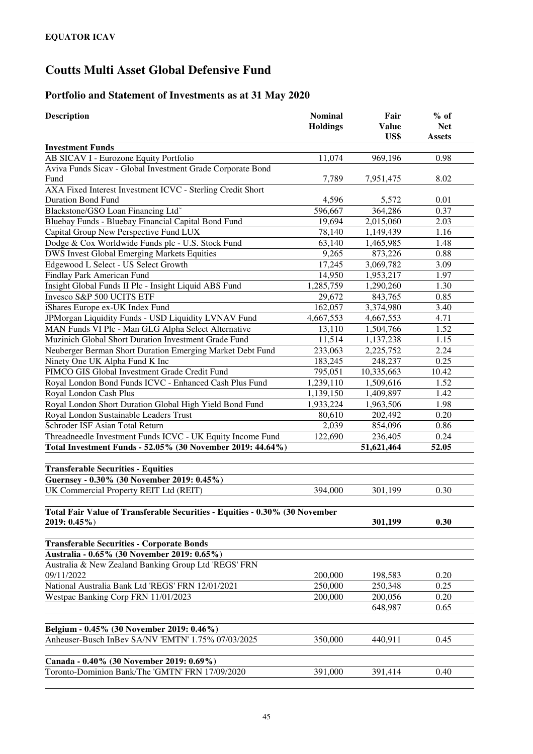### **Portfolio and Statement of Investments as at 31 May 2020**

| <b>Description</b>                                                                                  | <b>Nominal</b><br><b>Holdings</b> | Fair<br><b>Value</b><br>US\$ | $%$ of<br><b>Net</b><br><b>Assets</b> |
|-----------------------------------------------------------------------------------------------------|-----------------------------------|------------------------------|---------------------------------------|
| <b>Investment Funds</b>                                                                             |                                   |                              |                                       |
| AB SICAV I - Eurozone Equity Portfolio                                                              | 11,074                            | 969,196                      | 0.98                                  |
| Aviva Funds Sicav - Global Investment Grade Corporate Bond                                          |                                   |                              |                                       |
| Fund                                                                                                | 7,789                             | 7,951,475                    | 8.02                                  |
| AXA Fixed Interest Investment ICVC - Sterling Credit Short                                          |                                   |                              |                                       |
| <b>Duration Bond Fund</b>                                                                           | 4,596                             | 5,572                        | 0.01                                  |
| Blackstone/GSO Loan Financing Ltd <sup>®</sup>                                                      | 596,667                           | 364,286                      | 0.37                                  |
| Bluebay Funds - Bluebay Financial Capital Bond Fund                                                 | 19,694                            | 2,015,060                    | 2.03                                  |
| Capital Group New Perspective Fund LUX                                                              | 78,140                            | 1,149,439                    | 1.16                                  |
| Dodge & Cox Worldwide Funds plc - U.S. Stock Fund                                                   | 63,140                            | 1,465,985                    | 1.48                                  |
| DWS Invest Global Emerging Markets Equities                                                         | 9,265                             | 873,226                      | 0.88                                  |
| Edgewood L Select - US Select Growth                                                                | 17,245                            | 3,069,782                    | 3.09                                  |
| Findlay Park American Fund                                                                          | 14,950                            | 1,953,217                    | 1.97                                  |
| Insight Global Funds II Plc - Insight Liquid ABS Fund                                               | 1,285,759                         | 1,290,260                    | 1.30                                  |
| Invesco S&P 500 UCITS ETF                                                                           | 29,672                            | 843,765                      | 0.85                                  |
| iShares Europe ex-UK Index Fund                                                                     | 162,057                           | 3,374,980                    | 3.40                                  |
| JPMorgan Liquidity Funds - USD Liquidity LVNAV Fund                                                 | 4,667,553                         | 4,667,553                    | 4.71                                  |
| MAN Funds VI Plc - Man GLG Alpha Select Alternative                                                 | 13,110                            | 1,504,766                    | 1.52                                  |
| Muzinich Global Short Duration Investment Grade Fund                                                | 11,514                            | 1,137,238                    | 1.15                                  |
| Neuberger Berman Short Duration Emerging Market Debt Fund                                           | 233,063                           | 2,225,752                    | 2.24                                  |
| Ninety One UK Alpha Fund K Inc                                                                      | 183,245                           | 248,237                      | 0.25                                  |
| PIMCO GIS Global Investment Grade Credit Fund                                                       | 795,051                           | 10,335,663                   | 10.42                                 |
| Royal London Bond Funds ICVC - Enhanced Cash Plus Fund                                              | 1,239,110                         | 1,509,616                    | 1.52                                  |
| Royal London Cash Plus                                                                              | 1,139,150                         | 1,409,897                    | 1.42                                  |
| Royal London Short Duration Global High Yield Bond Fund                                             | 1,933,224                         | 1,963,506                    | 1.98                                  |
| Royal London Sustainable Leaders Trust                                                              | 80,610                            | 202,492                      | 0.20                                  |
| Schroder ISF Asian Total Return                                                                     | 2,039                             | 854,096                      | 0.86                                  |
| Threadneedle Investment Funds ICVC - UK Equity Income Fund                                          | 122,690                           | 236,405                      | 0.24                                  |
| Total Investment Funds - 52.05% (30 November 2019: 44.64%)                                          |                                   | 51,621,464                   | 52.05                                 |
|                                                                                                     |                                   |                              |                                       |
| <b>Transferable Securities - Equities</b>                                                           |                                   |                              |                                       |
| Guernsey - 0.30% (30 November 2019: 0.45%)                                                          |                                   |                              |                                       |
| UK Commercial Property REIT Ltd (REIT)                                                              | 394,000                           | 301,199                      | 0.30                                  |
|                                                                                                     |                                   |                              |                                       |
| Total Fair Value of Transferable Securities - Equities - 0.30% (30 November                         |                                   |                              |                                       |
| $2019: 0.45\%)$                                                                                     |                                   | 301,199                      | 0.30                                  |
| <b>Transferable Securities - Corporate Bonds</b>                                                    |                                   |                              |                                       |
|                                                                                                     |                                   |                              |                                       |
| Australia - 0.65% (30 November 2019: 0.65%)<br>Australia & New Zealand Banking Group Ltd 'REGS' FRN |                                   |                              |                                       |
|                                                                                                     | 200,000                           |                              | 0.20                                  |
| 09/11/2022<br>National Australia Bank Ltd 'REGS' FRN 12/01/2021                                     | 250,000                           | 198,583<br>250,348           | 0.25                                  |
| Westpac Banking Corp FRN 11/01/2023                                                                 |                                   |                              |                                       |
|                                                                                                     | 200,000                           | 200,056<br>648,987           | 0.20<br>0.65                          |
|                                                                                                     |                                   |                              |                                       |
| Belgium - 0.45% (30 November 2019: 0.46%)                                                           |                                   |                              |                                       |
| Anheuser-Busch InBev SA/NV 'EMTN' 1.75% 07/03/2025                                                  | 350,000                           | 440,911                      | 0.45                                  |
|                                                                                                     |                                   |                              |                                       |
| Canada - 0.40% (30 November 2019: 0.69%)                                                            |                                   |                              |                                       |
| Toronto-Dominion Bank/The 'GMTN' FRN 17/09/2020                                                     | 391,000                           | 391,414                      | 0.40                                  |
|                                                                                                     |                                   |                              |                                       |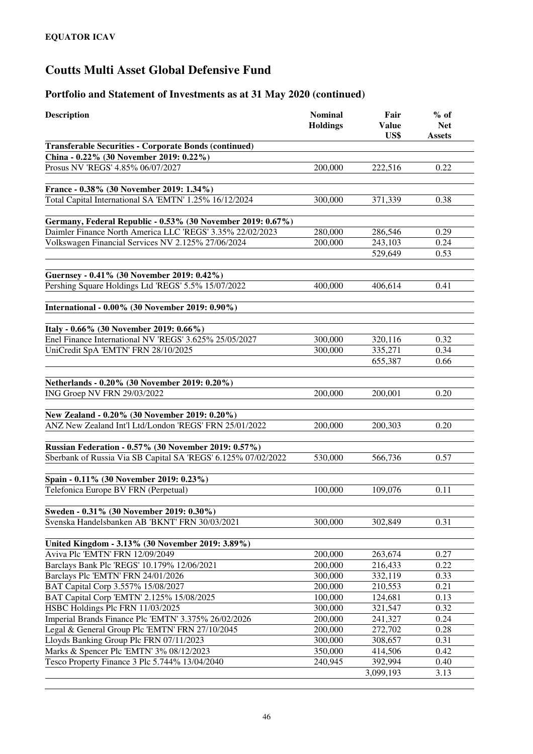| <b>Description</b>                                                                                | <b>Nominal</b><br><b>Holdings</b> | Fair<br><b>Value</b><br>US\$ | $%$ of<br><b>Net</b><br><b>Assets</b> |
|---------------------------------------------------------------------------------------------------|-----------------------------------|------------------------------|---------------------------------------|
| <b>Transferable Securities - Corporate Bonds (continued)</b>                                      |                                   |                              |                                       |
| China - 0.22% (30 November 2019: 0.22%)                                                           |                                   |                              |                                       |
| Prosus NV 'REGS' 4.85% 06/07/2027                                                                 | 200,000                           | 222,516                      | 0.22                                  |
|                                                                                                   |                                   |                              |                                       |
| France - 0.38% (30 November 2019: 1.34%)                                                          |                                   |                              |                                       |
| Total Capital International SA 'EMTN' 1.25% 16/12/2024                                            | 300,000                           | 371,339                      | 0.38                                  |
|                                                                                                   |                                   |                              |                                       |
| Germany, Federal Republic - 0.53% (30 November 2019: 0.67%)                                       |                                   |                              |                                       |
| Daimler Finance North America LLC 'REGS' 3.35% 22/02/2023                                         | 280,000                           | 286,546                      | 0.29                                  |
| Volkswagen Financial Services NV 2.125% 27/06/2024                                                | 200,000                           | 243,103                      | 0.24                                  |
|                                                                                                   |                                   | 529,649                      | 0.53                                  |
|                                                                                                   |                                   |                              |                                       |
| Guernsey - 0.41% (30 November 2019: 0.42%)                                                        |                                   |                              |                                       |
| Pershing Square Holdings Ltd 'REGS' 5.5% 15/07/2022                                               | 400,000                           | 406,614                      | 0.41                                  |
|                                                                                                   |                                   |                              |                                       |
| International - 0.00% (30 November 2019: 0.90%)                                                   |                                   |                              |                                       |
|                                                                                                   |                                   |                              |                                       |
| Italy - 0.66% (30 November 2019: 0.66%)<br>Enel Finance International NV 'REGS' 3.625% 25/05/2027 | 300,000                           | 320,116                      | 0.32                                  |
| UniCredit SpA 'EMTN' FRN 28/10/2025                                                               | 300,000                           | 335,271                      | 0.34                                  |
|                                                                                                   |                                   | 655,387                      | 0.66                                  |
|                                                                                                   |                                   |                              |                                       |
| Netherlands - 0.20% (30 November 2019: 0.20%)                                                     |                                   |                              |                                       |
| ING Groep NV FRN 29/03/2022                                                                       | 200,000                           | 200,001                      | 0.20                                  |
|                                                                                                   |                                   |                              |                                       |
| New Zealand - 0.20% (30 November 2019: 0.20%)                                                     |                                   |                              |                                       |
| ANZ New Zealand Int'l Ltd/London 'REGS' FRN 25/01/2022                                            | 200,000                           | 200,303                      | 0.20                                  |
|                                                                                                   |                                   |                              |                                       |
| Russian Federation - 0.57% (30 November 2019: 0.57%)                                              |                                   |                              |                                       |
| Sberbank of Russia Via SB Capital SA 'REGS' 6.125% 07/02/2022                                     | 530,000                           | 566,736                      | 0.57                                  |
|                                                                                                   |                                   |                              |                                       |
| Spain - 0.11% (30 November 2019: 0.23%)                                                           |                                   |                              |                                       |
| Telefonica Europe BV FRN (Perpetual)                                                              | 100,000                           | 109,076                      | 0.11                                  |
|                                                                                                   |                                   |                              |                                       |
| Sweden - 0.31% (30 November 2019: 0.30%)                                                          |                                   |                              |                                       |
| Svenska Handelsbanken AB 'BKNT' FRN 30/03/2021                                                    | 300,000                           | 302,849                      | 0.31                                  |
|                                                                                                   |                                   |                              |                                       |
| United Kingdom - 3.13% (30 November 2019: 3.89%)                                                  |                                   |                              |                                       |
| Aviva Plc 'EMTN' FRN 12/09/2049                                                                   | 200,000                           | 263,674                      | 0.27                                  |
| Barclays Bank Plc 'REGS' 10.179% 12/06/2021                                                       | 200,000                           | 216,433                      | 0.22                                  |
| Barclays Plc 'EMTN' FRN 24/01/2026                                                                | 300,000                           | 332,119                      | 0.33                                  |
| BAT Capital Corp 3.557% 15/08/2027                                                                | 200,000                           | 210,553                      | 0.21                                  |
| BAT Capital Corp 'EMTN' 2.125% 15/08/2025                                                         | 100,000                           | 124,681                      | 0.13                                  |
| HSBC Holdings Plc FRN 11/03/2025                                                                  | 300,000                           | 321,547                      | 0.32                                  |
| Imperial Brands Finance Plc 'EMTN' 3.375% 26/02/2026                                              | 200,000                           | 241,327                      | 0.24                                  |
| Legal & General Group Plc 'EMTN' FRN 27/10/2045                                                   | 200,000                           | 272,702                      | 0.28                                  |
| Lloyds Banking Group Plc FRN 07/11/2023                                                           | 300,000                           | 308,657                      | 0.31                                  |
| Marks & Spencer Plc 'EMTN' 3% 08/12/2023                                                          | 350,000                           | 414,506                      | 0.42                                  |
| Tesco Property Finance 3 Plc 5.744% 13/04/2040                                                    | 240,945                           | 392,994                      | 0.40                                  |
|                                                                                                   |                                   | 3,099,193                    | 3.13                                  |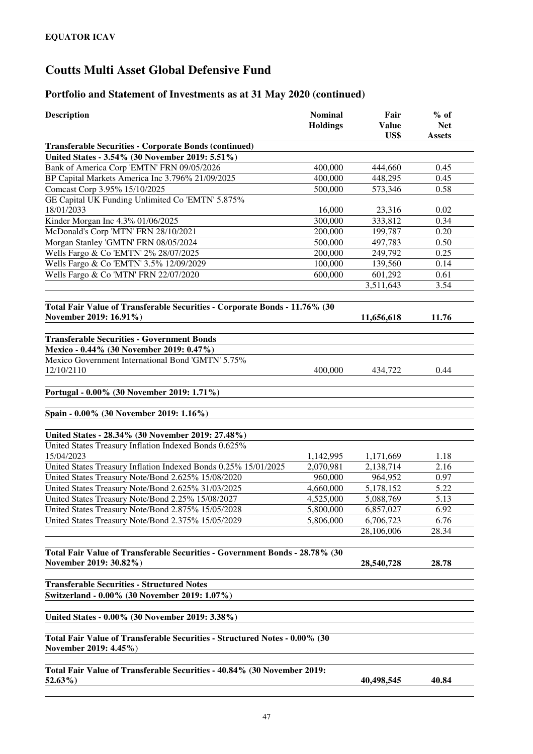| <b>Description</b>                                                                                  | <b>Nominal</b><br><b>Holdings</b> | Fair<br><b>Value</b><br>US\$ | $%$ of<br><b>Net</b><br><b>Assets</b> |
|-----------------------------------------------------------------------------------------------------|-----------------------------------|------------------------------|---------------------------------------|
| <b>Transferable Securities - Corporate Bonds (continued)</b>                                        |                                   |                              |                                       |
| United States - 3.54% (30 November 2019: 5.51%)                                                     |                                   |                              |                                       |
| Bank of America Corp 'EMTN' FRN 09/05/2026                                                          | 400,000                           | 444,660                      | 0.45                                  |
| BP Capital Markets America Inc 3.796% 21/09/2025                                                    | 400,000                           | 448,295                      | 0.45                                  |
| Comcast Corp 3.95% 15/10/2025                                                                       | 500,000                           | 573,346                      | 0.58                                  |
| GE Capital UK Funding Unlimited Co 'EMTN' 5.875%                                                    |                                   |                              |                                       |
| 18/01/2033                                                                                          | 16,000                            | 23,316                       | 0.02                                  |
| Kinder Morgan Inc 4.3% 01/06/2025                                                                   | 300,000                           | 333,812                      | 0.34                                  |
| McDonald's Corp 'MTN' FRN 28/10/2021                                                                | 200,000                           | 199,787                      | 0.20                                  |
| Morgan Stanley 'GMTN' FRN 08/05/2024                                                                | 500,000                           | 497,783                      | 0.50                                  |
| Wells Fargo & Co 'EMTN' 2% 28/07/2025                                                               | 200,000                           | 249,792                      | 0.25                                  |
| Wells Fargo & Co 'EMTN' 3.5% 12/09/2029                                                             | 100,000                           | 139,560                      | 0.14                                  |
| Wells Fargo & Co 'MTN' FRN 22/07/2020                                                               | 600,000                           | 601,292                      | 0.61                                  |
|                                                                                                     |                                   | 3,511,643                    | 3.54                                  |
| Total Fair Value of Transferable Securities - Corporate Bonds - 11.76% (30                          |                                   |                              |                                       |
| November 2019: 16.91%)                                                                              |                                   | 11,656,618                   | 11.76                                 |
| <b>Transferable Securities - Government Bonds</b>                                                   |                                   |                              |                                       |
| Mexico - 0.44% (30 November 2019: 0.47%)                                                            |                                   |                              |                                       |
| Mexico Government International Bond 'GMTN' 5.75%<br>12/10/2110                                     | 400,000                           | 434,722                      | 0.44                                  |
| Portugal - 0.00% (30 November 2019: 1.71%)                                                          |                                   |                              |                                       |
| Spain - 0.00% (30 November 2019: 1.16%)                                                             |                                   |                              |                                       |
| United States - 28.34% (30 November 2019: 27.48%)                                                   |                                   |                              |                                       |
| United States Treasury Inflation Indexed Bonds 0.625%                                               |                                   |                              |                                       |
| 15/04/2023                                                                                          | 1,142,995                         | 1,171,669                    | 1.18                                  |
| United States Treasury Inflation Indexed Bonds 0.25% 15/01/2025                                     | 2,070,981                         | 2,138,714                    | 2.16                                  |
| United States Treasury Note/Bond 2.625% 15/08/2020                                                  | 960,000                           | 964,952                      | 0.97                                  |
| United States Treasury Note/Bond 2.625% 31/03/2025                                                  | 4,660,000                         | 5,178,152                    | 5.22                                  |
| United States Treasury Note/Bond 2.25% 15/08/2027                                                   | 4,525,000                         | 5,088,769                    | 5.13                                  |
| United States Treasury Note/Bond 2.875% 15/05/2028                                                  | 5,800,000                         | 6,857,027                    | 6.92                                  |
| United States Treasury Note/Bond 2.375% 15/05/2029                                                  | 5,806,000                         | 6,706,723                    | 6.76                                  |
|                                                                                                     |                                   | 28,106,006                   | 28.34                                 |
| Total Fair Value of Transferable Securities - Government Bonds - 28.78% (30                         |                                   |                              |                                       |
| November 2019: 30.82%)                                                                              |                                   | 28,540,728                   | 28.78                                 |
| <b>Transferable Securities - Structured Notes</b>                                                   |                                   |                              |                                       |
| Switzerland - 0.00% (30 November 2019: 1.07%)                                                       |                                   |                              |                                       |
| United States - 0.00% (30 November 2019: 3.38%)                                                     |                                   |                              |                                       |
| Total Fair Value of Transferable Securities - Structured Notes - 0.00% (30<br>November 2019: 4.45%) |                                   |                              |                                       |
| Total Fair Value of Transferable Securities - 40.84% (30 November 2019:<br>$52.63\%$                |                                   | 40,498,545                   | 40.84                                 |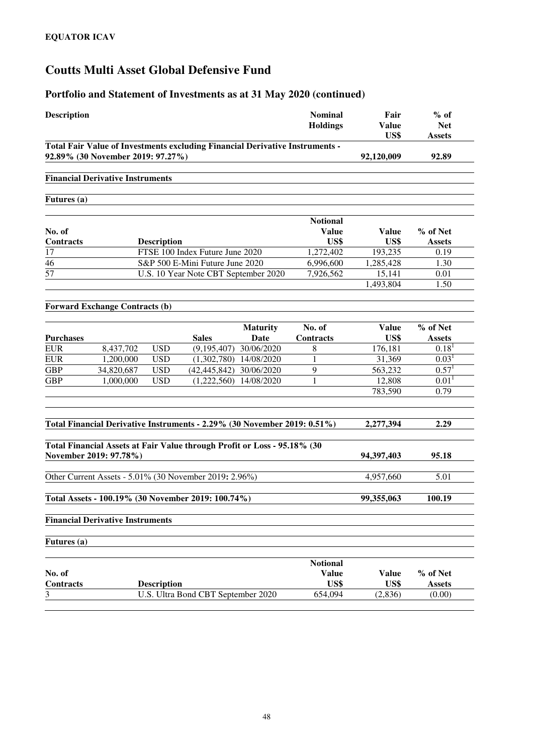| <b>Description</b>  |                                         |                    |                                                                              |                         | <b>Nominal</b><br><b>Holdings</b>       | Fair<br><b>Value</b><br>US\$ | $%$ of<br><b>Net</b><br><b>Assets</b> |
|---------------------|-----------------------------------------|--------------------|------------------------------------------------------------------------------|-------------------------|-----------------------------------------|------------------------------|---------------------------------------|
|                     | 92.89% (30 November 2019: 97.27%)       |                    | Total Fair Value of Investments excluding Financial Derivative Instruments - |                         |                                         | 92,120,009                   | 92.89                                 |
|                     | <b>Financial Derivative Instruments</b> |                    |                                                                              |                         |                                         |                              |                                       |
| Futures (a)         |                                         |                    |                                                                              |                         |                                         |                              |                                       |
|                     |                                         |                    |                                                                              |                         |                                         |                              |                                       |
| No. of<br>Contracts |                                         | <b>Description</b> |                                                                              |                         | <b>Notional</b><br><b>Value</b><br>US\$ | <b>Value</b><br>US\$         | % of Net<br><b>Assets</b>             |
| 17                  |                                         |                    | FTSE 100 Index Future June 2020                                              |                         | 1,272,402                               | 193,235                      | 0.19                                  |
| $\overline{46}$     |                                         |                    | S&P 500 E-Mini Future June 2020                                              |                         | 6,996,600                               | 1,285,428                    | 1.30                                  |
| $\overline{57}$     |                                         |                    | U.S. 10 Year Note CBT September 2020                                         |                         | 7,926,562                               | 15,141                       | 0.01                                  |
|                     |                                         |                    |                                                                              |                         |                                         | 1,493,804                    | 1.50                                  |
|                     | <b>Forward Exchange Contracts (b)</b>   |                    |                                                                              |                         |                                         |                              |                                       |
|                     |                                         |                    |                                                                              |                         |                                         |                              |                                       |
| <b>Purchases</b>    |                                         |                    | <b>Sales</b>                                                                 | <b>Maturity</b><br>Date | No. of<br><b>Contracts</b>              | <b>Value</b><br>US\$         | % of Net<br><b>Assets</b>             |
| <b>EUR</b>          | 8,437,702                               | <b>USD</b>         | (9, 195, 407)                                                                | 30/06/2020              | 8                                       | 176,181                      | 0.18 <sup>1</sup>                     |
| <b>EUR</b>          | 1,200,000                               | <b>USD</b>         | (1,302,780)                                                                  | 14/08/2020              | $\mathbf{1}$                            | 31,369                       | 0.03 <sup>1</sup>                     |
| <b>GBP</b>          | 34,820,687                              | <b>USD</b>         | (42, 445, 842)                                                               | 30/06/2020              | 9                                       | 563,232                      | 0.57 <sup>1</sup>                     |
| <b>GBP</b>          | 1,000,000                               | <b>USD</b>         | (1,222,560)                                                                  | 14/08/2020              | 1                                       | 12,808                       | 0.01 <sup>1</sup>                     |
|                     |                                         |                    |                                                                              |                         |                                         | 783,590                      | 0.79                                  |
|                     |                                         |                    | Total Financial Derivative Instruments - 2.29% (30 November 2019: 0.51%)     |                         |                                         | 2,277,394                    | 2.29                                  |
|                     | November 2019: 97.78%)                  |                    | Total Financial Assets at Fair Value through Profit or Loss - 95.18% (30     |                         |                                         | 94,397,403                   | 95.18                                 |
|                     |                                         |                    | Other Current Assets - 5.01% (30 November 2019: 2.96%)                       |                         |                                         | 4,957,660                    | 5.01                                  |
|                     |                                         |                    | Total Assets - 100.19% (30 November 2019: 100.74%)                           |                         |                                         | 99,355,063                   | 100.19                                |
|                     | <b>Financial Derivative Instruments</b> |                    |                                                                              |                         |                                         |                              |                                       |
| Futures (a)         |                                         |                    |                                                                              |                         |                                         |                              |                                       |
| No. of<br>Contracts |                                         | <b>Description</b> |                                                                              |                         | <b>Notional</b><br><b>Value</b><br>US\$ | <b>Value</b><br>US\$         | % of Net<br><b>Assets</b>             |
| $\overline{3}$      |                                         |                    | U.S. Ultra Bond CBT September 2020                                           |                         | 654,094                                 | (2, 836)                     | (0.00)                                |
|                     |                                         |                    |                                                                              |                         |                                         |                              |                                       |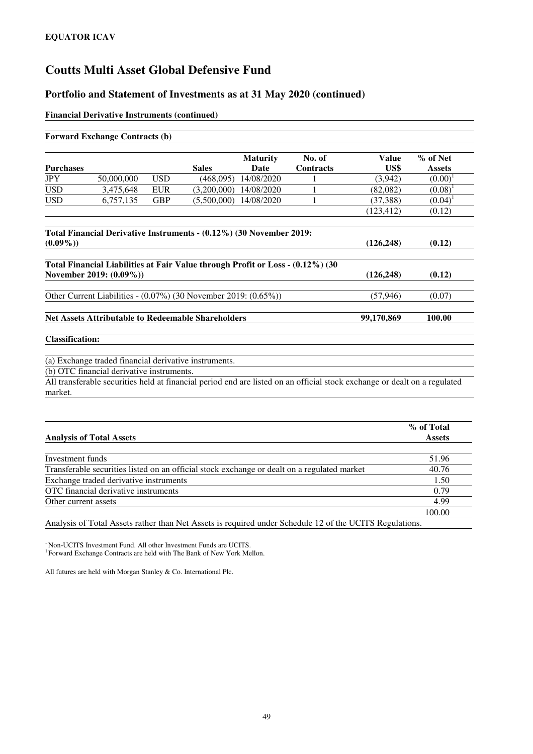#### **Portfolio and Statement of Investments as at 31 May 2020 (continued)**

#### **Financial Derivative Instruments (continued)**

|                        | <b>Forward Exchange Contracts (b)</b>                                                                                     |            |              |                         |                            |                      |                           |
|------------------------|---------------------------------------------------------------------------------------------------------------------------|------------|--------------|-------------------------|----------------------------|----------------------|---------------------------|
| <b>Purchases</b>       |                                                                                                                           |            | <b>Sales</b> | <b>Maturity</b><br>Date | No. of<br><b>Contracts</b> | <b>Value</b><br>US\$ | % of Net<br><b>Assets</b> |
| JPY                    | 50,000,000                                                                                                                | <b>USD</b> | (468,095)    | 14/08/2020              |                            | (3,942)              | (0.00)                    |
| <b>USD</b>             | 3,475,648                                                                                                                 | <b>EUR</b> | (3,200,000)  | 14/08/2020              |                            | (82,082)             | (0.08)                    |
| <b>USD</b>             | 6,757,135                                                                                                                 | <b>GBP</b> | (5,500,000)  | 14/08/2020              | 1                          | (37, 388)            | (0.04)                    |
|                        |                                                                                                                           |            |              |                         |                            | (123, 412)           | (0.12)                    |
|                        | Total Financial Derivative Instruments - (0.12%) (30 November 2019:                                                       |            |              |                         |                            |                      |                           |
| $(0.09\%)$             |                                                                                                                           |            |              |                         |                            | (126, 248)           | (0.12)                    |
|                        | Total Financial Liabilities at Fair Value through Profit or Loss - (0.12%) (30<br>November 2019: (0.09%))                 |            |              |                         |                            | (126, 248)           | (0.12)                    |
|                        | Other Current Liabilities - (0.07%) (30 November 2019: (0.65%))                                                           |            |              |                         |                            | (57, 946)            | (0.07)                    |
|                        | <b>Net Assets Attributable to Redeemable Shareholders</b>                                                                 |            |              |                         |                            | 99,170,869           | 100.00                    |
| <b>Classification:</b> |                                                                                                                           |            |              |                         |                            |                      |                           |
|                        | (a) Exchange traded financial derivative instruments.                                                                     |            |              |                         |                            |                      |                           |
|                        | (b) OTC financial derivative instruments.                                                                                 |            |              |                         |                            |                      |                           |
|                        | All transferable securities held at financial period end are listed on an official stock exchange or dealt on a regulated |            |              |                         |                            |                      |                           |
| market.                |                                                                                                                           |            |              |                         |                            |                      |                           |
|                        |                                                                                                                           |            |              |                         |                            |                      |                           |
|                        |                                                                                                                           |            |              |                         |                            |                      | % of Total                |
|                        | <b>Analysis of Total Assets</b>                                                                                           |            |              |                         |                            |                      | <b>Assets</b>             |

| Investment funds                                                                            | 51.96  |
|---------------------------------------------------------------------------------------------|--------|
| Transferable securities listed on an official stock exchange or dealt on a regulated market | 40.76  |
| Exchange traded derivative instruments                                                      | 1.50   |
| OTC financial derivative instruments                                                        | 0.79   |
| Other current assets                                                                        | 4.99   |
|                                                                                             | 100.00 |

Analysis of Total Assets rather than Net Assets is required under Schedule 12 of the UCITS Regulations.

<sup>~</sup>Non-UCITS Investment Fund. All other Investment Funds are UCITS.

<sup>1</sup> Forward Exchange Contracts are held with The Bank of New York Mellon.

All futures are held with Morgan Stanley & Co. International Plc.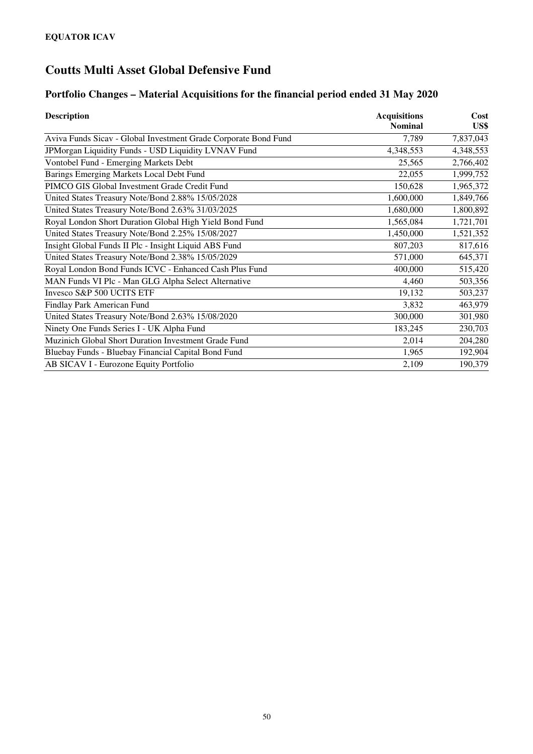### **Portfolio Changes – Material Acquisitions for the financial period ended 31 May 2020**

| <b>Description</b>                                              | <b>Acquisitions</b> | Cost      |
|-----------------------------------------------------------------|---------------------|-----------|
|                                                                 | <b>Nominal</b>      | US\$      |
| Aviva Funds Sicav - Global Investment Grade Corporate Bond Fund | 7,789               | 7,837,043 |
| JPMorgan Liquidity Funds - USD Liquidity LVNAV Fund             | 4,348,553           | 4,348,553 |
| Vontobel Fund - Emerging Markets Debt                           | 25,565              | 2,766,402 |
| Barings Emerging Markets Local Debt Fund                        | 22,055              | 1,999,752 |
| PIMCO GIS Global Investment Grade Credit Fund                   | 150,628             | 1,965,372 |
| United States Treasury Note/Bond 2.88% 15/05/2028               | 1,600,000           | 1,849,766 |
| United States Treasury Note/Bond 2.63% 31/03/2025               | 1,680,000           | 1,800,892 |
| Royal London Short Duration Global High Yield Bond Fund         | 1,565,084           | 1,721,701 |
| United States Treasury Note/Bond 2.25% 15/08/2027               | 1,450,000           | 1,521,352 |
| Insight Global Funds II Plc - Insight Liquid ABS Fund           | 807,203             | 817,616   |
| United States Treasury Note/Bond 2.38% 15/05/2029               | 571,000             | 645,371   |
| Royal London Bond Funds ICVC - Enhanced Cash Plus Fund          | 400,000             | 515,420   |
| MAN Funds VI Plc - Man GLG Alpha Select Alternative             | 4,460               | 503,356   |
| Invesco S&P 500 UCITS ETF                                       | 19,132              | 503,237   |
| Findlay Park American Fund                                      | 3,832               | 463,979   |
| United States Treasury Note/Bond 2.63% 15/08/2020               | 300,000             | 301,980   |
| Ninety One Funds Series I - UK Alpha Fund                       | 183,245             | 230,703   |
| Muzinich Global Short Duration Investment Grade Fund            | 2,014               | 204,280   |
| Bluebay Funds - Bluebay Financial Capital Bond Fund             | 1,965               | 192,904   |
| AB SICAV I - Eurozone Equity Portfolio                          | 2,109               | 190,379   |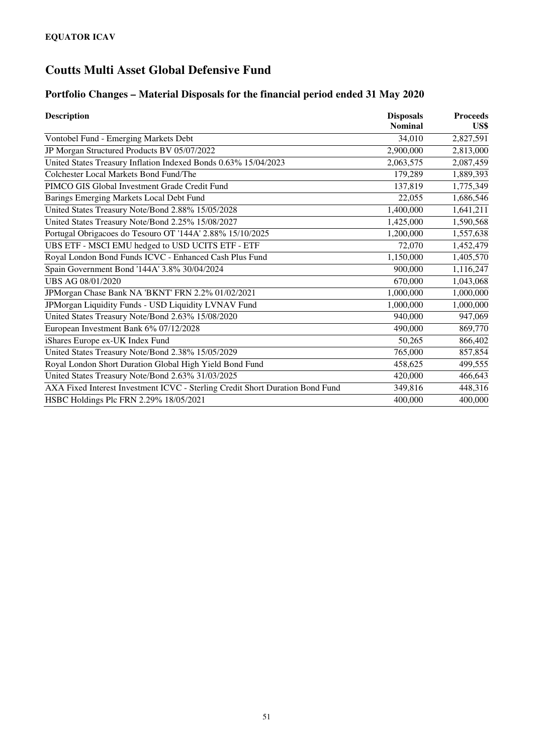# **Portfolio Changes – Material Disposals for the financial period ended 31 May 2020**

| <b>Description</b>                                                            | <b>Disposals</b> | <b>Proceeds</b> |  |
|-------------------------------------------------------------------------------|------------------|-----------------|--|
|                                                                               | <b>Nominal</b>   | US\$            |  |
| Vontobel Fund - Emerging Markets Debt                                         | 34,010           | 2,827,591       |  |
| JP Morgan Structured Products BV 05/07/2022                                   | 2,900,000        | 2,813,000       |  |
| United States Treasury Inflation Indexed Bonds 0.63% 15/04/2023               | 2,063,575        | 2,087,459       |  |
| Colchester Local Markets Bond Fund/The                                        | 179,289          | 1,889,393       |  |
| PIMCO GIS Global Investment Grade Credit Fund                                 | 137,819          | 1,775,349       |  |
| Barings Emerging Markets Local Debt Fund                                      | 22,055           | 1,686,546       |  |
| United States Treasury Note/Bond 2.88% 15/05/2028                             | 1,400,000        | 1,641,211       |  |
| United States Treasury Note/Bond 2.25% 15/08/2027                             | 1,425,000        | 1,590,568       |  |
| Portugal Obrigacoes do Tesouro OT '144A' 2.88% 15/10/2025                     | 1,200,000        | 1,557,638       |  |
| UBS ETF - MSCI EMU hedged to USD UCITS ETF - ETF                              | 72,070           | 1,452,479       |  |
| Royal London Bond Funds ICVC - Enhanced Cash Plus Fund                        | 1,150,000        | 1,405,570       |  |
| Spain Government Bond '144A' 3.8% 30/04/2024                                  | 900,000          | 1,116,247       |  |
| UBS AG 08/01/2020                                                             | 670,000          | 1,043,068       |  |
| JPMorgan Chase Bank NA 'BKNT' FRN 2.2% 01/02/2021                             | 1,000,000        | 1,000,000       |  |
| JPMorgan Liquidity Funds - USD Liquidity LVNAV Fund                           | 1,000,000        | 1,000,000       |  |
| United States Treasury Note/Bond 2.63% 15/08/2020                             | 940,000          | 947,069         |  |
| European Investment Bank 6% 07/12/2028                                        | 490,000          | 869,770         |  |
| iShares Europe ex-UK Index Fund                                               | 50,265           | 866,402         |  |
| United States Treasury Note/Bond 2.38% 15/05/2029                             | 765,000          | 857,854         |  |
| Royal London Short Duration Global High Yield Bond Fund                       | 458,625          | 499,555         |  |
| United States Treasury Note/Bond 2.63% 31/03/2025                             | 420,000          | 466,643         |  |
| AXA Fixed Interest Investment ICVC - Sterling Credit Short Duration Bond Fund | 349,816          | 448,316         |  |
| HSBC Holdings Plc FRN 2.29% 18/05/2021                                        | 400,000          | 400,000         |  |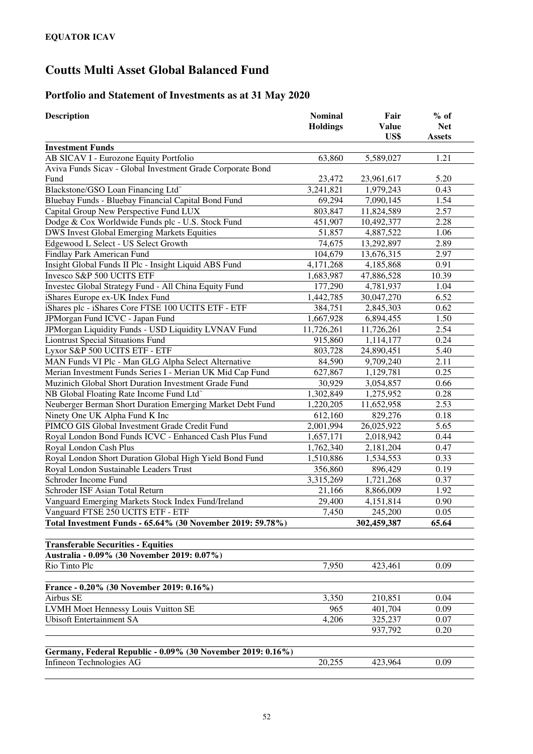### **Portfolio and Statement of Investments as at 31 May 2020**

| <b>Description</b>                                          | <b>Nominal</b><br><b>Holdings</b> | Fair<br><b>Value</b> | $%$ of<br><b>Net</b> |
|-------------------------------------------------------------|-----------------------------------|----------------------|----------------------|
|                                                             |                                   | US\$                 | <b>Assets</b>        |
| <b>Investment Funds</b>                                     |                                   |                      |                      |
| AB SICAV I - Eurozone Equity Portfolio                      | 63,860                            | 5,589,027            | 1.21                 |
| Aviva Funds Sicav - Global Investment Grade Corporate Bond  |                                   |                      |                      |
| Fund                                                        | 23,472                            | 23,961,617           | 5.20                 |
| Blackstone/GSO Loan Financing Ltd <sup>~</sup>              | 3,241,821                         | 1,979,243            | 0.43                 |
| Bluebay Funds - Bluebay Financial Capital Bond Fund         | 69,294                            | 7,090,145            | 1.54                 |
| Capital Group New Perspective Fund LUX                      | 803,847                           | 11,824,589           | 2.57                 |
| Dodge & Cox Worldwide Funds plc - U.S. Stock Fund           | 451,907                           | 10,492,377           | 2.28                 |
| DWS Invest Global Emerging Markets Equities                 | 51,857                            | 4,887,522            | 1.06                 |
| Edgewood L Select - US Select Growth                        | 74,675                            | 13,292,897           | 2.89                 |
| Findlay Park American Fund                                  | 104,679                           | 13,676,315           | 2.97                 |
| Insight Global Funds II Plc - Insight Liquid ABS Fund       | 4,171,268                         | 4,185,868            | 0.91                 |
| Invesco S&P 500 UCITS ETF                                   | 1,683,987                         | 47,886,528           | 10.39                |
| Investec Global Strategy Fund - All China Equity Fund       | 177,290                           | 4,781,937            | 1.04                 |
| iShares Europe ex-UK Index Fund                             | 1,442,785                         | 30,047,270           | 6.52                 |
| iShares plc - iShares Core FTSE 100 UCITS ETF - ETF         | 384,751                           | 2,845,303            | 0.62                 |
| JPMorgan Fund ICVC - Japan Fund                             | 1,667,928                         | 6,894,455            | 1.50                 |
| JPMorgan Liquidity Funds - USD Liquidity LVNAV Fund         | 11,726,261                        | 11,726,261           | 2.54                 |
| <b>Liontrust Special Situations Fund</b>                    | 915,860                           | 1,114,177            | 0.24                 |
| Lyxor S&P 500 UCITS ETF - ETF                               | 803,728                           | 24,890,451           | 5.40                 |
| MAN Funds VI Plc - Man GLG Alpha Select Alternative         | 84,590                            | 9,709,240            | 2.11                 |
| Merian Investment Funds Series I - Merian UK Mid Cap Fund   | 627,867                           | 1,129,781            | 0.25                 |
| Muzinich Global Short Duration Investment Grade Fund        | 30,929                            | 3,054,857            | 0.66                 |
| NB Global Floating Rate Income Fund Ltd <sup>~</sup>        | 1,302,849                         | 1,275,952            | 0.28                 |
| Neuberger Berman Short Duration Emerging Market Debt Fund   | 1,220,205                         | 11,652,958           | 2.53                 |
| Ninety One UK Alpha Fund K Inc                              | 612,160                           | 829,276              | 0.18                 |
| PIMCO GIS Global Investment Grade Credit Fund               | 2,001,994                         | 26,025,922           | 5.65                 |
| Royal London Bond Funds ICVC - Enhanced Cash Plus Fund      | 1,657,171                         | 2,018,942            | 0.44                 |
| Royal London Cash Plus                                      | 1,762,340                         | 2,181,204            | 0.47                 |
| Royal London Short Duration Global High Yield Bond Fund     | 1,510,886                         | 1,534,553            | 0.33                 |
| Royal London Sustainable Leaders Trust                      | 356,860                           | 896,429              | 0.19                 |
| Schroder Income Fund                                        | 3,315,269                         | 1,721,268            | 0.37                 |
| Schroder ISF Asian Total Return                             | 21,166                            | 8,866,009            | 1.92                 |
| Vanguard Emerging Markets Stock Index Fund/Ireland          | 29,400                            | 4,151,814            | 0.90                 |
| Vanguard FTSE 250 UCITS ETF - ETF                           | 7,450                             | 245,200              | 0.05                 |
| Total Investment Funds - 65.64% (30 November 2019: 59.78%)  |                                   | 302,459,387          | 65.64                |
| <b>Transferable Securities - Equities</b>                   |                                   |                      |                      |
| Australia - 0.09% (30 November 2019: 0.07%)                 |                                   |                      |                      |
| Rio Tinto Plc                                               | 7,950                             | 423,461              | 0.09                 |
| France - 0.20% (30 November 2019: 0.16%)                    |                                   |                      |                      |
| Airbus SE                                                   | 3,350                             | 210,851              | 0.04                 |
| LVMH Moet Hennessy Louis Vuitton SE                         | 965                               | 401,704              | 0.09                 |
| <b>Ubisoft Entertainment SA</b>                             | 4,206                             | 325,237              | 0.07                 |
|                                                             |                                   | 937,792              | 0.20                 |
|                                                             |                                   |                      |                      |
| Germany, Federal Republic - 0.09% (30 November 2019: 0.16%) |                                   |                      |                      |
| Infineon Technologies AG                                    | 20,255                            | 423,964              | 0.09                 |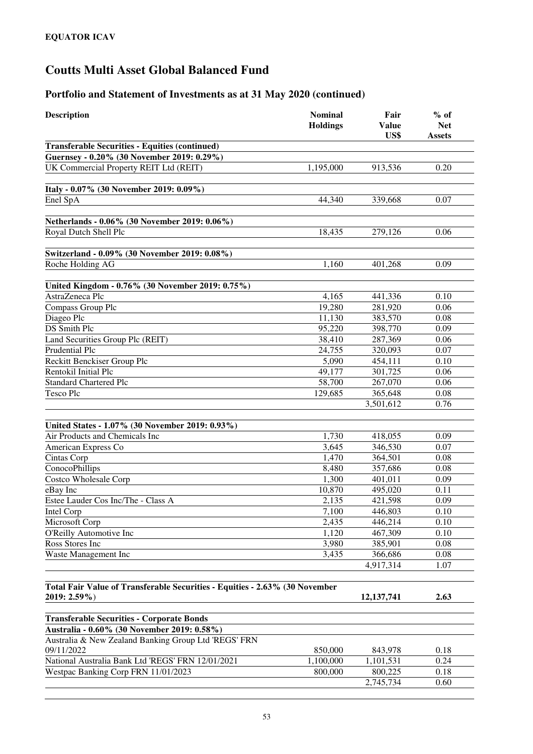| <b>Description</b>                                                          | <b>Nominal</b><br><b>Holdings</b> | Fair<br><b>Value</b><br>US\$ | $%$ of<br><b>Net</b><br><b>Assets</b> |
|-----------------------------------------------------------------------------|-----------------------------------|------------------------------|---------------------------------------|
| <b>Transferable Securities - Equities (continued)</b>                       |                                   |                              |                                       |
| Guernsey - 0.20% (30 November 2019: 0.29%)                                  |                                   |                              |                                       |
| UK Commercial Property REIT Ltd (REIT)                                      | 1,195,000                         | 913,536                      | 0.20                                  |
|                                                                             |                                   |                              |                                       |
| Italy - 0.07% (30 November 2019: 0.09%)                                     |                                   |                              |                                       |
| Enel SpA                                                                    | 44,340                            | 339,668                      | 0.07                                  |
|                                                                             |                                   |                              |                                       |
| Netherlands - 0.06% (30 November 2019: 0.06%)                               |                                   |                              |                                       |
| Royal Dutch Shell Plc                                                       | 18,435                            | 279,126                      | 0.06                                  |
|                                                                             |                                   |                              |                                       |
| Switzerland - 0.09% (30 November 2019: 0.08%)                               |                                   |                              |                                       |
| Roche Holding AG                                                            | 1,160                             | 401,268                      | 0.09                                  |
|                                                                             |                                   |                              |                                       |
| United Kingdom - 0.76% (30 November 2019: 0.75%)<br>AstraZeneca Plc         | 4,165                             |                              | 0.10                                  |
| Compass Group Plc                                                           | 19,280                            | 441,336<br>281,920           | 0.06                                  |
| Diageo Plc                                                                  | 11,130                            | 383,570                      | 0.08                                  |
| <b>DS</b> Smith Plc                                                         | 95,220                            | 398,770                      | 0.09                                  |
| Land Securities Group Plc (REIT)                                            | 38,410                            | 287,369                      | 0.06                                  |
| Prudential Plc                                                              | 24,755                            | 320,093                      | 0.07                                  |
| Reckitt Benckiser Group Plc                                                 | 5,090                             | 454,111                      | 0.10                                  |
| Rentokil Initial Plc                                                        | 49,177                            | 301,725                      | 0.06                                  |
| <b>Standard Chartered Plc</b>                                               | 58,700                            | 267,070                      | 0.06                                  |
| <b>Tesco Plc</b>                                                            | 129,685                           | 365,648                      | 0.08                                  |
|                                                                             |                                   | 3,501,612                    | 0.76                                  |
|                                                                             |                                   |                              |                                       |
| United States - 1.07% (30 November 2019: 0.93%)                             |                                   |                              |                                       |
| Air Products and Chemicals Inc                                              | 1,730                             | 418,055                      | 0.09                                  |
| American Express Co                                                         | 3,645                             | 346, 530                     | 0.07                                  |
| Cintas Corp                                                                 | 1,470                             | 364,501                      | 0.08                                  |
| <b>ConocoPhillips</b>                                                       | 8,480                             | 357,686                      | 0.08                                  |
| <b>Costco Wholesale Corp</b>                                                | 1,300                             | 401,011                      | 0.09                                  |
| eBay Inc                                                                    | 10,870                            | 495,020                      | 0.11                                  |
| Estee Lauder Cos Inc/The - Class A                                          | 2,135                             | 421,598                      | 0.09                                  |
| <b>Intel Corp</b>                                                           | 7,100                             | 446,803                      | 0.10                                  |
| Microsoft Corp                                                              | 2,435                             | 446,214                      | 0.10                                  |
| O'Reilly Automotive Inc                                                     | 1,120                             | 467,309                      | 0.10                                  |
| Ross Stores Inc                                                             | 3,980                             | 385,901                      | 0.08                                  |
| Waste Management Inc                                                        | 3,435                             | 366,686                      | 0.08                                  |
|                                                                             |                                   | 4,917,314                    | 1.07                                  |
| Total Fair Value of Transferable Securities - Equities - 2.63% (30 November |                                   |                              |                                       |
| 2019: 2.59%)                                                                |                                   | 12, 137, 741                 | 2.63                                  |
|                                                                             |                                   |                              |                                       |
| <b>Transferable Securities - Corporate Bonds</b>                            |                                   |                              |                                       |
| Australia - 0.60% (30 November 2019: 0.58%)                                 |                                   |                              |                                       |
| Australia & New Zealand Banking Group Ltd 'REGS' FRN                        |                                   |                              |                                       |
| 09/11/2022                                                                  | 850,000                           | 843,978                      | 0.18                                  |
| National Australia Bank Ltd 'REGS' FRN 12/01/2021                           | 1,100,000                         | 1,101,531                    | 0.24                                  |
| Westpac Banking Corp FRN 11/01/2023                                         | 800,000                           | 800,225                      | 0.18                                  |
|                                                                             |                                   | 2,745,734                    | 0.60                                  |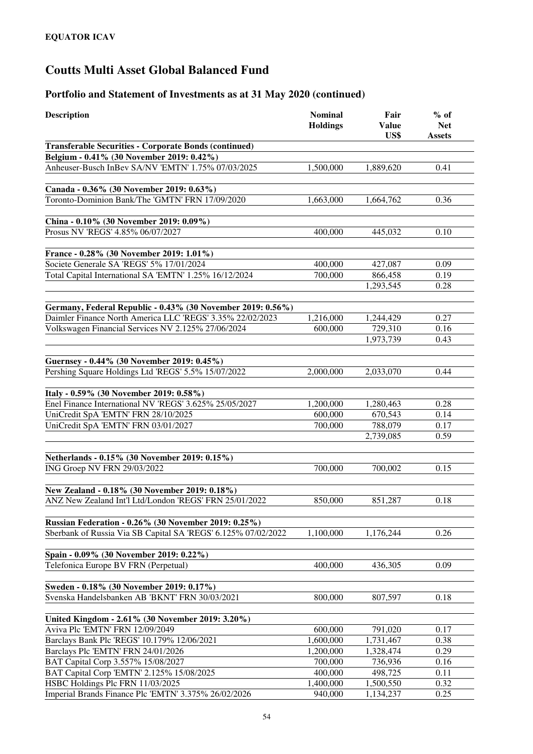| <b>Transferable Securities - Corporate Bonds (continued)</b><br>Belgium - 0.41% (30 November 2019: 0.42%)<br>Anheuser-Busch InBev SA/NV 'EMTN' 1.75% 07/03/2025<br>1,500,000<br>1,889,620<br>0.41<br>Canada - 0.36% (30 November 2019: 0.63%)<br>Toronto-Dominion Bank/The 'GMTN' FRN 17/09/2020<br>1,663,000<br>1,664,762<br>0.36<br>China - 0.10% (30 November 2019: 0.09%)<br>Prosus NV 'REGS' 4.85% 06/07/2027<br>400,000<br>0.10<br>445,032<br>France - 0.28% (30 November 2019: 1.01%)<br>Societe Generale SA 'REGS' 5% 17/01/2024<br>400,000<br>427,087<br>0.09<br>Total Capital International SA 'EMTN' 1.25% 16/12/2024<br>700,000<br>866,458<br>0.19<br>1,293,545<br>0.28<br>Germany, Federal Republic - 0.43% (30 November 2019: 0.56%)<br>Daimler Finance North America LLC 'REGS' 3.35% 22/02/2023<br>0.27<br>1,216,000<br>1,244,429<br>Volkswagen Financial Services NV 2.125% 27/06/2024<br>600,000<br>729,310<br>0.16<br>1,973,739<br>0.43<br>Guernsey - 0.44% (30 November 2019: 0.45%)<br>Pershing Square Holdings Ltd 'REGS' 5.5% 15/07/2022<br>2,000,000<br>2,033,070<br>0.44<br>Italy - 0.59% (30 November 2019: 0.58%)<br>Enel Finance International NV 'REGS' 3.625% 25/05/2027<br>1,200,000<br>0.28<br>1,280,463<br>UniCredit SpA 'EMTN' FRN 28/10/2025<br>600,000<br>670,543<br>0.14<br>UniCredit SpA 'EMTN' FRN 03/01/2027<br>788,079<br>700,000<br>0.17<br>2,739,085<br>0.59<br>Netherlands - 0.15% (30 November 2019: 0.15%)<br>ING Groep NV FRN 29/03/2022<br>700,000<br>700,002<br>0.15<br>New Zealand - 0.18% (30 November 2019: 0.18%)<br>ANZ New Zealand Int'l Ltd/London 'REGS' FRN 25/01/2022<br>851,287<br>0.18<br>850,000<br>Russian Federation - 0.26% (30 November 2019: 0.25%)<br>Sberbank of Russia Via SB Capital SA 'REGS' 6.125% 07/02/2022<br>1,100,000<br>1,176,244<br>0.26<br>Spain - 0.09% (30 November 2019: 0.22%)<br>Telefonica Europe BV FRN (Perpetual)<br>400,000<br>436,305<br>0.09<br>Sweden - 0.18% (30 November 2019: 0.17%)<br>Svenska Handelsbanken AB 'BKNT' FRN 30/03/2021<br>800,000<br>807,597<br>0.18<br>United Kingdom - 2.61% (30 November 2019: 3.20%)<br>Aviva Plc 'EMTN' FRN 12/09/2049<br>600,000<br>791,020<br>0.17<br>Barclays Bank Plc 'REGS' 10.179% 12/06/2021<br>1,600,000<br>0.38<br>1,731,467<br>Barclays Plc 'EMTN' FRN 24/01/2026<br>1,200,000<br>1,328,474<br>0.29<br>BAT Capital Corp 3.557% 15/08/2027<br>700,000<br>736,936<br>0.16<br>BAT Capital Corp 'EMTN' 2.125% 15/08/2025<br>498,725<br>0.11<br>400,000<br>HSBC Holdings Plc FRN 11/03/2025<br>0.32<br>1,400,000<br>1,500,550 | <b>Description</b>                                   | <b>Nominal</b><br><b>Holdings</b> | Fair<br><b>Value</b><br>US\$ | $%$ of<br><b>Net</b><br><b>Assets</b> |
|---------------------------------------------------------------------------------------------------------------------------------------------------------------------------------------------------------------------------------------------------------------------------------------------------------------------------------------------------------------------------------------------------------------------------------------------------------------------------------------------------------------------------------------------------------------------------------------------------------------------------------------------------------------------------------------------------------------------------------------------------------------------------------------------------------------------------------------------------------------------------------------------------------------------------------------------------------------------------------------------------------------------------------------------------------------------------------------------------------------------------------------------------------------------------------------------------------------------------------------------------------------------------------------------------------------------------------------------------------------------------------------------------------------------------------------------------------------------------------------------------------------------------------------------------------------------------------------------------------------------------------------------------------------------------------------------------------------------------------------------------------------------------------------------------------------------------------------------------------------------------------------------------------------------------------------------------------------------------------------------------------------------------------------------------------------------------------------------------------------------------------------------------------------------------------------------------------------------------------------------------------------------------------------------------------------------------------------------------------------------------------------------------------------------------------------------------------------------------------------------------------------------------------------------------------------------------|------------------------------------------------------|-----------------------------------|------------------------------|---------------------------------------|
|                                                                                                                                                                                                                                                                                                                                                                                                                                                                                                                                                                                                                                                                                                                                                                                                                                                                                                                                                                                                                                                                                                                                                                                                                                                                                                                                                                                                                                                                                                                                                                                                                                                                                                                                                                                                                                                                                                                                                                                                                                                                                                                                                                                                                                                                                                                                                                                                                                                                                                                                                                           |                                                      |                                   |                              |                                       |
|                                                                                                                                                                                                                                                                                                                                                                                                                                                                                                                                                                                                                                                                                                                                                                                                                                                                                                                                                                                                                                                                                                                                                                                                                                                                                                                                                                                                                                                                                                                                                                                                                                                                                                                                                                                                                                                                                                                                                                                                                                                                                                                                                                                                                                                                                                                                                                                                                                                                                                                                                                           |                                                      |                                   |                              |                                       |
|                                                                                                                                                                                                                                                                                                                                                                                                                                                                                                                                                                                                                                                                                                                                                                                                                                                                                                                                                                                                                                                                                                                                                                                                                                                                                                                                                                                                                                                                                                                                                                                                                                                                                                                                                                                                                                                                                                                                                                                                                                                                                                                                                                                                                                                                                                                                                                                                                                                                                                                                                                           |                                                      |                                   |                              |                                       |
|                                                                                                                                                                                                                                                                                                                                                                                                                                                                                                                                                                                                                                                                                                                                                                                                                                                                                                                                                                                                                                                                                                                                                                                                                                                                                                                                                                                                                                                                                                                                                                                                                                                                                                                                                                                                                                                                                                                                                                                                                                                                                                                                                                                                                                                                                                                                                                                                                                                                                                                                                                           |                                                      |                                   |                              |                                       |
|                                                                                                                                                                                                                                                                                                                                                                                                                                                                                                                                                                                                                                                                                                                                                                                                                                                                                                                                                                                                                                                                                                                                                                                                                                                                                                                                                                                                                                                                                                                                                                                                                                                                                                                                                                                                                                                                                                                                                                                                                                                                                                                                                                                                                                                                                                                                                                                                                                                                                                                                                                           |                                                      |                                   |                              |                                       |
|                                                                                                                                                                                                                                                                                                                                                                                                                                                                                                                                                                                                                                                                                                                                                                                                                                                                                                                                                                                                                                                                                                                                                                                                                                                                                                                                                                                                                                                                                                                                                                                                                                                                                                                                                                                                                                                                                                                                                                                                                                                                                                                                                                                                                                                                                                                                                                                                                                                                                                                                                                           |                                                      |                                   |                              |                                       |
|                                                                                                                                                                                                                                                                                                                                                                                                                                                                                                                                                                                                                                                                                                                                                                                                                                                                                                                                                                                                                                                                                                                                                                                                                                                                                                                                                                                                                                                                                                                                                                                                                                                                                                                                                                                                                                                                                                                                                                                                                                                                                                                                                                                                                                                                                                                                                                                                                                                                                                                                                                           |                                                      |                                   |                              |                                       |
|                                                                                                                                                                                                                                                                                                                                                                                                                                                                                                                                                                                                                                                                                                                                                                                                                                                                                                                                                                                                                                                                                                                                                                                                                                                                                                                                                                                                                                                                                                                                                                                                                                                                                                                                                                                                                                                                                                                                                                                                                                                                                                                                                                                                                                                                                                                                                                                                                                                                                                                                                                           |                                                      |                                   |                              |                                       |
|                                                                                                                                                                                                                                                                                                                                                                                                                                                                                                                                                                                                                                                                                                                                                                                                                                                                                                                                                                                                                                                                                                                                                                                                                                                                                                                                                                                                                                                                                                                                                                                                                                                                                                                                                                                                                                                                                                                                                                                                                                                                                                                                                                                                                                                                                                                                                                                                                                                                                                                                                                           |                                                      |                                   |                              |                                       |
|                                                                                                                                                                                                                                                                                                                                                                                                                                                                                                                                                                                                                                                                                                                                                                                                                                                                                                                                                                                                                                                                                                                                                                                                                                                                                                                                                                                                                                                                                                                                                                                                                                                                                                                                                                                                                                                                                                                                                                                                                                                                                                                                                                                                                                                                                                                                                                                                                                                                                                                                                                           |                                                      |                                   |                              |                                       |
|                                                                                                                                                                                                                                                                                                                                                                                                                                                                                                                                                                                                                                                                                                                                                                                                                                                                                                                                                                                                                                                                                                                                                                                                                                                                                                                                                                                                                                                                                                                                                                                                                                                                                                                                                                                                                                                                                                                                                                                                                                                                                                                                                                                                                                                                                                                                                                                                                                                                                                                                                                           |                                                      |                                   |                              |                                       |
|                                                                                                                                                                                                                                                                                                                                                                                                                                                                                                                                                                                                                                                                                                                                                                                                                                                                                                                                                                                                                                                                                                                                                                                                                                                                                                                                                                                                                                                                                                                                                                                                                                                                                                                                                                                                                                                                                                                                                                                                                                                                                                                                                                                                                                                                                                                                                                                                                                                                                                                                                                           |                                                      |                                   |                              |                                       |
|                                                                                                                                                                                                                                                                                                                                                                                                                                                                                                                                                                                                                                                                                                                                                                                                                                                                                                                                                                                                                                                                                                                                                                                                                                                                                                                                                                                                                                                                                                                                                                                                                                                                                                                                                                                                                                                                                                                                                                                                                                                                                                                                                                                                                                                                                                                                                                                                                                                                                                                                                                           |                                                      |                                   |                              |                                       |
|                                                                                                                                                                                                                                                                                                                                                                                                                                                                                                                                                                                                                                                                                                                                                                                                                                                                                                                                                                                                                                                                                                                                                                                                                                                                                                                                                                                                                                                                                                                                                                                                                                                                                                                                                                                                                                                                                                                                                                                                                                                                                                                                                                                                                                                                                                                                                                                                                                                                                                                                                                           |                                                      |                                   |                              |                                       |
|                                                                                                                                                                                                                                                                                                                                                                                                                                                                                                                                                                                                                                                                                                                                                                                                                                                                                                                                                                                                                                                                                                                                                                                                                                                                                                                                                                                                                                                                                                                                                                                                                                                                                                                                                                                                                                                                                                                                                                                                                                                                                                                                                                                                                                                                                                                                                                                                                                                                                                                                                                           |                                                      |                                   |                              |                                       |
|                                                                                                                                                                                                                                                                                                                                                                                                                                                                                                                                                                                                                                                                                                                                                                                                                                                                                                                                                                                                                                                                                                                                                                                                                                                                                                                                                                                                                                                                                                                                                                                                                                                                                                                                                                                                                                                                                                                                                                                                                                                                                                                                                                                                                                                                                                                                                                                                                                                                                                                                                                           |                                                      |                                   |                              |                                       |
|                                                                                                                                                                                                                                                                                                                                                                                                                                                                                                                                                                                                                                                                                                                                                                                                                                                                                                                                                                                                                                                                                                                                                                                                                                                                                                                                                                                                                                                                                                                                                                                                                                                                                                                                                                                                                                                                                                                                                                                                                                                                                                                                                                                                                                                                                                                                                                                                                                                                                                                                                                           |                                                      |                                   |                              |                                       |
|                                                                                                                                                                                                                                                                                                                                                                                                                                                                                                                                                                                                                                                                                                                                                                                                                                                                                                                                                                                                                                                                                                                                                                                                                                                                                                                                                                                                                                                                                                                                                                                                                                                                                                                                                                                                                                                                                                                                                                                                                                                                                                                                                                                                                                                                                                                                                                                                                                                                                                                                                                           |                                                      |                                   |                              |                                       |
|                                                                                                                                                                                                                                                                                                                                                                                                                                                                                                                                                                                                                                                                                                                                                                                                                                                                                                                                                                                                                                                                                                                                                                                                                                                                                                                                                                                                                                                                                                                                                                                                                                                                                                                                                                                                                                                                                                                                                                                                                                                                                                                                                                                                                                                                                                                                                                                                                                                                                                                                                                           |                                                      |                                   |                              |                                       |
|                                                                                                                                                                                                                                                                                                                                                                                                                                                                                                                                                                                                                                                                                                                                                                                                                                                                                                                                                                                                                                                                                                                                                                                                                                                                                                                                                                                                                                                                                                                                                                                                                                                                                                                                                                                                                                                                                                                                                                                                                                                                                                                                                                                                                                                                                                                                                                                                                                                                                                                                                                           |                                                      |                                   |                              |                                       |
|                                                                                                                                                                                                                                                                                                                                                                                                                                                                                                                                                                                                                                                                                                                                                                                                                                                                                                                                                                                                                                                                                                                                                                                                                                                                                                                                                                                                                                                                                                                                                                                                                                                                                                                                                                                                                                                                                                                                                                                                                                                                                                                                                                                                                                                                                                                                                                                                                                                                                                                                                                           |                                                      |                                   |                              |                                       |
|                                                                                                                                                                                                                                                                                                                                                                                                                                                                                                                                                                                                                                                                                                                                                                                                                                                                                                                                                                                                                                                                                                                                                                                                                                                                                                                                                                                                                                                                                                                                                                                                                                                                                                                                                                                                                                                                                                                                                                                                                                                                                                                                                                                                                                                                                                                                                                                                                                                                                                                                                                           |                                                      |                                   |                              |                                       |
|                                                                                                                                                                                                                                                                                                                                                                                                                                                                                                                                                                                                                                                                                                                                                                                                                                                                                                                                                                                                                                                                                                                                                                                                                                                                                                                                                                                                                                                                                                                                                                                                                                                                                                                                                                                                                                                                                                                                                                                                                                                                                                                                                                                                                                                                                                                                                                                                                                                                                                                                                                           |                                                      |                                   |                              |                                       |
|                                                                                                                                                                                                                                                                                                                                                                                                                                                                                                                                                                                                                                                                                                                                                                                                                                                                                                                                                                                                                                                                                                                                                                                                                                                                                                                                                                                                                                                                                                                                                                                                                                                                                                                                                                                                                                                                                                                                                                                                                                                                                                                                                                                                                                                                                                                                                                                                                                                                                                                                                                           |                                                      |                                   |                              |                                       |
|                                                                                                                                                                                                                                                                                                                                                                                                                                                                                                                                                                                                                                                                                                                                                                                                                                                                                                                                                                                                                                                                                                                                                                                                                                                                                                                                                                                                                                                                                                                                                                                                                                                                                                                                                                                                                                                                                                                                                                                                                                                                                                                                                                                                                                                                                                                                                                                                                                                                                                                                                                           |                                                      |                                   |                              |                                       |
|                                                                                                                                                                                                                                                                                                                                                                                                                                                                                                                                                                                                                                                                                                                                                                                                                                                                                                                                                                                                                                                                                                                                                                                                                                                                                                                                                                                                                                                                                                                                                                                                                                                                                                                                                                                                                                                                                                                                                                                                                                                                                                                                                                                                                                                                                                                                                                                                                                                                                                                                                                           |                                                      |                                   |                              |                                       |
|                                                                                                                                                                                                                                                                                                                                                                                                                                                                                                                                                                                                                                                                                                                                                                                                                                                                                                                                                                                                                                                                                                                                                                                                                                                                                                                                                                                                                                                                                                                                                                                                                                                                                                                                                                                                                                                                                                                                                                                                                                                                                                                                                                                                                                                                                                                                                                                                                                                                                                                                                                           |                                                      |                                   |                              |                                       |
|                                                                                                                                                                                                                                                                                                                                                                                                                                                                                                                                                                                                                                                                                                                                                                                                                                                                                                                                                                                                                                                                                                                                                                                                                                                                                                                                                                                                                                                                                                                                                                                                                                                                                                                                                                                                                                                                                                                                                                                                                                                                                                                                                                                                                                                                                                                                                                                                                                                                                                                                                                           |                                                      |                                   |                              |                                       |
|                                                                                                                                                                                                                                                                                                                                                                                                                                                                                                                                                                                                                                                                                                                                                                                                                                                                                                                                                                                                                                                                                                                                                                                                                                                                                                                                                                                                                                                                                                                                                                                                                                                                                                                                                                                                                                                                                                                                                                                                                                                                                                                                                                                                                                                                                                                                                                                                                                                                                                                                                                           |                                                      |                                   |                              |                                       |
|                                                                                                                                                                                                                                                                                                                                                                                                                                                                                                                                                                                                                                                                                                                                                                                                                                                                                                                                                                                                                                                                                                                                                                                                                                                                                                                                                                                                                                                                                                                                                                                                                                                                                                                                                                                                                                                                                                                                                                                                                                                                                                                                                                                                                                                                                                                                                                                                                                                                                                                                                                           |                                                      |                                   |                              |                                       |
|                                                                                                                                                                                                                                                                                                                                                                                                                                                                                                                                                                                                                                                                                                                                                                                                                                                                                                                                                                                                                                                                                                                                                                                                                                                                                                                                                                                                                                                                                                                                                                                                                                                                                                                                                                                                                                                                                                                                                                                                                                                                                                                                                                                                                                                                                                                                                                                                                                                                                                                                                                           |                                                      |                                   |                              |                                       |
|                                                                                                                                                                                                                                                                                                                                                                                                                                                                                                                                                                                                                                                                                                                                                                                                                                                                                                                                                                                                                                                                                                                                                                                                                                                                                                                                                                                                                                                                                                                                                                                                                                                                                                                                                                                                                                                                                                                                                                                                                                                                                                                                                                                                                                                                                                                                                                                                                                                                                                                                                                           |                                                      |                                   |                              |                                       |
|                                                                                                                                                                                                                                                                                                                                                                                                                                                                                                                                                                                                                                                                                                                                                                                                                                                                                                                                                                                                                                                                                                                                                                                                                                                                                                                                                                                                                                                                                                                                                                                                                                                                                                                                                                                                                                                                                                                                                                                                                                                                                                                                                                                                                                                                                                                                                                                                                                                                                                                                                                           |                                                      |                                   |                              |                                       |
|                                                                                                                                                                                                                                                                                                                                                                                                                                                                                                                                                                                                                                                                                                                                                                                                                                                                                                                                                                                                                                                                                                                                                                                                                                                                                                                                                                                                                                                                                                                                                                                                                                                                                                                                                                                                                                                                                                                                                                                                                                                                                                                                                                                                                                                                                                                                                                                                                                                                                                                                                                           |                                                      |                                   |                              |                                       |
|                                                                                                                                                                                                                                                                                                                                                                                                                                                                                                                                                                                                                                                                                                                                                                                                                                                                                                                                                                                                                                                                                                                                                                                                                                                                                                                                                                                                                                                                                                                                                                                                                                                                                                                                                                                                                                                                                                                                                                                                                                                                                                                                                                                                                                                                                                                                                                                                                                                                                                                                                                           |                                                      |                                   |                              |                                       |
|                                                                                                                                                                                                                                                                                                                                                                                                                                                                                                                                                                                                                                                                                                                                                                                                                                                                                                                                                                                                                                                                                                                                                                                                                                                                                                                                                                                                                                                                                                                                                                                                                                                                                                                                                                                                                                                                                                                                                                                                                                                                                                                                                                                                                                                                                                                                                                                                                                                                                                                                                                           |                                                      |                                   |                              |                                       |
|                                                                                                                                                                                                                                                                                                                                                                                                                                                                                                                                                                                                                                                                                                                                                                                                                                                                                                                                                                                                                                                                                                                                                                                                                                                                                                                                                                                                                                                                                                                                                                                                                                                                                                                                                                                                                                                                                                                                                                                                                                                                                                                                                                                                                                                                                                                                                                                                                                                                                                                                                                           |                                                      |                                   |                              |                                       |
|                                                                                                                                                                                                                                                                                                                                                                                                                                                                                                                                                                                                                                                                                                                                                                                                                                                                                                                                                                                                                                                                                                                                                                                                                                                                                                                                                                                                                                                                                                                                                                                                                                                                                                                                                                                                                                                                                                                                                                                                                                                                                                                                                                                                                                                                                                                                                                                                                                                                                                                                                                           |                                                      |                                   |                              |                                       |
|                                                                                                                                                                                                                                                                                                                                                                                                                                                                                                                                                                                                                                                                                                                                                                                                                                                                                                                                                                                                                                                                                                                                                                                                                                                                                                                                                                                                                                                                                                                                                                                                                                                                                                                                                                                                                                                                                                                                                                                                                                                                                                                                                                                                                                                                                                                                                                                                                                                                                                                                                                           |                                                      |                                   |                              |                                       |
|                                                                                                                                                                                                                                                                                                                                                                                                                                                                                                                                                                                                                                                                                                                                                                                                                                                                                                                                                                                                                                                                                                                                                                                                                                                                                                                                                                                                                                                                                                                                                                                                                                                                                                                                                                                                                                                                                                                                                                                                                                                                                                                                                                                                                                                                                                                                                                                                                                                                                                                                                                           |                                                      |                                   |                              |                                       |
|                                                                                                                                                                                                                                                                                                                                                                                                                                                                                                                                                                                                                                                                                                                                                                                                                                                                                                                                                                                                                                                                                                                                                                                                                                                                                                                                                                                                                                                                                                                                                                                                                                                                                                                                                                                                                                                                                                                                                                                                                                                                                                                                                                                                                                                                                                                                                                                                                                                                                                                                                                           |                                                      |                                   |                              |                                       |
|                                                                                                                                                                                                                                                                                                                                                                                                                                                                                                                                                                                                                                                                                                                                                                                                                                                                                                                                                                                                                                                                                                                                                                                                                                                                                                                                                                                                                                                                                                                                                                                                                                                                                                                                                                                                                                                                                                                                                                                                                                                                                                                                                                                                                                                                                                                                                                                                                                                                                                                                                                           |                                                      |                                   |                              |                                       |
|                                                                                                                                                                                                                                                                                                                                                                                                                                                                                                                                                                                                                                                                                                                                                                                                                                                                                                                                                                                                                                                                                                                                                                                                                                                                                                                                                                                                                                                                                                                                                                                                                                                                                                                                                                                                                                                                                                                                                                                                                                                                                                                                                                                                                                                                                                                                                                                                                                                                                                                                                                           | Imperial Brands Finance Plc 'EMTN' 3.375% 26/02/2026 | 940,000                           | 1,134,237                    | 0.25                                  |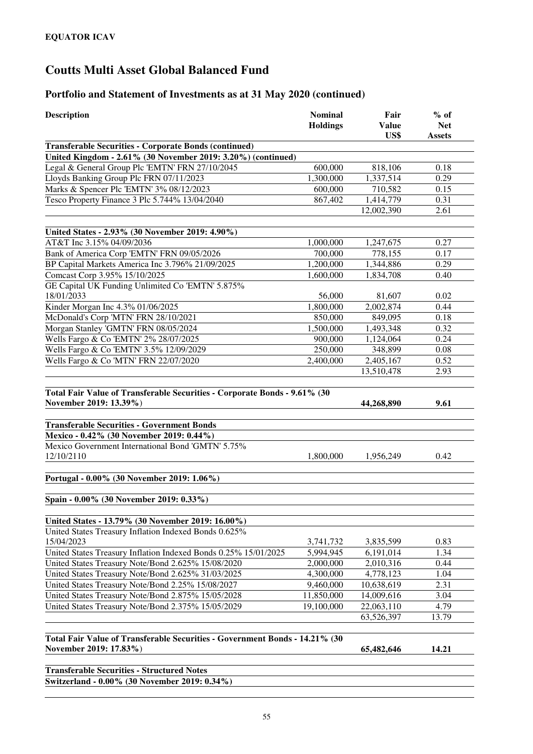| <b>Description</b>                                                          | <b>Nominal</b><br><b>Holdings</b> | Fair<br><b>Value</b><br>US\$ | $%$ of<br><b>Net</b><br><b>Assets</b> |
|-----------------------------------------------------------------------------|-----------------------------------|------------------------------|---------------------------------------|
| <b>Transferable Securities - Corporate Bonds (continued)</b>                |                                   |                              |                                       |
| United Kingdom - 2.61% (30 November 2019: 3.20%) (continued)                |                                   |                              |                                       |
| Legal & General Group Plc 'EMTN' FRN 27/10/2045                             | 600,000                           | 818,106                      | 0.18                                  |
| Lloyds Banking Group Plc FRN 07/11/2023                                     | 1,300,000                         | 1,337,514                    | 0.29                                  |
| Marks & Spencer Plc 'EMTN' 3% 08/12/2023                                    | 600,000                           | 710,582                      | 0.15                                  |
| Tesco Property Finance 3 Plc 5.744% 13/04/2040                              | 867,402                           | 1,414,779                    | 0.31                                  |
|                                                                             |                                   | 12,002,390                   | 2.61                                  |
| United States - 2.93% (30 November 2019: 4.90%)                             |                                   |                              |                                       |
| AT&T Inc 3.15% 04/09/2036                                                   | 1,000,000                         | 1,247,675                    | 0.27                                  |
| Bank of America Corp 'EMTN' FRN 09/05/2026                                  | 700,000                           | 778,155                      | 0.17                                  |
| BP Capital Markets America Inc 3.796% 21/09/2025                            | 1,200,000                         | 1,344,886                    | 0.29                                  |
| Comcast Corp 3.95% 15/10/2025                                               | 1,600,000                         | 1,834,708                    | 0.40                                  |
| GE Capital UK Funding Unlimited Co 'EMTN' 5.875%                            |                                   |                              |                                       |
| 18/01/2033                                                                  | 56,000                            | 81,607                       | 0.02                                  |
| Kinder Morgan Inc 4.3% 01/06/2025                                           | 1,800,000                         | 2,002,874                    | 0.44                                  |
| McDonald's Corp 'MTN' FRN 28/10/2021                                        | 850,000                           | 849,095                      | 0.18                                  |
| Morgan Stanley 'GMTN' FRN 08/05/2024                                        | 1,500,000                         | 1,493,348                    | 0.32                                  |
| Wells Fargo & Co 'EMTN' 2% 28/07/2025                                       | 900,000                           | 1,124,064                    | 0.24                                  |
| Wells Fargo & Co 'EMTN' 3.5% 12/09/2029                                     | 250,000                           | 348,899                      | 0.08                                  |
| Wells Fargo & Co 'MTN' FRN 22/07/2020                                       | 2,400,000                         | 2,405,167                    | 0.52                                  |
|                                                                             |                                   | 13,510,478                   | 2.93                                  |
|                                                                             |                                   |                              |                                       |
| Total Fair Value of Transferable Securities - Corporate Bonds - 9.61% (30   |                                   |                              |                                       |
| November 2019: 13.39%)                                                      |                                   | 44,268,890                   | 9.61                                  |
| <b>Transferable Securities - Government Bonds</b>                           |                                   |                              |                                       |
| Mexico - 0.42% (30 November 2019: 0.44%)                                    |                                   |                              |                                       |
| Mexico Government International Bond 'GMTN' 5.75%                           |                                   |                              |                                       |
| 12/10/2110                                                                  | 1,800,000                         | 1,956,249                    | 0.42                                  |
|                                                                             |                                   |                              |                                       |
| Portugal - 0.00% (30 November 2019: 1.06%)                                  |                                   |                              |                                       |
|                                                                             |                                   |                              |                                       |
| Spain - 0.00% (30 November 2019: 0.33%)                                     |                                   |                              |                                       |
| United States - 13.79% (30 November 2019: 16.00%)                           |                                   |                              |                                       |
| United States Treasury Inflation Indexed Bonds 0.625%                       |                                   |                              |                                       |
| 15/04/2023                                                                  | 3,741,732                         | 3,835,599                    | 0.83                                  |
| United States Treasury Inflation Indexed Bonds 0.25% 15/01/2025             | 5,994,945                         | 6,191,014                    | 1.34                                  |
| United States Treasury Note/Bond 2.625% 15/08/2020                          | 2,000,000                         | 2,010,316                    | 0.44                                  |
| United States Treasury Note/Bond 2.625% 31/03/2025                          | 4,300,000                         | 4,778,123                    | 1.04                                  |
| United States Treasury Note/Bond 2.25% 15/08/2027                           | 9,460,000                         | 10,638,619                   | 2.31                                  |
| United States Treasury Note/Bond 2.875% 15/05/2028                          | 11,850,000                        | 14,009,616                   | 3.04                                  |
| United States Treasury Note/Bond 2.375% 15/05/2029                          | 19,100,000                        | 22,063,110                   | 4.79                                  |
|                                                                             |                                   | 63,526,397                   | 13.79                                 |
| Total Fair Value of Transferable Securities - Government Bonds - 14.21% (30 |                                   |                              |                                       |
| November 2019: 17.83%)                                                      |                                   | 65,482,646                   | 14.21                                 |
|                                                                             |                                   |                              |                                       |
| <b>Transferable Securities - Structured Notes</b>                           |                                   |                              |                                       |
| Switzerland - 0.00% (30 November 2019: 0.34%)                               |                                   |                              |                                       |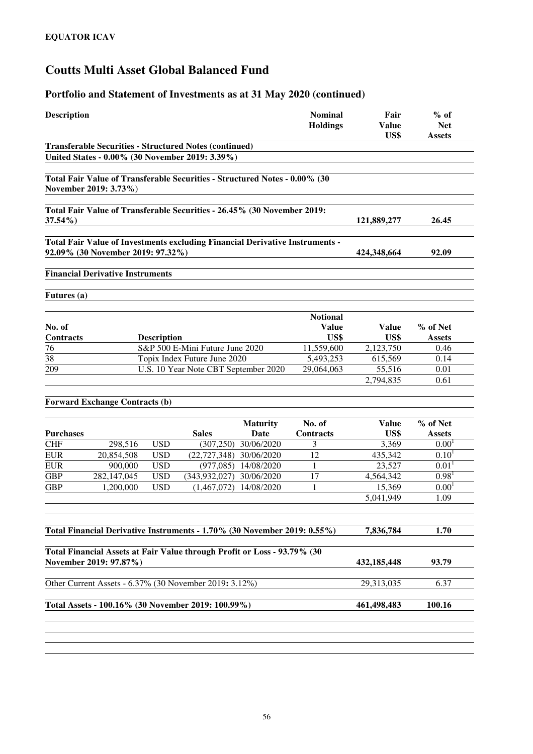| <b>Description</b> |                                         |            |                                                                              |                         | <b>Nominal</b><br><b>Holdings</b> | Fair<br><b>Value</b><br>US\$ | $%$ of<br><b>Net</b><br><b>Assets</b> |
|--------------------|-----------------------------------------|------------|------------------------------------------------------------------------------|-------------------------|-----------------------------------|------------------------------|---------------------------------------|
|                    |                                         |            | <b>Transferable Securities - Structured Notes (continued)</b>                |                         |                                   |                              |                                       |
|                    |                                         |            | United States - 0.00% (30 November 2019: 3.39%)                              |                         |                                   |                              |                                       |
|                    | November 2019: 3.73%)                   |            | Total Fair Value of Transferable Securities - Structured Notes - 0.00% (30   |                         |                                   |                              |                                       |
| $37.54\%$          |                                         |            | Total Fair Value of Transferable Securities - 26.45% (30 November 2019:      |                         |                                   | 121,889,277                  | 26.45                                 |
|                    | 92.09% (30 November 2019: 97.32%)       |            | Total Fair Value of Investments excluding Financial Derivative Instruments - |                         |                                   | 424,348,664                  | 92.09                                 |
|                    | <b>Financial Derivative Instruments</b> |            |                                                                              |                         |                                   |                              |                                       |
| Futures (a)        |                                         |            |                                                                              |                         |                                   |                              |                                       |
| No. of             |                                         |            |                                                                              |                         | <b>Notional</b><br><b>Value</b>   | Value                        | % of Net                              |
| Contracts          | <b>Description</b>                      |            |                                                                              |                         | US\$                              | US\$                         | <b>Assets</b>                         |
| 76                 | S&P 500 E-Mini Future June 2020         |            |                                                                              | 11,559,600              | 2,123,750                         | 0.46                         |                                       |
| 38                 |                                         |            | Topix Index Future June 2020                                                 |                         | 5,493,253                         | 615,569                      | 0.14                                  |
| 209                |                                         |            | U.S. 10 Year Note CBT September 2020                                         |                         | 29,064,063                        | 55,516<br>2,794,835          | 0.01<br>0.61                          |
|                    | <b>Forward Exchange Contracts (b)</b>   |            |                                                                              |                         |                                   |                              |                                       |
|                    |                                         |            |                                                                              |                         |                                   |                              |                                       |
| <b>Purchases</b>   |                                         |            | <b>Sales</b>                                                                 | <b>Maturity</b><br>Date | No. of<br>Contracts               | <b>Value</b><br>US\$         | % of Net<br><b>Assets</b>             |
| <b>CHF</b>         | 298,516                                 | <b>USD</b> |                                                                              | $(307, 250)$ 30/06/2020 | 3                                 | 3,369                        | 0.00 <sup>1</sup>                     |
| <b>EUR</b>         | 20,854,508                              | <b>USD</b> | (22,727,348) 30/06/2020                                                      |                         | 12                                | 435,342                      | 0.10 <sup>1</sup>                     |
| <b>EUR</b>         | 900,000                                 | <b>USD</b> |                                                                              | $(977,085)$ 14/08/2020  | $\mathbf{1}$                      | 23,527                       | 0.01 <sup>1</sup>                     |
| <b>GBP</b>         | 282,147,045                             | <b>USD</b> | (343, 932, 027)                                                              | 30/06/2020              | 17                                | 4,564,342                    | 0.98 <sup>1</sup>                     |
| <b>GBP</b>         | 1,200,000                               | <b>USD</b> | (1,467,072)                                                                  | 14/08/2020              | 1                                 | 15,369                       | 0.00 <sup>1</sup>                     |
|                    |                                         |            |                                                                              |                         |                                   | 5,041,949                    | 1.09                                  |
|                    |                                         |            | Total Financial Derivative Instruments - 1.70% (30 November 2019: 0.55%)     |                         |                                   | 7,836,784                    | 1.70                                  |
|                    |                                         |            | Total Financial Assets at Fair Value through Profit or Loss - 93.79% (30     |                         |                                   |                              |                                       |
|                    | November 2019: 97.87%)                  |            |                                                                              |                         |                                   | 432, 185, 448                | 93.79                                 |
|                    |                                         |            | Other Current Assets - 6.37% (30 November 2019: 3.12%)                       |                         |                                   | 29,313,035                   | 6.37                                  |
|                    |                                         |            | Total Assets - 100.16% (30 November 2019: 100.99%)                           |                         |                                   | 461,498,483                  | 100.16                                |
|                    |                                         |            |                                                                              |                         |                                   |                              |                                       |
|                    |                                         |            |                                                                              |                         |                                   |                              |                                       |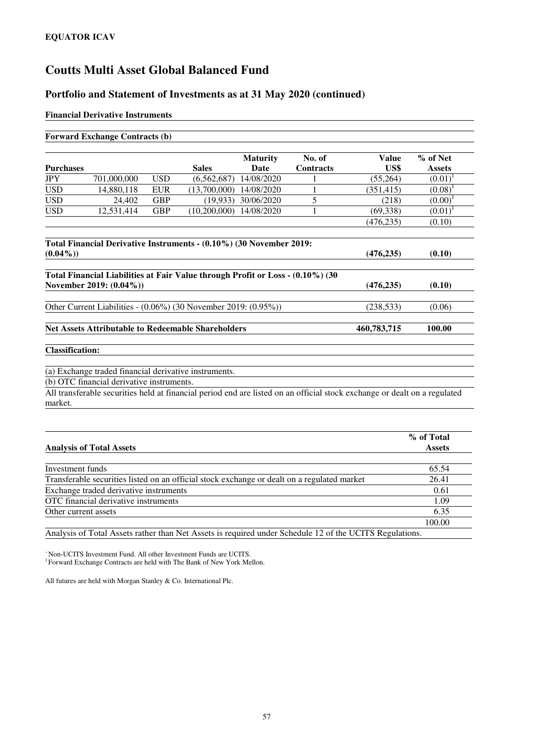#### **Portfolio and Statement of Investments as at 31 May 2020 (continued)**

#### **Financial Derivative Instruments**

| <b>Purchases</b>       |                                                                     |            | <b>Sales</b>                | <b>Maturity</b><br><b>Date</b> | No. of<br><b>Contracts</b> | <b>Value</b><br>US\$                                                                                                      | % of Net<br><b>Assets</b> |
|------------------------|---------------------------------------------------------------------|------------|-----------------------------|--------------------------------|----------------------------|---------------------------------------------------------------------------------------------------------------------------|---------------------------|
| <b>JPY</b>             | 701,000,000                                                         | <b>USD</b> | (6, 562, 687)               | 14/08/2020                     |                            | (55,264)                                                                                                                  | $(0.01)^1$                |
| <b>USD</b>             | 14,880,118                                                          | <b>EUR</b> | $(13,700,000)$ $14/08/2020$ |                                |                            | (351, 415)                                                                                                                | $(0.08)^1$                |
| <b>USD</b>             | 24,402                                                              | <b>GBP</b> | (19, 933)                   | 30/06/2020                     | 5                          | (218)                                                                                                                     | (0.00)                    |
| <b>USD</b>             | 12,531,414                                                          | <b>GBP</b> | (10,200,000)                | 14/08/2020                     |                            | (69, 338)                                                                                                                 | $(0.01)^1$                |
|                        |                                                                     |            |                             |                                |                            | (476, 235)                                                                                                                | (0.10)                    |
|                        | Total Financial Derivative Instruments - (0.10%) (30 November 2019: |            |                             |                                |                            |                                                                                                                           |                           |
| $(0.04\%)$             |                                                                     |            |                             |                                |                            | (476, 235)                                                                                                                | (0.10)                    |
|                        | Other Current Liabilities - (0.06%) (30 November 2019: (0.95%))     |            |                             |                                |                            | (238, 533)                                                                                                                | (0.06)                    |
|                        |                                                                     |            |                             |                                |                            |                                                                                                                           |                           |
|                        | <b>Net Assets Attributable to Redeemable Shareholders</b>           |            |                             |                                |                            | 460,783,715                                                                                                               | 100.00                    |
|                        |                                                                     |            |                             |                                |                            |                                                                                                                           |                           |
| <b>Classification:</b> |                                                                     |            |                             |                                |                            |                                                                                                                           |                           |
|                        | (a) Exchange traded financial derivative instruments.               |            |                             |                                |                            |                                                                                                                           |                           |
|                        | (b) OTC financial derivative instruments.                           |            |                             |                                |                            | All transferable securities held at financial period end are listed on an official stock exchange or dealt on a regulated |                           |

| % of Total    |
|---------------|
| <b>Assets</b> |
|               |
| 65.54         |
| 26.41         |
| 0.61          |
| 1.09          |
| 6.35          |
| 100.00        |
|               |

Analysis of Total Assets rather than Net Assets is required under Schedule 12 of the UCITS Regulations.

<sup>~</sup>Non-UCITS Investment Fund. All other Investment Funds are UCITS. 1 Forward Exchange Contracts are held with The Bank of New York Mellon.

All futures are held with Morgan Stanley & Co. International Plc.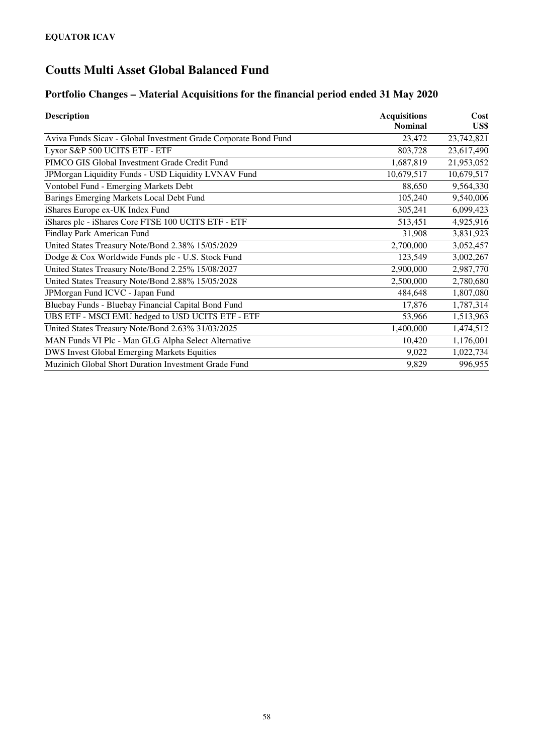### **Portfolio Changes – Material Acquisitions for the financial period ended 31 May 2020**

| <b>Description</b>                                              | <b>Acquisitions</b> | Cost       |
|-----------------------------------------------------------------|---------------------|------------|
|                                                                 | <b>Nominal</b>      | US\$       |
| Aviva Funds Sicav - Global Investment Grade Corporate Bond Fund | 23,472              | 23,742,821 |
| Lyxor S&P 500 UCITS ETF - ETF                                   | 803,728             | 23,617,490 |
| PIMCO GIS Global Investment Grade Credit Fund                   | 1,687,819           | 21,953,052 |
| JPMorgan Liquidity Funds - USD Liquidity LVNAV Fund             | 10,679,517          | 10,679,517 |
| Vontobel Fund - Emerging Markets Debt                           | 88,650              | 9,564,330  |
| Barings Emerging Markets Local Debt Fund                        | 105,240             | 9,540,006  |
| iShares Europe ex-UK Index Fund                                 | 305,241             | 6,099,423  |
| iShares plc - iShares Core FTSE 100 UCITS ETF - ETF             | 513,451             | 4,925,916  |
| Findlay Park American Fund                                      | 31,908              | 3,831,923  |
| United States Treasury Note/Bond 2.38% 15/05/2029               | 2,700,000           | 3,052,457  |
| Dodge & Cox Worldwide Funds plc - U.S. Stock Fund               | 123,549             | 3,002,267  |
| United States Treasury Note/Bond 2.25% 15/08/2027               | 2,900,000           | 2,987,770  |
| United States Treasury Note/Bond 2.88% 15/05/2028               | 2,500,000           | 2,780,680  |
| JPMorgan Fund ICVC - Japan Fund                                 | 484,648             | 1,807,080  |
| Bluebay Funds - Bluebay Financial Capital Bond Fund             | 17,876              | 1,787,314  |
| UBS ETF - MSCI EMU hedged to USD UCITS ETF - ETF                | 53,966              | 1,513,963  |
| United States Treasury Note/Bond 2.63% 31/03/2025               | 1,400,000           | 1,474,512  |
| MAN Funds VI Plc - Man GLG Alpha Select Alternative             | 10,420              | 1,176,001  |
| <b>DWS Invest Global Emerging Markets Equities</b>              | 9,022               | 1,022,734  |
| Muzinich Global Short Duration Investment Grade Fund            | 9,829               | 996,955    |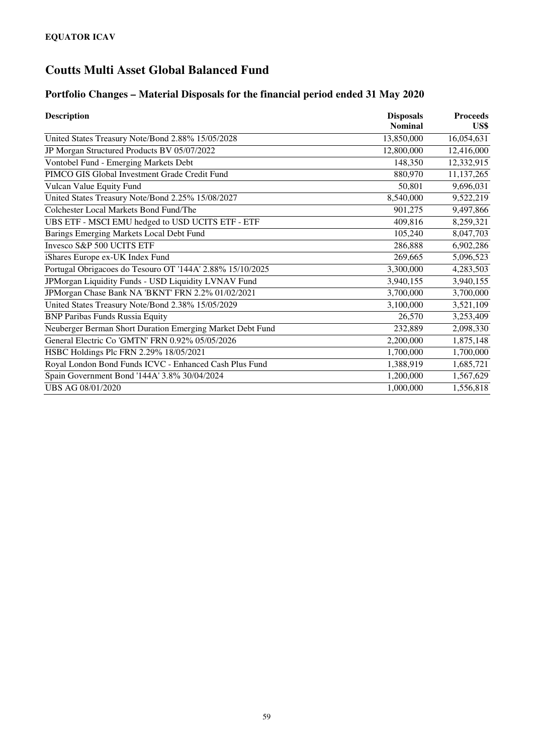### **Portfolio Changes – Material Disposals for the financial period ended 31 May 2020**

| <b>Description</b>                                        | <b>Disposals</b> | <b>Proceeds</b><br>US\$<br>16,054,631<br>12,416,000<br>12,332,915<br>11,137,265<br>9,696,031<br>9,522,219<br>9,497,866<br>8,259,321 |
|-----------------------------------------------------------|------------------|-------------------------------------------------------------------------------------------------------------------------------------|
|                                                           | <b>Nominal</b>   |                                                                                                                                     |
| United States Treasury Note/Bond 2.88% 15/05/2028         | 13,850,000       |                                                                                                                                     |
| JP Morgan Structured Products BV 05/07/2022               | 12,800,000       |                                                                                                                                     |
| Vontobel Fund - Emerging Markets Debt                     | 148,350          |                                                                                                                                     |
| PIMCO GIS Global Investment Grade Credit Fund             | 880,970          |                                                                                                                                     |
| Vulcan Value Equity Fund                                  | 50,801           |                                                                                                                                     |
| United States Treasury Note/Bond 2.25% 15/08/2027         | 8,540,000        |                                                                                                                                     |
| Colchester Local Markets Bond Fund/The                    | 901,275          |                                                                                                                                     |
| UBS ETF - MSCI EMU hedged to USD UCITS ETF - ETF          | 409,816          |                                                                                                                                     |
| Barings Emerging Markets Local Debt Fund                  | 105,240          | 8,047,703                                                                                                                           |
| Invesco S&P 500 UCITS ETF                                 | 286,888          | 6,902,286                                                                                                                           |
| iShares Europe ex-UK Index Fund                           | 269,665          | 5,096,523                                                                                                                           |
| Portugal Obrigacoes do Tesouro OT '144A' 2.88% 15/10/2025 | 3,300,000        | 4,283,503                                                                                                                           |
| JPMorgan Liquidity Funds - USD Liquidity LVNAV Fund       | 3,940,155        | 3,940,155                                                                                                                           |
| JPMorgan Chase Bank NA 'BKNT' FRN 2.2% 01/02/2021         | 3,700,000        | 3,700,000                                                                                                                           |
| United States Treasury Note/Bond 2.38% 15/05/2029         | 3,100,000        | 3,521,109                                                                                                                           |
| <b>BNP Paribas Funds Russia Equity</b>                    | 26,570           | 3,253,409                                                                                                                           |
| Neuberger Berman Short Duration Emerging Market Debt Fund | 232,889          | 2,098,330                                                                                                                           |
| General Electric Co 'GMTN' FRN 0.92% 05/05/2026           | 2,200,000        | 1,875,148                                                                                                                           |
| HSBC Holdings Plc FRN 2.29% 18/05/2021                    | 1,700,000        | 1,700,000                                                                                                                           |
| Royal London Bond Funds ICVC - Enhanced Cash Plus Fund    | 1,388,919        | 1,685,721                                                                                                                           |
| Spain Government Bond '144A' 3.8% 30/04/2024              | 1,200,000        | 1,567,629                                                                                                                           |
| UBS AG 08/01/2020                                         | 1,000,000        | 1,556,818                                                                                                                           |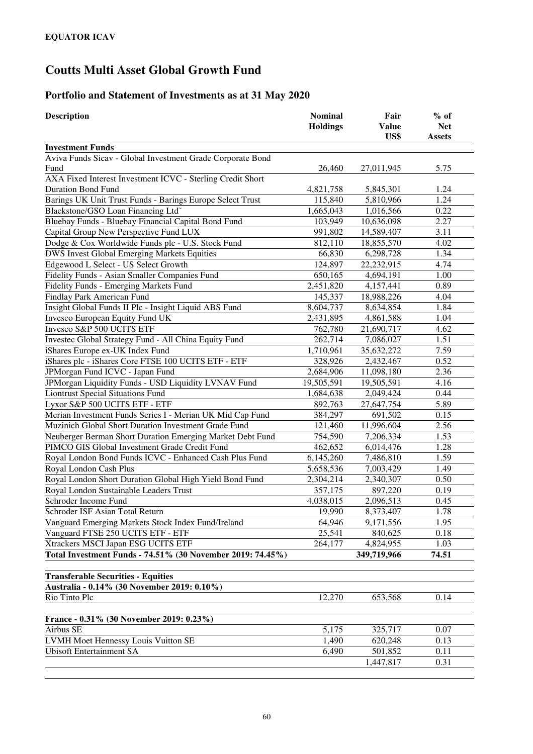### **Portfolio and Statement of Investments as at 31 May 2020**

| <b>Description</b>                                                 | <b>Nominal</b><br><b>Holdings</b> | Fair<br><b>Value</b><br>US\$ | $%$ of<br><b>Net</b><br><b>Assets</b> |
|--------------------------------------------------------------------|-----------------------------------|------------------------------|---------------------------------------|
| <b>Investment Funds</b>                                            |                                   |                              |                                       |
| Aviva Funds Sicav - Global Investment Grade Corporate Bond<br>Fund | 26,460                            | 27,011,945                   | 5.75                                  |
| AXA Fixed Interest Investment ICVC - Sterling Credit Short         |                                   |                              |                                       |
| <b>Duration Bond Fund</b>                                          | 4,821,758                         | 5,845,301                    | 1.24                                  |
| Barings UK Unit Trust Funds - Barings Europe Select Trust          | 115,840                           | 5,810,966                    | 1.24                                  |
| Blackstone/GSO Loan Financing Ltd <sup>®</sup>                     | 1,665,043                         | 1,016,566                    | 0.22                                  |
| Bluebay Funds - Bluebay Financial Capital Bond Fund                | 103,949                           | 10,636,098                   | 2.27                                  |
| Capital Group New Perspective Fund LUX                             | 991,802                           | 14,589,407                   | 3.11                                  |
| Dodge & Cox Worldwide Funds plc - U.S. Stock Fund                  | 812,110                           | 18,855,570                   | 4.02                                  |
| DWS Invest Global Emerging Markets Equities                        | 66,830                            | 6,298,728                    | 1.34                                  |
| Edgewood L Select - US Select Growth                               | 124,897                           | 22,232,915                   | 4.74                                  |
| Fidelity Funds - Asian Smaller Companies Fund                      | 650,165                           | 4,694,191                    | 1.00                                  |
| Fidelity Funds - Emerging Markets Fund                             | 2,451,820                         | 4,157,441                    | 0.89                                  |
| Findlay Park American Fund                                         | 145,337                           | 18,988,226                   | 4.04                                  |
| Insight Global Funds II Plc - Insight Liquid ABS Fund              | 8,604,737                         | 8,634,854                    | 1.84                                  |
| Invesco European Equity Fund UK                                    | 2,431,895                         | 4,861,588                    | 1.04                                  |
| Invesco S&P 500 UCITS ETF                                          | 762,780                           | 21,690,717                   | 4.62                                  |
| Investec Global Strategy Fund - All China Equity Fund              | 262,714                           | 7,086,027                    | 1.51                                  |
| iShares Europe ex-UK Index Fund                                    | 1,710,961                         | 35,632,272                   | 7.59                                  |
| iShares plc - iShares Core FTSE 100 UCITS ETF - ETF                | 328,926                           | 2,432,467                    | 0.52                                  |
| JPMorgan Fund ICVC - Japan Fund                                    | 2,684,906                         | 11,098,180                   | 2.36                                  |
| JPMorgan Liquidity Funds - USD Liquidity LVNAV Fund                | 19,505,591                        | 19,505,591                   | 4.16                                  |
| <b>Liontrust Special Situations Fund</b>                           | 1,684,638                         | 2,049,424                    | 0.44                                  |
| Lyxor S&P 500 UCITS ETF - ETF                                      | 892,763                           | 27,647,754                   | 5.89                                  |
| Merian Investment Funds Series I - Merian UK Mid Cap Fund          | 384,297                           | 691,502                      | 0.15                                  |
| Muzinich Global Short Duration Investment Grade Fund               | 121,460                           | 11,996,604                   | 2.56                                  |
| Neuberger Berman Short Duration Emerging Market Debt Fund          | 754,590                           | 7,206,334                    | 1.53                                  |
| PIMCO GIS Global Investment Grade Credit Fund                      | 462,652                           | 6,014,476                    | 1.28                                  |
| Royal London Bond Funds ICVC - Enhanced Cash Plus Fund             | 6,145,260                         | 7,486,810                    | 1.59                                  |
| Royal London Cash Plus                                             | 5,658,536                         | 7,003,429                    | 1.49                                  |
| Royal London Short Duration Global High Yield Bond Fund            | 2,304,214                         | 2,340,307                    | 0.50                                  |
| Royal London Sustainable Leaders Trust                             | 357,175                           | 897,220                      | 0.19                                  |
| Schroder Income Fund                                               | 4,038,015                         | 2,096,513                    | 0.45                                  |
| Schroder ISF Asian Total Return                                    | 19,990                            | 8,373,407                    | 1.78                                  |
| Vanguard Emerging Markets Stock Index Fund/Ireland                 | 64,946                            | 9,171,556                    | 1.95                                  |
| Vanguard FTSE 250 UCITS ETF - ETF                                  | 25,541                            | 840,625                      | 0.18                                  |
| Xtrackers MSCI Japan ESG UCITS ETF                                 | 264,177                           | 4,824,955                    | 1.03                                  |
| Total Investment Funds - 74.51% (30 November 2019: 74.45%)         |                                   | 349,719,966                  | 74.51                                 |
| <b>Transferable Securities - Equities</b>                          |                                   |                              |                                       |
| Australia - 0.14% (30 November 2019: 0.10%)                        |                                   |                              |                                       |
| Rio Tinto Plc                                                      | 12,270                            | 653,568                      | 0.14                                  |
| France - 0.31% (30 November 2019: 0.23%)                           |                                   |                              |                                       |
| Airbus SE                                                          | 5,175                             | 325,717                      | 0.07                                  |
| LVMH Moet Hennessy Louis Vuitton SE                                | 1,490                             | 620,248                      | 0.13                                  |
| <b>Ubisoft Entertainment SA</b>                                    | 6,490                             | 501,852                      | 0.11                                  |
|                                                                    |                                   | 1,447,817                    | 0.31                                  |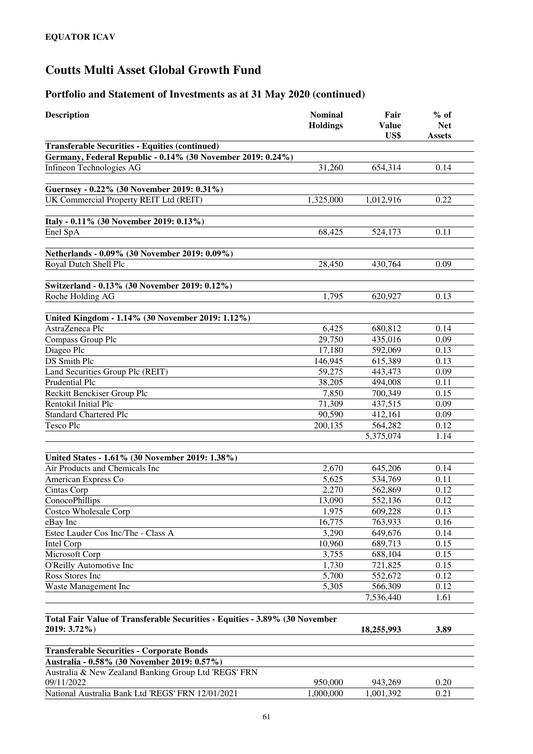| <b>Description</b>                                                          | <b>Nominal</b><br><b>Holdings</b> | Fair<br><b>Value</b><br>US\$ | $%$ of<br><b>Net</b><br><b>Assets</b> |
|-----------------------------------------------------------------------------|-----------------------------------|------------------------------|---------------------------------------|
| <b>Transferable Securities - Equities (continued)</b>                       |                                   |                              |                                       |
| Germany, Federal Republic - 0.14% (30 November 2019: 0.24%)                 |                                   |                              |                                       |
| Infineon Technologies AG                                                    | 31,260                            | 654,314                      | 0.14                                  |
|                                                                             |                                   |                              |                                       |
| Guernsey - 0.22% (30 November 2019: 0.31%)                                  |                                   |                              |                                       |
| UK Commercial Property REIT Ltd (REIT)                                      | 1,325,000                         | 1,012,916                    | 0.22                                  |
| Italy - 0.11% (30 November 2019: 0.13%)                                     |                                   |                              |                                       |
| Enel SpA                                                                    | 68,425                            | 524,173                      | 0.11                                  |
|                                                                             |                                   |                              |                                       |
| Netherlands - 0.09% (30 November 2019: 0.09%)                               |                                   |                              |                                       |
| Royal Dutch Shell Plc                                                       | 28,450                            | 430,764                      | 0.09                                  |
| Switzerland - 0.13% (30 November 2019: 0.12%)                               |                                   |                              |                                       |
| Roche Holding AG                                                            | 1,795                             | 620,927                      | 0.13                                  |
| United Kingdom - 1.14% (30 November 2019: 1.12%)                            |                                   |                              |                                       |
| AstraZeneca Plc                                                             | 6,425                             | 680,812                      | 0.14                                  |
| Compass Group Plc                                                           | 29,750                            | 435,016                      | 0.09                                  |
| Diageo Plc                                                                  | 17,180                            | 592,069                      | 0.13                                  |
| DS Smith Plc                                                                | 146,945                           | 615,389                      | 0.13                                  |
| Land Securities Group Plc (REIT)                                            | 59,275                            | 443,473                      | 0.09                                  |
| Prudential Plc                                                              | 38,205                            | 494,008                      | 0.11                                  |
| Reckitt Benckiser Group Plc                                                 | 7,850                             | 700,349                      | 0.15                                  |
| Rentokil Initial Plc                                                        | 71,309                            | 437,515                      | 0.09                                  |
| <b>Standard Chartered Plc</b>                                               | 90,590                            | 412,161                      | 0.09                                  |
| <b>Tesco Plc</b>                                                            | 200,135                           | 564,282                      | 0.12                                  |
|                                                                             |                                   | 5,375,074                    | 1.14                                  |
| United States - 1.61% (30 November 2019: 1.38%)                             |                                   |                              |                                       |
| Air Products and Chemicals Inc                                              | 2,670                             | 645,206                      | 0.14                                  |
| American Express Co                                                         | 5,625                             | 534,769                      | 0.11                                  |
| Cintas Corp                                                                 | 2,270                             | 562,869                      | 0.12                                  |
| ConocoPhillips                                                              | 13,090                            | 552,136                      | 0.12                                  |
| Costco Wholesale Corp                                                       | 1,975                             | 609,228                      | 0.13                                  |
| eBay Inc                                                                    | 16,775                            | 763,933                      | 0.16                                  |
| Estee Lauder Cos Inc/The - Class A                                          | 3,290                             | 649,676                      | 0.14                                  |
| Intel Corp                                                                  | 10,960                            | 689,713                      | 0.15                                  |
| Microsoft Corp                                                              | 3,755                             | 688,104                      | 0.15                                  |
| O'Reilly Automotive Inc                                                     | 1,730                             | 721,825                      | 0.15                                  |
| Ross Stores Inc                                                             | 5,700                             | 552,672                      | 0.12                                  |
| Waste Management Inc                                                        | 5,305                             | 566,309<br>7,536,440         | 0.12<br>1.61                          |
|                                                                             |                                   |                              |                                       |
| Total Fair Value of Transferable Securities - Equities - 3.89% (30 November |                                   |                              |                                       |
| 2019: 3.72%)                                                                |                                   | 18,255,993                   | 3.89                                  |
| <b>Transferable Securities - Corporate Bonds</b>                            |                                   |                              |                                       |
| Australia - 0.58% (30 November 2019: 0.57%)                                 |                                   |                              |                                       |
| Australia & New Zealand Banking Group Ltd 'REGS' FRN                        |                                   |                              |                                       |
| 09/11/2022                                                                  | 950,000                           | 943,269                      | 0.20                                  |
| National Australia Bank Ltd 'REGS' FRN 12/01/2021                           | 1,000,000                         | 1,001,392                    | 0.21                                  |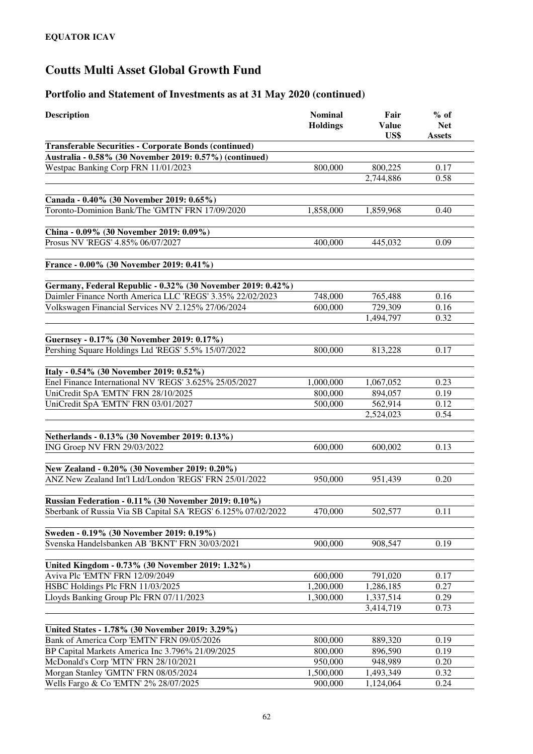| <b>Description</b>                                                                                      | <b>Nominal</b><br><b>Holdings</b> | Fair<br><b>Value</b><br>US\$ | $%$ of<br><b>Net</b><br><b>Assets</b> |
|---------------------------------------------------------------------------------------------------------|-----------------------------------|------------------------------|---------------------------------------|
| <b>Transferable Securities - Corporate Bonds (continued)</b>                                            |                                   |                              |                                       |
| Australia - 0.58% (30 November 2019: 0.57%) (continued)                                                 |                                   |                              |                                       |
| Westpac Banking Corp FRN 11/01/2023                                                                     | 800,000                           | 800,225                      | 0.17                                  |
|                                                                                                         |                                   | 2,744,886                    | 0.58                                  |
|                                                                                                         |                                   |                              |                                       |
| Canada - 0.40% (30 November 2019: 0.65%)                                                                |                                   |                              |                                       |
| Toronto-Dominion Bank/The 'GMTN' FRN 17/09/2020                                                         | 1,858,000                         | 1,859,968                    | 0.40                                  |
|                                                                                                         |                                   |                              |                                       |
| China - 0.09% (30 November 2019: 0.09%)                                                                 |                                   |                              |                                       |
| Prosus NV 'REGS' 4.85% 06/07/2027                                                                       | 400,000                           | 445,032                      | 0.09                                  |
|                                                                                                         |                                   |                              |                                       |
| France - 0.00% (30 November 2019: 0.41%)                                                                |                                   |                              |                                       |
|                                                                                                         |                                   |                              |                                       |
| Germany, Federal Republic - 0.32% (30 November 2019: 0.42%)                                             |                                   |                              |                                       |
| Daimler Finance North America LLC 'REGS' 3.35% 22/02/2023                                               | 748,000                           | 765,488                      | 0.16                                  |
| Volkswagen Financial Services NV 2.125% 27/06/2024                                                      | 600,000                           | 729,309                      | 0.16                                  |
|                                                                                                         |                                   | 1,494,797                    | 0.32                                  |
|                                                                                                         |                                   |                              |                                       |
| Guernsey - 0.17% (30 November 2019: 0.17%)                                                              |                                   |                              |                                       |
| Pershing Square Holdings Ltd 'REGS' 5.5% 15/07/2022                                                     | 800,000                           | 813,228                      | 0.17                                  |
|                                                                                                         |                                   |                              |                                       |
| Italy - 0.54% (30 November 2019: 0.52%)                                                                 |                                   |                              |                                       |
| Enel Finance International NV 'REGS' 3.625% 25/05/2027                                                  | 1,000,000                         | 1,067,052                    | 0.23                                  |
| UniCredit SpA 'EMTN' FRN 28/10/2025                                                                     | 800,000                           | 894,057                      | 0.19                                  |
| UniCredit SpA 'EMTN' FRN 03/01/2027                                                                     | 500,000                           | 562,914                      | 0.12                                  |
|                                                                                                         |                                   | 2,524,023                    | 0.54                                  |
|                                                                                                         |                                   |                              |                                       |
| Netherlands - 0.13% (30 November 2019: 0.13%)                                                           |                                   |                              |                                       |
| ING Groep NV FRN 29/03/2022                                                                             | 600,000                           | 600,002                      | 0.13                                  |
|                                                                                                         |                                   |                              |                                       |
| New Zealand - 0.20% (30 November 2019: 0.20%)<br>ANZ New Zealand Int'l Ltd/London 'REGS' FRN 25/01/2022 | 950,000                           | 951,439                      | 0.20                                  |
|                                                                                                         |                                   |                              |                                       |
| Russian Federation - 0.11% (30 November 2019: 0.10%)                                                    |                                   |                              |                                       |
| Sberbank of Russia Via SB Capital SA 'REGS' 6.125% 07/02/2022                                           | 470,000                           | 502,577                      | 0.11                                  |
|                                                                                                         |                                   |                              |                                       |
| Sweden - 0.19% (30 November 2019: 0.19%)                                                                |                                   |                              |                                       |
| Svenska Handelsbanken AB 'BKNT' FRN 30/03/2021                                                          | 900,000                           | 908,547                      | 0.19                                  |
|                                                                                                         |                                   |                              |                                       |
| United Kingdom - 0.73% (30 November 2019: 1.32%)                                                        |                                   |                              |                                       |
| Aviva Plc 'EMTN' FRN 12/09/2049                                                                         | 600,000                           | 791,020                      | 0.17                                  |
| HSBC Holdings Plc FRN 11/03/2025                                                                        | 1,200,000                         | 1,286,185                    | 0.27                                  |
| Lloyds Banking Group Plc FRN 07/11/2023                                                                 | 1,300,000                         | 1,337,514                    | 0.29                                  |
|                                                                                                         |                                   | 3,414,719                    | 0.73                                  |
|                                                                                                         |                                   |                              |                                       |
| United States - 1.78% (30 November 2019: 3.29%)                                                         |                                   |                              |                                       |
| Bank of America Corp 'EMTN' FRN 09/05/2026                                                              | 800,000                           | 889,320                      | 0.19                                  |
| BP Capital Markets America Inc 3.796% 21/09/2025                                                        | 800,000                           | 896,590                      | 0.19                                  |
| McDonald's Corp 'MTN' FRN 28/10/2021                                                                    | 950,000                           | 948,989                      | 0.20                                  |
| Morgan Stanley 'GMTN' FRN 08/05/2024                                                                    | 1,500,000                         | 1,493,349                    | 0.32                                  |
| Wells Fargo & Co 'EMTN' 2% 28/07/2025                                                                   | 900,000                           | 1,124,064                    | 0.24                                  |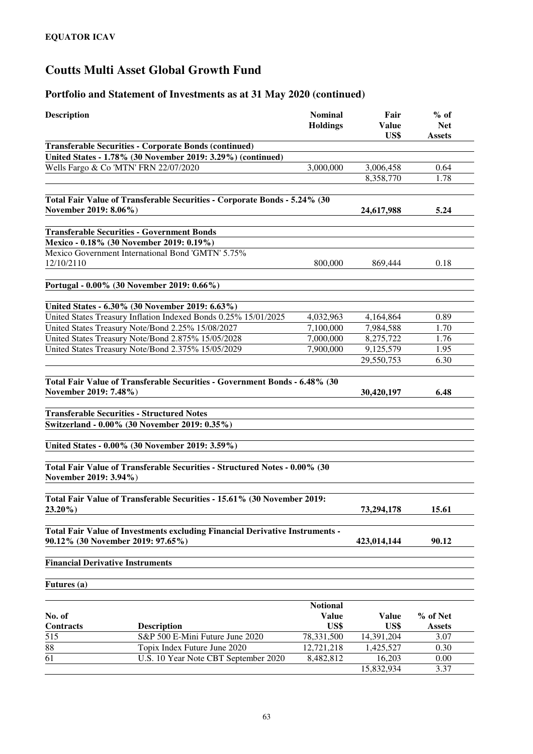#### **Portfolio and Statement of Investments as at 31 May 2020 (continued)**

| <b>Description</b>    |                                                                              | <b>Nominal</b><br><b>Holdings</b> | Fair<br><b>Value</b> | $%$ of<br><b>Net</b> |
|-----------------------|------------------------------------------------------------------------------|-----------------------------------|----------------------|----------------------|
|                       |                                                                              |                                   | US\$                 | <b>Assets</b>        |
|                       | <b>Transferable Securities - Corporate Bonds (continued)</b>                 |                                   |                      |                      |
|                       | United States - 1.78% (30 November 2019: 3.29%) (continued)                  |                                   |                      |                      |
|                       | Wells Fargo & Co 'MTN' FRN 22/07/2020                                        | 3,000,000                         | 3,006,458            | 0.64                 |
|                       |                                                                              |                                   | 8,358,770            | 1.78                 |
| November 2019: 8.06%) | Total Fair Value of Transferable Securities - Corporate Bonds - 5.24% (30    |                                   | 24,617,988           | 5.24                 |
|                       |                                                                              |                                   |                      |                      |
|                       | <b>Transferable Securities - Government Bonds</b>                            |                                   |                      |                      |
|                       | Mexico - 0.18% (30 November 2019: 0.19%)                                     |                                   |                      |                      |
|                       | Mexico Government International Bond 'GMTN' 5.75%                            |                                   |                      |                      |
| 12/10/2110            |                                                                              | 800,000                           | 869,444              | 0.18                 |
|                       |                                                                              |                                   |                      |                      |
|                       | Portugal - 0.00% (30 November 2019: 0.66%)                                   |                                   |                      |                      |
|                       | United States - 6.30% (30 November 2019: 6.63%)                              |                                   |                      |                      |
|                       | United States Treasury Inflation Indexed Bonds 0.25% 15/01/2025              | 4,032,963                         | 4,164,864            | 0.89                 |
|                       | United States Treasury Note/Bond 2.25% 15/08/2027                            | 7,100,000                         | 7,984,588            | 1.70                 |
|                       | United States Treasury Note/Bond 2.875% 15/05/2028                           | 7,000,000                         | 8,275,722            | 1.76                 |
|                       | United States Treasury Note/Bond 2.375% 15/05/2029                           | 7,900,000                         | 9,125,579            | 1.95                 |
|                       |                                                                              |                                   | 29,550,753           | 6.30                 |
|                       |                                                                              |                                   |                      |                      |
| November 2019: 7.48%) | Total Fair Value of Transferable Securities - Government Bonds - 6.48% (30   |                                   |                      | 6.48                 |
|                       |                                                                              |                                   | 30,420,197           |                      |
|                       | <b>Transferable Securities - Structured Notes</b>                            |                                   |                      |                      |
|                       | Switzerland - 0.00% (30 November 2019: 0.35%)                                |                                   |                      |                      |
|                       |                                                                              |                                   |                      |                      |
|                       | United States - 0.00% (30 November 2019: 3.59%)                              |                                   |                      |                      |
|                       | Total Fair Value of Transferable Securities - Structured Notes - 0.00% (30   |                                   |                      |                      |
| November 2019: 3.94%) |                                                                              |                                   |                      |                      |
|                       |                                                                              |                                   |                      |                      |
|                       | Total Fair Value of Transferable Securities - 15.61% (30 November 2019:      |                                   |                      |                      |
| $23.20\%$ )           |                                                                              |                                   | 73,294,178           | <b>15.61</b>         |
|                       | Total Fair Value of Investments excluding Financial Derivative Instruments - |                                   |                      |                      |
|                       | 90.12% (30 November 2019: 97.65%)                                            |                                   | 423,014,144          | 90.12                |
|                       |                                                                              |                                   |                      |                      |
|                       | <b>Financial Derivative Instruments</b>                                      |                                   |                      |                      |
|                       |                                                                              |                                   |                      |                      |
| <b>Futures</b> (a)    |                                                                              |                                   |                      |                      |
|                       |                                                                              |                                   |                      |                      |
|                       |                                                                              | <b>Notional</b>                   |                      |                      |
| No. of                |                                                                              | <b>Value</b>                      | <b>Value</b>         | % of Net             |
| Contracts             | <b>Description</b>                                                           | US\$                              | US\$                 | <b>Assets</b>        |
| 515                   | S&P 500 E-Mini Future June 2020                                              | 78,331,500                        | 14,391,204           | 3.07                 |
| 88                    | Topix Index Future June 2020                                                 | 12,721,218                        | 1,425,527            | 0.30                 |

15,832,934 3.37

61 U.S. 10 Year Note CBT September 2020 8,482,812 16,203 0.00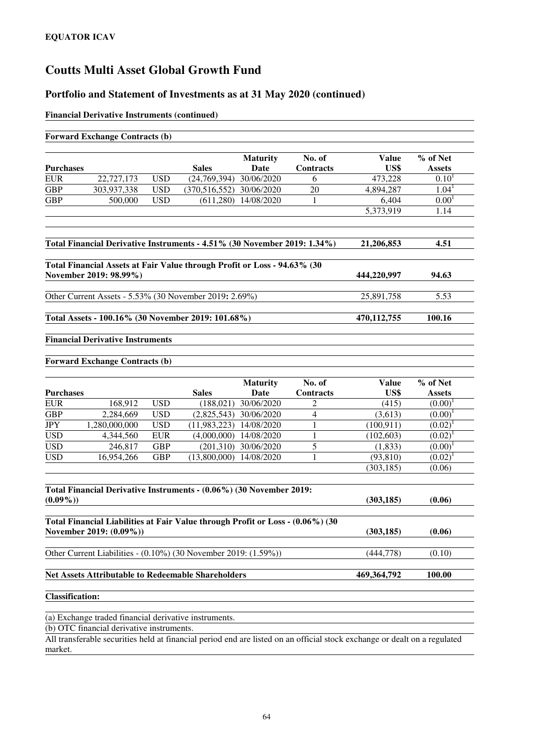#### **Portfolio and Statement of Investments as at 31 May 2020 (continued)**

#### **Financial Derivative Instruments (continued)**

|                          | <b>Forward Exchange Contracts (b)</b>                 |                          |                                                                                |                          |                            |                                                                                                                           |                            |
|--------------------------|-------------------------------------------------------|--------------------------|--------------------------------------------------------------------------------|--------------------------|----------------------------|---------------------------------------------------------------------------------------------------------------------------|----------------------------|
| <b>Purchases</b>         |                                                       |                          | <b>Sales</b>                                                                   | <b>Maturity</b><br>Date  | No. of<br><b>Contracts</b> | <b>Value</b><br>US\$                                                                                                      | % of Net<br><b>Assets</b>  |
| <b>EUR</b>               | 22,727,173                                            | <b>USD</b>               | (24,769,394)                                                                   | 30/06/2020               | 6                          | 473,228                                                                                                                   | $0.10^{1}$                 |
| <b>GBP</b>               | 303,937,338                                           | <b>USD</b>               | (370,516,552)                                                                  | 30/06/2020               | 20                         | 4,894,287                                                                                                                 | 1.04 <sup>1</sup>          |
| <b>GBP</b>               | 500,000                                               | <b>USD</b>               | (611,280)                                                                      | 14/08/2020               | 1                          | 6,404                                                                                                                     | 0.00 <sup>1</sup>          |
|                          |                                                       |                          |                                                                                |                          |                            | 5,373,919                                                                                                                 | 1.14                       |
|                          |                                                       |                          | Total Financial Derivative Instruments - 4.51% (30 November 2019: 1.34%)       |                          |                            | 21,206,853                                                                                                                | 4.51                       |
|                          | November 2019: 98.99%)                                |                          | Total Financial Assets at Fair Value through Profit or Loss - 94.63% (30       |                          |                            | 444,220,997                                                                                                               | 94.63                      |
|                          |                                                       |                          | Other Current Assets - 5.53% (30 November 2019: 2.69%)                         |                          |                            | 25,891,758                                                                                                                | 5.53                       |
|                          |                                                       |                          | Total Assets - 100.16% (30 November 2019: 101.68%)                             |                          |                            | 470,112,755                                                                                                               | 100.16                     |
|                          | <b>Financial Derivative Instruments</b>               |                          |                                                                                |                          |                            |                                                                                                                           |                            |
|                          | <b>Forward Exchange Contracts (b)</b>                 |                          |                                                                                |                          |                            |                                                                                                                           |                            |
|                          |                                                       |                          |                                                                                | <b>Maturity</b>          | No. of                     | <b>Value</b>                                                                                                              | % of Net                   |
| <b>Purchases</b>         |                                                       |                          | <b>Sales</b>                                                                   | Date                     | Contracts                  | US\$                                                                                                                      | <b>Assets</b>              |
| <b>EUR</b>               | 168,912                                               | <b>USD</b>               | (188, 021)                                                                     | 30/06/2020               | 2                          | (415)                                                                                                                     | $(0.00)^1$                 |
| <b>GBP</b>               | 2,284,669                                             | <b>USD</b>               | (2,825,543)                                                                    | 30/06/2020               | $\overline{4}$<br>1        | (3,613)                                                                                                                   | $(0.00)^1$                 |
| <b>JPY</b><br><b>USD</b> | 1,280,000,000<br>4,344,560                            | <b>USD</b><br><b>EUR</b> | (11,983,223)<br>(4,000,000)                                                    | 14/08/2020<br>14/08/2020 | 1                          | (100, 911)<br>(102, 603)                                                                                                  | $(0.02)^1$<br>$(0.02)^{1}$ |
| <b>USD</b>               | 246,817                                               | <b>GBP</b>               | (201,310)                                                                      | 30/06/2020               | 5                          | (1, 833)                                                                                                                  | $(0.00)^1$                 |
| <b>USD</b>               | 16,954,266                                            | <b>GBP</b>               | (13,800,000)                                                                   | 14/08/2020               | 1                          | (93, 810)                                                                                                                 | $(0.02)^1$                 |
|                          |                                                       |                          |                                                                                |                          |                            | (303, 185)                                                                                                                | (0.06)                     |
|                          |                                                       |                          | Total Financial Derivative Instruments - (0.06%) (30 November 2019:            |                          |                            |                                                                                                                           |                            |
| $(0.09\%)$               |                                                       |                          |                                                                                |                          |                            | (303, 185)                                                                                                                | (0.06)                     |
|                          | November 2019: (0.09%))                               |                          | Total Financial Liabilities at Fair Value through Profit or Loss - (0.06%) (30 |                          |                            | (303, 185)                                                                                                                | (0.06)                     |
|                          |                                                       |                          | Other Current Liabilities - (0.10%) (30 November 2019: (1.59%))                |                          |                            | (444, 778)                                                                                                                | (0.10)                     |
|                          |                                                       |                          | <b>Net Assets Attributable to Redeemable Shareholders</b>                      |                          |                            | 469,364,792                                                                                                               | 100.00                     |
| <b>Classification:</b>   |                                                       |                          |                                                                                |                          |                            |                                                                                                                           |                            |
|                          | (a) Exchange traded financial derivative instruments. |                          |                                                                                |                          |                            |                                                                                                                           |                            |
|                          | (b) OTC financial derivative instruments.             |                          |                                                                                |                          |                            |                                                                                                                           |                            |
|                          |                                                       |                          |                                                                                |                          |                            | All transferable securities held at financial period end are listed on an official stock exchange or dealt on a regulated |                            |

market.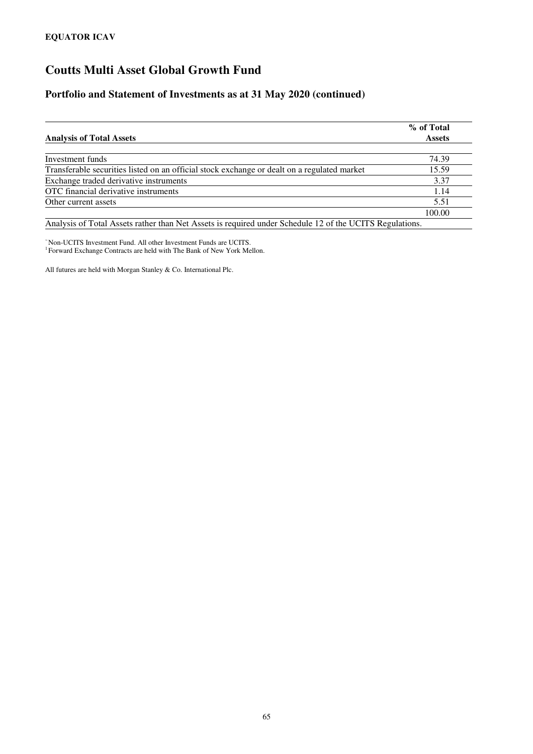#### **Portfolio and Statement of Investments as at 31 May 2020 (continued)**

| <b>Analysis of Total Assets</b>                                                             | % of Total<br><b>Assets</b> |
|---------------------------------------------------------------------------------------------|-----------------------------|
|                                                                                             |                             |
| Investment funds                                                                            | 74.39                       |
| Transferable securities listed on an official stock exchange or dealt on a regulated market | 15.59                       |
| Exchange traded derivative instruments                                                      | 3.37                        |
| OTC financial derivative instruments                                                        | 1.14                        |
| Other current assets                                                                        | 5.51                        |
|                                                                                             | 100.00                      |

Analysis of Total Assets rather than Net Assets is required under Schedule 12 of the UCITS Regulations.

<sup>~</sup>Non-UCITS Investment Fund. All other Investment Funds are UCITS. 1 Forward Exchange Contracts are held with The Bank of New York Mellon.

All futures are held with Morgan Stanley & Co. International Plc.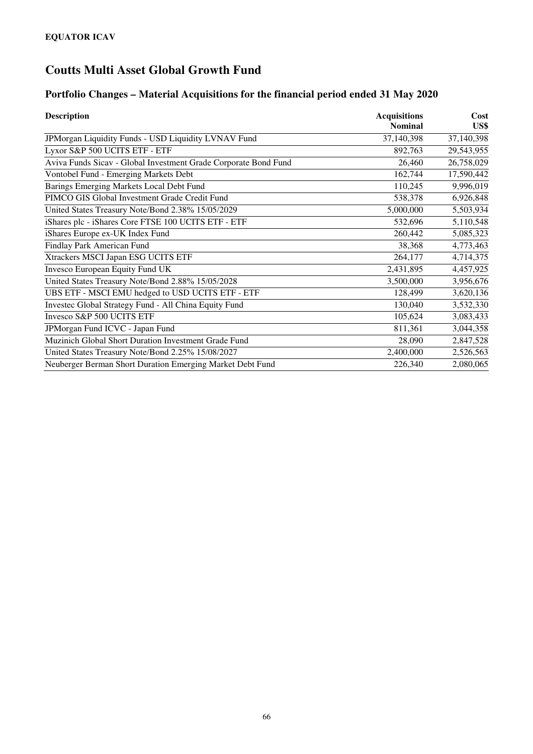### **Portfolio Changes – Material Acquisitions for the financial period ended 31 May 2020**

| <b>Description</b>                                              | <b>Acquisitions</b> | Cost       |
|-----------------------------------------------------------------|---------------------|------------|
|                                                                 | <b>Nominal</b>      | US\$       |
| JPMorgan Liquidity Funds - USD Liquidity LVNAV Fund             | 37,140,398          | 37,140,398 |
| Lyxor S&P 500 UCITS ETF - ETF                                   | 892,763             | 29,543,955 |
| Aviva Funds Sicav - Global Investment Grade Corporate Bond Fund | 26,460              | 26,758,029 |
| <b>Vontobel Fund - Emerging Markets Debt</b>                    | 162,744             | 17,590,442 |
| Barings Emerging Markets Local Debt Fund                        | 110,245             | 9,996,019  |
| PIMCO GIS Global Investment Grade Credit Fund                   | 538,378             | 6,926,848  |
| United States Treasury Note/Bond 2.38% 15/05/2029               | 5,000,000           | 5,503,934  |
| iShares plc - iShares Core FTSE 100 UCITS ETF - ETF             | 532,696             | 5,110,548  |
| iShares Europe ex-UK Index Fund                                 | 260,442             | 5,085,323  |
| Findlay Park American Fund                                      | 38,368              | 4,773,463  |
| Xtrackers MSCI Japan ESG UCITS ETF                              | 264,177             | 4,714,375  |
| Invesco European Equity Fund UK                                 | 2,431,895           | 4,457,925  |
| United States Treasury Note/Bond 2.88% 15/05/2028               | 3,500,000           | 3,956,676  |
| UBS ETF - MSCI EMU hedged to USD UCITS ETF - ETF                | 128,499             | 3,620,136  |
| Investec Global Strategy Fund - All China Equity Fund           | 130,040             | 3,532,330  |
| Invesco S&P 500 UCITS ETF                                       | 105,624             | 3,083,433  |
| JPMorgan Fund ICVC - Japan Fund                                 | 811,361             | 3,044,358  |
| Muzinich Global Short Duration Investment Grade Fund            | 28,090              | 2,847,528  |
| United States Treasury Note/Bond 2.25% 15/08/2027               | 2,400,000           | 2,526,563  |
| Neuberger Berman Short Duration Emerging Market Debt Fund       | 226,340             | 2,080,065  |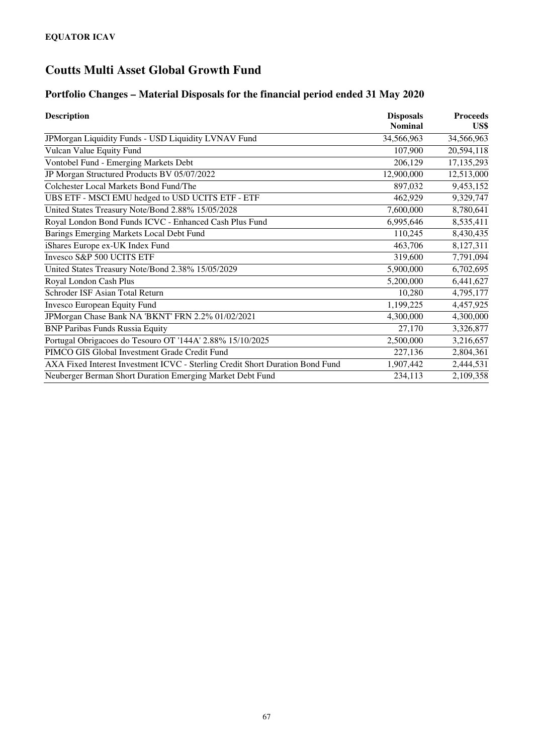### **Portfolio Changes – Material Disposals for the financial period ended 31 May 2020**

| <b>Description</b>                                                            | <b>Disposals</b> | <b>Proceeds</b> |
|-------------------------------------------------------------------------------|------------------|-----------------|
|                                                                               | <b>Nominal</b>   | US\$            |
| JPMorgan Liquidity Funds - USD Liquidity LVNAV Fund                           | 34,566,963       | 34,566,963      |
| Vulcan Value Equity Fund                                                      | 107,900          | 20,594,118      |
| Vontobel Fund - Emerging Markets Debt                                         | 206,129          | 17,135,293      |
| JP Morgan Structured Products BV 05/07/2022                                   | 12,900,000       | 12,513,000      |
| Colchester Local Markets Bond Fund/The                                        | 897,032          | 9,453,152       |
| UBS ETF - MSCI EMU hedged to USD UCITS ETF - ETF                              | 462,929          | 9,329,747       |
| United States Treasury Note/Bond 2.88% 15/05/2028                             | 7,600,000        | 8,780,641       |
| Royal London Bond Funds ICVC - Enhanced Cash Plus Fund                        | 6,995,646        | 8,535,411       |
| Barings Emerging Markets Local Debt Fund                                      | 110,245          | 8,430,435       |
| iShares Europe ex-UK Index Fund                                               | 463,706          | 8,127,311       |
| Invesco S&P 500 UCITS ETF                                                     | 319,600          | 7,791,094       |
| United States Treasury Note/Bond 2.38% 15/05/2029                             | 5,900,000        | 6,702,695       |
| Royal London Cash Plus                                                        | 5,200,000        | 6,441,627       |
| Schroder ISF Asian Total Return                                               | 10,280           | 4,795,177       |
| Invesco European Equity Fund                                                  | 1,199,225        | 4,457,925       |
| JPMorgan Chase Bank NA 'BKNT' FRN 2.2% 01/02/2021                             | 4,300,000        | 4,300,000       |
| <b>BNP Paribas Funds Russia Equity</b>                                        | 27,170           | 3,326,877       |
| Portugal Obrigacoes do Tesouro OT '144A' 2.88% 15/10/2025                     | 2,500,000        | 3,216,657       |
| PIMCO GIS Global Investment Grade Credit Fund                                 | 227,136          | 2,804,361       |
| AXA Fixed Interest Investment ICVC - Sterling Credit Short Duration Bond Fund | 1,907,442        | 2,444,531       |
| Neuberger Berman Short Duration Emerging Market Debt Fund                     | 234,113          | 2,109,358       |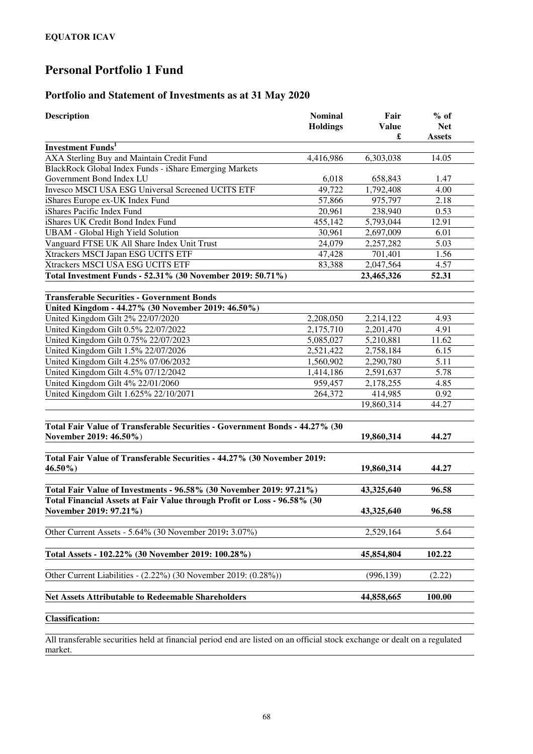## **Personal Portfolio 1 Fund**

#### **Portfolio and Statement of Investments as at 31 May 2020**

| <b>Description</b>                                                          | <b>Nominal</b><br><b>Holdings</b> | Fair<br><b>Value</b><br>£ | $%$ of<br><b>Net</b><br><b>Assets</b> |
|-----------------------------------------------------------------------------|-----------------------------------|---------------------------|---------------------------------------|
| <b>Investment Funds</b> <sup>1</sup>                                        |                                   |                           |                                       |
| AXA Sterling Buy and Maintain Credit Fund                                   | 4,416,986                         | 6,303,038                 | 14.05                                 |
| BlackRock Global Index Funds - iShare Emerging Markets                      |                                   |                           |                                       |
| Government Bond Index LU                                                    | 6,018                             | 658,843                   | 1.47                                  |
| Invesco MSCI USA ESG Universal Screened UCITS ETF                           | 49,722                            | 1,792,408                 | 4.00                                  |
| iShares Europe ex-UK Index Fund                                             | 57,866                            | 975,797                   | 2.18                                  |
| iShares Pacific Index Fund                                                  | 20,961                            | 238,940                   | 0.53                                  |
| iShares UK Credit Bond Index Fund                                           | 455,142                           | 5,793,044                 | 12.91                                 |
| <b>UBAM</b> - Global High Yield Solution                                    | 30,961                            | 2,697,009                 | 6.01                                  |
| Vanguard FTSE UK All Share Index Unit Trust                                 | 24,079                            | 2,257,282                 | 5.03                                  |
| Xtrackers MSCI Japan ESG UCITS ETF                                          | 47,428                            | 701,401                   | 1.56                                  |
| Xtrackers MSCI USA ESG UCITS ETF                                            | 83,388                            | 2,047,564                 | 4.57                                  |
| Total Investment Funds - 52.31% (30 November 2019: 50.71%)                  |                                   | 23,465,326                | 52.31                                 |
| <b>Transferable Securities - Government Bonds</b>                           |                                   |                           |                                       |
| United Kingdom - 44.27% (30 November 2019: 46.50%)                          |                                   |                           |                                       |
| United Kingdom Gilt 2% 22/07/2020                                           | 2,208,050                         | 2,214,122                 | 4.93                                  |
| United Kingdom Gilt 0.5% 22/07/2022                                         | 2,175,710                         | 2,201,470                 | 4.91                                  |
| United Kingdom Gilt 0.75% 22/07/2023                                        | 5,085,027                         | 5,210,881                 | 11.62                                 |
| United Kingdom Gilt 1.5% 22/07/2026                                         | 2,521,422                         | 2,758,184                 | 6.15                                  |
| United Kingdom Gilt 4.25% 07/06/2032                                        | 1,560,902                         | 2,290,780                 | 5.11                                  |
| United Kingdom Gilt 4.5% 07/12/2042                                         | 1,414,186                         | 2,591,637                 | 5.78                                  |
| United Kingdom Gilt 4% 22/01/2060                                           | 959,457                           | 2,178,255                 | 4.85                                  |
| United Kingdom Gilt 1.625% 22/10/2071                                       | 264,372                           | 414,985                   | 0.92                                  |
|                                                                             |                                   | 19,860,314                | 44.27                                 |
| Total Fair Value of Transferable Securities - Government Bonds - 44.27% (30 |                                   |                           |                                       |
| November 2019: 46.50%)                                                      |                                   | 19,860,314                | 44.27                                 |
| Total Fair Value of Transferable Securities - 44.27% (30 November 2019:     |                                   |                           |                                       |
| $46.50\%$                                                                   |                                   | 19,860,314                | 44.27                                 |
| Total Fair Value of Investments - 96.58% (30 November 2019: 97.21%)         |                                   | 43,325,640                | 96.58                                 |
| Total Financial Assets at Fair Value through Profit or Loss - 96.58% (30    |                                   |                           |                                       |
| November 2019: 97.21%)                                                      |                                   | 43,325,640                | 96.58                                 |
| Other Current Assets - 5.64% (30 November 2019: 3.07%)                      |                                   | 2,529,164                 | 5.64                                  |
| Total Assets - 102.22% (30 November 2019: 100.28%)                          |                                   | 45,854,804                | 102.22                                |
| Other Current Liabilities - (2.22%) (30 November 2019: (0.28%))             |                                   | (996, 139)                | (2.22)                                |
| <b>Net Assets Attributable to Redeemable Shareholders</b>                   |                                   | 44,858,665                | 100.00                                |
|                                                                             |                                   |                           |                                       |
| <b>Classification:</b>                                                      |                                   |                           |                                       |

All transferable securities held at financial period end are listed on an official stock exchange or dealt on a regulated market.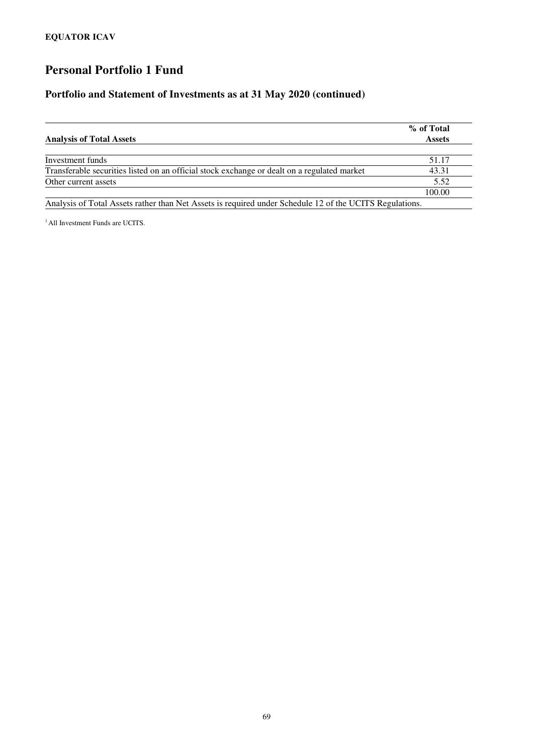## **Personal Portfolio 1 Fund**

#### **Portfolio and Statement of Investments as at 31 May 2020 (continued)**

| <b>Analysis of Total Assets</b>                                                                         | % of Total<br><b>Assets</b> |
|---------------------------------------------------------------------------------------------------------|-----------------------------|
|                                                                                                         |                             |
| Investment funds                                                                                        | 51.17                       |
| Transferable securities listed on an official stock exchange or dealt on a regulated market             | 43.31                       |
| Other current assets                                                                                    | 5.52                        |
|                                                                                                         | 100.00                      |
| Analysis of Total Assets rather than Net Assets is required under Schedule 12 of the UCITS Regulations. |                             |

<sup>1</sup> All Investment Funds are UCITS.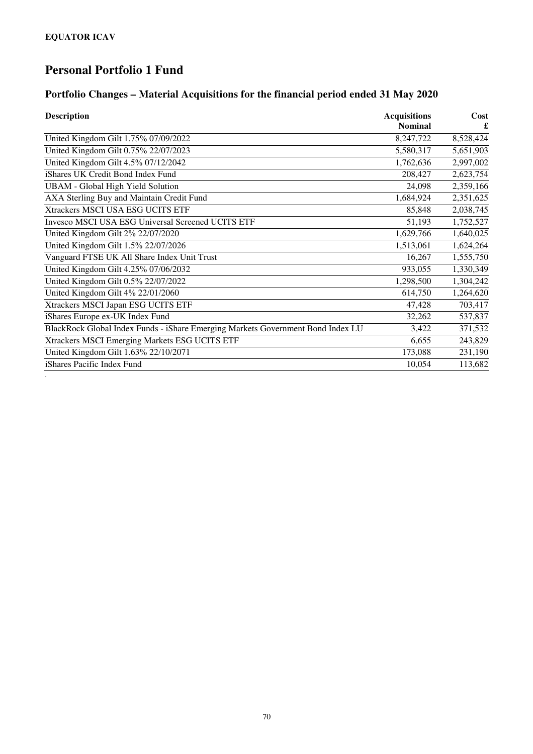*.*

## **Personal Portfolio 1 Fund**

### **Portfolio Changes – Material Acquisitions for the financial period ended 31 May 2020**

| <b>Description</b>                                                              | <b>Acquisitions</b><br><b>Nominal</b> | Cost      |
|---------------------------------------------------------------------------------|---------------------------------------|-----------|
|                                                                                 |                                       |           |
| United Kingdom Gilt 1.75% 07/09/2022                                            | 8,247,722                             | 8,528,424 |
| United Kingdom Gilt 0.75% 22/07/2023                                            | 5,580,317                             | 5,651,903 |
| United Kingdom Gilt 4.5% 07/12/2042                                             | 1,762,636                             | 2,997,002 |
| iShares UK Credit Bond Index Fund                                               | 208,427                               | 2,623,754 |
| <b>UBAM</b> - Global High Yield Solution                                        | 24,098                                | 2,359,166 |
| AXA Sterling Buy and Maintain Credit Fund                                       | 1,684,924                             | 2,351,625 |
| Xtrackers MSCI USA ESG UCITS ETF                                                | 85,848                                | 2,038,745 |
| Invesco MSCI USA ESG Universal Screened UCITS ETF                               | 51,193                                | 1,752,527 |
| United Kingdom Gilt 2% 22/07/2020                                               | 1,629,766                             | 1,640,025 |
| United Kingdom Gilt 1.5% 22/07/2026                                             | 1,513,061                             | 1,624,264 |
| Vanguard FTSE UK All Share Index Unit Trust                                     | 16,267                                | 1,555,750 |
| United Kingdom Gilt 4.25% 07/06/2032                                            | 933,055                               | 1,330,349 |
| United Kingdom Gilt 0.5% 22/07/2022                                             | 1,298,500                             | 1,304,242 |
| United Kingdom Gilt 4% 22/01/2060                                               | 614,750                               | 1,264,620 |
| Xtrackers MSCI Japan ESG UCITS ETF                                              | 47,428                                | 703,417   |
| iShares Europe ex-UK Index Fund                                                 | 32,262                                | 537,837   |
| BlackRock Global Index Funds - iShare Emerging Markets Government Bond Index LU | 3,422                                 | 371,532   |
| Xtrackers MSCI Emerging Markets ESG UCITS ETF                                   | 6,655                                 | 243,829   |
| United Kingdom Gilt 1.63% 22/10/2071                                            | 173,088                               | 231,190   |
| iShares Pacific Index Fund                                                      | 10,054                                | 113,682   |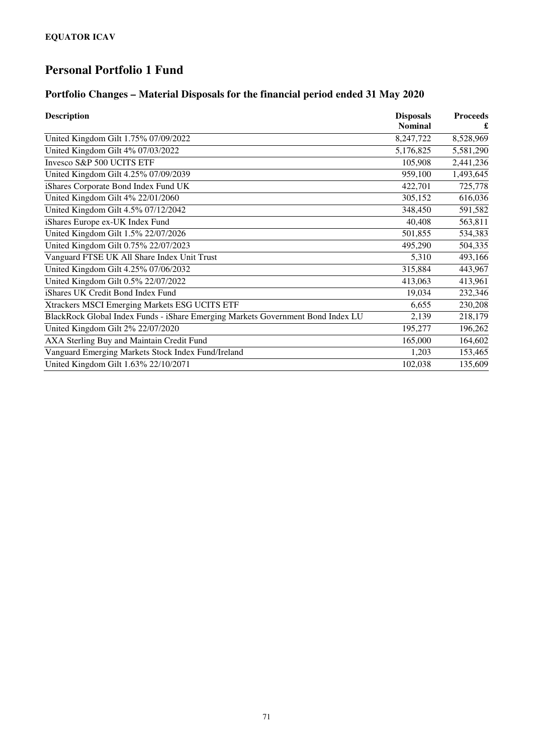## **Personal Portfolio 1 Fund**

### **Portfolio Changes – Material Disposals for the financial period ended 31 May 2020**

| <b>Description</b>                                                              | <b>Disposals</b><br><b>Nominal</b> | <b>Proceeds</b> |
|---------------------------------------------------------------------------------|------------------------------------|-----------------|
|                                                                                 |                                    |                 |
| United Kingdom Gilt 4% 07/03/2022                                               | 5,176,825                          | 5,581,290       |
| Invesco S&P 500 UCITS ETF                                                       | 105,908                            | 2,441,236       |
| United Kingdom Gilt 4.25% 07/09/2039                                            | 959,100                            | 1,493,645       |
| iShares Corporate Bond Index Fund UK                                            | 422,701                            | 725,778         |
| United Kingdom Gilt 4% 22/01/2060                                               | 305,152                            | 616,036         |
| United Kingdom Gilt 4.5% 07/12/2042                                             | 348,450                            | 591,582         |
| iShares Europe ex-UK Index Fund                                                 | 40,408                             | 563,811         |
| United Kingdom Gilt 1.5% 22/07/2026                                             | 501,855                            | 534,383         |
| United Kingdom Gilt 0.75% 22/07/2023                                            | 495,290                            | 504,335         |
| Vanguard FTSE UK All Share Index Unit Trust                                     | 5,310                              | 493,166         |
| United Kingdom Gilt 4.25% 07/06/2032                                            | 315,884                            | 443,967         |
| United Kingdom Gilt 0.5% 22/07/2022                                             | 413,063                            | 413,961         |
| iShares UK Credit Bond Index Fund                                               | 19,034                             | 232,346         |
| Xtrackers MSCI Emerging Markets ESG UCITS ETF                                   | 6,655                              | 230,208         |
| BlackRock Global Index Funds - iShare Emerging Markets Government Bond Index LU | 2,139                              | 218,179         |
| United Kingdom Gilt 2% 22/07/2020                                               | 195,277                            | 196,262         |
| AXA Sterling Buy and Maintain Credit Fund                                       | 165,000                            | 164,602         |
| Vanguard Emerging Markets Stock Index Fund/Ireland                              | 1,203                              | 153,465         |
| United Kingdom Gilt 1.63% 22/10/2071                                            | 102,038                            | 135,609         |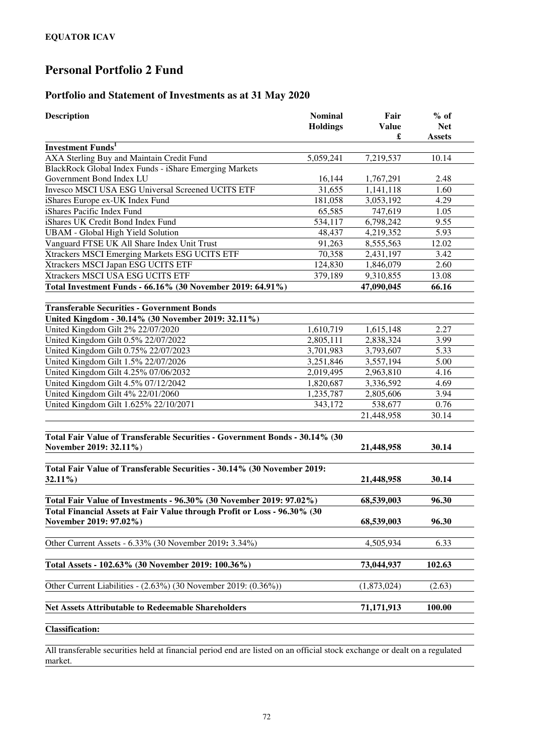#### **Portfolio and Statement of Investments as at 31 May 2020**

| <b>Description</b>                                                                                    | <b>Nominal</b><br><b>Holdings</b> | Fair<br><b>Value</b> | $%$ of<br><b>Net</b> |
|-------------------------------------------------------------------------------------------------------|-----------------------------------|----------------------|----------------------|
| <b>Investment Funds</b> <sup>1</sup>                                                                  |                                   | £                    | <b>Assets</b>        |
| AXA Sterling Buy and Maintain Credit Fund                                                             | 5,059,241                         | 7,219,537            | 10.14                |
| BlackRock Global Index Funds - iShare Emerging Markets                                                |                                   |                      |                      |
| Government Bond Index LU                                                                              | 16,144                            | 1,767,291            | 2.48                 |
| Invesco MSCI USA ESG Universal Screened UCITS ETF                                                     | 31,655                            | 1,141,118            | 1.60                 |
| iShares Europe ex-UK Index Fund                                                                       | 181,058                           | 3,053,192            | 4.29                 |
| iShares Pacific Index Fund                                                                            | 65,585                            | 747,619              | 1.05                 |
| iShares UK Credit Bond Index Fund                                                                     | 534,117                           | 6,798,242            | 9.55                 |
| <b>UBAM</b> - Global High Yield Solution                                                              | 48,437                            | 4,219,352            | 5.93                 |
| Vanguard FTSE UK All Share Index Unit Trust                                                           | 91,263                            | 8,555,563            | 12.02                |
| Xtrackers MSCI Emerging Markets ESG UCITS ETF                                                         | 70,358                            | 2,431,197            | 3.42                 |
| Xtrackers MSCI Japan ESG UCITS ETF                                                                    | 124,830                           | 1,846,079            | 2.60                 |
| Xtrackers MSCI USA ESG UCITS ETF                                                                      | 379,189                           | 9,310,855            | 13.08                |
| Total Investment Funds - 66.16% (30 November 2019: 64.91%)                                            |                                   | 47,090,045           | 66.16                |
| <b>Transferable Securities - Government Bonds</b>                                                     |                                   |                      |                      |
| United Kingdom - 30.14% (30 November 2019: 32.11%)                                                    |                                   |                      |                      |
| United Kingdom Gilt 2% 22/07/2020                                                                     | 1,610,719                         | 1,615,148            | 2.27                 |
| United Kingdom Gilt 0.5% 22/07/2022                                                                   | 2,805,111                         | 2,838,324            | 3.99                 |
| United Kingdom Gilt 0.75% 22/07/2023                                                                  | 3,701,983                         | 3,793,607            | 5.33                 |
| United Kingdom Gilt 1.5% 22/07/2026                                                                   | 3,251,846                         | 3,557,194            | 5.00                 |
| United Kingdom Gilt 4.25% 07/06/2032                                                                  | 2,019,495                         | 2,963,810            | 4.16                 |
| United Kingdom Gilt 4.5% 07/12/2042                                                                   | 1,820,687                         | 3,336,592            | 4.69                 |
| United Kingdom Gilt 4% 22/01/2060                                                                     | 1,235,787                         | 2,805,606            | 3.94                 |
| United Kingdom Gilt 1.625% 22/10/2071                                                                 | 343,172                           | 538,677              | 0.76                 |
|                                                                                                       |                                   | 21,448,958           | 30.14                |
| Total Fair Value of Transferable Securities - Government Bonds - 30.14% (30<br>November 2019: 32.11%) |                                   | 21,448,958           | 30.14                |
| Total Fair Value of Transferable Securities - 30.14% (30 November 2019:<br>$32.11\%$                  |                                   | 21,448,958           | 30.14                |
| Total Fair Value of Investments - 96.30% (30 November 2019: 97.02%)                                   |                                   | 68,539,003           | 96.30                |
| Total Financial Assets at Fair Value through Profit or Loss - 96.30% (30<br>November 2019: 97.02%)    |                                   | 68,539,003           | 96.30                |
|                                                                                                       |                                   |                      |                      |
| Other Current Assets - 6.33% (30 November 2019: 3.34%)                                                |                                   | 4,505,934            | 6.33                 |
| Total Assets - 102.63% (30 November 2019: 100.36%)                                                    |                                   | 73,044,937           | 102.63               |
| Other Current Liabilities - (2.63%) (30 November 2019: (0.36%))                                       |                                   | (1,873,024)          | (2.63)               |
| <b>Net Assets Attributable to Redeemable Shareholders</b>                                             |                                   | 71,171,913           | 100.00               |
|                                                                                                       |                                   |                      |                      |
| <b>Classification:</b>                                                                                |                                   |                      |                      |

All transferable securities held at financial period end are listed on an official stock exchange or dealt on a regulated market.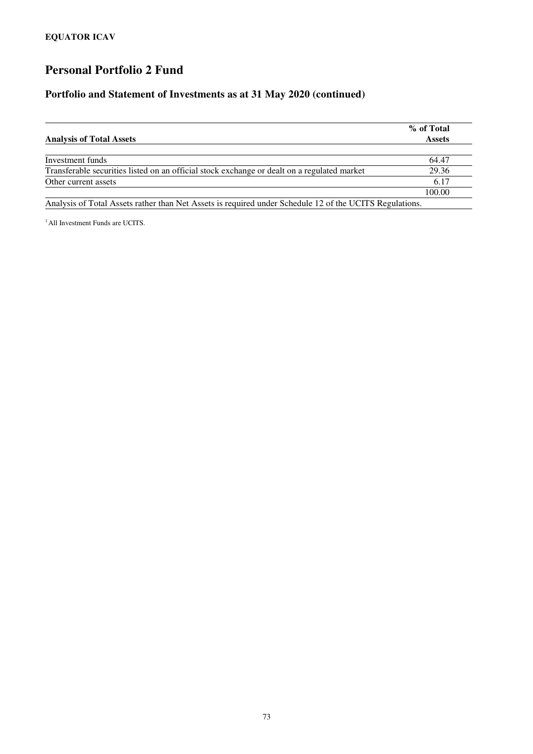#### **Portfolio and Statement of Investments as at 31 May 2020 (continued)**

| <b>Analysis of Total Assets</b>                                                                         | % of Total<br><b>Assets</b> |
|---------------------------------------------------------------------------------------------------------|-----------------------------|
|                                                                                                         |                             |
| Investment funds                                                                                        | 64.47                       |
| Transferable securities listed on an official stock exchange or dealt on a regulated market             | 29.36                       |
| Other current assets                                                                                    | 6.17                        |
|                                                                                                         | 100.00                      |
| Analysis of Total Assets rather than Net Assets is required under Schedule 12 of the UCITS Regulations. |                             |

<sup>1</sup> All Investment Funds are UCITS.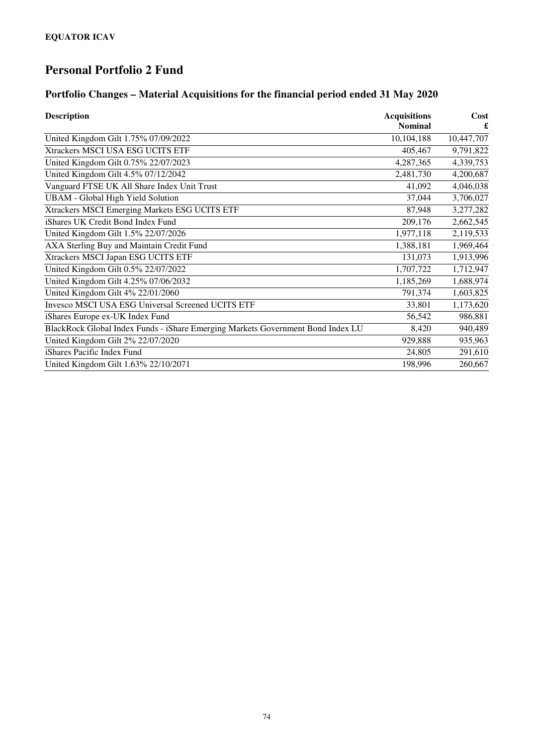## **Portfolio Changes – Material Acquisitions for the financial period ended 31 May 2020**

| <b>Description</b>                                                              | <b>Acquisitions</b><br><b>Nominal</b> | Cost       |
|---------------------------------------------------------------------------------|---------------------------------------|------------|
| United Kingdom Gilt 1.75% 07/09/2022                                            | 10,104,188                            | 10,447,707 |
| Xtrackers MSCI USA ESG UCITS ETF                                                | 405,467                               | 9,791,822  |
| United Kingdom Gilt 0.75% 22/07/2023                                            | 4,287,365                             | 4,339,753  |
| United Kingdom Gilt 4.5% 07/12/2042                                             | 2,481,730                             | 4,200,687  |
| Vanguard FTSE UK All Share Index Unit Trust                                     | 41,092                                | 4,046,038  |
| <b>UBAM</b> - Global High Yield Solution                                        | 37,044                                | 3,706,027  |
| Xtrackers MSCI Emerging Markets ESG UCITS ETF                                   | 87,948                                | 3,277,282  |
| iShares UK Credit Bond Index Fund                                               | 209,176                               | 2,662,545  |
| United Kingdom Gilt 1.5% 22/07/2026                                             | 1,977,118                             | 2,119,533  |
| AXA Sterling Buy and Maintain Credit Fund                                       | 1,388,181                             | 1,969,464  |
| Xtrackers MSCI Japan ESG UCITS ETF                                              | 131,073                               | 1,913,996  |
| United Kingdom Gilt 0.5% 22/07/2022                                             | 1,707,722                             | 1,712,947  |
| United Kingdom Gilt 4.25% 07/06/2032                                            | 1,185,269                             | 1,688,974  |
| United Kingdom Gilt 4% 22/01/2060                                               | 791,374                               | 1,603,825  |
| <b>Invesco MSCI USA ESG Universal Screened UCITS ETF</b>                        | 33,801                                | 1,173,620  |
| iShares Europe ex-UK Index Fund                                                 | 56,542                                | 986,881    |
| BlackRock Global Index Funds - iShare Emerging Markets Government Bond Index LU | 8,420                                 | 940,489    |
| United Kingdom Gilt 2% 22/07/2020                                               | 929,888                               | 935,963    |
| iShares Pacific Index Fund                                                      | 24,805                                | 291,610    |
| United Kingdom Gilt 1.63% 22/10/2071                                            | 198,996                               | 260,667    |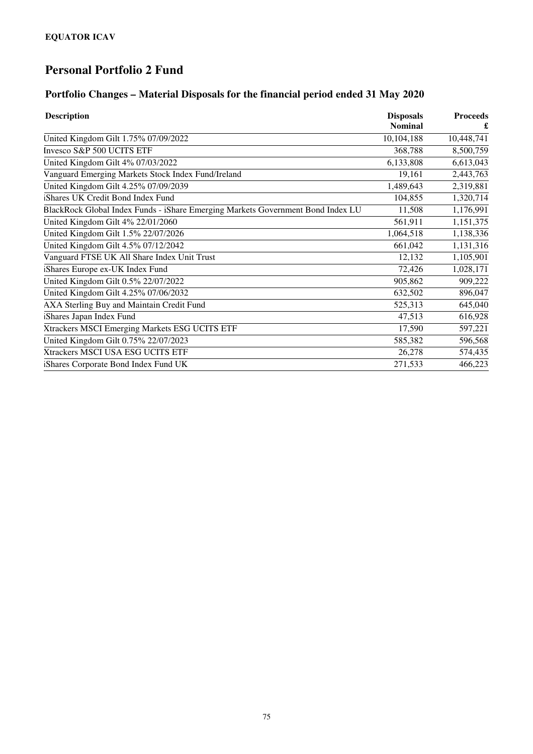## **Portfolio Changes – Material Disposals for the financial period ended 31 May 2020**

| <b>Description</b>                                                              | <b>Disposals</b> | <b>Proceeds</b> |
|---------------------------------------------------------------------------------|------------------|-----------------|
|                                                                                 | <b>Nominal</b>   |                 |
| United Kingdom Gilt 1.75% 07/09/2022                                            | 10,104,188       | 10,448,741      |
| Invesco S&P 500 UCITS ETF                                                       | 368,788          | 8,500,759       |
| United Kingdom Gilt 4% 07/03/2022                                               | 6,133,808        | 6,613,043       |
| Vanguard Emerging Markets Stock Index Fund/Ireland                              | 19,161           | 2,443,763       |
| United Kingdom Gilt 4.25% 07/09/2039                                            | 1,489,643        | 2,319,881       |
| iShares UK Credit Bond Index Fund                                               | 104,855          | 1,320,714       |
| BlackRock Global Index Funds - iShare Emerging Markets Government Bond Index LU | 11,508           | 1,176,991       |
| United Kingdom Gilt 4% 22/01/2060                                               | 561,911          | 1,151,375       |
| United Kingdom Gilt 1.5% 22/07/2026                                             | 1,064,518        | 1,138,336       |
| United Kingdom Gilt 4.5% 07/12/2042                                             | 661,042          | 1,131,316       |
| Vanguard FTSE UK All Share Index Unit Trust                                     | 12,132           | 1,105,901       |
| iShares Europe ex-UK Index Fund                                                 | 72,426           | 1,028,171       |
| United Kingdom Gilt 0.5% 22/07/2022                                             | 905,862          | 909,222         |
| United Kingdom Gilt 4.25% 07/06/2032                                            | 632,502          | 896,047         |
| AXA Sterling Buy and Maintain Credit Fund                                       | 525,313          | 645,040         |
| Shares Japan Index Fund                                                         | 47,513           | 616,928         |
| Xtrackers MSCI Emerging Markets ESG UCITS ETF                                   | 17,590           | 597,221         |
| United Kingdom Gilt 0.75% 22/07/2023                                            | 585,382          | 596,568         |
| Xtrackers MSCI USA ESG UCITS ETF                                                | 26,278           | 574,435         |
| iShares Corporate Bond Index Fund UK                                            | 271,533          | 466,223         |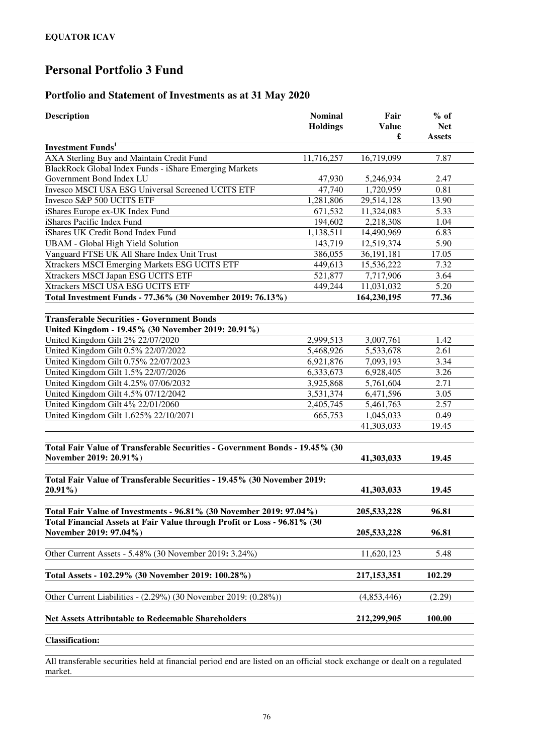### **Portfolio and Statement of Investments as at 31 May 2020**

| <b>Description</b>                                                                                    | <b>Nominal</b><br><b>Holdings</b> | Fair<br><b>Value</b><br>£ | $%$ of<br><b>Net</b><br><b>Assets</b> |
|-------------------------------------------------------------------------------------------------------|-----------------------------------|---------------------------|---------------------------------------|
| <b>Investment Funds</b> <sup>1</sup>                                                                  |                                   |                           |                                       |
| AXA Sterling Buy and Maintain Credit Fund                                                             | 11,716,257                        | 16,719,099                | 7.87                                  |
| BlackRock Global Index Funds - iShare Emerging Markets                                                |                                   |                           |                                       |
| Government Bond Index LU                                                                              | 47,930                            | 5,246,934                 | 2.47                                  |
| Invesco MSCI USA ESG Universal Screened UCITS ETF                                                     | 47,740                            | 1,720,959                 | 0.81                                  |
| Invesco S&P 500 UCITS ETF                                                                             | 1,281,806                         | 29,514,128                | 13.90                                 |
| iShares Europe ex-UK Index Fund                                                                       | 671,532                           | 11,324,083                | 5.33                                  |
| iShares Pacific Index Fund                                                                            | 194,602                           | 2,218,308                 | 1.04                                  |
| iShares UK Credit Bond Index Fund                                                                     | 1,138,511                         | 14,490,969                | 6.83                                  |
| <b>UBAM</b> - Global High Yield Solution                                                              | 143,719                           | 12,519,374                | 5.90                                  |
| Vanguard FTSE UK All Share Index Unit Trust                                                           | 386,055                           | 36,191,181                | 17.05                                 |
| Xtrackers MSCI Emerging Markets ESG UCITS ETF                                                         | 449,613                           | 15,536,222                | 7.32                                  |
| Xtrackers MSCI Japan ESG UCITS ETF                                                                    | 521,877                           | 7,717,906                 | 3.64                                  |
| Xtrackers MSCI USA ESG UCITS ETF                                                                      | 449,244                           | 11,031,032                | 5.20                                  |
| Total Investment Funds - 77.36% (30 November 2019: 76.13%)                                            |                                   | 164,230,195               | 77.36                                 |
| <b>Transferable Securities - Government Bonds</b>                                                     |                                   |                           |                                       |
| United Kingdom - 19.45% (30 November 2019: 20.91%)                                                    |                                   |                           |                                       |
| United Kingdom Gilt 2% 22/07/2020                                                                     | 2,999,513                         | 3,007,761                 | 1.42                                  |
| United Kingdom Gilt 0.5% 22/07/2022                                                                   | 5,468,926                         | 5,533,678                 | 2.61                                  |
| United Kingdom Gilt 0.75% 22/07/2023                                                                  | 6,921,876                         | 7,093,193                 | 3.34                                  |
| United Kingdom Gilt 1.5% 22/07/2026                                                                   | 6,333,673                         | 6,928,405                 | 3.26                                  |
| United Kingdom Gilt 4.25% 07/06/2032                                                                  | 3,925,868                         | 5,761,604                 | 2.71                                  |
| United Kingdom Gilt 4.5% 07/12/2042                                                                   | 3,531,374                         | 6,471,596                 | 3.05                                  |
| United Kingdom Gilt 4% 22/01/2060                                                                     | 2,405,745                         | 5,461,763                 | 2.57                                  |
| United Kingdom Gilt 1.625% 22/10/2071                                                                 | 665,753                           | 1,045,033                 | 0.49                                  |
|                                                                                                       |                                   | 41,303,033                | 19.45                                 |
| Total Fair Value of Transferable Securities - Government Bonds - 19.45% (30<br>November 2019: 20.91%) |                                   | 41,303,033                | 19.45                                 |
| Total Fair Value of Transferable Securities - 19.45% (30 November 2019:<br>$20.91\%$                  |                                   | 41,303,033                | 19.45                                 |
|                                                                                                       |                                   |                           |                                       |
| Total Fair Value of Investments - 96.81% (30 November 2019: 97.04%)                                   |                                   | 205,533,228               | 96.81                                 |
| Total Financial Assets at Fair Value through Profit or Loss - 96.81% (30<br>November 2019: 97.04%)    |                                   | 205, 533, 228             | 96.81                                 |
| Other Current Assets - 5.48% (30 November 2019: 3.24%)                                                |                                   | 11,620,123                | 5.48                                  |
| Total Assets - 102.29% (30 November 2019: 100.28%)                                                    |                                   | 217, 153, 351             | 102.29                                |
| Other Current Liabilities - (2.29%) (30 November 2019: (0.28%))                                       |                                   | (4,853,446)               | (2.29)                                |
| <b>Net Assets Attributable to Redeemable Shareholders</b>                                             |                                   | 212,299,905               | 100.00                                |
| <b>Classification:</b>                                                                                |                                   |                           |                                       |

All transferable securities held at financial period end are listed on an official stock exchange or dealt on a regulated market.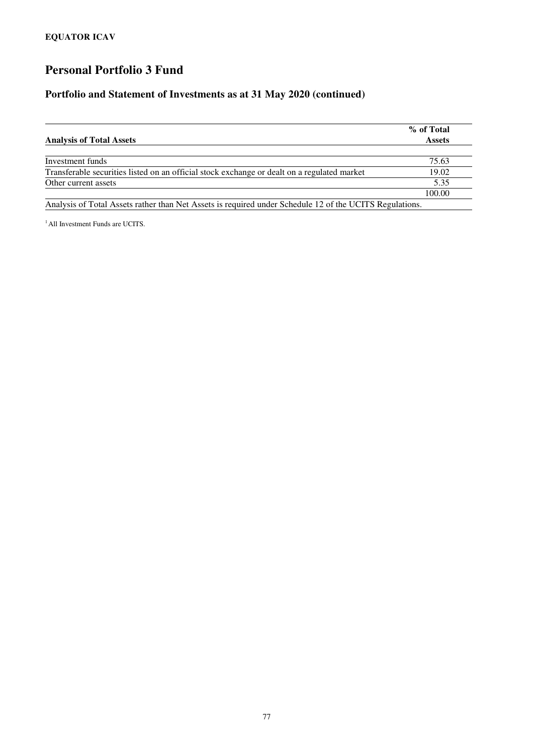#### **Portfolio and Statement of Investments as at 31 May 2020 (continued)**

|                                                                                                         | % of Total    |
|---------------------------------------------------------------------------------------------------------|---------------|
| <b>Analysis of Total Assets</b>                                                                         | <b>Assets</b> |
|                                                                                                         |               |
| Investment funds                                                                                        | 75.63         |
| Transferable securities listed on an official stock exchange or dealt on a regulated market             | 19.02         |
| Other current assets                                                                                    | 5.35          |
|                                                                                                         | 100.00        |
| Analysis of Total Assets rather than Net Assets is required under Schedule 12 of the UCITS Regulations. |               |

<sup>1</sup> All Investment Funds are UCITS.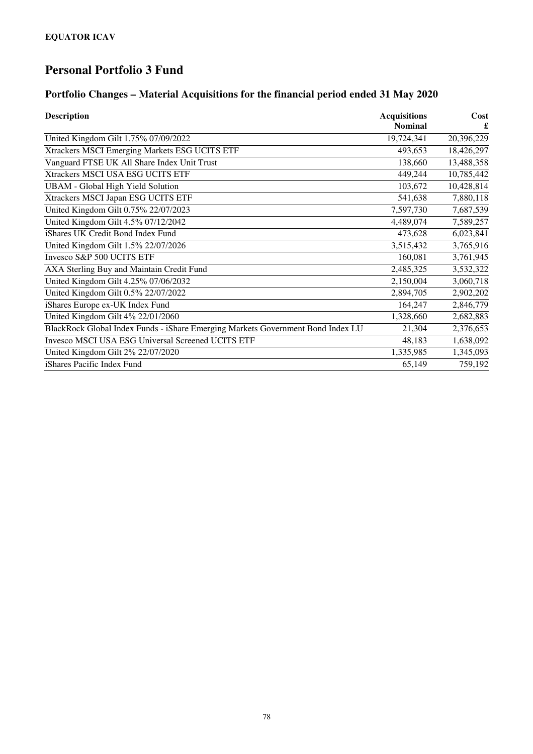## **Portfolio Changes – Material Acquisitions for the financial period ended 31 May 2020**

| <b>Description</b>                                                              | <b>Acquisitions</b> | Cost       |
|---------------------------------------------------------------------------------|---------------------|------------|
|                                                                                 | <b>Nominal</b>      |            |
| United Kingdom Gilt 1.75% 07/09/2022                                            | 19,724,341          | 20,396,229 |
| Xtrackers MSCI Emerging Markets ESG UCITS ETF                                   | 493,653             | 18,426,297 |
| Vanguard FTSE UK All Share Index Unit Trust                                     | 138,660             | 13,488,358 |
| Xtrackers MSCI USA ESG UCITS ETF                                                | 449,244             | 10,785,442 |
| <b>UBAM</b> - Global High Yield Solution                                        | 103,672             | 10,428,814 |
| Xtrackers MSCI Japan ESG UCITS ETF                                              | 541,638             | 7,880,118  |
| United Kingdom Gilt 0.75% 22/07/2023                                            | 7,597,730           | 7,687,539  |
| United Kingdom Gilt 4.5% 07/12/2042                                             | 4,489,074           | 7,589,257  |
| iShares UK Credit Bond Index Fund                                               | 473,628             | 6,023,841  |
| United Kingdom Gilt 1.5% 22/07/2026                                             | 3,515,432           | 3,765,916  |
| Invesco S&P 500 UCITS ETF                                                       | 160,081             | 3,761,945  |
| AXA Sterling Buy and Maintain Credit Fund                                       | 2,485,325           | 3,532,322  |
| United Kingdom Gilt 4.25% 07/06/2032                                            | 2,150,004           | 3,060,718  |
| United Kingdom Gilt 0.5% 22/07/2022                                             | 2,894,705           | 2,902,202  |
| iShares Europe ex-UK Index Fund                                                 | 164,247             | 2,846,779  |
| United Kingdom Gilt 4% 22/01/2060                                               | 1,328,660           | 2,682,883  |
| BlackRock Global Index Funds - iShare Emerging Markets Government Bond Index LU | 21,304              | 2,376,653  |
| Invesco MSCI USA ESG Universal Screened UCITS ETF                               | 48,183              | 1,638,092  |
| United Kingdom Gilt 2% 22/07/2020                                               | 1,335,985           | 1,345,093  |
| iShares Pacific Index Fund                                                      | 65,149              | 759,192    |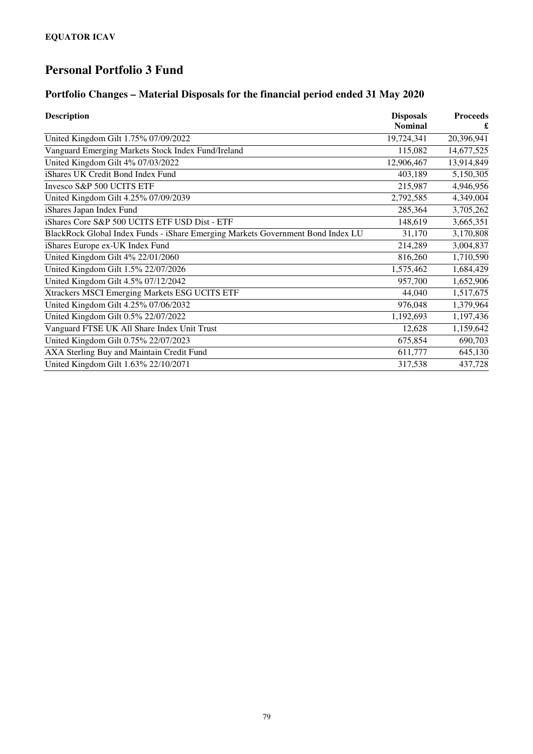## **Portfolio Changes – Material Disposals for the financial period ended 31 May 2020**

| <b>Description</b>                                                              | <b>Disposals</b> | <b>Proceeds</b> |
|---------------------------------------------------------------------------------|------------------|-----------------|
|                                                                                 | <b>Nominal</b>   |                 |
| United Kingdom Gilt 1.75% 07/09/2022                                            | 19,724,341       | 20,396,941      |
| Vanguard Emerging Markets Stock Index Fund/Ireland                              | 115,082          | 14,677,525      |
| United Kingdom Gilt 4% 07/03/2022                                               | 12,906,467       | 13,914,849      |
| iShares UK Credit Bond Index Fund                                               | 403,189          | 5,150,305       |
| Invesco S&P 500 UCITS ETF                                                       | 215,987          | 4,946,956       |
| United Kingdom Gilt 4.25% 07/09/2039                                            | 2,792,585        | 4,349,004       |
| iShares Japan Index Fund                                                        | 285,364          | 3,705,262       |
| iShares Core S&P 500 UCITS ETF USD Dist - ETF                                   | 148,619          | 3,665,351       |
| BlackRock Global Index Funds - iShare Emerging Markets Government Bond Index LU | 31,170           | 3,170,808       |
| iShares Europe ex-UK Index Fund                                                 | 214,289          | 3,004,837       |
| United Kingdom Gilt 4% 22/01/2060                                               | 816,260          | 1,710,590       |
| United Kingdom Gilt 1.5% 22/07/2026                                             | 1,575,462        | 1,684,429       |
| United Kingdom Gilt 4.5% 07/12/2042                                             | 957,700          | 1,652,906       |
| Xtrackers MSCI Emerging Markets ESG UCITS ETF                                   | 44,040           | 1,517,675       |
| United Kingdom Gilt 4.25% 07/06/2032                                            | 976,048          | 1,379,964       |
| United Kingdom Gilt 0.5% 22/07/2022                                             | 1,192,693        | 1,197,436       |
| Vanguard FTSE UK All Share Index Unit Trust                                     | 12,628           | 1,159,642       |
| United Kingdom Gilt 0.75% 22/07/2023                                            | 675,854          | 690,703         |
| AXA Sterling Buy and Maintain Credit Fund                                       | 611,777          | 645,130         |
| United Kingdom Gilt 1.63% 22/10/2071                                            | 317,538          | 437,728         |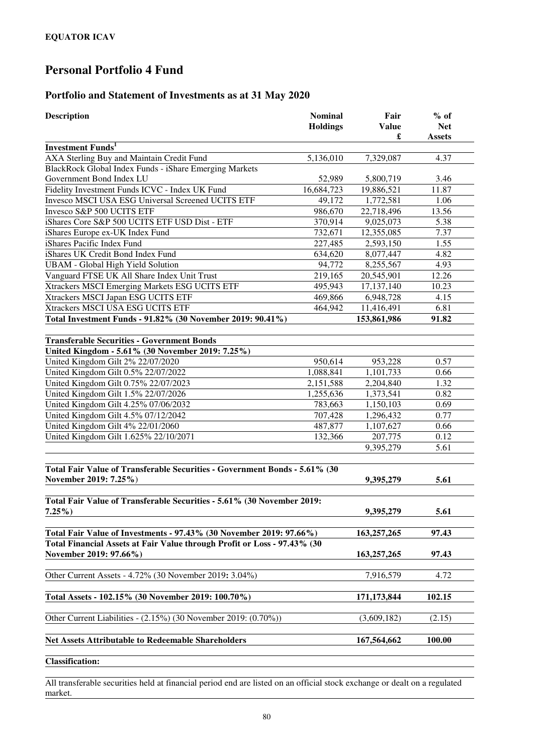### **Portfolio and Statement of Investments as at 31 May 2020**

| <b>Description</b>                                                                                  | <b>Nominal</b><br><b>Holdings</b> | Fair<br><b>Value</b><br>£ | $%$ of<br><b>Net</b><br><b>Assets</b> |
|-----------------------------------------------------------------------------------------------------|-----------------------------------|---------------------------|---------------------------------------|
| <b>Investment Funds</b> <sup>1</sup>                                                                |                                   |                           |                                       |
| AXA Sterling Buy and Maintain Credit Fund                                                           | 5,136,010                         | 7,329,087                 | 4.37                                  |
| BlackRock Global Index Funds - iShare Emerging Markets                                              |                                   |                           |                                       |
| Government Bond Index LU                                                                            | 52,989                            | 5,800,719                 | 3.46                                  |
| Fidelity Investment Funds ICVC - Index UK Fund                                                      | 16,684,723                        | 19,886,521                | 11.87                                 |
| Invesco MSCI USA ESG Universal Screened UCITS ETF                                                   | 49,172                            | 1,772,581                 | 1.06                                  |
| Invesco S&P 500 UCITS ETF                                                                           | 986,670                           | 22,718,496                | 13.56                                 |
| iShares Core S&P 500 UCITS ETF USD Dist - ETF                                                       | 370,914                           | 9,025,073                 | 5.38                                  |
| iShares Europe ex-UK Index Fund                                                                     | 732,671                           | 12,355,085                | 7.37                                  |
| iShares Pacific Index Fund                                                                          | 227,485                           | 2,593,150                 | 1.55                                  |
| iShares UK Credit Bond Index Fund                                                                   | 634,620                           | 8,077,447                 | 4.82                                  |
| <b>UBAM - Global High Yield Solution</b>                                                            | 94,772                            | 8,255,567                 | 4.93                                  |
| Vanguard FTSE UK All Share Index Unit Trust                                                         | 219,165                           | 20,545,901                | 12.26                                 |
| Xtrackers MSCI Emerging Markets ESG UCITS ETF                                                       | 495,943                           | 17,137,140                | 10.23                                 |
| Xtrackers MSCI Japan ESG UCITS ETF                                                                  | 469,866                           | 6,948,728                 | 4.15                                  |
| Xtrackers MSCI USA ESG UCITS ETF                                                                    | 464,942                           | 11,416,491                | 6.81                                  |
| Total Investment Funds - 91.82% (30 November 2019: 90.41%)                                          |                                   | 153,861,986               | 91.82                                 |
|                                                                                                     |                                   |                           |                                       |
| <b>Transferable Securities - Government Bonds</b>                                                   |                                   |                           |                                       |
| United Kingdom - 5.61% (30 November 2019: 7.25%)                                                    |                                   |                           |                                       |
| United Kingdom Gilt 2% 22/07/2020                                                                   | 950,614                           | 953,228                   | 0.57                                  |
| United Kingdom Gilt 0.5% 22/07/2022                                                                 | 1,088,841                         | 1,101,733                 | 0.66                                  |
| United Kingdom Gilt 0.75% 22/07/2023                                                                | 2,151,588                         | 2,204,840                 | 1.32                                  |
| United Kingdom Gilt 1.5% 22/07/2026                                                                 | 1,255,636                         | 1,373,541                 | 0.82                                  |
| United Kingdom Gilt 4.25% 07/06/2032                                                                | 783,663                           | 1,150,103                 | 0.69                                  |
| United Kingdom Gilt 4.5% 07/12/2042                                                                 | 707,428                           | 1,296,432                 | 0.77                                  |
| United Kingdom Gilt 4% 22/01/2060                                                                   | 487,877                           | 1,107,627                 | 0.66                                  |
| United Kingdom Gilt 1.625% 22/10/2071                                                               | 132,366                           | 207,775                   | 0.12                                  |
|                                                                                                     |                                   | 9,395,279                 | 5.61                                  |
| Total Fair Value of Transferable Securities - Government Bonds - 5.61% (30<br>November 2019: 7.25%) |                                   |                           | 5.61                                  |
|                                                                                                     |                                   | 9,395,279                 |                                       |
| Total Fair Value of Transferable Securities - 5.61% (30 November 2019:                              |                                   |                           |                                       |
| $7.25\%$ )                                                                                          |                                   | 9,395,279                 | 5.61                                  |
|                                                                                                     |                                   |                           |                                       |
| Total Fair Value of Investments - 97.43% (30 November 2019: 97.66%)                                 |                                   | 163,257,265               | 97.43                                 |
| Total Financial Assets at Fair Value through Profit or Loss - 97.43% (30                            |                                   |                           |                                       |
| November 2019: 97.66%)                                                                              |                                   | 163, 257, 265             | 97.43                                 |
| Other Current Assets - 4.72% (30 November 2019: 3.04%)                                              |                                   | 7,916,579                 | 4.72                                  |
| Total Assets - 102.15% (30 November 2019: 100.70%)                                                  |                                   | 171, 173, 844             | 102.15                                |
| Other Current Liabilities - (2.15%) (30 November 2019: (0.70%))                                     |                                   | (3,609,182)               | (2.15)                                |
| <b>Net Assets Attributable to Redeemable Shareholders</b>                                           |                                   | 167,564,662               | 100.00                                |
| $Clocal$ : $Eout$                                                                                   |                                   |                           |                                       |

**Classification:** 

All transferable securities held at financial period end are listed on an official stock exchange or dealt on a regulated market.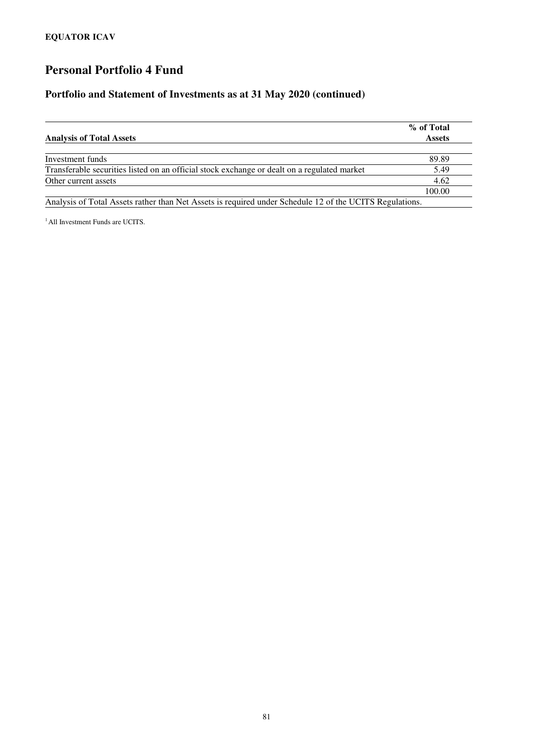#### **Portfolio and Statement of Investments as at 31 May 2020 (continued)**

| <b>Analysis of Total Assets</b>                                                                        | % of Total<br><b>Assets</b> |
|--------------------------------------------------------------------------------------------------------|-----------------------------|
|                                                                                                        |                             |
| Investment funds                                                                                       | 89.89                       |
| Transferable securities listed on an official stock exchange or dealt on a regulated market            | 5.49                        |
| Other current assets                                                                                   | 4.62                        |
|                                                                                                        | 100.00                      |
| Applying of Total Assats rather than Net Assats is required under Schodule 12 of the HCITE Deculations |                             |

Analysis of Total Assets rather than Net Assets is required under Schedule 12 of the UCITS Regulations.

<sup>1</sup> All Investment Funds are UCITS.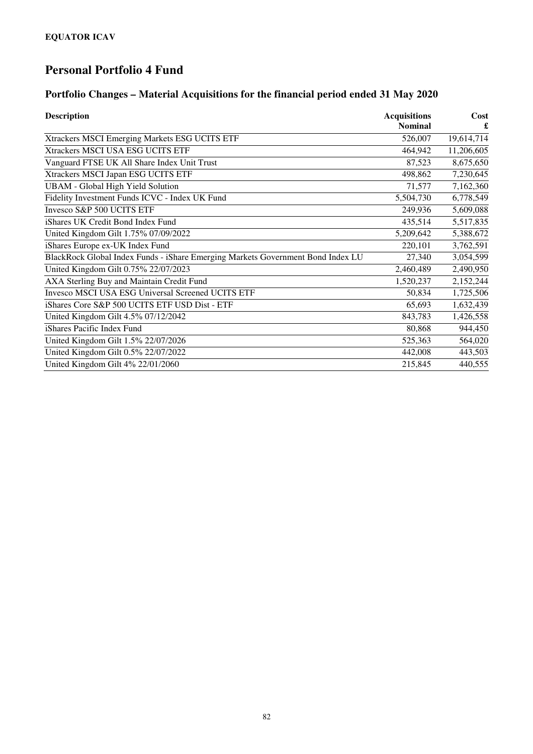## **Portfolio Changes – Material Acquisitions for the financial period ended 31 May 2020**

| <b>Description</b>                                                              | <b>Acquisitions</b> | Cost       |
|---------------------------------------------------------------------------------|---------------------|------------|
|                                                                                 | <b>Nominal</b>      |            |
| Xtrackers MSCI Emerging Markets ESG UCITS ETF                                   | 526,007             | 19,614,714 |
| Xtrackers MSCI USA ESG UCITS ETF                                                | 464,942             | 11,206,605 |
| Vanguard FTSE UK All Share Index Unit Trust                                     | 87,523              | 8,675,650  |
| Xtrackers MSCI Japan ESG UCITS ETF                                              | 498,862             | 7,230,645  |
| <b>UBAM</b> - Global High Yield Solution                                        | 71,577              | 7,162,360  |
| Fidelity Investment Funds ICVC - Index UK Fund                                  | 5,504,730           | 6,778,549  |
| Invesco S&P 500 UCITS ETF                                                       | 249,936             | 5,609,088  |
| iShares UK Credit Bond Index Fund                                               | 435,514             | 5,517,835  |
| United Kingdom Gilt 1.75% 07/09/2022                                            | 5,209,642           | 5,388,672  |
| iShares Europe ex-UK Index Fund                                                 | 220,101             | 3,762,591  |
| BlackRock Global Index Funds - iShare Emerging Markets Government Bond Index LU | 27,340              | 3,054,599  |
| United Kingdom Gilt 0.75% 22/07/2023                                            | 2,460,489           | 2,490,950  |
| AXA Sterling Buy and Maintain Credit Fund                                       | 1,520,237           | 2,152,244  |
| <b>Invesco MSCI USA ESG Universal Screened UCITS ETF</b>                        | 50,834              | 1,725,506  |
| iShares Core S&P 500 UCITS ETF USD Dist - ETF                                   | 65,693              | 1,632,439  |
| United Kingdom Gilt 4.5% 07/12/2042                                             | 843,783             | 1,426,558  |
| iShares Pacific Index Fund                                                      | 80,868              | 944,450    |
| United Kingdom Gilt 1.5% 22/07/2026                                             | 525,363             | 564,020    |
| United Kingdom Gilt 0.5% 22/07/2022                                             | 442,008             | 443,503    |
| United Kingdom Gilt 4% 22/01/2060                                               | 215,845             | 440,555    |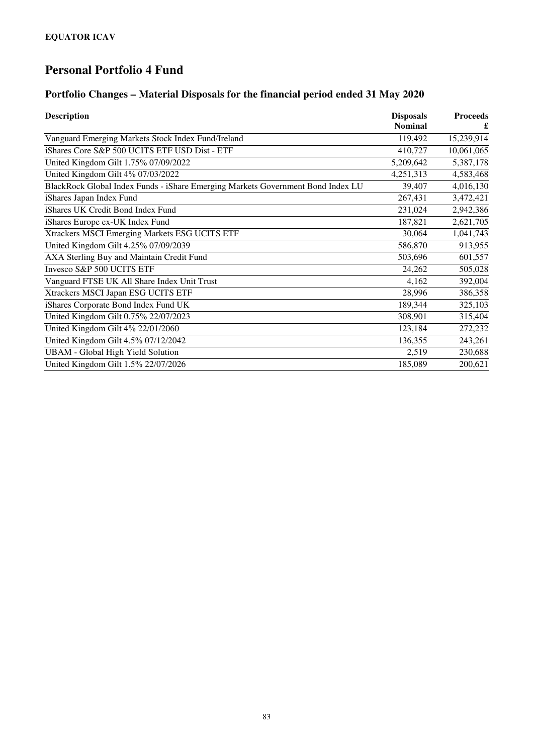## **Portfolio Changes – Material Disposals for the financial period ended 31 May 2020**

| <b>Description</b>                                                              | <b>Disposals</b><br><b>Nominal</b> | <b>Proceeds</b> |
|---------------------------------------------------------------------------------|------------------------------------|-----------------|
|                                                                                 |                                    |                 |
| Vanguard Emerging Markets Stock Index Fund/Ireland                              | 119,492                            | 15,239,914      |
| iShares Core S&P 500 UCITS ETF USD Dist - ETF                                   | 410,727                            | 10,061,065      |
| United Kingdom Gilt 1.75% 07/09/2022                                            | 5,209,642                          | 5,387,178       |
| United Kingdom Gilt 4% 07/03/2022                                               | 4,251,313                          | 4,583,468       |
| BlackRock Global Index Funds - iShare Emerging Markets Government Bond Index LU | 39,407                             | 4,016,130       |
| iShares Japan Index Fund                                                        | 267,431                            | 3,472,421       |
| iShares UK Credit Bond Index Fund                                               | 231,024                            | 2,942,386       |
| iShares Europe ex-UK Index Fund                                                 | 187,821                            | 2,621,705       |
| Xtrackers MSCI Emerging Markets ESG UCITS ETF                                   | 30,064                             | 1,041,743       |
| United Kingdom Gilt 4.25% 07/09/2039                                            | 586,870                            | 913,955         |
| AXA Sterling Buy and Maintain Credit Fund                                       | 503,696                            | 601,557         |
| Invesco S&P 500 UCITS ETF                                                       | 24,262                             | 505,028         |
| Vanguard FTSE UK All Share Index Unit Trust                                     | 4,162                              | 392,004         |
| Xtrackers MSCI Japan ESG UCITS ETF                                              | 28,996                             | 386,358         |
| iShares Corporate Bond Index Fund UK                                            | 189,344                            | 325,103         |
| United Kingdom Gilt 0.75% 22/07/2023                                            | 308,901                            | 315,404         |
| United Kingdom Gilt 4% 22/01/2060                                               | 123,184                            | 272,232         |
| United Kingdom Gilt 4.5% 07/12/2042                                             | 136,355                            | 243,261         |
| <b>UBAM</b> - Global High Yield Solution                                        | 2,519                              | 230,688         |
| United Kingdom Gilt 1.5% 22/07/2026                                             | 185,089                            | 200,621         |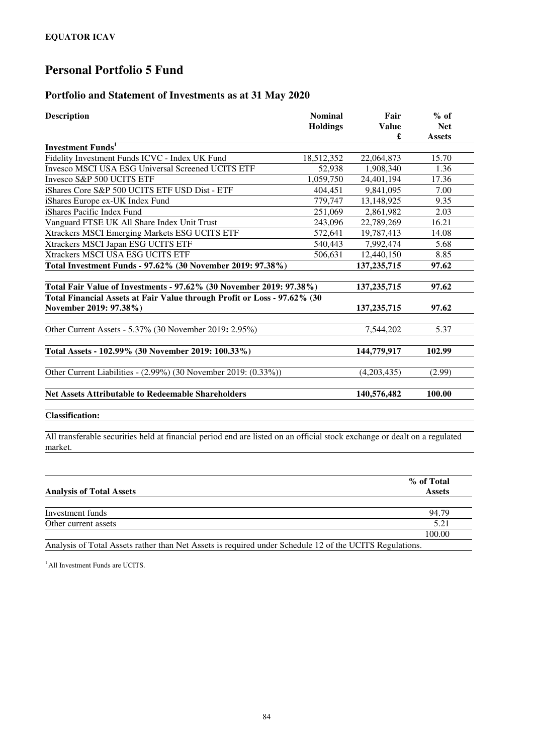#### **Portfolio and Statement of Investments as at 31 May 2020**

| <b>Description</b>                                                       | <b>Nominal</b><br><b>Holdings</b> | Fair<br><b>Value</b><br>£ | $%$ of<br><b>Net</b><br><b>Assets</b> |
|--------------------------------------------------------------------------|-----------------------------------|---------------------------|---------------------------------------|
| <b>Investment Funds</b> <sup>1</sup>                                     |                                   |                           |                                       |
| Fidelity Investment Funds ICVC - Index UK Fund                           | 18,512,352                        | 22,064,873                | 15.70                                 |
| <b>Invesco MSCI USA ESG Universal Screened UCITS ETF</b>                 | 52,938                            | 1,908,340                 | 1.36                                  |
| Invesco S&P 500 UCITS ETF                                                | 1,059,750                         | 24,401,194                | 17.36                                 |
| iShares Core S&P 500 UCITS ETF USD Dist - ETF                            | 404.451                           | 9.841.095                 | 7.00                                  |
| iShares Europe ex-UK Index Fund                                          | 779,747                           | 13,148,925                | 9.35                                  |
| iShares Pacific Index Fund                                               | 251,069                           | 2,861,982                 | 2.03                                  |
| Vanguard FTSE UK All Share Index Unit Trust                              | 243,096                           | 22,789,269                | 16.21                                 |
| Xtrackers MSCI Emerging Markets ESG UCITS ETF                            | 572,641                           | 19,787,413                | 14.08                                 |
| Xtrackers MSCI Japan ESG UCITS ETF                                       | 540,443                           | 7,992,474                 | 5.68                                  |
| Xtrackers MSCI USA ESG UCITS ETF                                         | 506,631                           | 12,440,150                | 8.85                                  |
| Total Investment Funds - 97.62% (30 November 2019: 97.38%)               |                                   | 137,235,715               | 97.62                                 |
| Total Fair Value of Investments - 97.62% (30 November 2019: 97.38%)      |                                   | 137, 235, 715             | 97.62                                 |
| Total Financial Assets at Fair Value through Profit or Loss - 97.62% (30 |                                   |                           |                                       |
| November 2019: 97.38%)                                                   |                                   | 137, 235, 715             | 97.62                                 |
| Other Current Assets - 5.37% (30 November 2019: 2.95%)                   |                                   | 7,544,202                 | 5.37                                  |
| Total Assets - 102.99% (30 November 2019: 100.33%)                       |                                   | 144,779,917               | 102.99                                |
| Other Current Liabilities - (2.99%) (30 November 2019: (0.33%))          |                                   | (4,203,435)               | (2.99)                                |
| <b>Net Assets Attributable to Redeemable Shareholders</b>                |                                   | 140,576,482               | 100.00                                |
|                                                                          |                                   |                           |                                       |

**Classification:** 

All transferable securities held at financial period end are listed on an official stock exchange or dealt on a regulated market.

| <b>Analysis of Total Assets</b> | % of Total<br><b>Assets</b> |
|---------------------------------|-----------------------------|
|                                 |                             |
| Investment funds                | 94.79                       |
| Other current assets            | 5.21                        |
|                                 | 100.00                      |

Analysis of Total Assets rather than Net Assets is required under Schedule 12 of the UCITS Regulations.

<sup>1</sup> All Investment Funds are UCITS.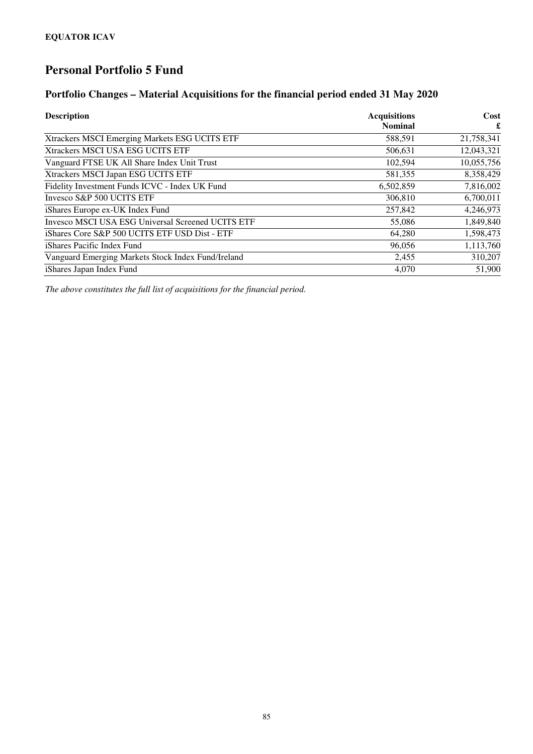#### **Portfolio Changes – Material Acquisitions for the financial period ended 31 May 2020**

| <b>Description</b>                                       | <b>Acquisitions</b> | Cost       |
|----------------------------------------------------------|---------------------|------------|
|                                                          | <b>Nominal</b>      | £          |
| Xtrackers MSCI Emerging Markets ESG UCITS ETF            | 588,591             | 21,758,341 |
| Xtrackers MSCI USA ESG UCITS ETF                         | 506,631             | 12,043,321 |
| Vanguard FTSE UK All Share Index Unit Trust              | 102,594             | 10,055,756 |
| Xtrackers MSCI Japan ESG UCITS ETF                       | 581,355             | 8,358,429  |
| Fidelity Investment Funds ICVC - Index UK Fund           | 6,502,859           | 7,816,002  |
| Invesco S&P 500 UCITS ETF                                | 306,810             | 6,700,011  |
| iShares Europe ex-UK Index Fund                          | 257,842             | 4,246,973  |
| <b>Invesco MSCI USA ESG Universal Screened UCITS ETF</b> | 55,086              | 1,849,840  |
| iShares Core S&P 500 UCITS ETF USD Dist - ETF            | 64,280              | 1,598,473  |
| iShares Pacific Index Fund                               | 96,056              | 1,113,760  |
| Vanguard Emerging Markets Stock Index Fund/Ireland       | 2,455               | 310,207    |
| iShares Japan Index Fund                                 | 4.070               | 51,900     |

*The above constitutes the full list of acquisitions for the financial period.*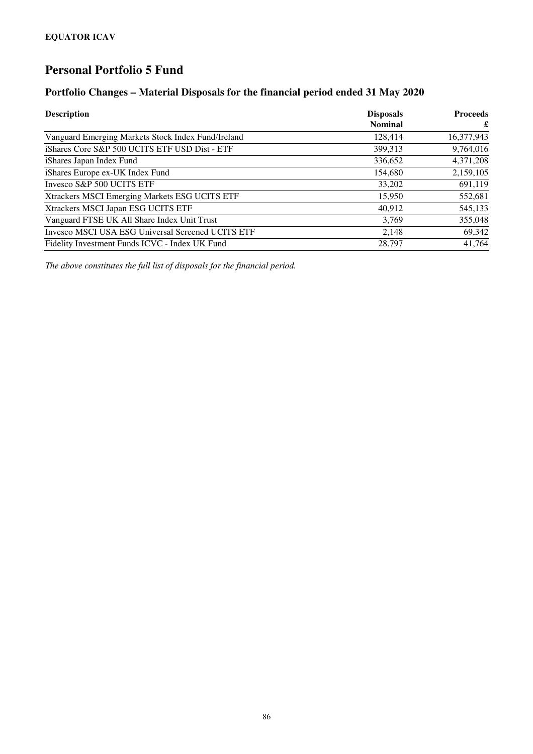#### **Portfolio Changes – Material Disposals for the financial period ended 31 May 2020**

| <b>Description</b>                                 | <b>Disposals</b> | <b>Proceeds</b> |
|----------------------------------------------------|------------------|-----------------|
|                                                    | <b>Nominal</b>   | £               |
| Vanguard Emerging Markets Stock Index Fund/Ireland | 128,414          | 16,377,943      |
| iShares Core S&P 500 UCITS ETF USD Dist - ETF      | 399,313          | 9,764,016       |
| iShares Japan Index Fund                           | 336,652          | 4,371,208       |
| iShares Europe ex-UK Index Fund                    | 154,680          | 2,159,105       |
| Invesco S&P 500 UCITS ETF                          | 33,202           | 691,119         |
| Xtrackers MSCI Emerging Markets ESG UCITS ETF      | 15,950           | 552,681         |
| Xtrackers MSCI Japan ESG UCITS ETF                 | 40,912           | 545,133         |
| Vanguard FTSE UK All Share Index Unit Trust        | 3,769            | 355,048         |
| Invesco MSCI USA ESG Universal Screened UCITS ETF  | 2.148            | 69,342          |
| Fidelity Investment Funds ICVC - Index UK Fund     | 28,797           | 41,764          |

*The above constitutes the full list of disposals for the financial period.*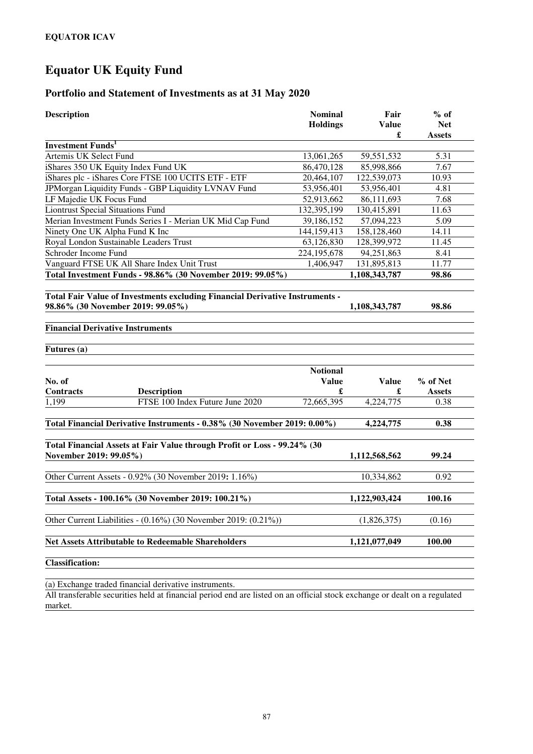#### **Portfolio and Statement of Investments as at 31 May 2020**

| <b>Description</b>                                                                                 | <b>Nominal</b><br><b>Holdings</b> | Fair<br><b>Value</b><br>£ | $%$ of<br><b>Net</b><br><b>Assets</b> |
|----------------------------------------------------------------------------------------------------|-----------------------------------|---------------------------|---------------------------------------|
| <b>Investment Funds</b> <sup>1</sup>                                                               |                                   |                           |                                       |
| Artemis UK Select Fund                                                                             | 13,061,265                        | 59,551,532                | 5.31                                  |
| iShares 350 UK Equity Index Fund UK                                                                | 86,470,128                        | 85,998,866                | 7.67                                  |
| iShares plc - iShares Core FTSE 100 UCITS ETF - ETF                                                | 20,464,107                        | 122,539,073               | 10.93                                 |
| JPMorgan Liquidity Funds - GBP Liquidity LVNAV Fund                                                | 53,956,401                        | 53,956,401                | 4.81                                  |
| LF Majedie UK Focus Fund                                                                           | 52,913,662                        | 86,111,693                | 7.68                                  |
| <b>Liontrust Special Situations Fund</b>                                                           | 132,395,199                       | 130,415,891               | 11.63                                 |
| Merian Investment Funds Series I - Merian UK Mid Cap Fund                                          | 39,186,152                        | 57,094,223                | 5.09                                  |
| Ninety One UK Alpha Fund K Inc                                                                     | 144,159,413                       | 158,128,460               | 14.11                                 |
| Royal London Sustainable Leaders Trust                                                             | 63,126,830                        | 128,399,972               | 11.45                                 |
| Schroder Income Fund                                                                               | 224, 195, 678                     | 94,251,863                | 8.41                                  |
| Vanguard FTSE UK All Share Index Unit Trust                                                        | 1,406,947                         | 131,895,813               | 11.77                                 |
| Total Investment Funds - 98.86% (30 November 2019: 99.05%)                                         |                                   | 1,108,343,787             | 98.86                                 |
| 98.86% (30 November 2019: 99.05%)<br><b>Financial Derivative Instruments</b>                       |                                   | 1,108,343,787             | 98.86                                 |
| Futures (a)                                                                                        |                                   |                           |                                       |
| No. of                                                                                             | <b>Notional</b><br><b>Value</b>   | <b>Value</b>              | % of Net                              |
| <b>Contracts</b><br><b>Description</b><br>1,199<br>FTSE 100 Index Future June 2020                 | £<br>72,665,395                   | £<br>4,224,775            | <b>Assets</b><br>0.38                 |
|                                                                                                    |                                   |                           |                                       |
| Total Financial Derivative Instruments - 0.38% (30 November 2019: 0.00%)                           |                                   | 4,224,775                 | 0.38                                  |
| Total Financial Assets at Fair Value through Profit or Loss - 99.24% (30<br>November 2019: 99.05%) |                                   | 1,112,568,562             | 99.24                                 |
| Other Current Assets - 0.92% (30 November 2019: 1.16%)                                             |                                   | 10,334,862                | 0.92                                  |
| Total Assets - 100.16% (30 November 2019: 100.21%)                                                 |                                   | 1,122,903,424             | 100.16                                |
| Other Current Liabilities - (0.16%) (30 November 2019: (0.21%))                                    |                                   | (1,826,375)               | (0.16)                                |
| <b>Net Assets Attributable to Redeemable Shareholders</b>                                          |                                   | 1,121,077,049             | 100.00                                |
| <b>Classification:</b>                                                                             |                                   |                           |                                       |

(a) Exchange traded financial derivative instruments.

All transferable securities held at financial period end are listed on an official stock exchange or dealt on a regulated market.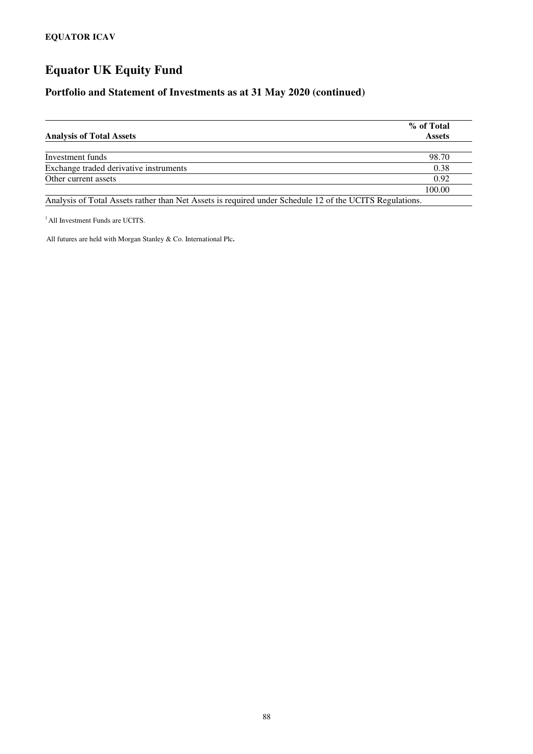#### **Portfolio and Statement of Investments as at 31 May 2020 (continued)**

| <b>Analysis of Total Assets</b>                                                                         | % of Total<br><b>Assets</b> |
|---------------------------------------------------------------------------------------------------------|-----------------------------|
|                                                                                                         |                             |
| Investment funds                                                                                        | 98.70                       |
| Exchange traded derivative instruments                                                                  | 0.38                        |
| Other current assets                                                                                    | 0.92                        |
|                                                                                                         | 100.00                      |
| Analysis of Total Assets rather than Net Assets is required under Schedule 12 of the UCITS Regulations. |                             |

 $<sup>1</sup>$  All Investment Funds are UCITS.</sup>

All futures are held with Morgan Stanley & Co. International Plc**.**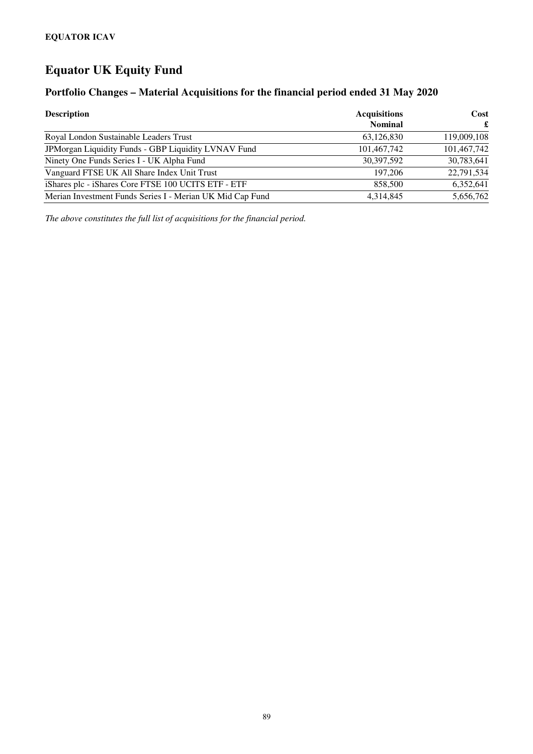### **Portfolio Changes – Material Acquisitions for the financial period ended 31 May 2020**

| <b>Description</b>                                        | <b>Acquisitions</b> | Cost        |
|-----------------------------------------------------------|---------------------|-------------|
|                                                           | <b>Nominal</b>      | £           |
| Royal London Sustainable Leaders Trust                    | 63,126,830          | 119,009,108 |
| JPMorgan Liquidity Funds - GBP Liquidity LVNAV Fund       | 101,467,742         | 101,467,742 |
| Ninety One Funds Series I - UK Alpha Fund                 | 30,397,592          | 30,783,641  |
| Vanguard FTSE UK All Share Index Unit Trust               | 197.206             | 22,791,534  |
| iShares plc - iShares Core FTSE 100 UCITS ETF - ETF       | 858,500             | 6,352,641   |
| Merian Investment Funds Series I - Merian UK Mid Cap Fund | 4.314.845           | 5,656,762   |

*The above constitutes the full list of acquisitions for the financial period.*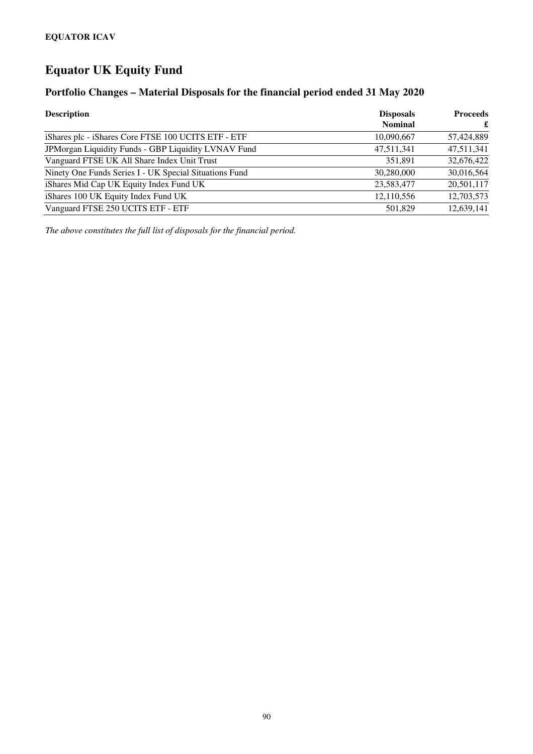#### **Portfolio Changes – Material Disposals for the financial period ended 31 May 2020**

| <b>Description</b>                                     | <b>Disposals</b> | <b>Proceeds</b> |  |
|--------------------------------------------------------|------------------|-----------------|--|
|                                                        | <b>Nominal</b>   | £               |  |
| iShares plc - iShares Core FTSE 100 UCITS ETF - ETF    | 10,090,667       | 57,424,889      |  |
| JPMorgan Liquidity Funds - GBP Liquidity LVNAV Fund    | 47,511,341       | 47,511,341      |  |
| Vanguard FTSE UK All Share Index Unit Trust            | 351.891          | 32,676,422      |  |
| Ninety One Funds Series I - UK Special Situations Fund | 30,280,000       | 30,016,564      |  |
| iShares Mid Cap UK Equity Index Fund UK                | 23,583,477       | 20,501,117      |  |
| iShares 100 UK Equity Index Fund UK                    | 12,110,556       | 12,703,573      |  |
| Vanguard FTSE 250 UCITS ETF - ETF                      | 501.829          | 12,639,141      |  |

*The above constitutes the full list of disposals for the financial period.*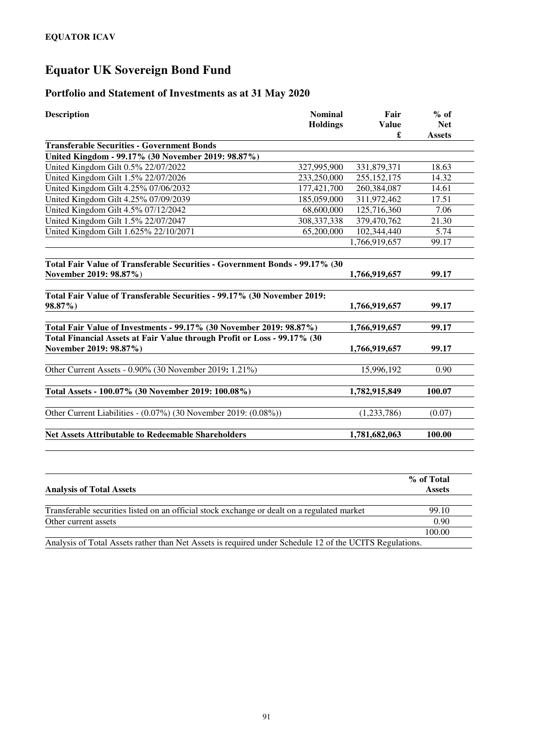# **Equator UK Sovereign Bond Fund**

### **Portfolio and Statement of Investments as at 31 May 2020**

| <b>Description</b>                                                                                    | <b>Nominal</b><br><b>Holdings</b> | Fair<br><b>Value</b><br>£ | $%$ of<br><b>Net</b><br><b>Assets</b> |
|-------------------------------------------------------------------------------------------------------|-----------------------------------|---------------------------|---------------------------------------|
| <b>Transferable Securities - Government Bonds</b>                                                     |                                   |                           |                                       |
| United Kingdom - 99.17% (30 November 2019: 98.87%)                                                    |                                   |                           |                                       |
| United Kingdom Gilt 0.5% 22/07/2022                                                                   | 327,995,900                       | 331,879,371               | 18.63                                 |
| United Kingdom Gilt 1.5% 22/07/2026                                                                   | 233,250,000                       | 255, 152, 175             | 14.32                                 |
| United Kingdom Gilt 4.25% 07/06/2032                                                                  | 177,421,700                       | 260,384,087               | 14.61                                 |
| United Kingdom Gilt 4.25% 07/09/2039                                                                  | 185,059,000                       | 311,972,462               | 17.51                                 |
| United Kingdom Gilt 4.5% 07/12/2042                                                                   | 68,600,000                        | 125,716,360               | 7.06                                  |
| United Kingdom Gilt 1.5% 22/07/2047                                                                   | 308, 337, 338                     | 379,470,762               | 21.30                                 |
| United Kingdom Gilt 1.625% 22/10/2071                                                                 | 65,200,000                        | 102,344,440               | 5.74                                  |
|                                                                                                       |                                   | 1,766,919,657             | 99.17                                 |
| Total Fair Value of Transferable Securities - Government Bonds - 99.17% (30<br>November 2019: 98.87%) |                                   | 1,766,919,657             | 99.17                                 |
| Total Fair Value of Transferable Securities - 99.17% (30 November 2019:<br>98.87%)                    |                                   | 1,766,919,657             | 99.17                                 |
| Total Fair Value of Investments - 99.17% (30 November 2019: 98.87%)                                   |                                   | 1,766,919,657             | 99.17                                 |
| Total Financial Assets at Fair Value through Profit or Loss - 99.17% (30                              |                                   |                           |                                       |
| November 2019: 98.87%)                                                                                |                                   | 1,766,919,657             | 99.17                                 |
| Other Current Assets - 0.90% (30 November 2019: 1.21%)                                                |                                   | 15,996,192                | 0.90                                  |
| Total Assets - 100.07% (30 November 2019: 100.08%)                                                    |                                   | 1,782,915,849             | 100.07                                |
| Other Current Liabilities - (0.07%) (30 November 2019: (0.08%))                                       |                                   | (1,233,786)               | (0.07)                                |
| <b>Net Assets Attributable to Redeemable Shareholders</b>                                             |                                   | 1,781,682,063             | 100.00                                |
|                                                                                                       |                                   |                           |                                       |

|                                                                                                         | % of Total    |
|---------------------------------------------------------------------------------------------------------|---------------|
| <b>Analysis of Total Assets</b>                                                                         | <b>Assets</b> |
|                                                                                                         |               |
| Transferable securities listed on an official stock exchange or dealt on a regulated market             | 99.10         |
| Other current assets                                                                                    | 0.90          |
|                                                                                                         | 100.00        |
| Analysis of Total Assets rather than Net Assets is required under Schedule 12 of the UCITS Regulations. |               |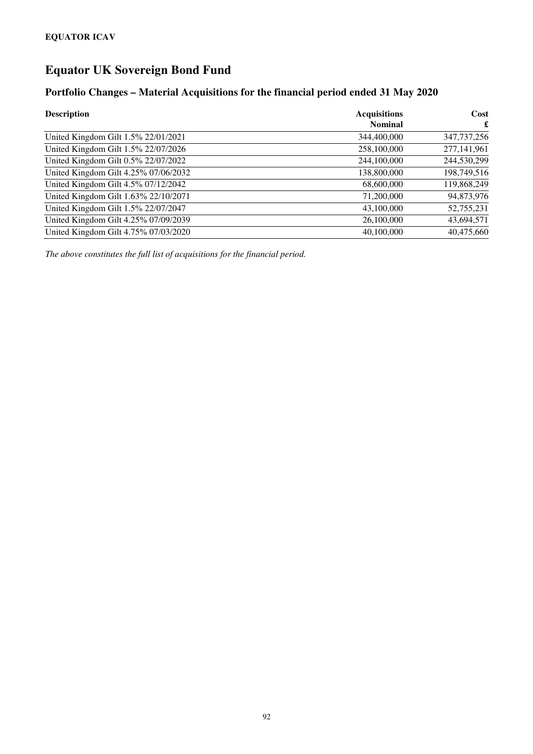# **Equator UK Sovereign Bond Fund**

### **Portfolio Changes – Material Acquisitions for the financial period ended 31 May 2020**

| <b>Description</b>                   | <b>Acquisitions</b> | Cost          |
|--------------------------------------|---------------------|---------------|
|                                      | <b>Nominal</b>      | £             |
| United Kingdom Gilt 1.5% 22/01/2021  | 344,400,000         | 347, 737, 256 |
| United Kingdom Gilt 1.5% 22/07/2026  | 258,100,000         | 277,141,961   |
| United Kingdom Gilt 0.5% 22/07/2022  | 244,100,000         | 244,530,299   |
| United Kingdom Gilt 4.25% 07/06/2032 | 138,800,000         | 198,749,516   |
| United Kingdom Gilt 4.5% 07/12/2042  | 68,600,000          | 119,868,249   |
| United Kingdom Gilt 1.63% 22/10/2071 | 71,200,000          | 94,873,976    |
| United Kingdom Gilt 1.5% 22/07/2047  | 43,100,000          | 52,755,231    |
| United Kingdom Gilt 4.25% 07/09/2039 | 26,100,000          | 43,694,571    |
| United Kingdom Gilt 4.75% 07/03/2020 | 40,100,000          | 40,475,660    |

*The above constitutes the full list of acquisitions for the financial period.*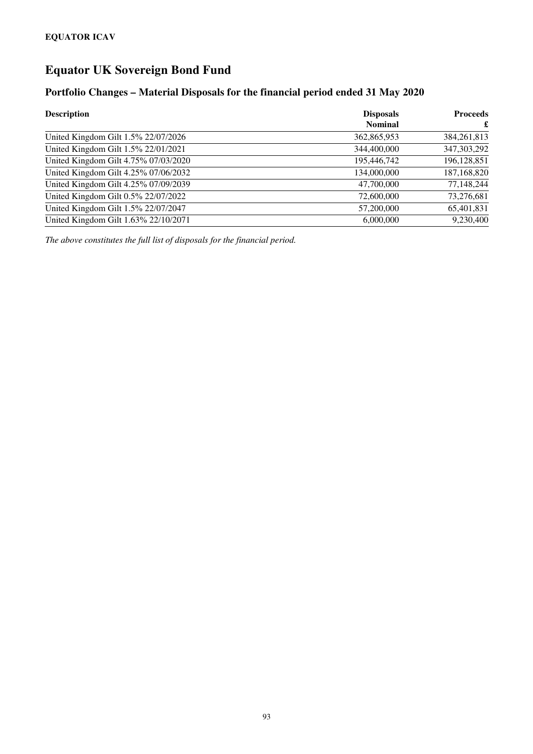# **Equator UK Sovereign Bond Fund**

### **Portfolio Changes – Material Disposals for the financial period ended 31 May 2020**

| <b>Description</b>                   | <b>Disposals</b> | <b>Proceeds</b> |
|--------------------------------------|------------------|-----------------|
|                                      | <b>Nominal</b>   | £               |
| United Kingdom Gilt 1.5% 22/07/2026  | 362,865,953      | 384,261,813     |
| United Kingdom Gilt 1.5% 22/01/2021  | 344,400,000      | 347, 303, 292   |
| United Kingdom Gilt 4.75% 07/03/2020 | 195,446,742      | 196,128,851     |
| United Kingdom Gilt 4.25% 07/06/2032 | 134,000,000      | 187,168,820     |
| United Kingdom Gilt 4.25% 07/09/2039 | 47,700,000       | 77,148,244      |
| United Kingdom Gilt 0.5% 22/07/2022  | 72,600,000       | 73,276,681      |
| United Kingdom Gilt 1.5% 22/07/2047  | 57,200,000       | 65,401,831      |
| United Kingdom Gilt 1.63% 22/10/2071 | 6,000,000        | 9,230,400       |

*The above constitutes the full list of disposals for the financial period.*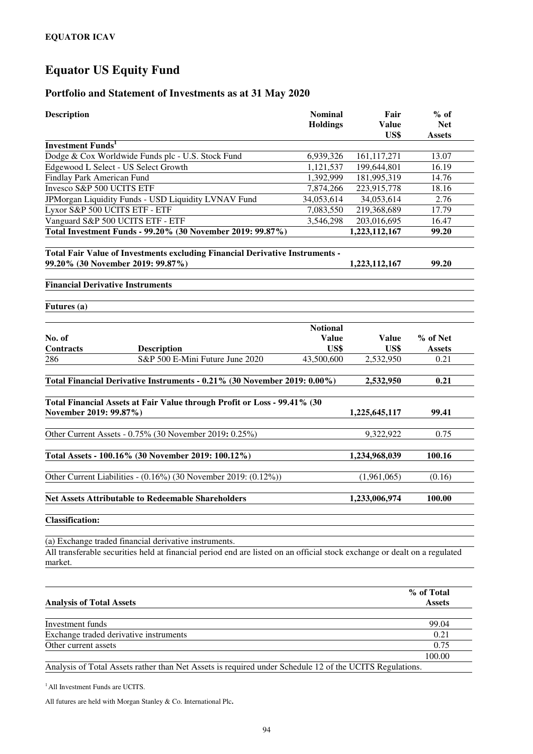#### **Portfolio and Statement of Investments as at 31 May 2020**

| <b>Description</b>                                                                                                                   | <b>Nominal</b><br><b>Holdings</b> | Fair<br><b>Value</b><br>US\$ | $%$ of<br><b>Net</b><br><b>Assets</b> |
|--------------------------------------------------------------------------------------------------------------------------------------|-----------------------------------|------------------------------|---------------------------------------|
| <b>Investment Funds</b> <sup>1</sup>                                                                                                 |                                   |                              |                                       |
| Dodge & Cox Worldwide Funds plc - U.S. Stock Fund                                                                                    | 6,939,326                         | 161,117,271                  | 13.07                                 |
| Edgewood L Select - US Select Growth                                                                                                 | 1,121,537                         | 199,644,801                  | 16.19                                 |
| Findlay Park American Fund                                                                                                           | 1,392,999                         | 181,995,319                  | 14.76                                 |
| Invesco S&P 500 UCITS ETF                                                                                                            | 7,874,266                         | 223,915,778                  | 18.16                                 |
| JPMorgan Liquidity Funds - USD Liquidity LVNAV Fund                                                                                  | 34,053,614                        | 34,053,614                   | 2.76                                  |
| Lyxor S&P 500 UCITS ETF - ETF                                                                                                        | 7,083,550                         | 219,368,689                  | 17.79                                 |
| Vanguard S&P 500 UCITS ETF - ETF                                                                                                     | 3,546,298                         | 203,016,695                  | 16.47                                 |
| Total Investment Funds - 99.20% (30 November 2019: 99.87%)                                                                           |                                   | 1,223,112,167                | 99.20                                 |
| Total Fair Value of Investments excluding Financial Derivative Instruments -<br>99.20% (30 November 2019: 99.87%)                    |                                   | 1,223,112,167                | 99.20                                 |
| <b>Financial Derivative Instruments</b>                                                                                              |                                   |                              |                                       |
| Futures (a)                                                                                                                          |                                   |                              |                                       |
| No. of                                                                                                                               | <b>Notional</b><br><b>Value</b>   | <b>Value</b>                 | % of Net                              |
| <b>Contracts</b><br><b>Description</b>                                                                                               | US\$                              | US\$                         | <b>Assets</b>                         |
| 286<br>S&P 500 E-Mini Future June 2020                                                                                               | 43,500,600                        | 2,532,950                    | 0.21                                  |
| Total Financial Derivative Instruments - 0.21% (30 November 2019: 0.00%)                                                             |                                   | 2,532,950                    | 0.21                                  |
| Total Financial Assets at Fair Value through Profit or Loss - 99.41% (30<br>November 2019: 99.87%)                                   |                                   | 1,225,645,117                | 99.41                                 |
| Other Current Assets - 0.75% (30 November 2019: 0.25%)                                                                               |                                   | 9,322,922                    | 0.75                                  |
| Total Assets - 100.16% (30 November 2019: 100.12%)                                                                                   |                                   | 1,234,968,039                | 100.16                                |
| Other Current Liabilities - (0.16%) (30 November 2019: (0.12%))                                                                      |                                   | (1,961,065)                  | (0.16)                                |
| <b>Net Assets Attributable to Redeemable Shareholders</b>                                                                            |                                   | 1,233,006,974                | 100.00                                |
| <b>Classification:</b>                                                                                                               |                                   |                              |                                       |
| (a) Exchange traded financial derivative instruments.                                                                                |                                   |                              |                                       |
| All transferable securities held at financial period end are listed on an official stock exchange or dealt on a regulated<br>market. |                                   |                              |                                       |
|                                                                                                                                      |                                   |                              | % of Total                            |
| <b>Analysis of Total Assets</b>                                                                                                      |                                   |                              | <b>Assets</b>                         |
| Investment funds                                                                                                                     |                                   |                              | 99.04                                 |

Other current assets 0.75 100.00 Analysis of Total Assets rather than Net Assets is required under Schedule 12 of the UCITS Regulations.

Exchange traded derivative instruments 0.21

<sup>1</sup> All Investment Funds are UCITS.

All futures are held with Morgan Stanley & Co. International Plc**.**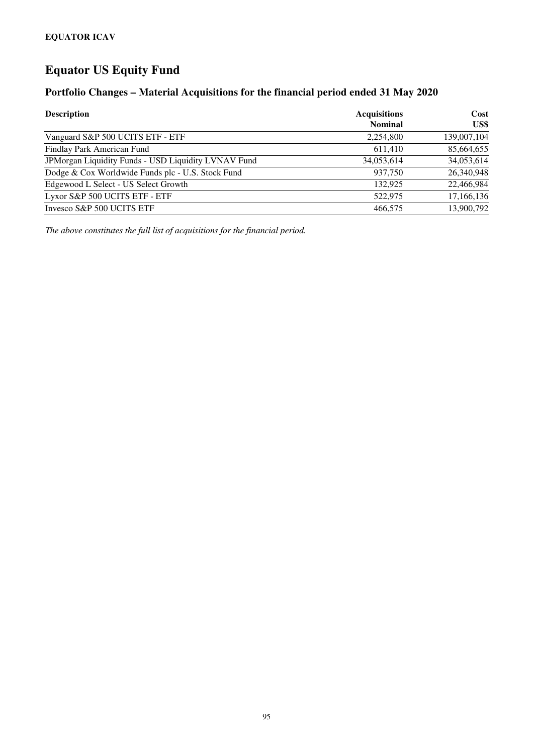### **Portfolio Changes – Material Acquisitions for the financial period ended 31 May 2020**

| <b>Description</b>                                  | <b>Acquisitions</b><br><b>Nominal</b> | Cost<br>US\$ |
|-----------------------------------------------------|---------------------------------------|--------------|
|                                                     |                                       |              |
| Vanguard S&P 500 UCITS ETF - ETF                    | 2,254,800                             | 139,007,104  |
| Findlay Park American Fund                          | 611.410                               | 85,664,655   |
| JPMorgan Liquidity Funds - USD Liquidity LVNAV Fund | 34,053,614                            | 34,053,614   |
| Dodge & Cox Worldwide Funds plc - U.S. Stock Fund   | 937,750                               | 26,340,948   |
| Edgewood L Select - US Select Growth                | 132.925                               | 22,466,984   |
| Lyxor S&P 500 UCITS ETF - ETF                       | 522,975                               | 17,166,136   |
| Invesco S&P 500 UCITS ETF                           | 466,575                               | 13,900,792   |

*The above constitutes the full list of acquisitions for the financial period.*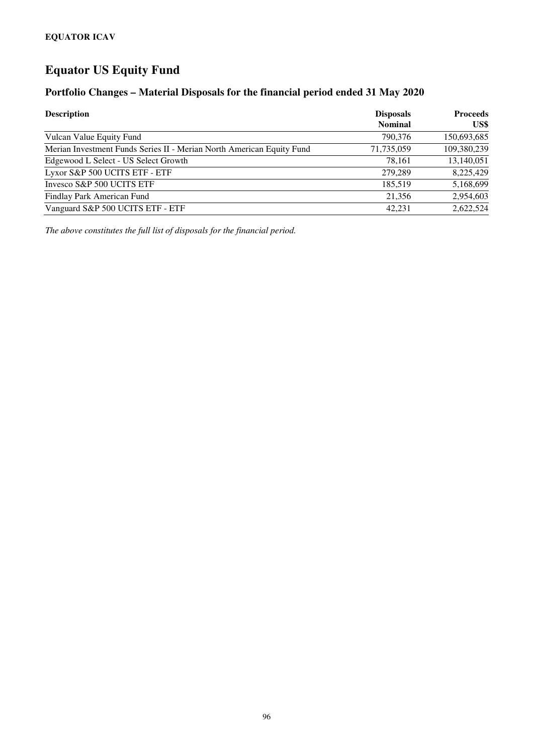### **Portfolio Changes – Material Disposals for the financial period ended 31 May 2020**

| <b>Description</b>                                                    | <b>Disposals</b><br><b>Nominal</b> | <b>Proceeds</b><br>US\$ |
|-----------------------------------------------------------------------|------------------------------------|-------------------------|
| Vulcan Value Equity Fund                                              | 790,376                            | 150,693,685             |
| Merian Investment Funds Series II - Merian North American Equity Fund | 71,735,059                         | 109,380,239             |
| Edgewood L Select - US Select Growth                                  | 78.161                             | 13,140,051              |
| Lyxor S&P 500 UCITS ETF - ETF                                         | 279,289                            | 8,225,429               |
| Invesco S&P 500 UCITS ETF                                             | 185.519                            | 5,168,699               |
| Findlay Park American Fund                                            | 21,356                             | 2,954,603               |
| Vanguard S&P 500 UCITS ETF - ETF                                      | 42.231                             | 2,622,524               |

*The above constitutes the full list of disposals for the financial period.*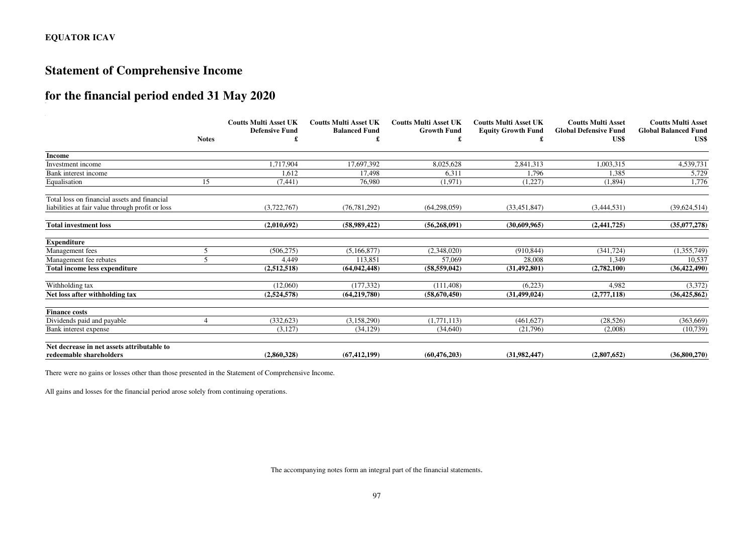## **Statement of Comprehensive Income**

## **for the financial period ended 31 May 2020**  dilu

|                                                  | <b>Notes</b> | <b>Coutts Multi Asset UK</b><br><b>Defensive Fund</b> | <b>Coutts Multi Asset UK</b><br><b>Balanced Fund</b> | <b>Coutts Multi Asset UK</b><br><b>Growth Fund</b> | <b>Coutts Multi Asset UK</b><br><b>Equity Growth Fund</b> | <b>Coutts Multi Asset</b><br><b>Global Defensive Fund</b><br>US\$ | <b>Coutts Multi Asset</b><br><b>Global Balanced Fund</b><br>US\$ |
|--------------------------------------------------|--------------|-------------------------------------------------------|------------------------------------------------------|----------------------------------------------------|-----------------------------------------------------------|-------------------------------------------------------------------|------------------------------------------------------------------|
| <b>Income</b>                                    |              |                                                       |                                                      |                                                    |                                                           |                                                                   |                                                                  |
| Investment income                                |              | 1,717,904                                             | 17,697,392                                           | 8,025,628                                          | 2,841,313                                                 | 1,003,315                                                         | 4,539,731                                                        |
| Bank interest income                             |              | 1,612                                                 | 17,498                                               | 6,311                                              | 1,796                                                     | 1,385                                                             | 5,729                                                            |
| Equalisation                                     | 15           | (7, 441)                                              | 76,980                                               | (1,971)                                            | (1,227)                                                   | (1,894)                                                           | 1,776                                                            |
| Total loss on financial assets and financial     |              |                                                       |                                                      |                                                    |                                                           |                                                                   |                                                                  |
| liabilities at fair value through profit or loss |              | (3,722,767)                                           | (76, 781, 292)                                       | (64, 298, 059)                                     | (33, 451, 847)                                            | (3,444,531)                                                       | (39,624,514)                                                     |
| <b>Total investment loss</b>                     |              | (2.010.692)                                           | (58,989,422)                                         | (56, 268, 091)                                     | (30.609.965)                                              | (2,441,725)                                                       | (35,077,278)                                                     |
| <b>Expenditure</b>                               |              |                                                       |                                                      |                                                    |                                                           |                                                                   |                                                                  |
| Management fees                                  |              | (506, 275)                                            | (5,166,877)                                          | (2,348,020)                                        | (910, 844)                                                | (341, 724)                                                        | (1,355,749)                                                      |
| Management fee rebates                           |              | 4,449                                                 | 113.851                                              | 57,069                                             | 28,008                                                    | 1,349                                                             | 10,537                                                           |
| <b>Total income less expenditure</b>             |              | (2,512,518)                                           | (64.042.448)                                         | (58, 559, 042)                                     | (31, 492, 801)                                            | (2,782,100)                                                       | (36, 422, 490)                                                   |
| Withholding tax                                  |              | (12,060)                                              | (177.332)                                            | (111, 408)                                         | (6,223)                                                   | 4,982                                                             | (3,372)                                                          |
| Net loss after withholding tax                   |              | (2,524,578)                                           | (64, 219, 780)                                       | (58,670,450)                                       | (31, 499, 024)                                            | (2,777,118)                                                       | (36, 425, 862)                                                   |
| <b>Finance costs</b>                             |              |                                                       |                                                      |                                                    |                                                           |                                                                   |                                                                  |
| Dividends paid and payable                       |              | (332, 623)                                            | (3,158,290)                                          | (1,771,113)                                        | (461,627)                                                 | (28,526)                                                          | (363, 669)                                                       |
| Bank interest expense                            |              | (3,127)                                               | (34, 129)                                            | (34,640)                                           | (21,796)                                                  | (2,008)                                                           | (10,739)                                                         |
| Net decrease in net assets attributable to       |              |                                                       |                                                      |                                                    |                                                           |                                                                   |                                                                  |
| redeemable shareholders                          |              | (2,860,328)                                           | (67.412.199)                                         | (60.476.203)                                       | (31.982.447)                                              | (2.807.652)                                                       | (36.800.270)                                                     |

There were no gains or losses other than those presented in the Statement of Comprehensive Income.

All gains and losses for the financial period arose solely from continuing operations.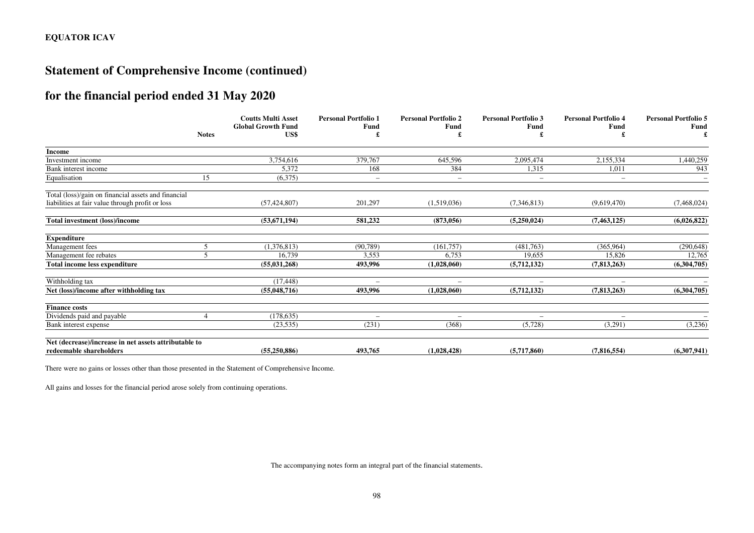## **Statement of Comprehensive Income (continued)**

## **for the financial period ended 31 May 2020**

|                                                       |              | <b>Coutts Multi Asset</b><br><b>Global Growth Fund</b> | <b>Personal Portfolio 1</b><br>Fund | <b>Personal Portfolio 2</b><br><b>Fund</b> | <b>Personal Portfolio 3</b><br>Fund | <b>Personal Portfolio 4</b><br>Fund | <b>Personal Portfolio 5</b><br><b>Fund</b> |
|-------------------------------------------------------|--------------|--------------------------------------------------------|-------------------------------------|--------------------------------------------|-------------------------------------|-------------------------------------|--------------------------------------------|
|                                                       | <b>Notes</b> | US\$                                                   |                                     |                                            |                                     |                                     |                                            |
| Income                                                |              |                                                        |                                     |                                            |                                     |                                     |                                            |
| Investment income                                     |              | 3,754,616                                              | 379,767                             | 645,596                                    | 2,095,474                           | 2,155,334                           | ,440,259                                   |
| Bank interest income                                  |              | 5,372                                                  | 168                                 | 384                                        | 1,315                               | 1,011                               | 943                                        |
| Equalisation                                          | 15           | (6,375)                                                | $\overline{\phantom{a}}$            | $\overline{\phantom{a}}$                   |                                     | $\overline{\phantom{0}}$            |                                            |
| Total (loss)/gain on financial assets and financial   |              |                                                        |                                     |                                            |                                     |                                     |                                            |
| liabilities at fair value through profit or loss      |              | (57, 424, 807)                                         | 201,297                             | (1,519,036)                                | (7,346,813)                         | (9,619,470)                         | (7,468,024)                                |
| <b>Total investment (loss)/income</b>                 |              | (53,671,194)                                           | 581,232                             | (873, 056)                                 | (5,250,024)                         | (7, 463, 125)                       | (6,026,822)                                |
| <b>Expenditure</b>                                    |              |                                                        |                                     |                                            |                                     |                                     |                                            |
| Management fees                                       | 5            | (1,376,813)                                            | (90, 789)                           | (161, 757)                                 | (481,763)                           | (365,964)                           | (290, 648)                                 |
| Management fee rebates                                | 5            | 16,739                                                 | 3,553                               | 6,753                                      | 19,655                              | 15,826                              | 12,765                                     |
| Total income less expenditure                         |              | (55,031,268)                                           | 493.996                             | (1.028.060)                                | (5,712,132)                         | (7,813,263)                         | (6,304,705)                                |
| Withholding tax                                       |              | (17, 448)                                              | $\overline{\phantom{0}}$            |                                            |                                     | $\overline{\phantom{0}}$            |                                            |
| Net (loss)/income after withholding tax               |              | (55,048,716)                                           | 493.996                             | (1.028.060)                                | (5,712,132)                         | (7.813.263)                         | (6,304,705)                                |
| <b>Finance costs</b>                                  |              |                                                        |                                     |                                            |                                     |                                     |                                            |
| Dividends paid and payable                            |              | (178, 635)                                             | $\overline{\phantom{a}}$            |                                            |                                     |                                     |                                            |
| Bank interest expense                                 |              | (23, 535)                                              | (231)                               | (368)                                      | (5,728)                             | (3,291)                             | (3,236)                                    |
| Net (decrease)/increase in net assets attributable to |              |                                                        |                                     |                                            |                                     |                                     |                                            |
| redeemable shareholders                               |              | (55,250,886)                                           | 493,765                             | (1,028,428)                                | (5,717,860)                         | (7,816,554)                         | (6,307,941)                                |

There were no gains or losses other than those presented in the Statement of Comprehensive Income.

All gains and losses for the financial period arose solely from continuing operations.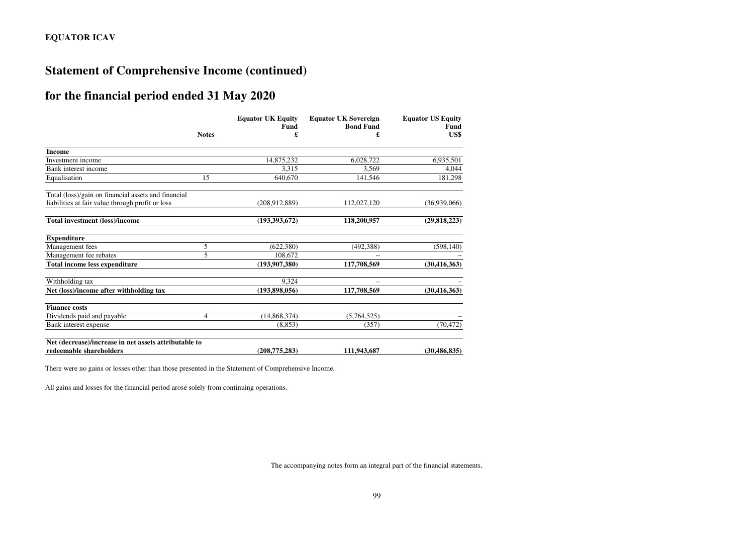## **Statement of Comprehensive Income (continued)**

## **for the financial period ended 31 May 2020**

|                                                       |                | <b>Equator UK Equity</b><br><b>Fund</b> | <b>Equator UK Sovereign</b><br><b>Bond Fund</b> | <b>Equator US Equity</b><br>Fund |
|-------------------------------------------------------|----------------|-----------------------------------------|-------------------------------------------------|----------------------------------|
|                                                       | <b>Notes</b>   |                                         |                                                 | US\$                             |
| <b>Income</b>                                         |                |                                         |                                                 |                                  |
| Investment income                                     |                | 14,875,232                              | 6,028,722                                       | 6,935,501                        |
| Bank interest income                                  |                | 3.315                                   | 3.569                                           | 4,044                            |
| Equalisation                                          | 15             | 640,670                                 | 141,546                                         | 181,298                          |
| Total (loss)/gain on financial assets and financial   |                |                                         |                                                 |                                  |
| liabilities at fair value through profit or loss      |                | (208, 912, 889)                         | 112,027,120                                     | (36.939.066)                     |
| Total investment (loss)/income                        |                | (193, 393, 672)                         | 118,200,957                                     | (29, 818, 223)                   |
| <b>Expenditure</b>                                    |                |                                         |                                                 |                                  |
| Management fees                                       | 5              | (622, 380)                              | (492, 388)                                      | (598, 140)                       |
| Management fee rebates                                | 5              | 108,672                                 |                                                 |                                  |
| Total income less expenditure                         |                | (193, 907, 380)                         | 117,708,569                                     | (30, 416, 363)                   |
| Withholding tax                                       |                | 9,324                                   |                                                 |                                  |
| Net (loss)/income after withholding tax               |                | (193,898,056)                           | 117,708,569                                     | (30, 416, 363)                   |
| <b>Finance costs</b>                                  |                |                                         |                                                 |                                  |
| Dividends paid and payable                            | $\overline{4}$ | (14,868,374)                            | (5,764,525)                                     |                                  |
| Bank interest expense                                 |                | (8, 853)                                | (357)                                           | (70, 472)                        |
| Net (decrease)/increase in net assets attributable to |                |                                         |                                                 |                                  |
| redeemable shareholders                               |                | (208, 775, 283)                         | 111,943,687                                     | (30, 486, 835)                   |

There were no gains or losses other than those presented in the Statement of Comprehensive Income.

All gains and losses for the financial period arose solely from continuing operations.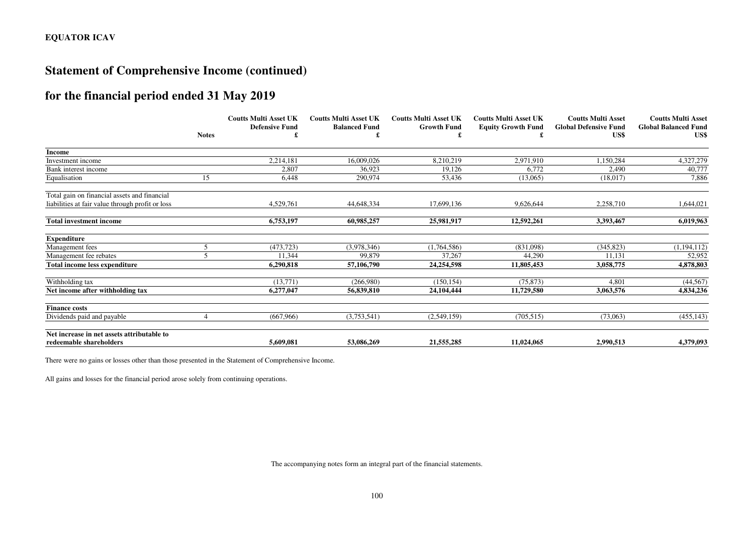## **Statement of Comprehensive Income (continued)**

## **for the financial period ended 31 May 2019**

|                                                  |              | <b>Coutts Multi Asset UK</b><br><b>Defensive Fund</b> | <b>Coutts Multi Asset UK</b><br><b>Balanced Fund</b> | <b>Coutts Multi Asset UK</b><br><b>Growth Fund</b> | <b>Coutts Multi Asset UK</b><br><b>Equity Growth Fund</b> | <b>Coutts Multi Asset</b><br><b>Global Defensive Fund</b> | <b>Coutts Multi Asset</b><br><b>Global Balanced Fund</b> |
|--------------------------------------------------|--------------|-------------------------------------------------------|------------------------------------------------------|----------------------------------------------------|-----------------------------------------------------------|-----------------------------------------------------------|----------------------------------------------------------|
|                                                  | <b>Notes</b> |                                                       |                                                      |                                                    |                                                           | US\$                                                      | US\$                                                     |
| Income                                           |              |                                                       |                                                      |                                                    |                                                           |                                                           |                                                          |
| Investment income                                |              | 2,214,181                                             | 16,009,026                                           | 8,210,219                                          | 2,971,910                                                 | 1,150,284                                                 | 4,327,279                                                |
| Bank interest income                             |              | 2,807                                                 | 36.923                                               | 19,126                                             | 6,772                                                     | 2.490                                                     | 40,777                                                   |
| Equalisation                                     | 15           | 6,448                                                 | 290.974                                              | 53,436                                             | (13,065)                                                  | (18,017)                                                  | 7,886                                                    |
| Total gain on financial assets and financial     |              |                                                       |                                                      |                                                    |                                                           |                                                           |                                                          |
| liabilities at fair value through profit or loss |              | 4,529,761                                             | 44,648,334                                           | 17,699,136                                         | 9,626,644                                                 | 2,258,710                                                 | 1,644,021                                                |
| <b>Total investment income</b>                   |              | 6,753,197                                             | 60,985,257                                           | 25,981,917                                         | 12,592,261                                                | 3,393,467                                                 | 6,019,963                                                |
| <b>Expenditure</b>                               |              |                                                       |                                                      |                                                    |                                                           |                                                           |                                                          |
| Management fees                                  | 5            | (473, 723)                                            | (3,978,346)                                          | (1,764,586)                                        | (831,098)                                                 | (345, 823)                                                | (1, 194, 112)                                            |
| Management fee rebates                           |              | 11,344                                                | 99.879                                               | 37,267                                             | 44.290                                                    | 11,131                                                    | 52,952                                                   |
| Total income less expenditure                    |              | 6.290.818                                             | 57,106,790                                           | 24,254,598                                         | 11,805,453                                                | 3,058,775                                                 | 4,878,803                                                |
| Withholding tax                                  |              | (13, 771)                                             | (266,980)                                            | (150, 154)                                         | (75, 873)                                                 | 4,801                                                     | (44, 567)                                                |
| Net income after withholding tax                 |              | 6.277.047                                             | 56,839,810                                           | 24.104.444                                         | 11.729.580                                                | 3.063.576                                                 | 4,834,236                                                |
| <b>Finance costs</b>                             |              |                                                       |                                                      |                                                    |                                                           |                                                           |                                                          |
| Dividends paid and payable                       |              | (667,966)                                             | (3,753,541)                                          | (2,549,159)                                        | (705, 515)                                                | (73,063)                                                  | (455, 143)                                               |
| Net increase in net assets attributable to       |              |                                                       |                                                      |                                                    |                                                           |                                                           |                                                          |
| redeemable shareholders                          |              | 5,609,081                                             | 53,086,269                                           | 21,555,285                                         | 11,024,065                                                | 2,990,513                                                 | 4,379,093                                                |

There were no gains or losses other than those presented in the Statement of Comprehensive Income.

All gains and losses for the financial period arose solely from continuing operations.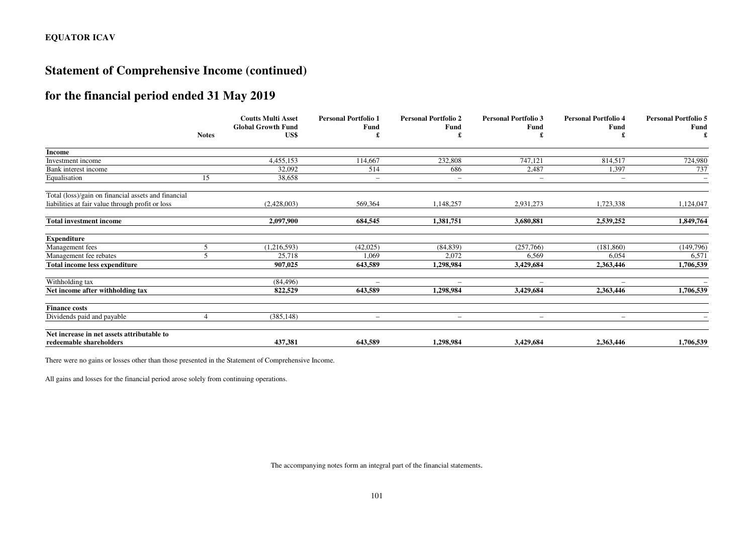## **Statement of Comprehensive Income (continued)**

## **for the financial period ended 31 May 2019**

|                                                     |              | <b>Coutts Multi Asset</b><br><b>Global Growth Fund</b> | <b>Personal Portfolio 1</b><br>Fund | <b>Personal Portfolio 2</b><br>Fund | <b>Personal Portfolio 3</b><br><b>Fund</b> | <b>Personal Portfolio 4</b><br>Fund | <b>Personal Portfolio 5</b><br>Fund |
|-----------------------------------------------------|--------------|--------------------------------------------------------|-------------------------------------|-------------------------------------|--------------------------------------------|-------------------------------------|-------------------------------------|
|                                                     | <b>Notes</b> | US\$                                                   |                                     |                                     |                                            |                                     | £                                   |
| Income                                              |              |                                                        |                                     |                                     |                                            |                                     |                                     |
| Investment income                                   |              | 4,455,153                                              | 114,667                             | 232,808                             | 747,121                                    | 814,517                             | 724,980                             |
| Bank interest income                                |              | 32,092                                                 | 514                                 | 686                                 | 2,487                                      | 1,397                               | 737                                 |
| Equalisation                                        | 15           | 38,658                                                 | $\overline{\phantom{a}}$            | $\overline{\phantom{a}}$            | $\overline{\phantom{a}}$                   | $\qquad \qquad -$                   | $-$                                 |
| Total (loss)/gain on financial assets and financial |              |                                                        |                                     |                                     |                                            |                                     |                                     |
| liabilities at fair value through profit or loss    |              | (2,428,003)                                            | 569,364                             | 1,148,257                           | 2,931,273                                  | 1,723,338                           | 1,124,047                           |
| <b>Total investment income</b>                      |              | 2,097,900                                              | 684,545                             | 1,381,751                           | 3,680,881                                  | 2,539,252                           | 1,849,764                           |
| <b>Expenditure</b>                                  |              |                                                        |                                     |                                     |                                            |                                     |                                     |
| Management fees                                     |              | (1, 216, 593)                                          | (42,025)                            | (84, 839)                           | (257,766)                                  | (181, 860)                          | (149,796)                           |
| Management fee rebates                              |              | 25,718                                                 | 1,069                               | 2,072                               | 6,569                                      | 6.054                               | 6,571                               |
| Total income less expenditure                       |              | 907,025                                                | 643,589                             | 1,298,984                           | 3,429,684                                  | 2,363,446                           | 1,706,539                           |
| Withholding tax                                     |              | (84, 496)                                              |                                     |                                     |                                            |                                     |                                     |
| Net income after withholding tax                    |              | 822,529                                                | 643,589                             | 1,298,984                           | 3,429,684                                  | 2,363,446                           | 1,706,539                           |
| <b>Finance costs</b>                                |              |                                                        |                                     |                                     |                                            |                                     |                                     |
| Dividends paid and payable                          |              | (385, 148)                                             | $\overline{\phantom{0}}$            | $\qquad \qquad -$                   |                                            | $\qquad \qquad -$                   |                                     |
| Net increase in net assets attributable to          |              |                                                        |                                     |                                     |                                            |                                     |                                     |
| redeemable shareholders                             |              | 437,381                                                | 643.589                             | 1,298,984                           | 3,429,684                                  | 2,363,446                           | 1,706,539                           |

There were no gains or losses other than those presented in the Statement of Comprehensive Income.

All gains and losses for the financial period arose solely from continuing operations.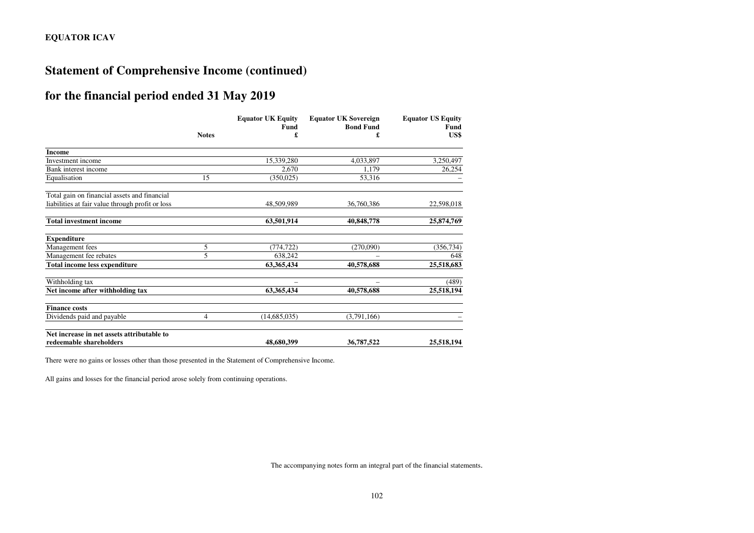## **Statement of Comprehensive Income (continued)**

## **for the financial period ended 31 May 2019**

|                                                  |                | <b>Equator UK Equity</b><br>Fund | <b>Equator UK Sovereign</b><br><b>Bond Fund</b> | <b>Equator US Equity</b><br>Fund |
|--------------------------------------------------|----------------|----------------------------------|-------------------------------------------------|----------------------------------|
|                                                  | <b>Notes</b>   | £                                | £                                               | US\$                             |
| <b>Income</b>                                    |                |                                  |                                                 |                                  |
| Investment income                                |                | 15,339,280                       | 4,033,897                                       | 3,250,497                        |
| Bank interest income                             |                | 2,670                            | 1.179                                           | 26,254                           |
| Equalisation                                     | 15             | (350, 025)                       | 53,316                                          |                                  |
| Total gain on financial assets and financial     |                |                                  |                                                 |                                  |
| liabilities at fair value through profit or loss |                | 48,509,989                       | 36,760,386                                      | 22,598,018                       |
| <b>Total investment income</b>                   |                | 63,501,914                       | 40,848,778                                      | 25,874,769                       |
| <b>Expenditure</b>                               |                |                                  |                                                 |                                  |
| Management fees                                  | 5              | (774, 722)                       | (270,090)                                       | (356, 734)                       |
| Management fee rebates                           | 5              | 638,242                          |                                                 | 648                              |
| <b>Total income less expenditure</b>             |                | 63,365,434                       | 40,578,688                                      | 25,518,683                       |
| Withholding tax                                  |                |                                  |                                                 | (489)                            |
| Net income after withholding tax                 |                | 63,365,434                       | 40,578,688                                      | 25,518,194                       |
| <b>Finance costs</b>                             |                |                                  |                                                 |                                  |
| Dividends paid and payable                       | $\overline{4}$ | (14, 685, 035)                   | (3,791,166)                                     |                                  |
| Net increase in net assets attributable to       |                |                                  |                                                 |                                  |
| redeemable shareholders                          |                | 48,680,399                       | 36,787,522                                      | 25,518,194                       |

There were no gains or losses other than those presented in the Statement of Comprehensive Income.

All gains and losses for the financial period arose solely from continuing operations.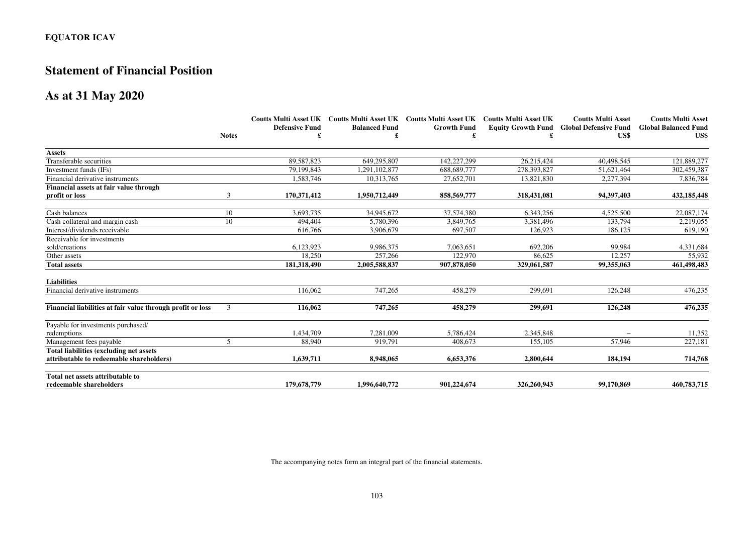## **Statement of Financial Position**

### **As at 31 May 2020**

|                                                            |              |                       |                      | Coutts Multi Asset UK Coutts Multi Asset UK Coutts Multi Asset UK Coutts Multi Asset UK |             | <b>Coutts Multi Asset</b>                       | <b>Coutts Multi Asset</b>   |
|------------------------------------------------------------|--------------|-----------------------|----------------------|-----------------------------------------------------------------------------------------|-------------|-------------------------------------------------|-----------------------------|
|                                                            |              | <b>Defensive Fund</b> | <b>Balanced Fund</b> | <b>Growth Fund</b>                                                                      |             | <b>Equity Growth Fund Global Defensive Fund</b> | <b>Global Balanced Fund</b> |
|                                                            | <b>Notes</b> |                       | £                    | £                                                                                       |             | US\$                                            | US\$                        |
| <b>Assets</b>                                              |              |                       |                      |                                                                                         |             |                                                 |                             |
| Transferable securities                                    |              | 89.587.823            | 649,295,807          | 142.227.299                                                                             | 26.215.424  | 40,498,545                                      | 121,889,277                 |
| Investment funds (IFs)                                     |              | 79.199.843            | 1,291,102,877        | 688,689,777                                                                             | 278,393,827 | 51,621,464                                      | 302,459,387                 |
| Financial derivative instruments                           |              | 1,583,746             | 10,313,765           | 27,652,701                                                                              | 13.821.830  | 2,277,394                                       | 7,836,784                   |
| Financial assets at fair value through                     |              |                       |                      |                                                                                         |             |                                                 |                             |
| profit or loss                                             | 3            | 170,371,412           | 1,950,712,449        | 858,569,777                                                                             | 318,431,081 | 94,397,403                                      | 432,185,448                 |
| Cash balances                                              | 10           | 3.693.735             | 34,945,672           | 37.574.380                                                                              | 6.343.256   | 4.525.500                                       | 22,087,174                  |
| Cash collateral and margin cash                            | 10           | 494,404               | 5,780,396            | 3,849,765                                                                               | 3,381,496   | 133,794                                         | 2,219,055                   |
| Interest/dividends receivable                              |              | 616,766               | 3,906,679            | 697,507                                                                                 | 126.923     | 186.125                                         | 619,190                     |
| Receivable for investments                                 |              |                       |                      |                                                                                         |             |                                                 |                             |
| sold/creations                                             |              | 6,123,923             | 9,986,375            | 7,063,651                                                                               | 692,206     | 99,984                                          | 4,331,684                   |
| Other assets                                               |              | 18.250                | 257.266              | 122,970                                                                                 | 86.625      | 12.257                                          | 55,932                      |
| <b>Total assets</b>                                        |              | 181,318,490           | 2,005,588,837        | 907,878,050                                                                             | 329,061,587 | 99,355,063                                      | 461,498,483                 |
| <b>Liabilities</b>                                         |              |                       |                      |                                                                                         |             |                                                 |                             |
| Financial derivative instruments                           |              | 116.062               | 747,265              | 458,279                                                                                 | 299.691     | 126,248                                         | 476,235                     |
| Financial liabilities at fair value through profit or loss | 3            | 116.062               | 747,265              | 458,279                                                                                 | 299.691     | 126,248                                         | 476,235                     |
| Payable for investments purchased/                         |              |                       |                      |                                                                                         |             |                                                 |                             |
| redemptions                                                |              | 1,434,709             | 7,281,009            | 5,786,424                                                                               | 2,345,848   |                                                 | 11,352                      |
| Management fees payable                                    | 5            | 88.940                | 919.791              | 408,673                                                                                 | 155,105     | 57.946                                          | 227,181                     |
| Total liabilities (excluding net assets                    |              |                       |                      |                                                                                         |             |                                                 |                             |
| attributable to redeemable shareholders)                   |              | 1,639,711             | 8,948,065            | 6,653,376                                                                               | 2,800,644   | 184,194                                         | 714,768                     |
| Total net assets attributable to                           |              |                       |                      |                                                                                         |             |                                                 |                             |
| redeemable shareholders                                    |              | 179,678,779           | 1,996,640,772        | 901,224,674                                                                             | 326,260,943 | 99,170,869                                      | 460,783,715                 |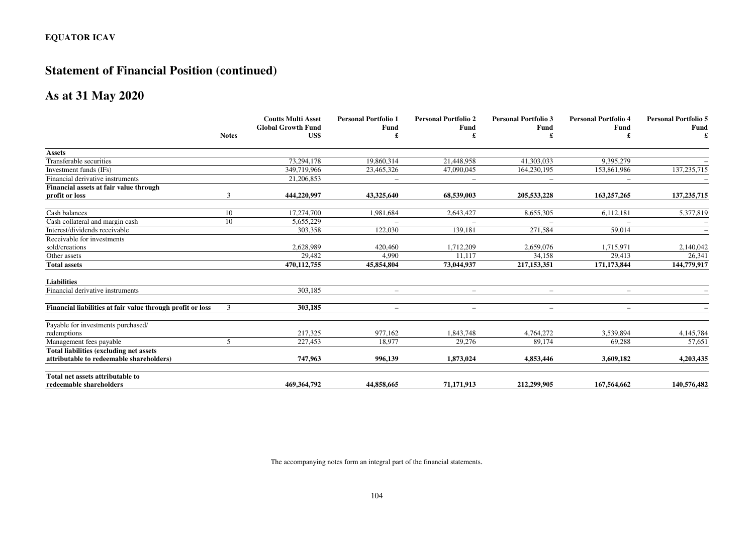# **Statement of Financial Position (continued)**

### **As at 31 May 2020**

|                                                            |                | <b>Coutts Multi Asset</b><br><b>Global Growth Fund</b> | <b>Personal Portfolio 1</b><br>Fund | <b>Personal Portfolio 2</b><br>Fund | <b>Personal Portfolio 3</b><br><b>Fund</b> | <b>Personal Portfolio 4</b><br>Fund | <b>Personal Portfolio 5</b><br>Fund |
|------------------------------------------------------------|----------------|--------------------------------------------------------|-------------------------------------|-------------------------------------|--------------------------------------------|-------------------------------------|-------------------------------------|
|                                                            | <b>Notes</b>   | US\$                                                   | £                                   |                                     |                                            | £                                   |                                     |
| <b>Assets</b>                                              |                |                                                        |                                     |                                     |                                            |                                     |                                     |
| Transferable securities                                    |                | 73,294,178                                             | 19,860,314                          | 21,448,958                          | 41,303,033                                 | 9,395,279                           |                                     |
| Investment funds (IFs)                                     |                | 349,719,966                                            | 23,465,326                          | 47,090,045                          | 164,230,195                                | 153,861,986                         | 137, 235, 715                       |
| Financial derivative instruments                           |                | 21.206.853                                             |                                     | $\overline{\phantom{0}}$            |                                            |                                     |                                     |
| Financial assets at fair value through                     |                |                                                        |                                     |                                     |                                            |                                     |                                     |
| profit or loss                                             | 3              | 444,220,997                                            | 43,325,640                          | 68,539,003                          | 205,533,228                                | 163,257,265                         | 137, 235, 715                       |
| Cash balances                                              | 10             | 17,274,700                                             | 1,981,684                           | 2,643,427                           | 8,655,305                                  | 6,112,181                           | 5,377,819                           |
| Cash collateral and margin cash                            | 10             | 5,655,229                                              |                                     |                                     |                                            |                                     |                                     |
| Interest/dividends receivable                              |                | 303,358                                                | 122,030                             | 139,181                             | 271,584                                    | 59,014                              |                                     |
| Receivable for investments                                 |                |                                                        |                                     |                                     |                                            |                                     |                                     |
| sold/creations                                             |                | 2,628,989                                              | 420,460                             | 1,712,209                           | 2,659,076                                  | 1,715,971                           | 2,140,042                           |
| Other assets                                               |                | 29,482                                                 | 4,990                               | 11,117                              | 34,158                                     | 29,413                              | 26,341                              |
| <b>Total assets</b>                                        |                | 470,112,755                                            | 45,854,804                          | 73,044,937                          | 217,153,351                                | 171,173,844                         | 144,779,917                         |
| <b>Liabilities</b>                                         |                |                                                        |                                     |                                     |                                            |                                     |                                     |
| Financial derivative instruments                           |                | 303,185                                                | $\overline{\phantom{0}}$            | $\overline{\phantom{0}}$            |                                            | $\qquad \qquad -$                   |                                     |
| Financial liabilities at fair value through profit or loss | 3              | 303.185                                                | $\overline{\phantom{0}}$            | $\overline{\phantom{0}}$            | $\qquad \qquad \blacksquare$               | $\qquad \qquad -$                   |                                     |
| Payable for investments purchased/                         |                |                                                        |                                     |                                     |                                            |                                     |                                     |
| redemptions                                                |                | 217,325                                                | 977.162                             | 1,843,748                           | 4,764,272                                  | 3,539,894                           | 4,145,784                           |
| Management fees payable                                    | $\mathfrak{F}$ | 227,453                                                | 18,977                              | 29,276                              | 89.174                                     | 69,288                              | 57,651                              |
| Total liabilities (excluding net assets                    |                |                                                        |                                     |                                     |                                            |                                     |                                     |
| attributable to redeemable shareholders)                   |                | 747,963                                                | 996,139                             | 1,873,024                           | 4,853,446                                  | 3,609,182                           | 4,203,435                           |
| Total net assets attributable to                           |                |                                                        |                                     |                                     |                                            |                                     |                                     |
| redeemable shareholders                                    |                | 469,364,792                                            | 44,858,665                          | 71,171,913                          | 212,299,905                                | 167,564,662                         | 140,576,482                         |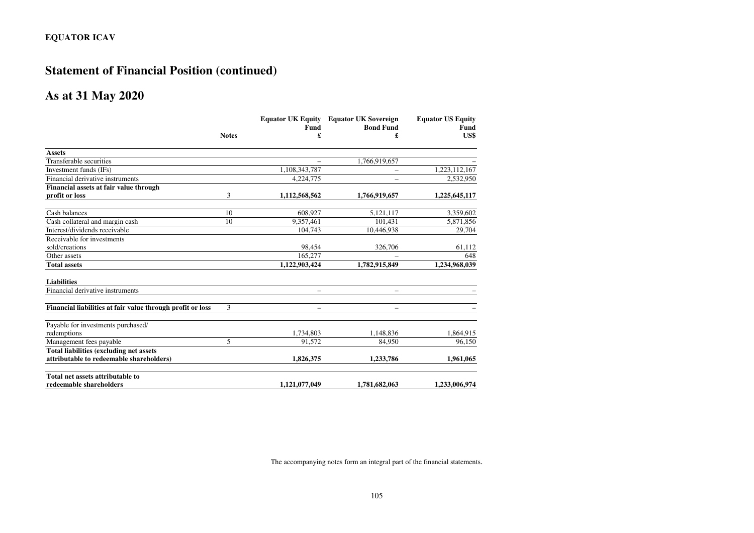# **Statement of Financial Position (continued)**

### **As at 31 May 2020**

|                                                            |              | <b>Equator UK Equity</b> | <b>Equator UK Sovereign</b> | <b>Equator US Equity</b> |
|------------------------------------------------------------|--------------|--------------------------|-----------------------------|--------------------------|
|                                                            |              | <b>Fund</b>              | <b>Bond Fund</b>            | <b>Fund</b>              |
|                                                            | <b>Notes</b> | £                        | £                           | US\$                     |
| <b>Assets</b>                                              |              |                          |                             |                          |
| <b>Transferable</b> securities                             |              | $\overline{\phantom{0}}$ | 1,766,919,657               |                          |
| Investment funds (IFs)                                     |              | 1,108,343,787            |                             | 1,223,112,167            |
| Financial derivative instruments                           |              | 4,224,775                |                             | 2,532,950                |
| Financial assets at fair value through                     |              |                          |                             |                          |
| profit or loss                                             | 3            | 1,112,568,562            | 1,766,919,657               | 1,225,645,117            |
| Cash balances                                              | 10           | 608.927                  | 5,121,117                   | 3,359,602                |
| Cash collateral and margin cash                            | 10           | 9,357,461                | 101,431                     | 5,871,856                |
| Interest/dividends receivable                              |              | 104,743                  | 10,446,938                  | 29,704                   |
| Receivable for investments                                 |              |                          |                             |                          |
| sold/creations                                             |              | 98,454                   | 326,706                     | 61,112                   |
| Other assets                                               |              | 165,277                  |                             | 648                      |
| <b>Total assets</b>                                        |              | 1,122,903,424            | 1,782,915,849               | 1,234,968,039            |
| <b>Liabilities</b>                                         |              |                          |                             |                          |
| Financial derivative instruments                           |              | $\overline{\phantom{0}}$ | $\overline{\phantom{0}}$    |                          |
| Financial liabilities at fair value through profit or loss | 3            | -                        |                             |                          |
| Payable for investments purchased/                         |              |                          |                             |                          |
| redemptions                                                |              | 1,734,803                | 1,148,836                   | 1,864,915                |
| Management fees payable                                    | 5            | 91,572                   | 84,950                      | 96.150                   |
| Total liabilities (excluding net assets                    |              |                          |                             |                          |
| attributable to redeemable shareholders)                   |              | 1,826,375                | 1,233,786                   | 1,961,065                |
| Total net assets attributable to                           |              |                          |                             |                          |
| redeemable shareholders                                    |              | 1,121,077,049            | 1,781,682,063               | 1,233,006,974            |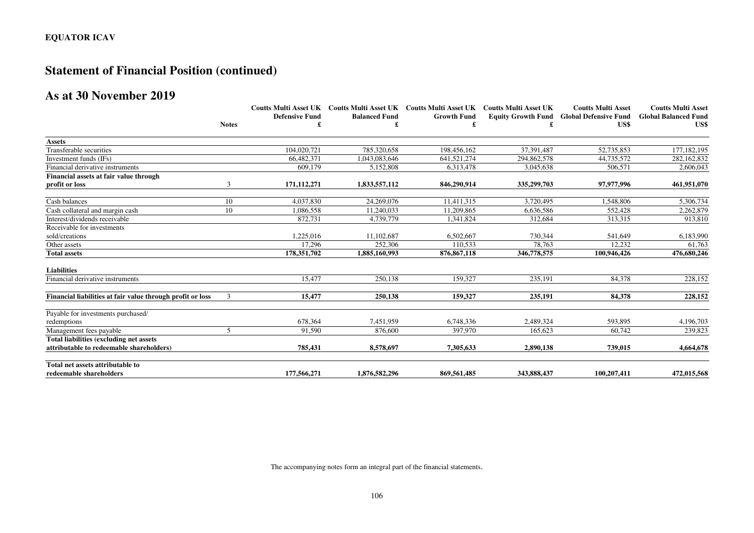# **Statement of Financial Position (continued)**

# **As at 30 November 2019**

|                                                            |                | <b>Defensive Fund</b> | <b>Balanced Fund</b><br>£ | Coutts Multi Asset UK Coutts Multi Asset UK Coutts Multi Asset UK Coutts Multi Asset UK<br><b>Growth Fund</b> |             | <b>Coutts Multi Asset</b><br>Equity Growth Fund Global Defensive Fund<br>US\$ | <b>Coutts Multi Asset</b><br><b>Global Balanced Fund</b><br>US\$ |
|------------------------------------------------------------|----------------|-----------------------|---------------------------|---------------------------------------------------------------------------------------------------------------|-------------|-------------------------------------------------------------------------------|------------------------------------------------------------------|
|                                                            | <b>Notes</b>   |                       |                           |                                                                                                               |             |                                                                               |                                                                  |
|                                                            |                |                       |                           |                                                                                                               |             |                                                                               |                                                                  |
| <b>Assets</b>                                              |                |                       |                           |                                                                                                               |             |                                                                               |                                                                  |
| Transferable securities                                    |                | 104.020.721           | 785,320,658               | 198,456,162                                                                                                   | 37,391,487  | 52,735,853                                                                    | 177,182,195                                                      |
| Investment funds (IFs)                                     |                | 66,482,371            | 1.043.083.646             | 641.521.274                                                                                                   | 294,862,578 | 44.735.572                                                                    | 282,162,832                                                      |
| Financial derivative instruments                           |                | 609,179               | 5,152,808                 | 6,313,478                                                                                                     | 3,045,638   | 506,571                                                                       | 2,606,043                                                        |
| Financial assets at fair value through                     |                |                       |                           |                                                                                                               |             |                                                                               |                                                                  |
| profit or loss                                             | 3              | 171,112,271           | 1,833,557,112             | 846,290,914                                                                                                   | 335,299,703 | 97,977,996                                                                    | 461,951,070                                                      |
| Cash balances                                              | 10             | 4.037.830             | 24,269,076                | 11,411,315                                                                                                    | 3,720,495   | 1,548,806                                                                     | 5,306,734                                                        |
| Cash collateral and margin cash                            | 10             | 1,086,558             | 11.240.033                | 11,209,865                                                                                                    | 6,636,586   | 552,428                                                                       | 2,262,879                                                        |
| Interest/dividends receivable                              |                | 872,731               | 4,739,779                 | 1,341,824                                                                                                     | 312,684     | 313,315                                                                       | 913,810                                                          |
| Receivable for investments                                 |                |                       |                           |                                                                                                               |             |                                                                               |                                                                  |
| sold/creations                                             |                | 1,225,016             | 11,102,687                | 6,502,667                                                                                                     | 730,344     | 541,649                                                                       | 6,183,990                                                        |
| Other assets                                               |                | 17.296                | 252,306                   | 110.533                                                                                                       | 78.763      | 12.232                                                                        | 61,763                                                           |
| <b>Total assets</b>                                        |                | 178,351,702           | 1,885,160,993             | 876, 867, 118                                                                                                 | 346,778,575 | 100,946,426                                                                   | 476,680,246                                                      |
| <b>Liabilities</b>                                         |                |                       |                           |                                                                                                               |             |                                                                               |                                                                  |
| Financial derivative instruments                           |                | 15.477                | 250,138                   | 159,327                                                                                                       | 235,191     | 84,378                                                                        | 228,152                                                          |
| Financial liabilities at fair value through profit or loss | 3              | 15,477                | 250.138                   | 159,327                                                                                                       | 235,191     | 84,378                                                                        | 228,152                                                          |
| Payable for investments purchased/                         |                |                       |                           |                                                                                                               |             |                                                                               |                                                                  |
| redemptions                                                |                | 678,364               | 7.451.959                 | 6,748,336                                                                                                     | 2,489,324   | 593,895                                                                       | 4,196,703                                                        |
| Management fees payable                                    | $\mathfrak{F}$ | 91,590                | 876,600                   | 397,970                                                                                                       | 165,623     | 60,742                                                                        | 239,823                                                          |
| Total liabilities (excluding net assets                    |                |                       |                           |                                                                                                               |             |                                                                               |                                                                  |
| attributable to redeemable shareholders)                   |                | 785,431               | 8,578,697                 | 7,305,633                                                                                                     | 2,890,138   | 739,015                                                                       | 4,664,678                                                        |
| Total net assets attributable to                           |                |                       |                           |                                                                                                               |             |                                                                               |                                                                  |
| redeemable shareholders                                    |                | 177,566,271           | 1.876.582.296             | 869,561,485                                                                                                   | 343,888,437 | 100.207.411                                                                   | 472,015,568                                                      |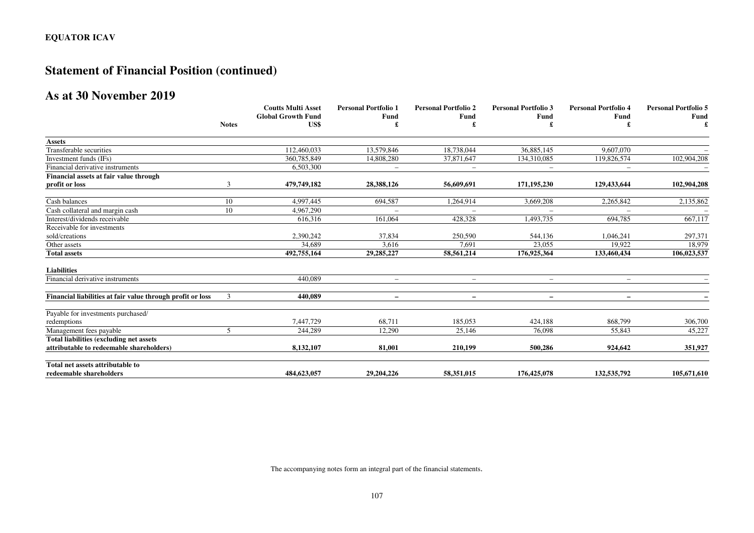# **Statement of Financial Position (continued)**

# **As at 30 November 2019**

|                                                            |              | <b>Coutts Multi Asset</b><br><b>Global Growth Fund</b><br>US\$ | <b>Personal Portfolio 1</b><br>Fund | <b>Personal Portfolio 2</b><br>Fund | <b>Personal Portfolio 3</b><br>Fund | <b>Personal Portfolio 4</b><br>Fund | <b>Personal Portfolio 5</b><br><b>Fund</b> |
|------------------------------------------------------------|--------------|----------------------------------------------------------------|-------------------------------------|-------------------------------------|-------------------------------------|-------------------------------------|--------------------------------------------|
|                                                            |              |                                                                |                                     |                                     |                                     |                                     |                                            |
|                                                            | <b>Notes</b> |                                                                |                                     |                                     |                                     |                                     |                                            |
| <b>Assets</b>                                              |              |                                                                |                                     |                                     |                                     |                                     |                                            |
| Transferable securities                                    |              | 112,460,033                                                    | 13,579,846                          | 18,738,044                          | 36,885,145                          | 9.607.070                           |                                            |
| Investment funds (IFs)                                     |              | 360,785,849                                                    | 14,808,280                          | 37,871,647                          | 134,310,085                         | 119,826,574                         | 102,904,208                                |
| Financial derivative instruments                           |              | 6,503,300                                                      | $\overline{\phantom{m}}$            | $\qquad \qquad -$                   | $\overline{\phantom{m}}$            | $\overline{\phantom{0}}$            |                                            |
| Financial assets at fair value through                     |              |                                                                |                                     |                                     |                                     |                                     |                                            |
| profit or loss                                             | 3            | 479,749,182                                                    | 28,388,126                          | 56,609,691                          | 171,195,230                         | 129,433,644                         | 102,904,208                                |
| Cash balances                                              | 10           | 4,997,445                                                      | 694,587                             | 1,264,914                           | 3,669,208                           | 2,265,842                           | 2,135,862                                  |
| Cash collateral and margin cash                            | 10           | 4,967,290                                                      |                                     |                                     |                                     |                                     |                                            |
| Interest/dividends receivable                              |              | 616,316                                                        | 161,064                             | 428,328                             | 1,493,735                           | 694,785                             | 667,117                                    |
| Receivable for investments                                 |              |                                                                |                                     |                                     |                                     |                                     |                                            |
| sold/creations                                             |              | 2,390,242                                                      | 37,834                              | 250,590                             | 544,136                             | 1,046,241                           | 297,371                                    |
| Other assets                                               |              | 34,689                                                         | 3,616                               | 7,691                               | 23,055                              | 19.922                              | 18,979                                     |
| <b>Total assets</b>                                        |              | 492,755,164                                                    | 29,285,227                          | 58,561,214                          | 176,925,364                         | 133,460,434                         | 106,023,537                                |
| <b>Liabilities</b>                                         |              |                                                                |                                     |                                     |                                     |                                     |                                            |
| Financial derivative instruments                           |              | 440,089                                                        | $\qquad \qquad -$                   | $\qquad \qquad -$                   | $\overline{\phantom{0}}$            | $\qquad \qquad -$                   |                                            |
| Financial liabilities at fair value through profit or loss | 3            | 440.089                                                        | $\qquad \qquad -$                   | $\qquad \qquad -$                   | $\qquad \qquad -$                   | $\overline{\phantom{a}}$            |                                            |
| Payable for investments purchased/                         |              |                                                                |                                     |                                     |                                     |                                     |                                            |
| redemptions                                                |              | 7,447,729                                                      | 68,711                              | 185,053                             | 424.188                             | 868,799                             | 306,700                                    |
| Management fees payable                                    | 5            | 244,289                                                        | 12,290                              | 25,146                              | 76,098                              | 55,843                              | 45,227                                     |
| Total liabilities (excluding net assets                    |              |                                                                |                                     |                                     |                                     |                                     |                                            |
| attributable to redeemable shareholders)                   |              | 8,132,107                                                      | 81,001                              | 210,199                             | 500,286                             | 924,642                             | 351,927                                    |
| Total net assets attributable to                           |              |                                                                |                                     |                                     |                                     |                                     |                                            |
| redeemable shareholders                                    |              | 484,623,057                                                    | 29,204,226                          | 58,351,015                          | 176,425,078                         | 132,535,792                         | 105,671,610                                |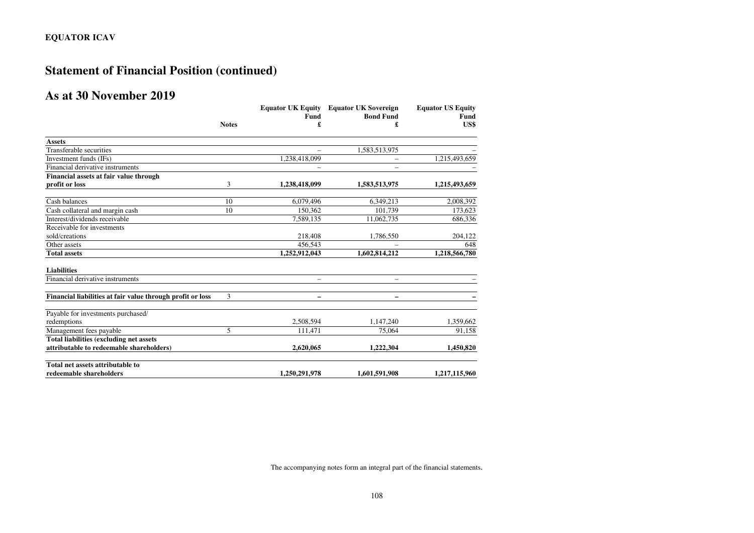# **Statement of Financial Position (continued)**

# **As at 30 November 2019**

|                                                            |              | <b>Equator UK Equity</b> | <b>Equator UK Sovereign</b> | <b>Equator US Equity</b> |
|------------------------------------------------------------|--------------|--------------------------|-----------------------------|--------------------------|
|                                                            |              | Fund                     | <b>Bond Fund</b>            | Fund                     |
|                                                            | <b>Notes</b> | £                        | £                           | US\$                     |
| <b>Assets</b>                                              |              |                          |                             |                          |
| Transferable securities                                    |              | $\overline{\phantom{0}}$ | 1,583,513,975               |                          |
| Investment funds (IFs)                                     |              | 1,238,418,099            |                             | 1,215,493,659            |
| Financial derivative instruments                           |              |                          | $\overline{\phantom{0}}$    |                          |
| Financial assets at fair value through                     |              |                          |                             |                          |
| profit or loss                                             | 3            | 1,238,418,099            | 1,583,513,975               | 1,215,493,659            |
| Cash balances                                              | 10           | 6,079,496                | 6,349,213                   | 2,008,392                |
| Cash collateral and margin cash                            | 10           | 150.362                  | 101.739                     | 173,623                  |
| Interest/dividends receivable                              |              | 7,589,135                | 11,062,735                  | 686,336                  |
| Receivable for investments                                 |              |                          |                             |                          |
| sold/creations                                             |              | 218,408                  | 1,786,550                   | 204,122                  |
| Other assets                                               |              | 456.543                  |                             | 648                      |
| <b>Total assets</b>                                        |              | 1,252,912,043            | 1,602,814,212               | 1,218,566,780            |
| <b>Liabilities</b>                                         |              |                          |                             |                          |
| Financial derivative instruments                           |              | $\overline{\phantom{0}}$ | $\overline{\phantom{0}}$    |                          |
| Financial liabilities at fair value through profit or loss | 3            | -                        | -                           |                          |
| Payable for investments purchased/                         |              |                          |                             |                          |
| redemptions                                                |              | 2,508,594                | 1,147,240                   | 1,359,662                |
| Management fees payable                                    | 5            | 111,471                  | 75.064                      | 91,158                   |
| <b>Total liabilities (excluding net assets)</b>            |              |                          |                             |                          |
| attributable to redeemable shareholders)                   |              | 2,620,065                | 1,222,304                   | 1,450,820                |
| Total net assets attributable to                           |              |                          |                             |                          |
| redeemable shareholders                                    |              | 1,250,291,978            | 1,601,591,908               | 1,217,115,960            |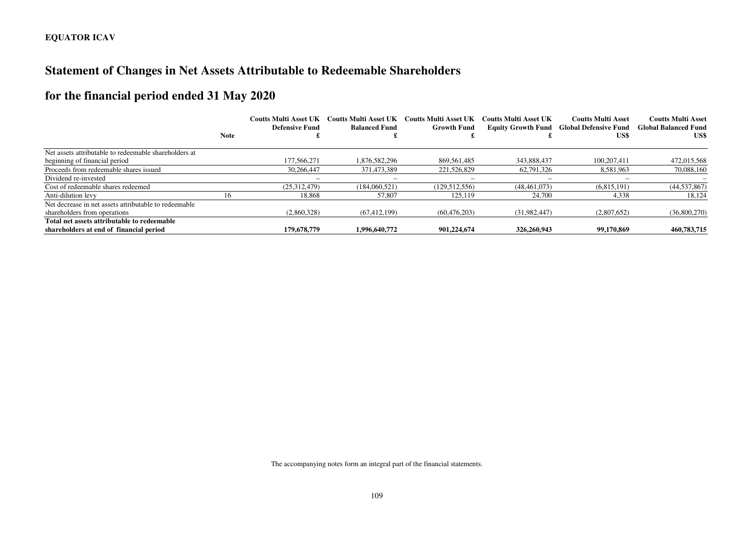# **Statement of Changes in Net Assets Attributable to Redeemable Shareholders**

# **for the financial period ended 31 May 2020**

|                                                       |             | <b>Coutts Multi Asset UK</b><br>Defensive Fund | <b>Coutts Multi Asset UK</b><br><b>Balanced Fund</b> | <b>Coutts Multi Asset UK</b><br><b>Growth Fund</b> | Coutts Multi Asset UK | <b>Coutts Multi Asset</b><br><b>Equity Growth Fund Global Defensive Fund</b> | <b>Coutts Multi Asset</b><br><b>Global Balanced Fund</b> |
|-------------------------------------------------------|-------------|------------------------------------------------|------------------------------------------------------|----------------------------------------------------|-----------------------|------------------------------------------------------------------------------|----------------------------------------------------------|
|                                                       | <b>Note</b> |                                                |                                                      |                                                    |                       | US\$                                                                         | US\$                                                     |
| Net assets attributable to redeemable shareholders at |             |                                                |                                                      |                                                    |                       |                                                                              |                                                          |
| beginning of financial period                         |             | 177,566,271                                    | 1.876.582.296                                        | 869.561.485                                        | 343,888,437           | 100.207.411                                                                  | 472,015,568                                              |
| Proceeds from redeemable shares issued                |             | 30,266,447                                     | 371.473.389                                          | 221,526,829                                        | 62.791.326            | 8,581,963                                                                    | 70,088,160                                               |
| Dividend re-invested                                  |             |                                                | $\overline{\phantom{m}}$                             |                                                    |                       | -                                                                            |                                                          |
| Cost of redeemable shares redeemed                    |             | (25.312.479)                                   | (184.060.521)                                        | (129.512.556)                                      | (48.461.073)          | (6.815.191)                                                                  | (44, 537, 867)                                           |
| Anti-dilution levy                                    | 16          | 18,868                                         | 57,807                                               | 125,119                                            | 24,700                | 4,338                                                                        | 18,124                                                   |
| Net decrease in net assets attributable to redeemable |             |                                                |                                                      |                                                    |                       |                                                                              |                                                          |
| shareholders from operations                          |             | (2,860,328)                                    | (67, 412, 199)                                       | (60, 476, 203)                                     | (31.982.447)          | (2,807,652)                                                                  | (36,800,270)                                             |
| Total net assets attributable to redeemable           |             |                                                |                                                      |                                                    |                       |                                                                              |                                                          |
| shareholders at end of financial period               |             | 179,678,779                                    | 1,996,640,772                                        | 901.224.674                                        | 326,260,943           | 99,170,869                                                                   | 460,783,715                                              |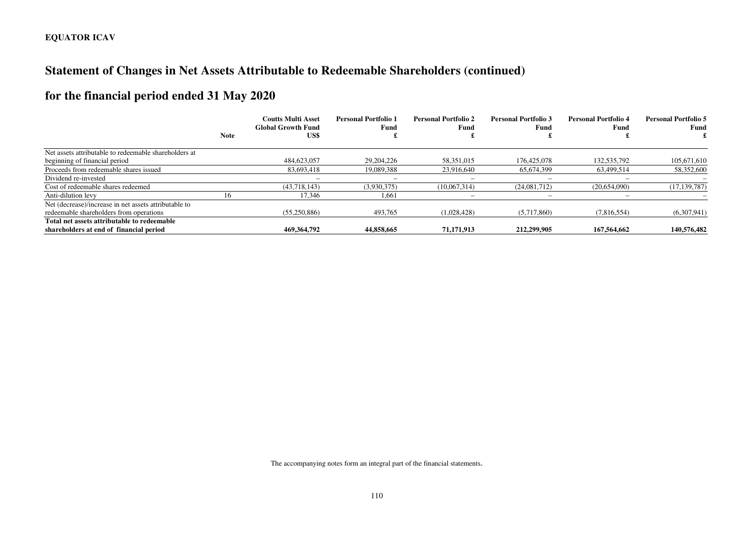# **Statement of Changes in Net Assets Attributable to Redeemable Shareholders (continued)**

# **for the financial period ended 31 May 2020**

|                                                       | <b>Note</b> | <b>Coutts Multi Asset</b><br><b>Global Growth Fund</b><br>US\$ | <b>Personal Portfolio 1</b><br>Fund | <b>Personal Portfolio 2</b><br>Fund | <b>Personal Portfolio 3</b><br>Fund | <b>Personal Portfolio 4</b><br>Fund | <b>Personal Portfolio 5</b><br>Fund |
|-------------------------------------------------------|-------------|----------------------------------------------------------------|-------------------------------------|-------------------------------------|-------------------------------------|-------------------------------------|-------------------------------------|
| Net assets attributable to redeemable shareholders at |             |                                                                |                                     |                                     |                                     |                                     |                                     |
|                                                       |             |                                                                | 29, 204, 226                        | 58.351.015                          |                                     |                                     |                                     |
| beginning of financial period                         |             | 484,623,057                                                    |                                     |                                     | 176,425,078                         | 132,535,792                         | 105,671,610                         |
| Proceeds from redeemable shares issued                |             | 83.693.418                                                     | 19,089,388                          | 23.916.640                          | 65.674.399                          | 63.499.514                          | 58,352,600                          |
| Dividend re-invested                                  |             | $\overline{\phantom{0}}$                                       | $\overline{\phantom{0}}$            | -                                   |                                     | $\overline{\phantom{m}}$            |                                     |
| Cost of redeemable shares redeemed                    |             | (43,718,143)                                                   | (3,930,375)                         | (10,067,314)                        | (24.081.712)                        | (20,654,090)                        | (17, 139, 787)                      |
| Anti-dilution levy                                    | 16          | 17,346                                                         | 1,661                               |                                     |                                     |                                     |                                     |
| Net (decrease)/increase in net assets attributable to |             |                                                                |                                     |                                     |                                     |                                     |                                     |
| redeemable shareholders from operations               |             | (55,250,886)                                                   | 493,765                             | (1,028,428)                         | (5,717,860)                         | (7,816,554)                         | (6,307,941)                         |
| Total net assets attributable to redeemable           |             |                                                                |                                     |                                     |                                     |                                     |                                     |
| shareholders at end of financial period               |             | 469,364,792                                                    | 44,858,665                          | 71,171,913                          | 212,299,905                         | 167,564,662                         | 140,576,482                         |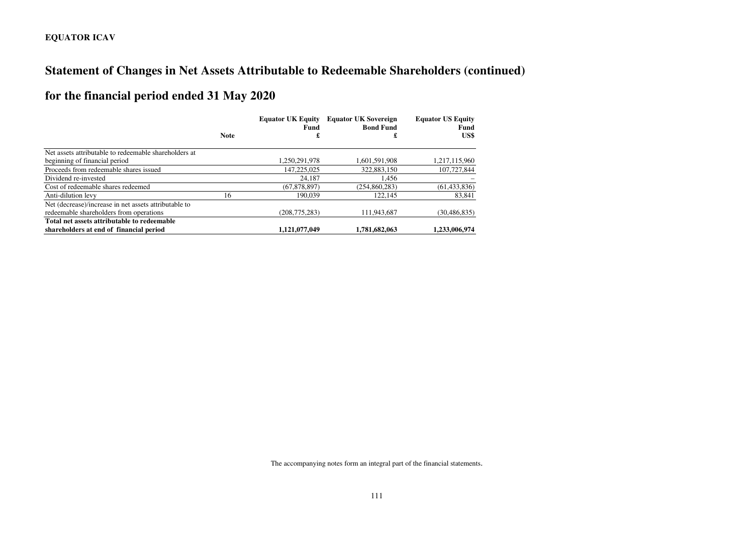# **Statement of Changes in Net Assets Attributable to Redeemable Shareholders (continued)**

# **for the financial period ended 31 May 2020**

|                                                       |             | <b>Equator UK Equity</b><br>Fund | <b>Equator UK Sovereign</b><br><b>Bond Fund</b> | <b>Equator US Equity</b><br>Fund |
|-------------------------------------------------------|-------------|----------------------------------|-------------------------------------------------|----------------------------------|
|                                                       | <b>Note</b> |                                  | £                                               | US\$                             |
| Net assets attributable to redeemable shareholders at |             |                                  |                                                 |                                  |
| beginning of financial period                         |             | 1,250,291,978                    | 1,601,591,908                                   | 1,217,115,960                    |
| Proceeds from redeemable shares issued                |             | 147,225,025                      | 322,883,150                                     | 107,727,844                      |
| Dividend re-invested                                  |             | 24.187                           | 1.456                                           |                                  |
| Cost of redeemable shares redeemed                    |             | (67,878,897)                     | (254,860,283)                                   | (61, 433, 836)                   |
| Anti-dilution levy                                    | 16          | 190.039                          | 122,145                                         | 83,841                           |
| Net (decrease)/increase in net assets attributable to |             |                                  |                                                 |                                  |
| redeemable shareholders from operations               |             | (208, 775, 283)                  | 111.943.687                                     | (30, 486, 835)                   |
| Total net assets attributable to redeemable           |             |                                  |                                                 |                                  |
| shareholders at end of financial period               |             | 1.121.077.049                    | 1.781.682.063                                   | 1.233.006.974                    |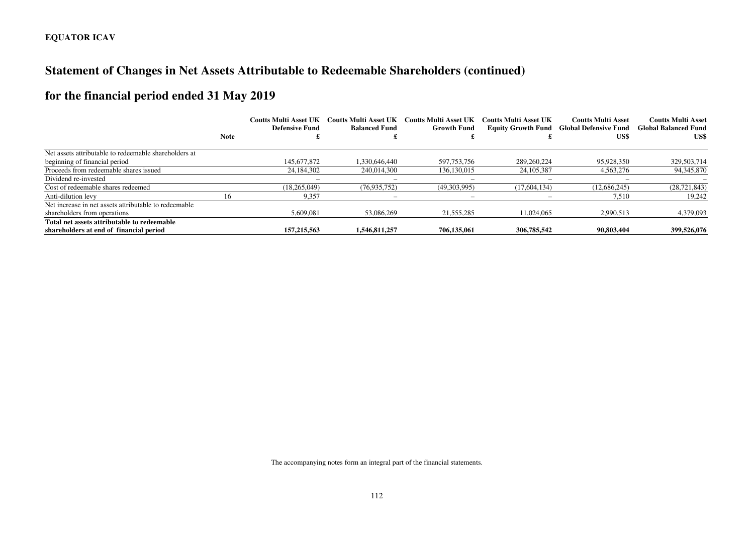# **Statement of Changes in Net Assets Attributable to Redeemable Shareholders (continued)**

# **for the financial period ended 31 May 2019**

|                                                       |             | <b>Coutts Multi Asset UK</b><br>Defensive Fund | <b>Coutts Multi Asset UK</b><br><b>Balanced Fund</b> | <b>Coutts Multi Asset UK</b><br><b>Growth Fund</b> | <b>Coutts Multi Asset UK</b> | <b>Coutts Multi Asset</b><br><b>Equity Growth Fund Global Defensive Fund</b> | <b>Coutts Multi Asset</b><br><b>Global Balanced Fund</b> |
|-------------------------------------------------------|-------------|------------------------------------------------|------------------------------------------------------|----------------------------------------------------|------------------------------|------------------------------------------------------------------------------|----------------------------------------------------------|
|                                                       | <b>Note</b> |                                                |                                                      |                                                    |                              | US\$                                                                         | US\$                                                     |
| Net assets attributable to redeemable shareholders at |             |                                                |                                                      |                                                    |                              |                                                                              |                                                          |
| beginning of financial period                         |             | 145,677,872                                    | 1.330.646.440                                        | 597,753,756                                        | 289,260,224                  | 95.928.350                                                                   | 329,503,714                                              |
| Proceeds from redeemable shares issued                |             | 24.184.302                                     | 240.014.300                                          | 136, 130, 015                                      | 24, 105, 387                 | 4.563.276                                                                    | 94,345,870                                               |
| Dividend re-invested                                  |             |                                                |                                                      |                                                    |                              |                                                                              |                                                          |
| Cost of redeemable shares redeemed                    |             | (18.265.049)                                   | (76, 935, 752)                                       | (49,303,995)                                       | (17,604,134)                 | (12.686.245)                                                                 | (28, 721, 843)                                           |
| Anti-dilution levy                                    | 16          | 9.357                                          | $\overline{\phantom{0}}$                             | $\overline{\phantom{a}}$                           |                              | 7.510                                                                        | 19.242                                                   |
| Net increase in net assets attributable to redeemable |             |                                                |                                                      |                                                    |                              |                                                                              |                                                          |
| shareholders from operations                          |             | 5.609.081                                      | 53,086,269                                           | 21.555.285                                         | 11.024.065                   | 2.990.513                                                                    | 4,379,093                                                |
| Total net assets attributable to redeemable           |             |                                                |                                                      |                                                    |                              |                                                                              |                                                          |
| shareholders at end of financial period               |             | 157, 215, 563                                  | 1,546,811,257                                        | 706,135,061                                        | 306,785,542                  | 90,803,404                                                                   | 399,526,076                                              |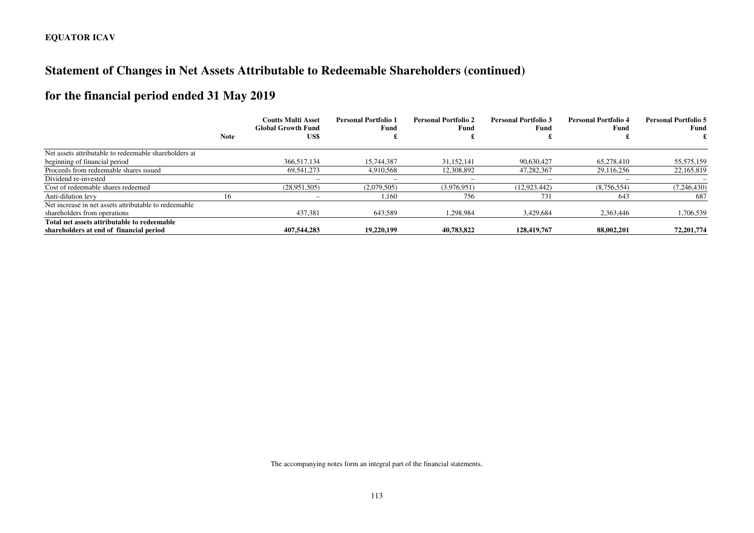# **Statement of Changes in Net Assets Attributable to Redeemable Shareholders (continued)**

# **for the financial period ended 31 May 2019**

|                                                       | <b>Note</b> | <b>Coutts Multi Asset</b><br><b>Global Growth Fund</b><br>US\$ | <b>Personal Portfolio 1</b><br>Fund | <b>Personal Portfolio 2</b><br>Fund | <b>Personal Portfolio 3</b><br>Fund | <b>Personal Portfolio 4</b><br>Fund | <b>Personal Portfolio 5</b><br>Fund |
|-------------------------------------------------------|-------------|----------------------------------------------------------------|-------------------------------------|-------------------------------------|-------------------------------------|-------------------------------------|-------------------------------------|
| Net assets attributable to redeemable shareholders at |             |                                                                |                                     |                                     |                                     |                                     |                                     |
| beginning of financial period                         |             | 366,517,134                                                    | 15,744,387                          | 31.152.141                          | 90,630,427                          | 65,278,410                          | 55,575,159                          |
| Proceeds from redeemable shares issued                |             | 69.541.273                                                     | 4.910.568                           | 12,308,892                          | 47.282.367                          | 29.116.256                          | 22,165,819                          |
| Dividend re-invested                                  |             | $\overline{\phantom{a}}$                                       | -                                   |                                     |                                     | -                                   |                                     |
| Cost of redeemable shares redeemed                    |             | (28.951,505)                                                   | (2,079,505)                         | (3.976.951)                         | (12, 923, 442)                      | (8,756,554)                         | (7, 246, 430)                       |
| Anti-dilution levy                                    | 16          |                                                                | 1.160                               | 756                                 | 731                                 | 643                                 | 687                                 |
| Net increase in net assets attributable to redeemable |             |                                                                |                                     |                                     |                                     |                                     |                                     |
| shareholders from operations                          |             | 437,381                                                        | 643,589                             | 1.298.984                           | 3.429.684                           | 2.363,446                           | 1,706,539                           |
| Total net assets attributable to redeemable           |             |                                                                |                                     |                                     |                                     |                                     |                                     |
| shareholders at end of financial period               |             | 407.544.283                                                    | 19,220,199                          | 40.783.822                          | 128,419,767                         | 88,002,201                          | 72,201,774                          |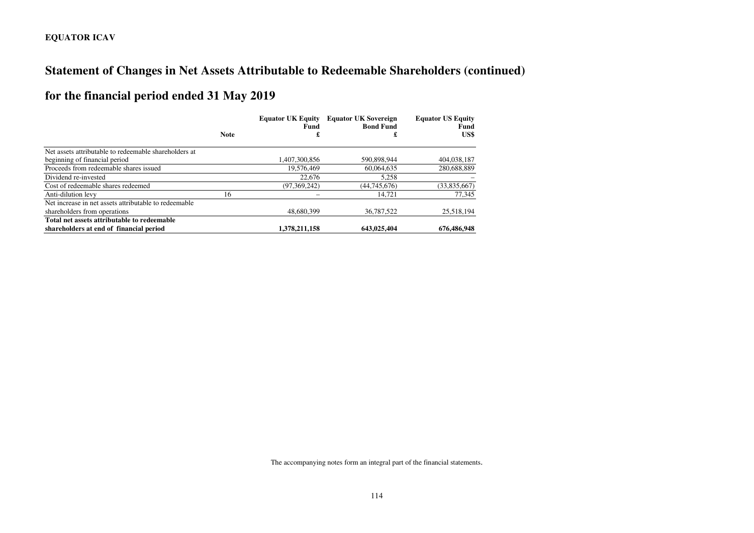# **Statement of Changes in Net Assets Attributable to Redeemable Shareholders (continued)**

# **for the financial period ended 31 May 2019**

|                                                       |             | <b>Equator UK Equity</b><br>Fund | <b>Equator UK Sovereign</b><br><b>Bond Fund</b> | <b>Equator US Equity</b><br>Fund |
|-------------------------------------------------------|-------------|----------------------------------|-------------------------------------------------|----------------------------------|
|                                                       | <b>Note</b> | £                                | £                                               | US\$                             |
| Net assets attributable to redeemable shareholders at |             |                                  |                                                 |                                  |
| beginning of financial period                         |             | 1.407.300.856                    | 590,898,944                                     | 404,038,187                      |
| Proceeds from redeemable shares issued                |             | 19,576,469                       | 60,064,635                                      | 280,688,889                      |
| Dividend re-invested                                  |             | 22,676                           | 5,258                                           |                                  |
| Cost of redeemable shares redeemed                    |             | (97,369,242)                     | (44, 745, 676)                                  | (33,835,667)                     |
| Anti-dilution levy                                    | 16          |                                  | 14,721                                          | 77,345                           |
| Net increase in net assets attributable to redeemable |             |                                  |                                                 |                                  |
| shareholders from operations                          |             | 48,680,399                       | 36,787,522                                      | 25,518,194                       |
| Total net assets attributable to redeemable           |             |                                  |                                                 |                                  |
| shareholders at end of financial period               |             | 1,378,211,158                    | 643,025,404                                     | 676,486,948                      |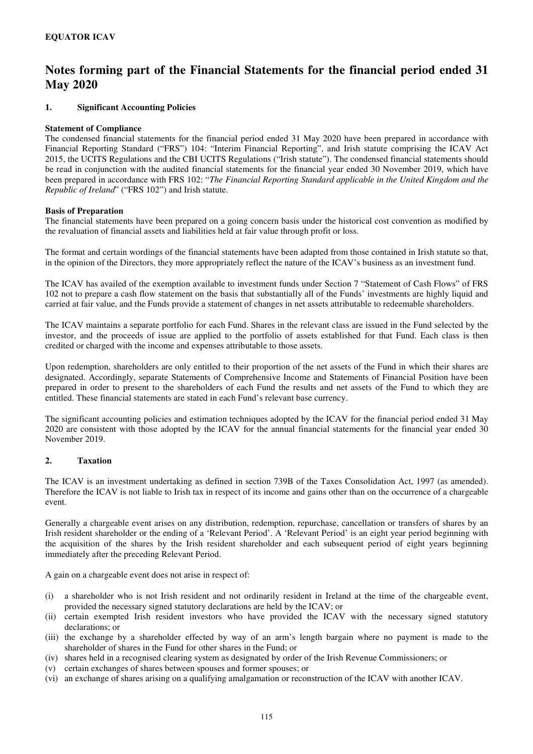#### **1. Significant Accounting Policies**

#### **Statement of Compliance**

The condensed financial statements for the financial period ended 31 May 2020 have been prepared in accordance with Financial Reporting Standard ("FRS") 104: "Interim Financial Reporting", and Irish statute comprising the ICAV Act 2015, the UCITS Regulations and the CBI UCITS Regulations ("Irish statute"). The condensed financial statements should be read in conjunction with the audited financial statements for the financial year ended 30 November 2019, which have been prepared in accordance with FRS 102: "*The Financial Reporting Standard applicable in the United Kingdom and the Republic of Ireland*" ("FRS 102") and Irish statute.

#### **Basis of Preparation**

The financial statements have been prepared on a going concern basis under the historical cost convention as modified by the revaluation of financial assets and liabilities held at fair value through profit or loss.

The format and certain wordings of the financial statements have been adapted from those contained in Irish statute so that, in the opinion of the Directors, they more appropriately reflect the nature of the ICAV's business as an investment fund.

The ICAV has availed of the exemption available to investment funds under Section 7 "Statement of Cash Flows" of FRS 102 not to prepare a cash flow statement on the basis that substantially all of the Funds' investments are highly liquid and carried at fair value, and the Funds provide a statement of changes in net assets attributable to redeemable shareholders.

The ICAV maintains a separate portfolio for each Fund. Shares in the relevant class are issued in the Fund selected by the investor, and the proceeds of issue are applied to the portfolio of assets established for that Fund. Each class is then credited or charged with the income and expenses attributable to those assets.

Upon redemption, shareholders are only entitled to their proportion of the net assets of the Fund in which their shares are designated. Accordingly, separate Statements of Comprehensive Income and Statements of Financial Position have been prepared in order to present to the shareholders of each Fund the results and net assets of the Fund to which they are entitled. These financial statements are stated in each Fund's relevant base currency.

The significant accounting policies and estimation techniques adopted by the ICAV for the financial period ended 31 May 2020 are consistent with those adopted by the ICAV for the annual financial statements for the financial year ended 30 November 2019.

#### **2. Taxation**

The ICAV is an investment undertaking as defined in section 739B of the Taxes Consolidation Act, 1997 (as amended). Therefore the ICAV is not liable to Irish tax in respect of its income and gains other than on the occurrence of a chargeable event.

Generally a chargeable event arises on any distribution, redemption, repurchase, cancellation or transfers of shares by an Irish resident shareholder or the ending of a 'Relevant Period'. A 'Relevant Period' is an eight year period beginning with the acquisition of the shares by the Irish resident shareholder and each subsequent period of eight years beginning immediately after the preceding Relevant Period.

A gain on a chargeable event does not arise in respect of:

- (i) a shareholder who is not Irish resident and not ordinarily resident in Ireland at the time of the chargeable event, provided the necessary signed statutory declarations are held by the ICAV; or
- (ii) certain exempted Irish resident investors who have provided the ICAV with the necessary signed statutory declarations; or
- (iii) the exchange by a shareholder effected by way of an arm's length bargain where no payment is made to the shareholder of shares in the Fund for other shares in the Fund; or
- (iv) shares held in a recognised clearing system as designated by order of the Irish Revenue Commissioners; or
- (v) certain exchanges of shares between spouses and former spouses; or
- (vi) an exchange of shares arising on a qualifying amalgamation or reconstruction of the ICAV with another ICAV.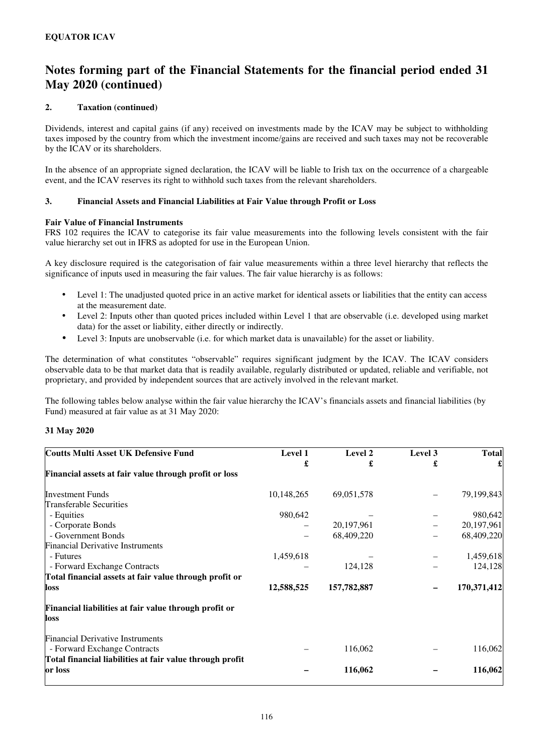### **2. Taxation (continued)**

Dividends, interest and capital gains (if any) received on investments made by the ICAV may be subject to withholding taxes imposed by the country from which the investment income/gains are received and such taxes may not be recoverable by the ICAV or its shareholders.

In the absence of an appropriate signed declaration, the ICAV will be liable to Irish tax on the occurrence of a chargeable event, and the ICAV reserves its right to withhold such taxes from the relevant shareholders.

### **3. Financial Assets and Financial Liabilities at Fair Value through Profit or Loss**

### **Fair Value of Financial Instruments**

FRS 102 requires the ICAV to categorise its fair value measurements into the following levels consistent with the fair value hierarchy set out in IFRS as adopted for use in the European Union.

A key disclosure required is the categorisation of fair value measurements within a three level hierarchy that reflects the significance of inputs used in measuring the fair values. The fair value hierarchy is as follows:

- Level 1: The unadjusted quoted price in an active market for identical assets or liabilities that the entity can access at the measurement date.
- Level 2: Inputs other than quoted prices included within Level 1 that are observable (i.e. developed using market data) for the asset or liability, either directly or indirectly.
- Level 3: Inputs are unobservable (i.e. for which market data is unavailable) for the asset or liability.

The determination of what constitutes "observable" requires significant judgment by the ICAV. The ICAV considers observable data to be that market data that is readily available, regularly distributed or updated, reliable and verifiable, not proprietary, and provided by independent sources that are actively involved in the relevant market.

The following tables below analyse within the fair value hierarchy the ICAV's financials assets and financial liabilities (by Fund) measured at fair value as at 31 May 2020:

### **31 May 2020**

| <b>Coutts Multi Asset UK Defensive Fund</b>                             | Level 1    | Level 2     | Level 3 | <b>Total</b> |
|-------------------------------------------------------------------------|------------|-------------|---------|--------------|
|                                                                         | £          |             | £       |              |
| Financial assets at fair value through profit or loss                   |            |             |         |              |
| <b>Investment Funds</b>                                                 | 10,148,265 | 69,051,578  |         | 79,199,843   |
| Transferable Securities                                                 |            |             |         |              |
| - Equities                                                              | 980,642    |             |         | 980,642      |
| - Corporate Bonds                                                       |            | 20,197,961  |         | 20,197,961   |
| - Government Bonds                                                      |            | 68,409,220  |         | 68,409,220   |
| <b>Financial Derivative Instruments</b>                                 |            |             |         |              |
| - Futures                                                               | 1,459,618  |             |         | 1,459,618    |
| - Forward Exchange Contracts                                            |            | 124,128     |         | 124,128      |
| Total financial assets at fair value through profit or                  |            |             |         |              |
| loss                                                                    | 12,588,525 | 157,782,887 |         | 170,371,412  |
| Financial liabilities at fair value through profit or<br>loss           |            |             |         |              |
| <b>Financial Derivative Instruments</b><br>- Forward Exchange Contracts |            | 116,062     |         | 116,062      |
| Total financial liabilities at fair value through profit<br>or loss     |            | 116,062     |         | 116,062      |
|                                                                         |            |             |         |              |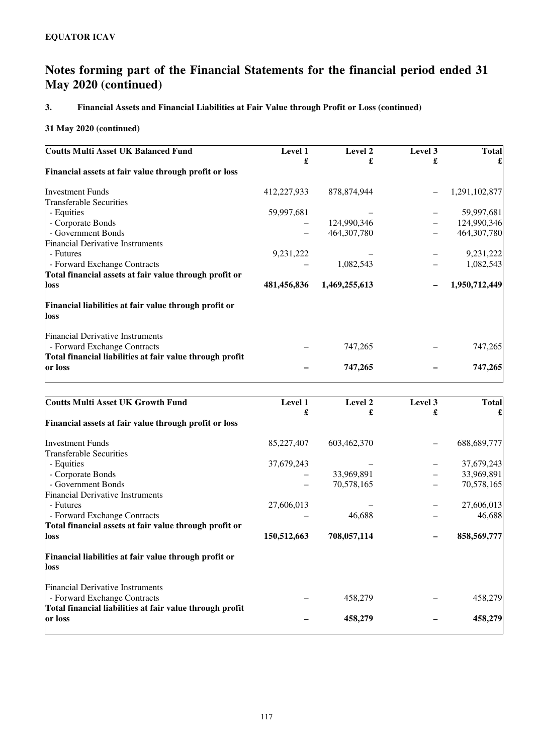## **3. Financial Assets and Financial Liabilities at Fair Value through Profit or Loss (continued)**

| <b>Coutts Multi Asset UK Balanced Fund</b>                              | Level 1     | Level 2       | Level 3 | <b>Total</b>  |
|-------------------------------------------------------------------------|-------------|---------------|---------|---------------|
|                                                                         | £           | £             | £       |               |
| Financial assets at fair value through profit or loss                   |             |               |         |               |
| <b>Investment Funds</b>                                                 | 412,227,933 | 878, 874, 944 |         | 1,291,102,877 |
| <b>Transferable Securities</b>                                          |             |               |         |               |
| - Equities                                                              | 59,997,681  |               |         | 59,997,681    |
| - Corporate Bonds                                                       |             | 124,990,346   |         | 124,990,346   |
| - Government Bonds                                                      |             | 464, 307, 780 |         | 464,307,780   |
| <b>Financial Derivative Instruments</b>                                 |             |               |         |               |
| - Futures                                                               | 9,231,222   |               |         | 9,231,222     |
| - Forward Exchange Contracts                                            |             | 1,082,543     |         | 1,082,543     |
| Total financial assets at fair value through profit or                  |             |               |         |               |
| loss                                                                    | 481,456,836 | 1,469,255,613 |         | 1,950,712,449 |
| Financial liabilities at fair value through profit or<br>loss           |             |               |         |               |
| <b>Financial Derivative Instruments</b><br>- Forward Exchange Contracts |             | 747,265       |         | 747,265       |
| Total financial liabilities at fair value through profit                |             |               |         |               |
| or loss                                                                 |             | 747,265       |         | 747,265       |

| <b>Coutts Multi Asset UK Growth Fund</b>                                | Level 1     | Level 2     | Level 3 | <b>Total</b> |
|-------------------------------------------------------------------------|-------------|-------------|---------|--------------|
|                                                                         | £           | £           | £       |              |
| Financial assets at fair value through profit or loss                   |             |             |         |              |
| <b>Investment Funds</b>                                                 | 85,227,407  | 603,462,370 |         | 688,689,777  |
| <b>Transferable Securities</b>                                          |             |             |         |              |
| - Equities                                                              | 37,679,243  |             |         | 37,679,243   |
| - Corporate Bonds                                                       |             | 33,969,891  |         | 33,969,891   |
| - Government Bonds                                                      |             | 70,578,165  |         | 70,578,165   |
| <b>Financial Derivative Instruments</b>                                 |             |             |         |              |
| - Futures                                                               | 27,606,013  |             |         | 27,606,013   |
| - Forward Exchange Contracts                                            |             | 46,688      |         | 46,688       |
| Total financial assets at fair value through profit or                  |             |             |         |              |
| loss                                                                    | 150,512,663 | 708,057,114 |         | 858,569,777  |
| Financial liabilities at fair value through profit or<br>loss           |             |             |         |              |
| <b>Financial Derivative Instruments</b><br>- Forward Exchange Contracts |             | 458,279     |         | 458,279      |
| Total financial liabilities at fair value through profit<br>or loss     |             | 458,279     |         | 458,279      |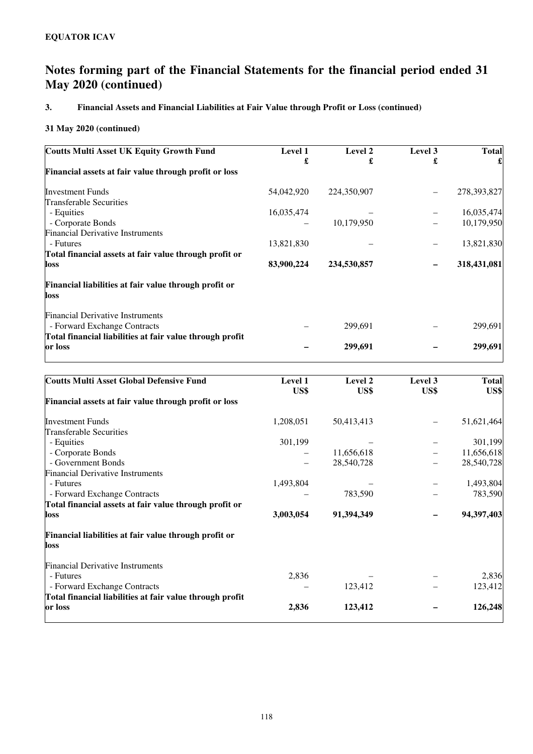## **3. Financial Assets and Financial Liabilities at Fair Value through Profit or Loss (continued)**

| <b>Coutts Multi Asset UK Equity Growth Fund</b>               | <b>Level 1</b> | Level 2     | Level 3 | <b>Total</b> |
|---------------------------------------------------------------|----------------|-------------|---------|--------------|
| Financial assets at fair value through profit or loss         | £              | £           | £       |              |
| <b>Investment Funds</b>                                       | 54,042,920     | 224,350,907 |         | 278,393,827  |
| <b>Transferable Securities</b>                                |                |             |         |              |
| - Equities                                                    | 16,035,474     |             |         | 16,035,474   |
| - Corporate Bonds                                             |                | 10,179,950  |         | 10,179,950   |
| <b>Financial Derivative Instruments</b>                       |                |             |         |              |
| - Futures                                                     | 13,821,830     |             |         | 13,821,830   |
| Total financial assets at fair value through profit or        |                |             |         |              |
| loss                                                          | 83,900,224     | 234,530,857 |         | 318,431,081  |
| Financial liabilities at fair value through profit or<br>loss |                |             |         |              |
| <b>Financial Derivative Instruments</b>                       |                |             |         |              |
| - Forward Exchange Contracts                                  |                | 299,691     |         | 299,691      |
| Total financial liabilities at fair value through profit      |                |             |         |              |
| or loss                                                       |                | 299,691     |         | 299,691      |

| <b>Coutts Multi Asset Global Defensive Fund</b>               | Level 1<br>US\$ | Level 2<br>US\$ | Level 3<br>US\$ | <b>Total</b><br>US\$ |
|---------------------------------------------------------------|-----------------|-----------------|-----------------|----------------------|
| Financial assets at fair value through profit or loss         |                 |                 |                 |                      |
| <b>Investment Funds</b>                                       | 1,208,051       | 50,413,413      |                 | 51,621,464           |
| <b>Transferable Securities</b>                                |                 |                 |                 |                      |
| - Equities                                                    | 301,199         |                 |                 | 301,199              |
| - Corporate Bonds                                             |                 | 11,656,618      |                 | 11,656,618           |
| - Government Bonds                                            |                 | 28,540,728      |                 | 28,540,728           |
| <b>Financial Derivative Instruments</b>                       |                 |                 |                 |                      |
| - Futures                                                     | 1,493,804       |                 |                 | 1,493,804            |
| - Forward Exchange Contracts                                  |                 | 783,590         |                 | 783,590              |
| Total financial assets at fair value through profit or        |                 |                 |                 |                      |
| loss                                                          | 3,003,054       | 91,394,349      |                 | 94,397,403           |
| Financial liabilities at fair value through profit or<br>loss |                 |                 |                 |                      |
| <b>Financial Derivative Instruments</b>                       |                 |                 |                 |                      |
| - Futures                                                     | 2,836           |                 |                 | 2,836                |
| - Forward Exchange Contracts                                  |                 | 123,412         |                 | 123,412              |
| Total financial liabilities at fair value through profit      |                 |                 |                 |                      |
| or loss                                                       | 2,836           | 123,412         |                 | 126,248              |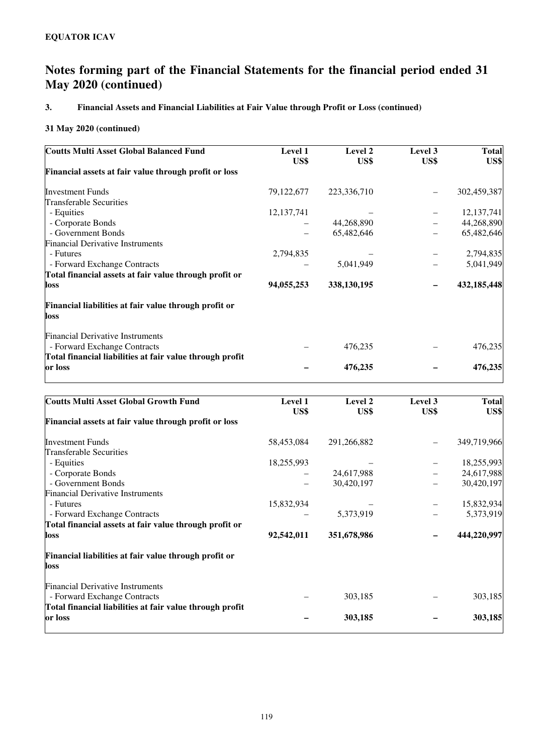## **3. Financial Assets and Financial Liabilities at Fair Value through Profit or Loss (continued)**

| <b>Coutts Multi Asset Global Balanced Fund</b>                          | <b>Level 1</b><br>US\$ | Level 2<br>US\$ | Level 3<br>US\$ | <b>Total</b><br>US\$ |
|-------------------------------------------------------------------------|------------------------|-----------------|-----------------|----------------------|
| Financial assets at fair value through profit or loss                   |                        |                 |                 |                      |
| <b>Investment Funds</b>                                                 | 79, 122, 677           | 223,336,710     |                 | 302,459,387          |
| Transferable Securities                                                 |                        |                 |                 |                      |
| - Equities                                                              | 12, 137, 741           |                 |                 | 12, 137, 741         |
| - Corporate Bonds                                                       |                        | 44,268,890      |                 | 44,268,890           |
| - Government Bonds                                                      |                        | 65,482,646      |                 | 65,482,646           |
| <b>Financial Derivative Instruments</b>                                 |                        |                 |                 |                      |
| - Futures                                                               | 2,794,835              |                 |                 | 2,794,835            |
| - Forward Exchange Contracts                                            |                        | 5,041,949       |                 | 5,041,949            |
| Total financial assets at fair value through profit or                  |                        |                 |                 |                      |
| loss                                                                    | 94,055,253             | 338,130,195     |                 | 432,185,448          |
| Financial liabilities at fair value through profit or<br>loss           |                        |                 |                 |                      |
| <b>Financial Derivative Instruments</b><br>- Forward Exchange Contracts |                        | 476,235         |                 | 476,235              |
| Total financial liabilities at fair value through profit                |                        |                 |                 |                      |
| or loss                                                                 |                        | 476,235         |                 | 476,235              |

| <b>Coutts Multi Asset Global Growth Fund</b>                            | Level 1    | Level 2     | Level 3 | <b>Total</b> |
|-------------------------------------------------------------------------|------------|-------------|---------|--------------|
|                                                                         | US\$       | US\$        | US\$    | US\$         |
| Financial assets at fair value through profit or loss                   |            |             |         |              |
| <b>Investment Funds</b>                                                 | 58,453,084 | 291,266,882 |         | 349,719,966  |
| <b>Transferable Securities</b>                                          |            |             |         |              |
| - Equities                                                              | 18,255,993 |             |         | 18,255,993   |
| - Corporate Bonds                                                       |            | 24,617,988  |         | 24,617,988   |
| - Government Bonds                                                      |            | 30,420,197  |         | 30,420,197   |
| <b>Financial Derivative Instruments</b>                                 |            |             |         |              |
| - Futures                                                               | 15,832,934 |             |         | 15,832,934   |
| - Forward Exchange Contracts                                            |            | 5,373,919   |         | 5,373,919    |
| Total financial assets at fair value through profit or                  |            |             |         |              |
| loss                                                                    | 92,542,011 | 351,678,986 |         | 444,220,997  |
| Financial liabilities at fair value through profit or<br>loss           |            |             |         |              |
| <b>Financial Derivative Instruments</b><br>- Forward Exchange Contracts |            | 303,185     |         | 303,185      |
| Total financial liabilities at fair value through profit<br>or loss     |            | 303,185     |         | 303,185      |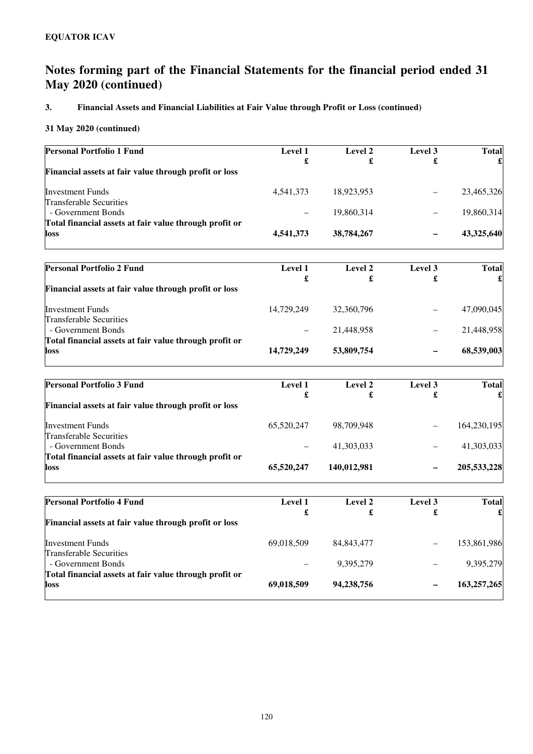## **3. Financial Assets and Financial Liabilities at Fair Value through Profit or Loss (continued)**

| Level 1   | Level 2    | Level 3                      | <b>Total</b> |
|-----------|------------|------------------------------|--------------|
|           |            |                              |              |
| 4.541.373 | 18.923.953 |                              | 23,465,326   |
|           | 19.860.314 |                              | 19,860,314   |
|           |            |                              | 43,325,640   |
|           | £          | £<br>4,541,373<br>38,784,267 | £            |

| <b>Personal Portfolio 2 Fund</b>                       | Level 1    | Level 2    | Level 3 | <b>Total</b> |
|--------------------------------------------------------|------------|------------|---------|--------------|
|                                                        | £          |            |         |              |
| Financial assets at fair value through profit or loss  |            |            |         |              |
| <b>Investment Funds</b>                                | 14.729.249 | 32,360,796 | -       | 47,090,045   |
| <b>Transferable Securities</b>                         |            |            |         |              |
| - Government Bonds                                     |            | 21,448,958 |         | 21,448,958   |
| Total financial assets at fair value through profit or |            |            |         |              |
| loss                                                   | 14,729,249 | 53,809,754 | -       | 68,539,003   |

| <b>Personal Portfolio 3 Fund</b>                       | <b>Level 1</b> | Level 2     | Level 3 | <b>Total</b> |
|--------------------------------------------------------|----------------|-------------|---------|--------------|
|                                                        | £              | £           | £       |              |
| Financial assets at fair value through profit or loss  |                |             |         |              |
| <b>Investment Funds</b>                                | 65,520,247     | 98,709,948  | -       | 164,230,195  |
| <b>Transferable Securities</b>                         |                |             |         |              |
| - Government Bonds                                     |                | 41,303,033  | —       | 41,303,033   |
| Total financial assets at fair value through profit or |                |             |         |              |
| loss                                                   | 65,520,247     | 140,012,981 | -       | 205,533,228  |

| £          |              | £                        |             |
|------------|--------------|--------------------------|-------------|
|            |              |                          |             |
|            |              |                          |             |
| 69,018,509 | 84, 843, 477 | -                        | 153,861,986 |
|            |              |                          |             |
|            | 9,395,279    |                          | 9,395,279   |
|            |              |                          |             |
| 69,018,509 | 94,238,756   | $\overline{\phantom{0}}$ | 163,257,265 |
|            |              |                          |             |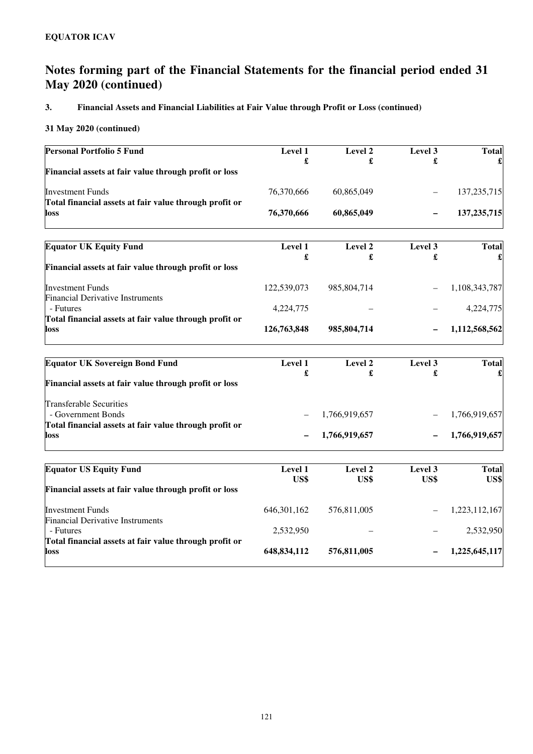## **3. Financial Assets and Financial Liabilities at Fair Value through Profit or Loss (continued)**

| <b>Personal Portfolio 5 Fund</b>                                    | Level 1<br>£    | Level 2<br>£    | Level 3<br>£           | <b>Total</b>         |
|---------------------------------------------------------------------|-----------------|-----------------|------------------------|----------------------|
| Financial assets at fair value through profit or loss               |                 |                 |                        |                      |
| <b>Investment Funds</b>                                             | 76,370,666      | 60,865,049      |                        | 137, 235, 715        |
| Total financial assets at fair value through profit or<br>loss      | 76,370,666      | 60,865,049      |                        | 137, 235, 715        |
| <b>Equator UK Equity Fund</b>                                       | Level 1<br>£    | Level 2<br>£    | Level 3<br>£           | <b>Total</b>         |
| Financial assets at fair value through profit or loss               |                 |                 |                        |                      |
| <b>Investment Funds</b><br><b>Financial Derivative Instruments</b>  | 122,539,073     | 985,804,714     |                        | 1,108,343,787        |
| - Futures<br>Total financial assets at fair value through profit or | 4,224,775       |                 |                        | 4,224,775            |
| loss                                                                | 126,763,848     | 985,804,714     |                        | 1,112,568,562        |
| <b>Equator UK Sovereign Bond Fund</b>                               | Level 1         | Level 2         | Level 3                | <b>Total</b>         |
| Financial assets at fair value through profit or loss               | £               | £               | £                      |                      |
| <b>Transferable Securities</b><br>- Government Bonds                |                 | 1,766,919,657   |                        | 1,766,919,657        |
| Total financial assets at fair value through profit or<br>loss      |                 | 1,766,919,657   |                        | 1,766,919,657        |
|                                                                     |                 |                 |                        |                      |
| <b>Equator US Equity Fund</b>                                       | Level 1<br>US\$ | Level 2<br>US\$ | Level 3<br><b>US\$</b> | <b>Total</b><br>US\$ |
| Financial assets at fair value through profit or loss               |                 |                 |                        |                      |
| <b>Investment Funds</b><br><b>Financial Derivative Instruments</b>  | 646, 301, 162   | 576,811,005     |                        | 1,223,112,167        |
| - Futures<br>Total financial assets at fair value through profit or | 2,532,950       |                 |                        | 2,532,950            |
| loss                                                                | 648,834,112     | 576,811,005     |                        | 1,225,645,117        |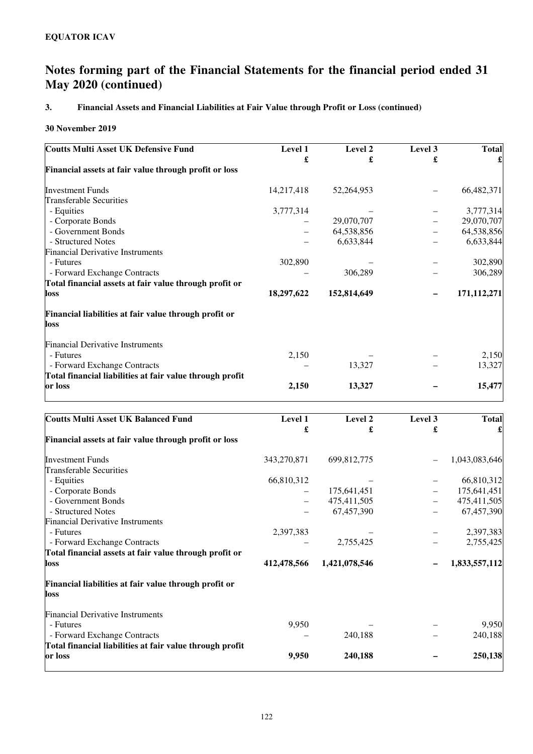## **3. Financial Assets and Financial Liabilities at Fair Value through Profit or Loss (continued)**

### **30 November 2019**

| Level 1    | Level 2     | Level 3 | <b>Total</b> |
|------------|-------------|---------|--------------|
| £          | £           | £       |              |
|            |             |         |              |
| 14,217,418 | 52,264,953  |         | 66,482,371   |
|            |             |         |              |
| 3,777,314  |             |         | 3,777,314    |
|            | 29,070,707  |         | 29,070,707   |
|            | 64,538,856  |         | 64,538,856   |
|            | 6,633,844   |         | 6,633,844    |
|            |             |         |              |
| 302,890    |             |         | 302,890      |
|            | 306,289     |         | 306,289      |
|            |             |         |              |
| 18,297,622 | 152,814,649 |         | 171,112,271  |
|            |             |         |              |
|            |             |         |              |
|            |             |         |              |
| 2,150      |             |         | 2,150        |
|            | 13,327      |         | 13,327       |
|            |             |         |              |
| 2,150      | 13,327      |         | 15,477       |
|            |             |         |              |

| <b>Coutts Multi Asset UK Balanced Fund</b>               | Level 1     | Level 2       | Level 3 | <b>Total</b>  |
|----------------------------------------------------------|-------------|---------------|---------|---------------|
|                                                          | £           | £             | £       |               |
| Financial assets at fair value through profit or loss    |             |               |         |               |
| <b>Investment Funds</b>                                  | 343,270,871 | 699,812,775   |         | 1,043,083,646 |
| Transferable Securities                                  |             |               |         |               |
| - Equities                                               | 66,810,312  |               |         | 66,810,312    |
| - Corporate Bonds                                        |             | 175,641,451   |         | 175,641,451   |
| - Government Bonds                                       |             | 475,411,505   |         | 475,411,505   |
| - Structured Notes                                       |             | 67,457,390    |         | 67,457,390    |
| <b>Financial Derivative Instruments</b>                  |             |               |         |               |
| - Futures                                                | 2,397,383   |               |         | 2,397,383     |
| - Forward Exchange Contracts                             |             | 2,755,425     |         | 2,755,425     |
| Total financial assets at fair value through profit or   |             |               |         |               |
| loss                                                     | 412,478,566 | 1,421,078,546 |         | 1,833,557,112 |
| Financial liabilities at fair value through profit or    |             |               |         |               |
| loss                                                     |             |               |         |               |
| <b>Financial Derivative Instruments</b>                  |             |               |         |               |
| - Futures                                                | 9,950       |               |         | 9,950         |
| - Forward Exchange Contracts                             |             | 240,188       |         | 240,188       |
| Total financial liabilities at fair value through profit |             |               |         |               |
| or loss                                                  | 9,950       | 240,188       |         | 250,138       |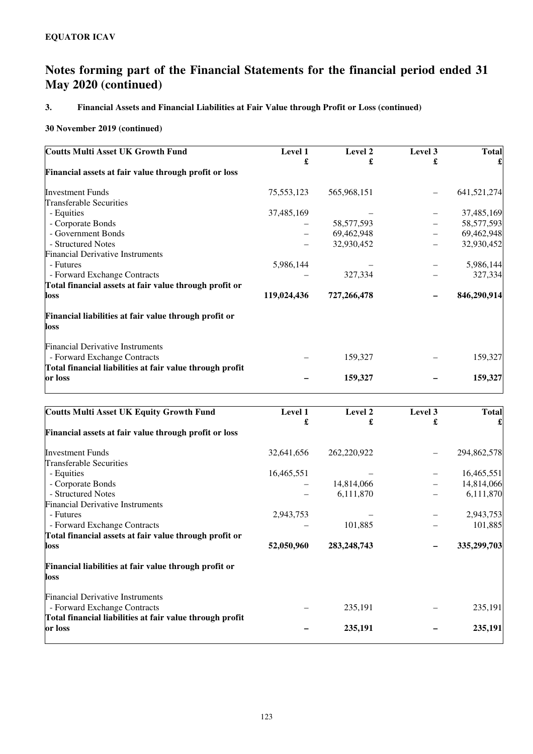## **3. Financial Assets and Financial Liabilities at Fair Value through Profit or Loss (continued)**

| <b>Coutts Multi Asset UK Growth Fund</b>                                | Level 1     | Level 2      | Level 3 | <b>Total</b> |
|-------------------------------------------------------------------------|-------------|--------------|---------|--------------|
|                                                                         | £           | £            | £       |              |
| Financial assets at fair value through profit or loss                   |             |              |         |              |
| <b>Investment Funds</b>                                                 | 75,553,123  | 565,968,151  |         | 641,521,274  |
| <b>Transferable Securities</b>                                          |             |              |         |              |
| - Equities                                                              | 37,485,169  |              |         | 37,485,169   |
| - Corporate Bonds                                                       |             | 58, 577, 593 |         | 58, 577, 593 |
| - Government Bonds                                                      |             | 69,462,948   |         | 69,462,948   |
| - Structured Notes                                                      |             | 32,930,452   |         | 32,930,452   |
| <b>Financial Derivative Instruments</b>                                 |             |              |         |              |
| - Futures                                                               | 5,986,144   |              |         | 5,986,144    |
| - Forward Exchange Contracts                                            |             | 327,334      |         | 327,334      |
| Total financial assets at fair value through profit or                  |             |              |         |              |
| loss                                                                    | 119,024,436 | 727,266,478  |         | 846,290,914  |
| Financial liabilities at fair value through profit or<br>loss           |             |              |         |              |
| <b>Financial Derivative Instruments</b><br>- Forward Exchange Contracts |             | 159,327      |         | 159,327      |
| Total financial liabilities at fair value through profit<br>or loss     |             | 159,327      |         | 159,327      |

| <b>Coutts Multi Asset UK Equity Growth Fund</b>          | Level 1<br>£ | Level 2<br>£  | Level 3<br>£ | <b>Total</b> |
|----------------------------------------------------------|--------------|---------------|--------------|--------------|
| Financial assets at fair value through profit or loss    |              |               |              |              |
| <b>Investment Funds</b>                                  | 32,641,656   | 262,220,922   |              | 294,862,578  |
| <b>Transferable Securities</b>                           |              |               |              |              |
| - Equities                                               | 16,465,551   |               |              | 16,465,551   |
| - Corporate Bonds                                        |              | 14,814,066    |              | 14,814,066   |
| - Structured Notes                                       |              | 6,111,870     |              | 6,111,870    |
| <b>Financial Derivative Instruments</b>                  |              |               |              |              |
| - Futures                                                | 2,943,753    |               |              | 2,943,753    |
| - Forward Exchange Contracts                             |              | 101,885       |              | 101,885      |
| Total financial assets at fair value through profit or   |              |               |              |              |
| loss                                                     | 52,050,960   | 283, 248, 743 |              | 335,299,703  |
| Financial liabilities at fair value through profit or    |              |               |              |              |
| loss                                                     |              |               |              |              |
| <b>Financial Derivative Instruments</b>                  |              |               |              |              |
| - Forward Exchange Contracts                             |              | 235,191       |              | 235,191      |
| Total financial liabilities at fair value through profit |              |               |              |              |
| or loss                                                  |              | 235,191       |              | 235,191      |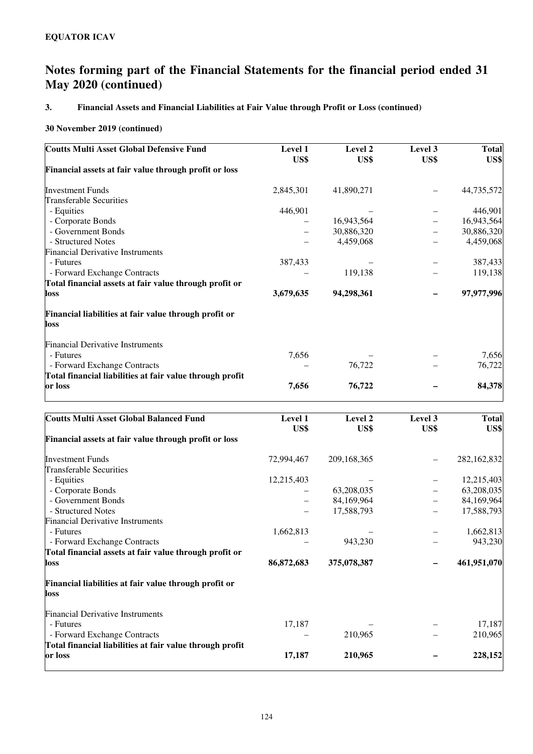## **3. Financial Assets and Financial Liabilities at Fair Value through Profit or Loss (continued)**

| <b>Coutts Multi Asset Global Defensive Fund</b>          | Level 1   | Level 2    | Level 3 | <b>Total</b> |
|----------------------------------------------------------|-----------|------------|---------|--------------|
|                                                          | US\$      | US\$       | US\$    | US\$         |
| Financial assets at fair value through profit or loss    |           |            |         |              |
| <b>Investment Funds</b>                                  | 2,845,301 | 41,890,271 |         | 44,735,572   |
| <b>Transferable Securities</b>                           |           |            |         |              |
| - Equities                                               | 446,901   |            |         | 446,901      |
| - Corporate Bonds                                        |           | 16,943,564 |         | 16,943,564   |
| - Government Bonds                                       |           | 30,886,320 |         | 30,886,320   |
| - Structured Notes                                       |           | 4,459,068  |         | 4,459,068    |
| <b>Financial Derivative Instruments</b>                  |           |            |         |              |
| - Futures                                                | 387,433   |            |         | 387,433      |
| - Forward Exchange Contracts                             |           | 119,138    |         | 119,138      |
| Total financial assets at fair value through profit or   |           |            |         |              |
| <b>loss</b>                                              | 3,679,635 | 94,298,361 |         | 97,977,996   |
| Financial liabilities at fair value through profit or    |           |            |         |              |
| loss                                                     |           |            |         |              |
| <b>Financial Derivative Instruments</b>                  |           |            |         |              |
| - Futures                                                | 7,656     |            |         | 7,656        |
| - Forward Exchange Contracts                             |           | 76,722     |         | 76,722       |
| Total financial liabilities at fair value through profit |           |            |         |              |
| or loss                                                  | 7,656     | 76,722     |         | 84,378       |
|                                                          |           |            |         |              |

| <b>Coutts Multi Asset Global Balanced Fund</b>           | Level 1    | Level 2     | Level 3 | <b>Total</b> |
|----------------------------------------------------------|------------|-------------|---------|--------------|
|                                                          | US\$       | US\$        | US\$    | US\$         |
| Financial assets at fair value through profit or loss    |            |             |         |              |
| <b>Investment Funds</b>                                  | 72,994,467 | 209,168,365 |         | 282,162,832  |
| <b>Transferable Securities</b>                           |            |             |         |              |
| - Equities                                               | 12,215,403 |             |         | 12,215,403   |
| - Corporate Bonds                                        |            | 63,208,035  |         | 63,208,035   |
| - Government Bonds                                       |            | 84,169,964  |         | 84,169,964   |
| - Structured Notes                                       |            | 17,588,793  |         | 17,588,793   |
| <b>Financial Derivative Instruments</b>                  |            |             |         |              |
| - Futures                                                | 1,662,813  |             |         | 1,662,813    |
| - Forward Exchange Contracts                             |            | 943,230     |         | 943,230      |
| Total financial assets at fair value through profit or   |            |             |         |              |
| loss                                                     | 86,872,683 | 375,078,387 |         | 461,951,070  |
| Financial liabilities at fair value through profit or    |            |             |         |              |
| loss                                                     |            |             |         |              |
| <b>Financial Derivative Instruments</b>                  |            |             |         |              |
| - Futures                                                | 17,187     |             |         | 17,187       |
| - Forward Exchange Contracts                             |            | 210,965     |         | 210,965      |
| Total financial liabilities at fair value through profit |            |             |         |              |
| or loss                                                  | 17,187     | 210,965     |         | 228,152      |
|                                                          |            |             |         |              |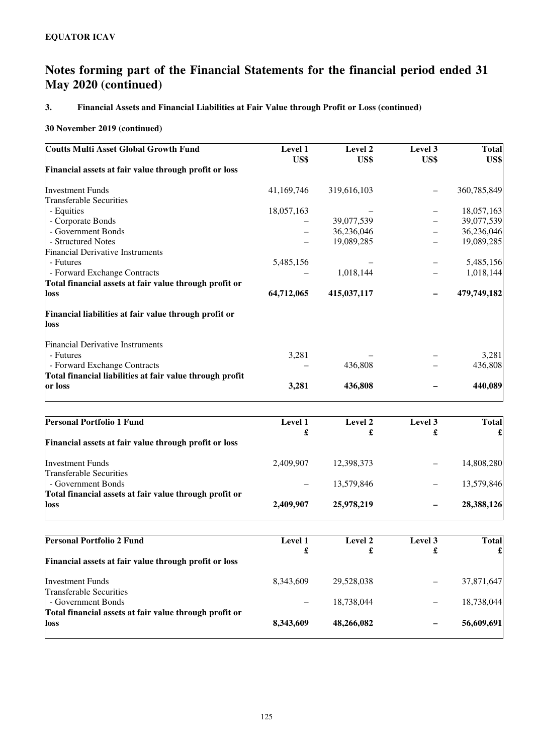## **3. Financial Assets and Financial Liabilities at Fair Value through Profit or Loss (continued)**

| <b>Coutts Multi Asset Global Growth Fund</b>             | Level 1    | Level 2     | Level 3 | <b>Total</b> |
|----------------------------------------------------------|------------|-------------|---------|--------------|
| Financial assets at fair value through profit or loss    | US\$       | US\$        | US\$    | US\$         |
|                                                          |            |             |         |              |
| <b>Investment Funds</b>                                  | 41,169,746 | 319,616,103 |         | 360,785,849  |
| Transferable Securities                                  |            |             |         |              |
| - Equities                                               | 18,057,163 |             |         | 18,057,163   |
| - Corporate Bonds                                        |            | 39,077,539  |         | 39,077,539   |
| - Government Bonds                                       |            | 36,236,046  |         | 36,236,046   |
| - Structured Notes                                       |            | 19,089,285  |         | 19,089,285   |
| <b>Financial Derivative Instruments</b>                  |            |             |         |              |
| - Futures                                                | 5,485,156  |             |         | 5,485,156    |
| - Forward Exchange Contracts                             |            | 1,018,144   |         | 1,018,144    |
| Total financial assets at fair value through profit or   |            |             |         |              |
| loss                                                     | 64,712,065 | 415,037,117 |         | 479,749,182  |
| Financial liabilities at fair value through profit or    |            |             |         |              |
| loss                                                     |            |             |         |              |
| <b>Financial Derivative Instruments</b>                  |            |             |         |              |
| - Futures                                                | 3,281      |             |         | 3,281        |
| - Forward Exchange Contracts                             |            | 436,808     |         | 436,808      |
| Total financial liabilities at fair value through profit |            |             |         |              |
| or loss                                                  | 3,281      | 436,808     |         | 440,089      |

| <b>Personal Portfolio 1 Fund</b>                       | <b>Level 1</b> | Level 2    | Level 3 | <b>Total</b> |
|--------------------------------------------------------|----------------|------------|---------|--------------|
|                                                        | £              | £          |         |              |
| Financial assets at fair value through profit or loss  |                |            |         |              |
| <b>Investment Funds</b>                                | 2.409.907      | 12,398,373 |         | 14,808,280   |
| <b>Transferable Securities</b>                         |                |            |         |              |
| - Government Bonds                                     |                | 13,579,846 |         | 13,579,846   |
| Total financial assets at fair value through profit or |                |            |         |              |
| loss                                                   | 2,409,907      | 25,978,219 |         | 28,388,126   |

| <b>Personal Portfolio 2 Fund</b>                       | <b>Level 1</b> | Level 2    | Level 3 | <b>Total</b> |
|--------------------------------------------------------|----------------|------------|---------|--------------|
|                                                        | £              |            | £       |              |
| Financial assets at fair value through profit or loss  |                |            |         |              |
| <b>Investment Funds</b>                                | 8.343.609      | 29,528,038 |         | 37,871,647   |
| <b>Transferable Securities</b>                         |                |            |         |              |
| - Government Bonds                                     |                | 18,738,044 |         | 18,738,044   |
| Total financial assets at fair value through profit or |                |            |         |              |
| loss                                                   | 8,343,609      | 48,266,082 |         | 56,609,691   |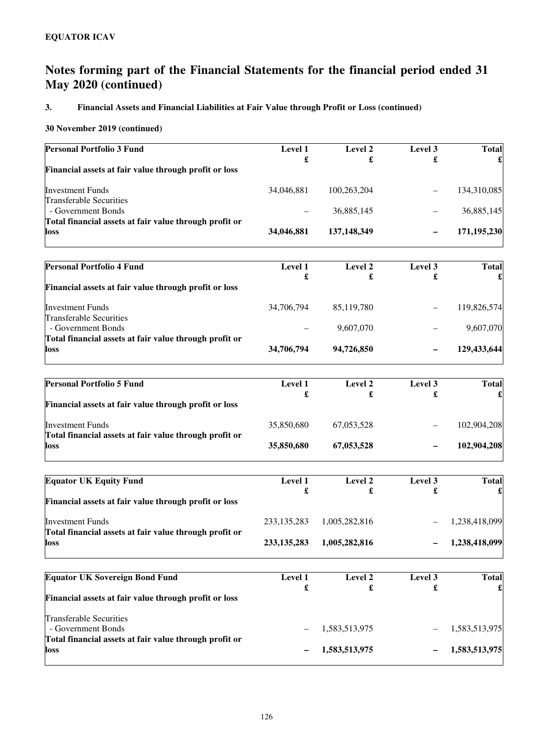## **3. Financial Assets and Financial Liabilities at Fair Value through Profit or Loss (continued)**

| Level 1       | Level 2                                                                    | Level 3                                                                                                            | <b>Total</b>                                            |
|---------------|----------------------------------------------------------------------------|--------------------------------------------------------------------------------------------------------------------|---------------------------------------------------------|
|               | £                                                                          | £                                                                                                                  |                                                         |
|               |                                                                            |                                                                                                                    |                                                         |
| 34,046,881    | 100,263,204                                                                |                                                                                                                    | 134,310,085                                             |
|               |                                                                            |                                                                                                                    |                                                         |
|               |                                                                            |                                                                                                                    | 36,885,145                                              |
|               |                                                                            |                                                                                                                    |                                                         |
|               |                                                                            |                                                                                                                    | 171,195,230                                             |
|               |                                                                            |                                                                                                                    | <b>Total</b>                                            |
|               |                                                                            |                                                                                                                    |                                                         |
|               |                                                                            |                                                                                                                    |                                                         |
| 34,706,794    | 85,119,780                                                                 |                                                                                                                    | 119,826,574                                             |
|               |                                                                            |                                                                                                                    | 9,607,070                                               |
|               |                                                                            |                                                                                                                    |                                                         |
| 34,706,794    | 94,726,850                                                                 |                                                                                                                    | 129,433,644                                             |
|               |                                                                            |                                                                                                                    |                                                         |
|               |                                                                            |                                                                                                                    | <b>Total</b>                                            |
|               |                                                                            |                                                                                                                    |                                                         |
| 35,850,680    | 67,053,528                                                                 |                                                                                                                    | 102,904,208                                             |
| 35,850,680    | 67,053,528                                                                 |                                                                                                                    | 102,904,208                                             |
|               |                                                                            |                                                                                                                    | <b>Total</b>                                            |
| £             | £                                                                          | £                                                                                                                  |                                                         |
|               |                                                                            |                                                                                                                    |                                                         |
| 233, 135, 283 | 1,005,282,816                                                              |                                                                                                                    | 1,238,418,099                                           |
| 233, 135, 283 | 1,005,282,816                                                              |                                                                                                                    | 1,238,418,099                                           |
|               |                                                                            |                                                                                                                    | <b>Total</b>                                            |
|               |                                                                            |                                                                                                                    |                                                         |
|               |                                                                            |                                                                                                                    |                                                         |
|               |                                                                            |                                                                                                                    |                                                         |
|               |                                                                            |                                                                                                                    | 1,583,513,975                                           |
|               |                                                                            |                                                                                                                    |                                                         |
|               | £<br>34,046,881<br>Level 1<br>£<br>Level 1<br>£<br>Level 1<br>Level 1<br>£ | 36,885,145<br>137,148,349<br>Level 2<br>£<br>9,607,070<br>Level 2<br>£<br>Level 2<br>Level 2<br>£<br>1,583,513,975 | Level 3<br>£<br>Level 3<br>£<br>Level 3<br>Level 3<br>£ |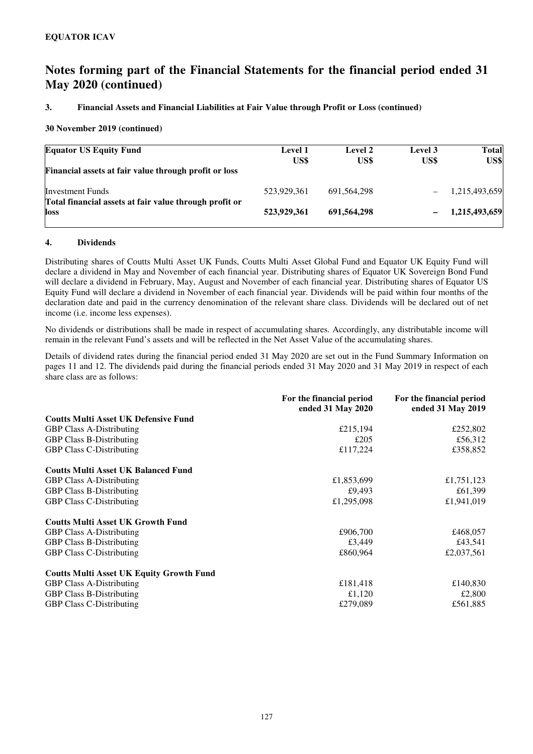#### **3. Financial Assets and Financial Liabilities at Fair Value through Profit or Loss (continued)**

#### **30 November 2019 (continued)**

| <b>Equator US Equity Fund</b>                                  | <b>Level 1</b><br>US\$ | Level 2<br>US\$ | Level 3<br>US\$ | <b>Total</b><br>US\$ |
|----------------------------------------------------------------|------------------------|-----------------|-----------------|----------------------|
| Financial assets at fair value through profit or loss          |                        |                 |                 |                      |
| <b>Investment Funds</b>                                        | 523.929.361            | 691.564.298     |                 | 1,215,493,659        |
| Total financial assets at fair value through profit or<br>loss | 523,929,361            | 691.564.298     |                 | 1,215,493,659        |

#### **4. Dividends**

Distributing shares of Coutts Multi Asset UK Funds, Coutts Multi Asset Global Fund and Equator UK Equity Fund will declare a dividend in May and November of each financial year. Distributing shares of Equator UK Sovereign Bond Fund will declare a dividend in February, May, August and November of each financial year. Distributing shares of Equator US Equity Fund will declare a dividend in November of each financial year. Dividends will be paid within four months of the declaration date and paid in the currency denomination of the relevant share class. Dividends will be declared out of net income (i.e. income less expenses).

No dividends or distributions shall be made in respect of accumulating shares. Accordingly, any distributable income will remain in the relevant Fund's assets and will be reflected in the Net Asset Value of the accumulating shares.

Details of dividend rates during the financial period ended 31 May 2020 are set out in the Fund Summary Information on pages 11 and 12. The dividends paid during the financial periods ended 31 May 2020 and 31 May 2019 in respect of each share class are as follows:

|                                                 | For the financial period<br>ended 31 May 2020 | For the financial period<br>ended 31 May 2019 |
|-------------------------------------------------|-----------------------------------------------|-----------------------------------------------|
| <b>Coutts Multi Asset UK Defensive Fund</b>     |                                               |                                               |
| <b>GBP Class A-Distributing</b>                 | £215,194                                      | £252,802                                      |
| <b>GBP Class B-Distributing</b>                 | £205                                          | £56,312                                       |
| <b>GBP Class C-Distributing</b>                 | £117,224                                      | £358,852                                      |
| <b>Coutts Multi Asset UK Balanced Fund</b>      |                                               |                                               |
| <b>GBP Class A-Distributing</b>                 | £1,853,699                                    | £1,751,123                                    |
| <b>GBP Class B-Distributing</b>                 | £9,493                                        | £61,399                                       |
| <b>GBP Class C-Distributing</b>                 | £1,295,098                                    | £1,941,019                                    |
| <b>Coutts Multi Asset UK Growth Fund</b>        |                                               |                                               |
| <b>GBP Class A-Distributing</b>                 | £906,700                                      | £468,057                                      |
| <b>GBP Class B-Distributing</b>                 | £3,449                                        | £43,541                                       |
| <b>GBP Class C-Distributing</b>                 | £860.964                                      | £2,037,561                                    |
| <b>Coutts Multi Asset UK Equity Growth Fund</b> |                                               |                                               |
| <b>GBP Class A-Distributing</b>                 | £181,418                                      | £140,830                                      |
| <b>GBP Class B-Distributing</b>                 | £1,120                                        | £2,800                                        |
| <b>GBP Class C-Distributing</b>                 | £279,089                                      | £561,885                                      |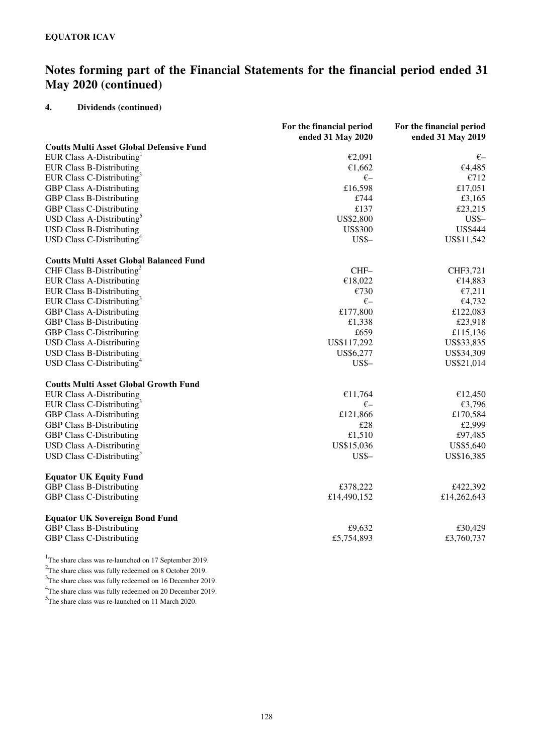## **4. Dividends (continued)**

|                                                 | For the financial period<br>ended 31 May 2020 | For the financial period<br>ended 31 May 2019 |
|-------------------------------------------------|-----------------------------------------------|-----------------------------------------------|
| <b>Coutts Multi Asset Global Defensive Fund</b> |                                               |                                               |
| EUR Class A-Distributing                        | €2,091                                        | €–                                            |
| <b>EUR Class B-Distributing</b>                 | €1,662                                        | €4,485                                        |
| EUR Class C-Distributing <sup>3</sup>           | $E-$                                          | €712                                          |
| <b>GBP Class A-Distributing</b>                 | £16,598                                       | £17,051                                       |
| <b>GBP Class B-Distributing</b>                 | £744                                          | £3,165                                        |
| <b>GBP Class C-Distributing</b>                 | £137                                          | £23,215                                       |
| USD Class A-Distributing <sup>5</sup>           | US\$2,800                                     | <b>US\$-</b>                                  |
| <b>USD Class B-Distributing</b>                 | <b>US\$300</b>                                | <b>US\$444</b>                                |
| USD Class C-Distributing <sup>4</sup>           | $USS-$                                        | US\$11,542                                    |
| <b>Coutts Multi Asset Global Balanced Fund</b>  |                                               |                                               |
| CHF Class B-Distributing <sup>2</sup>           | $CHF-$                                        | CHF3,721                                      |
| <b>EUR Class A-Distributing</b>                 | €18,022                                       | €14,883                                       |
| <b>EUR Class B-Distributing</b>                 | €730                                          | €7,211                                        |
| EUR Class C-Distributing <sup>3</sup>           | $\xi-$                                        | €4,732                                        |
| <b>GBP Class A-Distributing</b>                 | £177,800                                      | £122,083                                      |
| <b>GBP Class B-Distributing</b>                 | £1,338                                        | £23,918                                       |
| <b>GBP Class C-Distributing</b>                 | £659                                          | £115,136                                      |
| <b>USD Class A-Distributing</b>                 | US\$117,292                                   | US\$33,835                                    |
| <b>USD Class B-Distributing</b>                 | US\$6,277                                     | US\$34,309                                    |
| USD Class C-Distributing <sup>4</sup>           | $US$-$                                        | US\$21,014                                    |
| <b>Coutts Multi Asset Global Growth Fund</b>    |                                               |                                               |
| <b>EUR Class A-Distributing</b>                 | €11,764                                       | €12,450                                       |
| EUR Class C-Distributing <sup>3</sup>           | $E-$                                          | €3,796                                        |
| <b>GBP Class A-Distributing</b>                 | £121,866                                      | £170,584                                      |
| <b>GBP Class B-Distributing</b>                 | £28                                           | £2,999                                        |
| <b>GBP Class C-Distributing</b>                 | £1,510                                        | £97,485                                       |
| <b>USD Class A-Distributing</b>                 | US\$15,036                                    | US\$5,640                                     |
| USD Class C-Distributing <sup>3</sup>           | $USS-$                                        | US\$16,385                                    |
| <b>Equator UK Equity Fund</b>                   |                                               |                                               |
| <b>GBP Class B-Distributing</b>                 | £378,222                                      | £422,392                                      |
| <b>GBP Class C-Distributing</b>                 | £14,490,152                                   | £14,262,643                                   |
| <b>Equator UK Sovereign Bond Fund</b>           |                                               |                                               |
| <b>GBP Class B-Distributing</b>                 | £9,632                                        | £30,429                                       |
| <b>GBP Class C-Distributing</b>                 | £5,754,893                                    | £3,760,737                                    |

<sup>1</sup>The share class was re-launched on 17 September 2019.

 $2$ The share class was fully redeemed on 8 October 2019.

<sup>3</sup>The share class was fully redeemed on 16 December 2019. <sup>4</sup>The share class was fully redeemed on 20 December 2019.

<sup>5</sup>The share class was re-launched on 11 March 2020.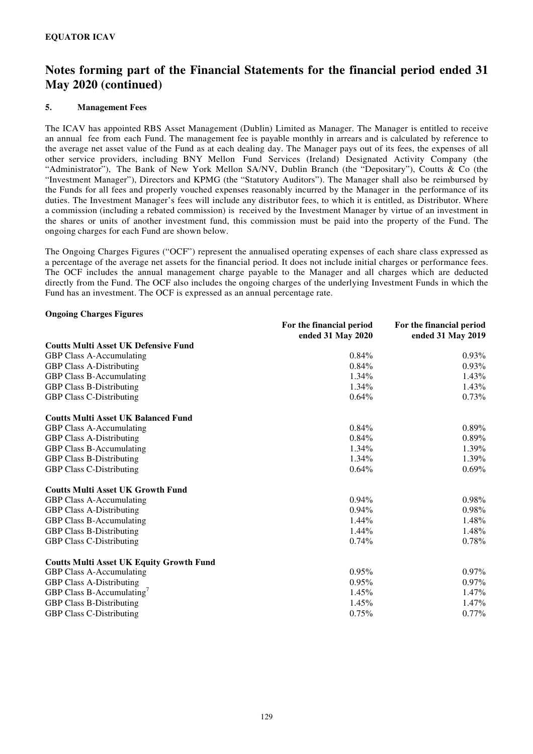### **5. Management Fees**

The ICAV has appointed RBS Asset Management (Dublin) Limited as Manager. The Manager is entitled to receive an annual fee from each Fund. The management fee is payable monthly in arrears and is calculated by reference to the average net asset value of the Fund as at each dealing day. The Manager pays out of its fees, the expenses of all other service providers, including BNY Mellon Fund Services (Ireland) Designated Activity Company (the "Administrator"), The Bank of New York Mellon SA/NV, Dublin Branch (the "Depositary"), Coutts & Co (the "Investment Manager"), Directors and KPMG (the "Statutory Auditors"). The Manager shall also be reimbursed by the Funds for all fees and properly vouched expenses reasonably incurred by the Manager in the performance of its duties. The Investment Manager's fees will include any distributor fees, to which it is entitled, as Distributor. Where a commission (including a rebated commission) is received by the Investment Manager by virtue of an investment in the shares or units of another investment fund, this commission must be paid into the property of the Fund. The ongoing charges for each Fund are shown below.

The Ongoing Charges Figures ("OCF") represent the annualised operating expenses of each share class expressed as a percentage of the average net assets for the financial period. It does not include initial charges or performance fees. The OCF includes the annual management charge payable to the Manager and all charges which are deducted directly from the Fund. The OCF also includes the ongoing charges of the underlying Investment Funds in which the Fund has an investment. The OCF is expressed as an annual percentage rate.

#### **Ongoing Charges Figures**

|                                                 | For the financial period<br>ended 31 May 2020 | For the financial period<br>ended 31 May 2019 |
|-------------------------------------------------|-----------------------------------------------|-----------------------------------------------|
| <b>Coutts Multi Asset UK Defensive Fund</b>     |                                               |                                               |
| GBP Class A-Accumulating                        | 0.84%                                         | 0.93%                                         |
| <b>GBP Class A-Distributing</b>                 | 0.84%                                         | 0.93%                                         |
| GBP Class B-Accumulating                        | 1.34%                                         | $1.43\%$                                      |
| <b>GBP Class B-Distributing</b>                 | 1.34%                                         | 1.43%                                         |
| <b>GBP Class C-Distributing</b>                 | 0.64%                                         | 0.73%                                         |
| <b>Coutts Multi Asset UK Balanced Fund</b>      |                                               |                                               |
| GBP Class A-Accumulating                        | 0.84%                                         | 0.89%                                         |
| <b>GBP Class A-Distributing</b>                 | 0.84%                                         | $0.89\%$                                      |
| GBP Class B-Accumulating                        | 1.34%                                         | 1.39%                                         |
| <b>GBP Class B-Distributing</b>                 | 1.34%                                         | 1.39%                                         |
| <b>GBP Class C-Distributing</b>                 | 0.64%                                         | 0.69%                                         |
| <b>Coutts Multi Asset UK Growth Fund</b>        |                                               |                                               |
| GBP Class A-Accumulating                        | $0.94\%$                                      | $0.98\%$                                      |
| <b>GBP Class A-Distributing</b>                 | $0.94\%$                                      | $0.98\%$                                      |
| <b>GBP Class B-Accumulating</b>                 | 1.44%                                         | 1.48%                                         |
| <b>GBP Class B-Distributing</b>                 | 1.44%                                         | 1.48%                                         |
| <b>GBP Class C-Distributing</b>                 | 0.74%                                         | 0.78%                                         |
| <b>Coutts Multi Asset UK Equity Growth Fund</b> |                                               |                                               |
| <b>GBP Class A-Accumulating</b>                 | 0.95%                                         | $0.97\%$                                      |
| <b>GBP Class A-Distributing</b>                 | 0.95%                                         | $0.97\%$                                      |
| GBP Class B-Accumulating                        | 1.45%                                         | $1.47\%$                                      |
| GBP Class B-Distributing                        | 1.45%                                         | 1.47%                                         |
| <b>GBP Class C-Distributing</b>                 | 0.75%                                         | $0.77\%$                                      |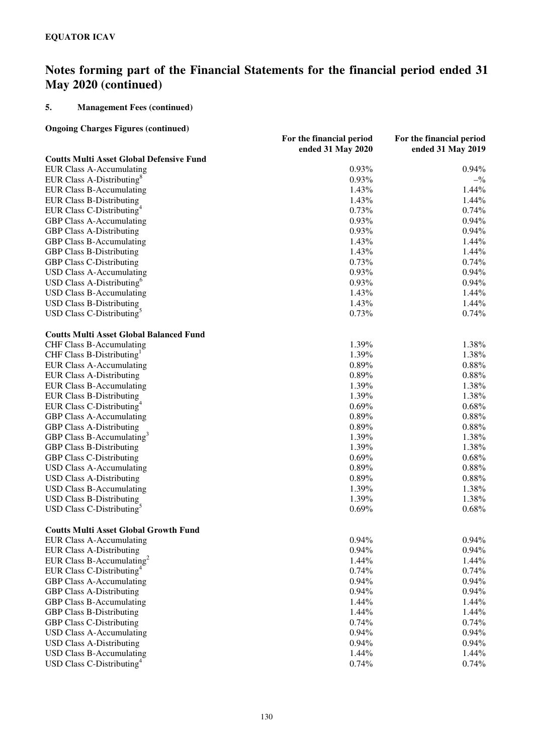## **5. Management Fees (continued)**

## **Ongoing Charges Figures (continued)**

|                                                 | For the financial period | For the financial period        |
|-------------------------------------------------|--------------------------|---------------------------------|
|                                                 | ended 31 May 2020        | ended 31 May 2019               |
| <b>Coutts Multi Asset Global Defensive Fund</b> |                          |                                 |
| <b>EUR Class A-Accumulating</b>                 | 0.93%                    | 0.94%                           |
| EUR Class A-Distributing <sup>8</sup>           | 0.93%                    | $-$ <sup>0</sup> / <sub>0</sub> |
| <b>EUR Class B-Accumulating</b>                 | 1.43%                    | 1.44%                           |
| <b>EUR Class B-Distributing</b>                 | 1.43%                    | 1.44%                           |
| EUR Class C-Distributing <sup>4</sup>           | 0.73%                    | 0.74%                           |
| GBP Class A-Accumulating                        | 0.93%                    | 0.94%                           |
| <b>GBP Class A-Distributing</b>                 | 0.93%                    | 0.94%                           |
| <b>GBP Class B-Accumulating</b>                 | 1.43%                    | 1.44%                           |
| <b>GBP Class B-Distributing</b>                 | 1.43%                    | 1.44%                           |
| <b>GBP Class C-Distributing</b>                 | 0.73%                    | 0.74%                           |
| <b>USD Class A-Accumulating</b>                 | 0.93%                    | 0.94%                           |
| USD Class A-Distributing <sup>6</sup>           | 0.93%                    | 0.94%                           |
| <b>USD Class B-Accumulating</b>                 | 1.43%                    | 1.44%                           |
| <b>USD Class B-Distributing</b>                 | 1.43%                    | 1.44%                           |
| USD Class C-Distributing <sup>5</sup>           | 0.73%                    | 0.74%                           |
| <b>Coutts Multi Asset Global Balanced Fund</b>  |                          |                                 |
| <b>CHF Class B-Accumulating</b>                 | 1.39%                    | 1.38%                           |
| CHF Class B-Distributing                        | 1.39%                    | 1.38%                           |
| <b>EUR Class A-Accumulating</b>                 | 0.89%                    | 0.88%                           |
| <b>EUR Class A-Distributing</b>                 | 0.89%                    | 0.88%                           |
| <b>EUR Class B-Accumulating</b>                 | 1.39%                    | 1.38%                           |
| <b>EUR Class B-Distributing</b>                 | 1.39%                    | 1.38%                           |
| EUR Class C-Distributing <sup>4</sup>           | 0.69%                    | 0.68%                           |
| GBP Class A-Accumulating                        | 0.89%                    | 0.88%                           |
| <b>GBP Class A-Distributing</b>                 | 0.89%                    | 0.88%                           |
| GBP Class B-Accumulating <sup>3</sup>           | 1.39%                    | 1.38%                           |
| <b>GBP Class B-Distributing</b>                 | 1.39%                    | 1.38%                           |
| <b>GBP Class C-Distributing</b>                 | 0.69%                    | 0.68%                           |
| <b>USD Class A-Accumulating</b>                 | 0.89%                    | 0.88%                           |
| <b>USD Class A-Distributing</b>                 | 0.89%                    | 0.88%                           |
| <b>USD Class B-Accumulating</b>                 | 1.39%                    | 1.38%                           |
| <b>USD Class B-Distributing</b>                 | 1.39%                    | 1.38%                           |
| USD Class C-Distributing <sup>5</sup>           | 0.69%                    | 0.68%                           |
| <b>Coutts Multi Asset Global Growth Fund</b>    |                          |                                 |
| <b>EUR Class A-Accumulating</b>                 | 0.94%                    | 0.94%                           |
| <b>EUR Class A-Distributing</b>                 | 0.94%                    | 0.94%                           |
| EUR Class B-Accumulating <sup>2</sup>           | 1.44%                    | 1.44%                           |
| EUR Class C-Distributing <sup>4</sup>           | 0.74%                    | 0.74%                           |
| GBP Class A-Accumulating                        | 0.94%                    | 0.94%                           |
| <b>GBP Class A-Distributing</b>                 | 0.94%                    | 0.94%                           |
| <b>GBP Class B-Accumulating</b>                 | 1.44%                    | 1.44%                           |
| <b>GBP Class B-Distributing</b>                 | 1.44%                    | 1.44%                           |
| <b>GBP Class C-Distributing</b>                 | 0.74%                    | 0.74%                           |
| <b>USD Class A-Accumulating</b>                 | 0.94%                    | 0.94%                           |
| <b>USD Class A-Distributing</b>                 | 0.94%                    | 0.94%                           |
| <b>USD Class B-Accumulating</b>                 | 1.44%                    | 1.44%                           |
| USD Class C-Distributing <sup>4</sup>           | 0.74%                    | 0.74%                           |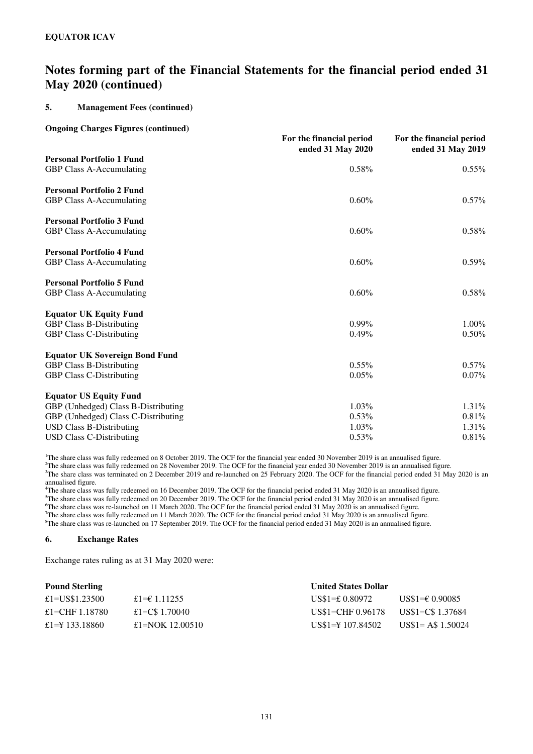### **5. Management Fees (continued)**

#### **Ongoing Charges Figures (continued)**

|                                       | For the financial period<br>ended 31 May 2020 | For the financial period<br>ended 31 May 2019 |
|---------------------------------------|-----------------------------------------------|-----------------------------------------------|
| <b>Personal Portfolio 1 Fund</b>      |                                               |                                               |
| <b>GBP Class A-Accumulating</b>       | 0.58%                                         | $0.55\%$                                      |
| <b>Personal Portfolio 2 Fund</b>      |                                               |                                               |
| <b>GBP Class A-Accumulating</b>       | 0.60%                                         | $0.57\%$                                      |
| <b>Personal Portfolio 3 Fund</b>      |                                               |                                               |
| GBP Class A-Accumulating              | 0.60%                                         | 0.58%                                         |
| <b>Personal Portfolio 4 Fund</b>      |                                               |                                               |
| <b>GBP Class A-Accumulating</b>       | 0.60%                                         | 0.59%                                         |
| <b>Personal Portfolio 5 Fund</b>      |                                               |                                               |
| <b>GBP Class A-Accumulating</b>       | 0.60%                                         | 0.58%                                         |
| <b>Equator UK Equity Fund</b>         |                                               |                                               |
| <b>GBP Class B-Distributing</b>       | $0.99\%$                                      | $1.00\%$                                      |
| <b>GBP Class C-Distributing</b>       | 0.49%                                         | 0.50%                                         |
| <b>Equator UK Sovereign Bond Fund</b> |                                               |                                               |
| <b>GBP Class B-Distributing</b>       | $0.55\%$                                      | $0.57\%$                                      |
| <b>GBP Class C-Distributing</b>       | 0.05%                                         | $0.07\%$                                      |
| <b>Equator US Equity Fund</b>         |                                               |                                               |
| GBP (Unhedged) Class B-Distributing   | 1.03%                                         | $1.31\%$                                      |
| GBP (Unhedged) Class C-Distributing   | $0.53\%$                                      | 0.81%                                         |
| <b>USD Class B-Distributing</b>       | 1.03%                                         | 1.31%                                         |
| <b>USD Class C-Distributing</b>       | 0.53%                                         | 0.81%                                         |

<sup>1</sup>The share class was fully redeemed on 8 October 2019. The OCF for the financial year ended 30 November 2019 is an annualised figure.

<sup>2</sup>The share class was fully redeemed on 28 November 2019. The OCF for the financial year ended 30 November 2019 is an annualised figure.

<sup>3</sup>The share class was terminated on 2 December 2019 and re-launched on 25 February 2020. The OCF for the financial period ended 31 May 2020 is an annualised figure.

<sup>4</sup>The share class was fully redeemed on 16 December 2019. The OCF for the financial period ended 31 May 2020 is an annualised figure.  $5$ The share class was fully redeemed on 20 December 2019. The OCF for the financial period ended 31 May 2020 is an annualised figure.

<sup>6</sup>The share class was re-launched on 11 March 2020. The OCF for the financial period ended 31 May 2020 is an annualised figure.

<sup>7</sup>The share class was fully redeemed on 11 March 2020. The OCF for the financial period ended 31 May 2020 is an annualised figure.

<sup>8</sup>The share class was re-launched on 17 September 2019. The OCF for the financial period ended 31 May 2020 is an annualised figure.

#### **6. Exchange Rates**

Exchange rates ruling as at 31 May 2020 were:

| <b>Pound Sterling</b> |                        | <b>United States Dollar</b> |                                   |  |
|-----------------------|------------------------|-----------------------------|-----------------------------------|--|
| £1=US\$1.23500        | £1= $\epsilon$ 1.11255 | US\$1=£ $0.80972$           | US\$1=€ 0.90085                   |  |
| £1=CHF 1.18780        | £1=C\$ 1.70040         | $US$1=CHF 0.96178$          | US\$1=C\$ 1.37684                 |  |
| £1=\\ 133.18860       | £1=NOK 12.00510        | $USS1 = 4107.84502$         | $\text{USS}1 = \text{AS} 1.50024$ |  |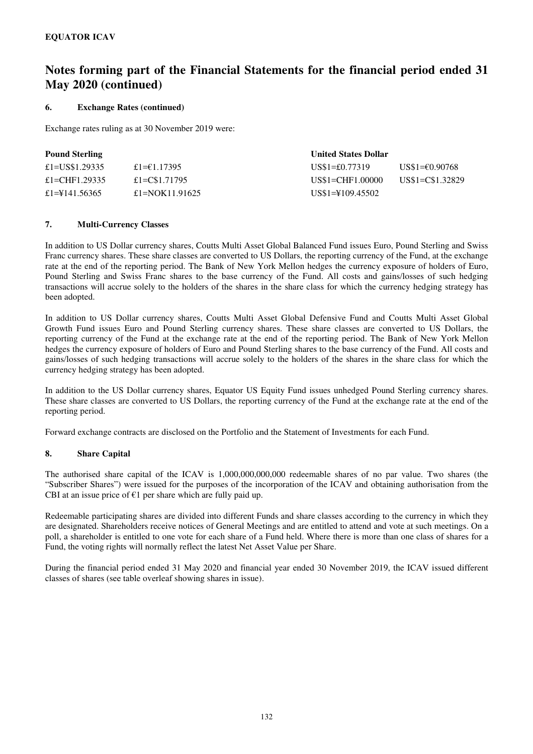#### **6. Exchange Rates (continued)**

Exchange rates ruling as at 30 November 2019 were:

| <b>Pound Sterling</b> |                | <b>United States Dollar</b> |                  |
|-----------------------|----------------|-----------------------------|------------------|
| £1=US\$1.29335        | £1= $£1.17395$ | $US\$ 1=£0.77319            | US\$1=€0.90768   |
| £1=CHF1.29335         | £1=C\$1.71795  | US\$1=CHF1.00000            | US\$1=C\$1.32829 |
| £1=\\$141.56365       | £1=NOK11.91625 | US\$1=\\$109.45502          |                  |

### **7. Multi-Currency Classes**

In addition to US Dollar currency shares, Coutts Multi Asset Global Balanced Fund issues Euro, Pound Sterling and Swiss Franc currency shares. These share classes are converted to US Dollars, the reporting currency of the Fund, at the exchange rate at the end of the reporting period. The Bank of New York Mellon hedges the currency exposure of holders of Euro, Pound Sterling and Swiss Franc shares to the base currency of the Fund. All costs and gains/losses of such hedging transactions will accrue solely to the holders of the shares in the share class for which the currency hedging strategy has been adopted.

In addition to US Dollar currency shares, Coutts Multi Asset Global Defensive Fund and Coutts Multi Asset Global Growth Fund issues Euro and Pound Sterling currency shares. These share classes are converted to US Dollars, the reporting currency of the Fund at the exchange rate at the end of the reporting period. The Bank of New York Mellon hedges the currency exposure of holders of Euro and Pound Sterling shares to the base currency of the Fund. All costs and gains/losses of such hedging transactions will accrue solely to the holders of the shares in the share class for which the currency hedging strategy has been adopted.

In addition to the US Dollar currency shares, Equator US Equity Fund issues unhedged Pound Sterling currency shares. These share classes are converted to US Dollars, the reporting currency of the Fund at the exchange rate at the end of the reporting period.

Forward exchange contracts are disclosed on the Portfolio and the Statement of Investments for each Fund.

#### **8. Share Capital**

The authorised share capital of the ICAV is 1,000,000,000,000 redeemable shares of no par value. Two shares (the "Subscriber Shares") were issued for the purposes of the incorporation of the ICAV and obtaining authorisation from the CBI at an issue price of  $E1$  per share which are fully paid up.

Redeemable participating shares are divided into different Funds and share classes according to the currency in which they are designated. Shareholders receive notices of General Meetings and are entitled to attend and vote at such meetings. On a poll, a shareholder is entitled to one vote for each share of a Fund held. Where there is more than one class of shares for a Fund, the voting rights will normally reflect the latest Net Asset Value per Share.

During the financial period ended 31 May 2020 and financial year ended 30 November 2019, the ICAV issued different classes of shares (see table overleaf showing shares in issue).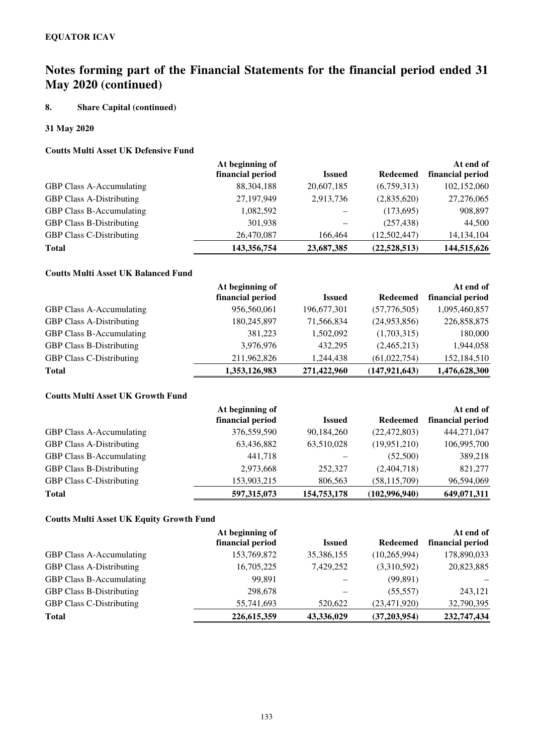## **8. Share Capital (continued)**

## **31 May 2020**

## **Coutts Multi Asset UK Defensive Fund**

| At beginning of  |               |                 | At end of        |
|------------------|---------------|-----------------|------------------|
| financial period | <b>Issued</b> | <b>Redeemed</b> | financial period |
| 88, 304, 188     | 20,607,185    | (6,759,313)     | 102,152,060      |
| 27,197,949       | 2,913,736     | (2,835,620)     | 27,276,065       |
| 1,082,592        |               | (173,695)       | 908,897          |
| 301,938          |               | (257, 438)      | 44,500           |
| 26,470,087       | 166,464       | (12,502,447)    | 14, 134, 104     |
| 143,356,754      | 23,687,385    | (22, 528, 513)  | 144,515,626      |
|                  |               |                 |                  |

# **Coutts Multi Asset UK Balanced Fund**

|                                 | At beginning of  |               |                 | At end of        |
|---------------------------------|------------------|---------------|-----------------|------------------|
|                                 | financial period | <b>Issued</b> | <b>Redeemed</b> | financial period |
| <b>GBP Class A-Accumulating</b> | 956,560,061      | 196,677,301   | (57,776,505)    | 1,095,460,857    |
| <b>GBP Class A-Distributing</b> | 180,245,897      | 71,566,834    | (24,953,856)    | 226,858,875      |
| <b>GBP Class B-Accumulating</b> | 381,223          | 1,502,092     | (1,703,315)     | 180,000          |
| <b>GBP Class B-Distributing</b> | 3,976,976        | 432.295       | (2,465,213)     | 1,944,058        |
| <b>GBP Class C-Distributing</b> | 211,962,826      | 1,244,438     | (61,022,754)    | 152,184,510      |
| <b>Total</b>                    | 1,353,126,983    | 271,422,960   | (147, 921, 643) | 1,476,628,300    |

## **Coutts Multi Asset UK Growth Fund**

|                                 | At beginning of  |               |                 | At end of        |
|---------------------------------|------------------|---------------|-----------------|------------------|
|                                 | financial period | <b>Issued</b> | <b>Redeemed</b> | financial period |
| <b>GBP Class A-Accumulating</b> | 376,559,590      | 90,184,260    | (22, 472, 803)  | 444,271,047      |
| <b>GBP Class A-Distributing</b> | 63,436,882       | 63,510,028    | (19,951,210)    | 106,995,700      |
| <b>GBP Class B-Accumulating</b> | 441,718          |               | (52,500)        | 389,218          |
| <b>GBP Class B-Distributing</b> | 2,973,668        | 252,327       | (2,404,718)     | 821,277          |
| <b>GBP Class C-Distributing</b> | 153,903,215      | 806,563       | (58, 115, 709)  | 96,594,069       |
| <b>Total</b>                    | 597, 315, 073    | 154,753,178   | (102,996,940)   | 649,071,311      |

## **Coutts Multi Asset UK Equity Growth Fund**

|                                 | At beginning of  |               |                 | At end of        |
|---------------------------------|------------------|---------------|-----------------|------------------|
|                                 | financial period | <b>Issued</b> | <b>Redeemed</b> | financial period |
| <b>GBP Class A-Accumulating</b> | 153,769,872      | 35,386,155    | (10,265,994)    | 178,890,033      |
| <b>GBP Class A-Distributing</b> | 16,705,225       | 7.429.252     | (3,310,592)     | 20,823,885       |
| <b>GBP Class B-Accumulating</b> | 99.891           |               | (99, 891)       |                  |
| <b>GBP Class B-Distributing</b> | 298,678          |               | (55, 557)       | 243,121          |
| <b>GBP Class C-Distributing</b> | 55,741,693       | 520,622       | (23, 471, 920)  | 32,790,395       |
| <b>Total</b>                    | 226, 615, 359    | 43,336,029    | (37,203,954)    | 232,747,434      |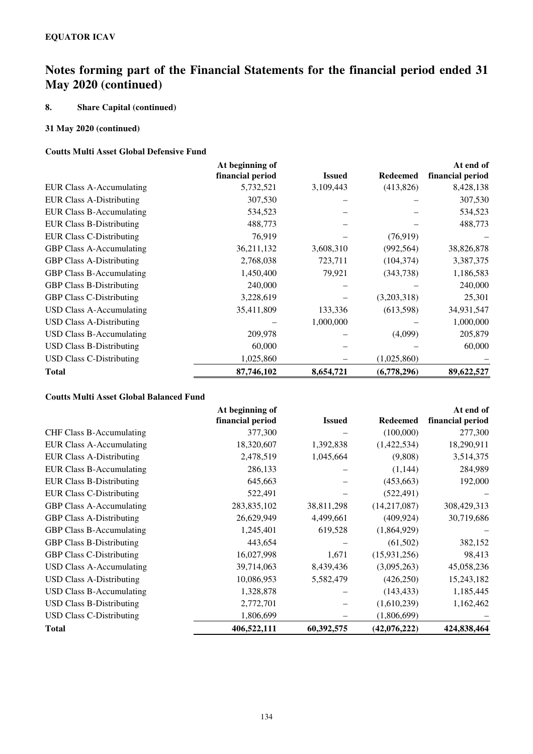## **8. Share Capital (continued)**

## **31 May 2020 (continued)**

### **Coutts Multi Asset Global Defensive Fund**

|                                 | At beginning of  |               |                 | At end of        |
|---------------------------------|------------------|---------------|-----------------|------------------|
|                                 | financial period | <b>Issued</b> | <b>Redeemed</b> | financial period |
| EUR Class A-Accumulating        | 5,732,521        | 3,109,443     | (413,826)       | 8,428,138        |
| <b>EUR Class A-Distributing</b> | 307,530          |               |                 | 307,530          |
| EUR Class B-Accumulating        | 534,523          |               |                 | 534,523          |
| <b>EUR Class B-Distributing</b> | 488,773          |               |                 | 488,773          |
| <b>EUR Class C-Distributing</b> | 76,919           |               | (76, 919)       |                  |
| <b>GBP Class A-Accumulating</b> | 36,211,132       | 3,608,310     | (992, 564)      | 38,826,878       |
| <b>GBP Class A-Distributing</b> | 2,768,038        | 723,711       | (104, 374)      | 3,387,375        |
| <b>GBP Class B-Accumulating</b> | 1,450,400        | 79,921        | (343,738)       | 1,186,583        |
| <b>GBP Class B-Distributing</b> | 240,000          |               |                 | 240,000          |
| <b>GBP Class C-Distributing</b> | 3,228,619        |               | (3,203,318)     | 25,301           |
| USD Class A-Accumulating        | 35,411,809       | 133,336       | (613,598)       | 34,931,547       |
| <b>USD Class A-Distributing</b> |                  | 1,000,000     |                 | 1,000,000        |
| <b>USD Class B-Accumulating</b> | 209,978          |               | (4,099)         | 205,879          |
| <b>USD Class B-Distributing</b> | 60,000           |               |                 | 60,000           |
| USD Class C-Distributing        | 1,025,860        |               | (1,025,860)     |                  |
| <b>Total</b>                    | 87,746,102       | 8,654,721     | (6,778,296)     | 89,622,527       |

### **Coutts Multi Asset Global Balanced Fund**

|                                 | At beginning of  |               |                 | At end of        |
|---------------------------------|------------------|---------------|-----------------|------------------|
|                                 | financial period | <b>Issued</b> | <b>Redeemed</b> | financial period |
| <b>CHF Class B-Accumulating</b> | 377,300          |               | (100,000)       | 277,300          |
| <b>EUR Class A-Accumulating</b> | 18,320,607       | 1,392,838     | (1,422,534)     | 18,290,911       |
| <b>EUR Class A-Distributing</b> | 2,478,519        | 1,045,664     | (9,808)         | 3,514,375        |
| <b>EUR Class B-Accumulating</b> | 286,133          |               | (1,144)         | 284,989          |
| <b>EUR Class B-Distributing</b> | 645,663          |               | (453, 663)      | 192,000          |
| <b>EUR Class C-Distributing</b> | 522,491          |               | (522, 491)      |                  |
| <b>GBP Class A-Accumulating</b> | 283,835,102      | 38,811,298    | (14,217,087)    | 308,429,313      |
| <b>GBP Class A-Distributing</b> | 26,629,949       | 4,499,661     | (409, 924)      | 30,719,686       |
| <b>GBP Class B-Accumulating</b> | 1,245,401        | 619,528       | (1,864,929)     |                  |
| <b>GBP Class B-Distributing</b> | 443,654          |               | (61, 502)       | 382,152          |
| <b>GBP Class C-Distributing</b> | 16,027,998       | 1,671         | (15, 931, 256)  | 98,413           |
| USD Class A-Accumulating        | 39,714,063       | 8,439,436     | (3,095,263)     | 45,058,236       |
| <b>USD Class A-Distributing</b> | 10,086,953       | 5,582,479     | (426, 250)      | 15,243,182       |
| USD Class B-Accumulating        | 1,328,878        |               | (143, 433)      | 1,185,445        |
| <b>USD Class B-Distributing</b> | 2,772,701        |               | (1,610,239)     | 1,162,462        |
| <b>USD Class C-Distributing</b> | 1,806,699        |               | (1,806,699)     |                  |
| <b>Total</b>                    | 406,522,111      | 60,392,575    | (42,076,222)    | 424,838,464      |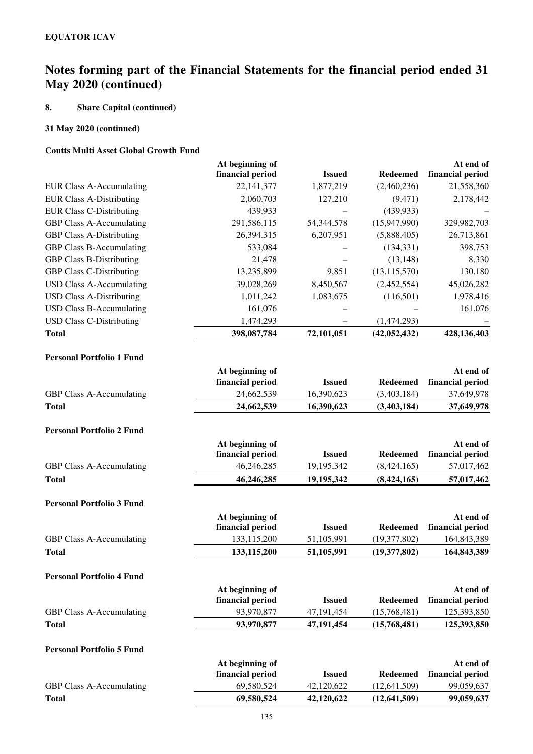## **8. Share Capital (continued)**

### **31 May 2020 (continued)**

### **Coutts Multi Asset Global Growth Fund**

|                                 | At beginning of  |               |                 | At end of        |
|---------------------------------|------------------|---------------|-----------------|------------------|
|                                 | financial period | <b>Issued</b> | <b>Redeemed</b> | financial period |
| EUR Class A-Accumulating        | 22, 141, 377     | 1,877,219     | (2,460,236)     | 21,558,360       |
| <b>EUR Class A-Distributing</b> | 2,060,703        | 127,210       | (9, 471)        | 2,178,442        |
| <b>EUR Class C-Distributing</b> | 439,933          |               | (439, 933)      |                  |
| <b>GBP Class A-Accumulating</b> | 291,586,115      | 54, 344, 578  | (15,947,990)    | 329,982,703      |
| <b>GBP Class A-Distributing</b> | 26,394,315       | 6,207,951     | (5,888,405)     | 26,713,861       |
| <b>GBP Class B-Accumulating</b> | 533,084          |               | (134, 331)      | 398,753          |
| <b>GBP Class B-Distributing</b> | 21,478           |               | (13, 148)       | 8,330            |
| <b>GBP Class C-Distributing</b> | 13,235,899       | 9,851         | (13, 115, 570)  | 130,180          |
| USD Class A-Accumulating        | 39,028,269       | 8,450,567     | (2,452,554)     | 45,026,282       |
| <b>USD Class A-Distributing</b> | 1,011,242        | 1,083,675     | (116,501)       | 1,978,416        |
| <b>USD Class B-Accumulating</b> | 161,076          |               |                 | 161,076          |
| <b>USD Class C-Distributing</b> | 1,474,293        |               | (1,474,293)     |                  |
| <b>Total</b>                    | 398,087,784      | 72,101,051    | (42, 052, 432)  | 428,136,403      |

#### **Personal Portfolio 1 Fund**

|                                  | At beginning of  |               |                 | At end of        |
|----------------------------------|------------------|---------------|-----------------|------------------|
|                                  | financial period | <b>Issued</b> | <b>Redeemed</b> | financial period |
| <b>GBP Class A-Accumulating</b>  | 24,662,539       | 16,390,623    | (3,403,184)     | 37,649,978       |
| <b>Total</b>                     | 24,662,539       | 16,390,623    | (3,403,184)     | 37,649,978       |
| <b>Personal Portfolio 2 Fund</b> |                  |               |                 |                  |
|                                  | At beginning of  |               |                 | At end of        |
|                                  | financial period | <b>Issued</b> | <b>Redeemed</b> | financial period |
| <b>GBP Class A-Accumulating</b>  | 46,246,285       | 19,195,342    | (8, 424, 165)   | 57,017,462       |
| <b>Total</b>                     | 46,246,285       | 19,195,342    | (8, 424, 165)   | 57,017,462       |
| <b>Personal Portfolio 3 Fund</b> |                  |               |                 |                  |
|                                  | At beginning of  |               |                 | At end of        |
|                                  | financial period | <b>Issued</b> | <b>Redeemed</b> | financial period |
| <b>GBP Class A-Accumulating</b>  | 133,115,200      | 51,105,991    | (19,377,802)    | 164,843,389      |
| <b>Total</b>                     | 133,115,200      | 51,105,991    | (19, 377, 802)  | 164,843,389      |
| <b>Personal Portfolio 4 Fund</b> |                  |               |                 |                  |
|                                  | At beginning of  |               |                 | At end of        |
|                                  | financial period | <b>Issued</b> | <b>Redeemed</b> | financial period |
| <b>GBP Class A-Accumulating</b>  | 93,970,877       | 47,191,454    | (15,768,481)    | 125,393,850      |
| <b>Total</b>                     | 93,970,877       | 47,191,454    | (15,768,481)    | 125,393,850      |
| <b>Personal Portfolio 5 Fund</b> |                  |               |                 |                  |
|                                  | At beginning of  |               |                 | At end of        |
|                                  | financial period | <b>Issued</b> | <b>Redeemed</b> | financial period |
| <b>GBP Class A-Accumulating</b>  | 69,580,524       | 42,120,622    | (12, 641, 509)  | 99,059,637       |
| <b>Total</b>                     | 69,580,524       | 42,120,622    | (12, 641, 509)  | 99,059,637       |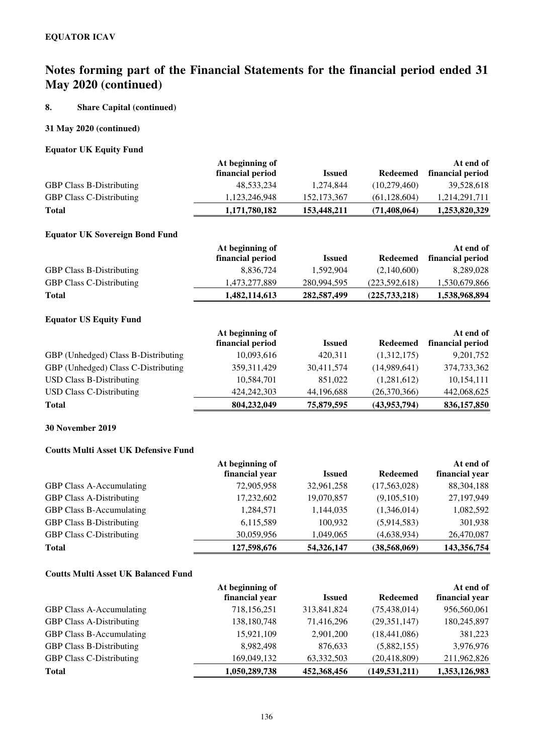## **8. Share Capital (continued)**

## **31 May 2020 (continued)**

### **Equator UK Equity Fund**

|                                 | At beginning of  |               |                | At end of        |
|---------------------------------|------------------|---------------|----------------|------------------|
|                                 | financial period | <b>Issued</b> | Redeemed       | financial period |
| <b>GBP Class B-Distributing</b> | 48,533,234       | 1.274.844     | (10,279,460)   | 39,528,618       |
| <b>GBP Class C-Distributing</b> | 1,123,246,948    | 152, 173, 367 | (61, 128, 604) | 1,214,291,711    |
| <b>Total</b>                    | 1,171,780,182    | 153,448,211   | (71, 408, 064) | 1,253,820,329    |

### **Equator UK Sovereign Bond Fund**

|                                 | At beginning of  |             |               | At end of        |  |
|---------------------------------|------------------|-------------|---------------|------------------|--|
|                                 | financial period | Issued      | Redeemed      | financial period |  |
| <b>GBP Class B-Distributing</b> | 8.836.724        | 1.592.904   | (2,140,600)   | 8.289.028        |  |
| <b>GBP Class C-Distributing</b> | 1.473.277.889    | 280,994,595 | (223,592,618) | 1,530,679,866    |  |
| <b>Total</b>                    | 1,482,114,613    | 282,587,499 | (225,733,218) | 1,538,968,894    |  |

### **Equator US Equity Fund**

|                                     | At beginning of  |               |                 | At end of        |
|-------------------------------------|------------------|---------------|-----------------|------------------|
|                                     | financial period | <b>Issued</b> | <b>Redeemed</b> | financial period |
| GBP (Unhedged) Class B-Distributing | 10,093,616       | 420.311       | (1,312,175)     | 9,201,752        |
| GBP (Unhedged) Class C-Distributing | 359, 311, 429    | 30,411,574    | (14,989,641)    | 374,733,362      |
| <b>USD Class B-Distributing</b>     | 10,584,701       | 851,022       | (1,281,612)     | 10,154,111       |
| USD Class C-Distributing            | 424, 242, 303    | 44,196,688    | (26,370,366)    | 442,068,625      |
| <b>Total</b>                        | 804,232,049      | 75,879,595    | (43,953,794)    | 836,157,850      |

## **30 November 2019**

### **Coutts Multi Asset UK Defensive Fund**

|                                 | At beginning of |               |                 | At end of      |
|---------------------------------|-----------------|---------------|-----------------|----------------|
|                                 | financial year  | <b>Issued</b> | <b>Redeemed</b> | financial year |
| <b>GBP Class A-Accumulating</b> | 72,905,958      | 32,961,258    | (17,563,028)    | 88, 304, 188   |
| <b>GBP Class A-Distributing</b> | 17,232,602      | 19,070,857    | (9,105,510)     | 27,197,949     |
| GBP Class B-Accumulating        | 1,284,571       | 1,144,035     | (1,346,014)     | 1,082,592      |
| <b>GBP Class B-Distributing</b> | 6,115,589       | 100,932       | (5,914,583)     | 301,938        |
| <b>GBP Class C-Distributing</b> | 30,059,956      | 1,049,065     | (4,638,934)     | 26,470,087     |
| <b>Total</b>                    | 127,598,676     | 54,326,147    | (38, 568, 069)  | 143,356,754    |

## **Coutts Multi Asset UK Balanced Fund**

|                                 | At beginning of<br>financial year | <b>Issued</b> | <b>Redeemed</b> | At end of<br>financial year |
|---------------------------------|-----------------------------------|---------------|-----------------|-----------------------------|
| <b>GBP Class A-Accumulating</b> | 718,156,251                       | 313,841,824   | (75, 438, 014)  | 956,560,061                 |
| <b>GBP Class A-Distributing</b> | 138,180,748                       | 71,416,296    | (29,351,147)    | 180,245,897                 |
| <b>GBP Class B-Accumulating</b> | 15,921,109                        | 2,901,200     | (18, 441, 086)  | 381,223                     |
| <b>GBP Class B-Distributing</b> | 8,982,498                         | 876,633       | (5,882,155)     | 3,976,976                   |
| <b>GBP Class C-Distributing</b> | 169,049,132                       | 63,332,503    | (20, 418, 809)  | 211,962,826                 |
| <b>Total</b>                    | 1,050,289,738                     | 452,368,456   | (149, 531, 211) | 1,353,126,983               |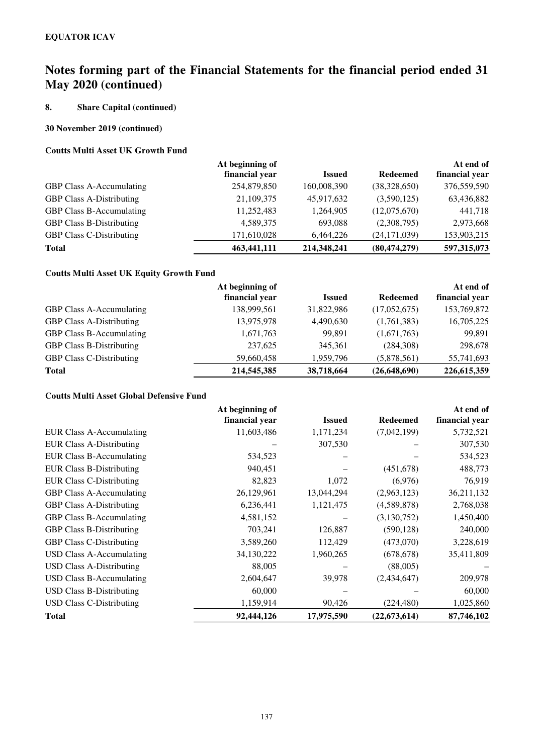## **8. Share Capital (continued)**

### **30 November 2019 (continued)**

### **Coutts Multi Asset UK Growth Fund**

|                                 | At beginning of |               |                 | At end of      |
|---------------------------------|-----------------|---------------|-----------------|----------------|
|                                 | financial year  | <b>Issued</b> | <b>Redeemed</b> | financial year |
| GBP Class A-Accumulating        | 254,879,850     | 160,008,390   | (38,328,650)    | 376,559,590    |
| <b>GBP Class A-Distributing</b> | 21,109,375      | 45,917,632    | (3,590,125)     | 63,436,882     |
| <b>GBP Class B-Accumulating</b> | 11,252,483      | 1,264,905     | (12,075,670)    | 441,718        |
| <b>GBP Class B-Distributing</b> | 4,589,375       | 693,088       | (2,308,795)     | 2,973,668      |
| <b>GBP Class C-Distributing</b> | 171,610,028     | 6,464,226     | (24, 171, 039)  | 153,903,215    |
| <b>Total</b>                    | 463,441,111     | 214,348,241   | (80, 474, 279)  | 597,315,073    |
|                                 |                 |               |                 |                |

## **Coutts Multi Asset UK Equity Growth Fund**

|                                 | At beginning of |               |                 | At end of      |
|---------------------------------|-----------------|---------------|-----------------|----------------|
|                                 | financial year  | <b>Issued</b> | <b>Redeemed</b> | financial year |
| <b>GBP Class A-Accumulating</b> | 138,999,561     | 31,822,986    | (17,052,675)    | 153,769,872    |
| <b>GBP Class A-Distributing</b> | 13,975,978      | 4,490,630     | (1,761,383)     | 16,705,225     |
| GBP Class B-Accumulating        | 1,671,763       | 99.891        | (1,671,763)     | 99,891         |
| <b>GBP Class B-Distributing</b> | 237,625         | 345,361       | (284,308)       | 298,678        |
| <b>GBP Class C-Distributing</b> | 59,660,458      | 1,959,796     | (5,878,561)     | 55,741,693     |
| <b>Total</b>                    | 214,545,385     | 38,718,664    | (26, 648, 690)  | 226,615,359    |

### **Coutts Multi Asset Global Defensive Fund**

|                                 | At beginning of |               |                 | At end of      |
|---------------------------------|-----------------|---------------|-----------------|----------------|
|                                 | financial year  | <b>Issued</b> | <b>Redeemed</b> | financial year |
| EUR Class A-Accumulating        | 11,603,486      | 1,171,234     | (7,042,199)     | 5,732,521      |
| <b>EUR Class A-Distributing</b> |                 | 307,530       |                 | 307,530        |
| <b>EUR Class B-Accumulating</b> | 534,523         |               |                 | 534,523        |
| <b>EUR Class B-Distributing</b> | 940,451         |               | (451, 678)      | 488,773        |
| <b>EUR Class C-Distributing</b> | 82,823          | 1,072         | (6,976)         | 76,919         |
| <b>GBP Class A-Accumulating</b> | 26,129,961      | 13,044,294    | (2,963,123)     | 36,211,132     |
| <b>GBP Class A-Distributing</b> | 6,236,441       | 1,121,475     | (4,589,878)     | 2,768,038      |
| <b>GBP Class B-Accumulating</b> | 4,581,152       |               | (3,130,752)     | 1,450,400      |
| <b>GBP Class B-Distributing</b> | 703,241         | 126,887       | (590, 128)      | 240,000        |
| <b>GBP Class C-Distributing</b> | 3,589,260       | 112,429       | (473,070)       | 3,228,619      |
| USD Class A-Accumulating        | 34,130,222      | 1,960,265     | (678, 678)      | 35,411,809     |
| <b>USD Class A-Distributing</b> | 88,005          |               | (88,005)        |                |
| <b>USD Class B-Accumulating</b> | 2,604,647       | 39,978        | (2,434,647)     | 209,978        |
| <b>USD Class B-Distributing</b> | 60,000          |               |                 | 60,000         |
| <b>USD Class C-Distributing</b> | 1,159,914       | 90,426        | (224, 480)      | 1,025,860      |
| <b>Total</b>                    | 92,444,126      | 17,975,590    | (22, 673, 614)  | 87,746,102     |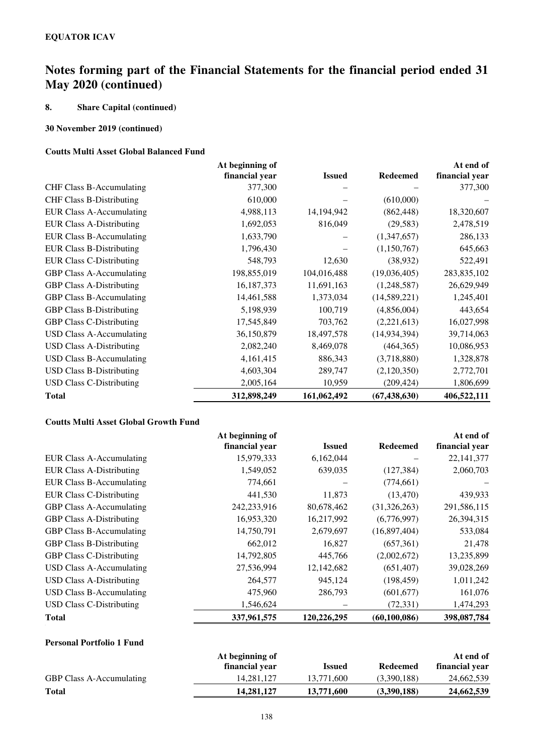## **8. Share Capital (continued)**

### **30 November 2019 (continued)**

### **Coutts Multi Asset Global Balanced Fund**

|                                 | At beginning of |               |                 | At end of      |
|---------------------------------|-----------------|---------------|-----------------|----------------|
|                                 | financial year  | <b>Issued</b> | <b>Redeemed</b> | financial year |
| <b>CHF Class B-Accumulating</b> | 377,300         |               |                 | 377,300        |
| <b>CHF Class B-Distributing</b> | 610,000         |               | (610,000)       |                |
| <b>EUR Class A-Accumulating</b> | 4,988,113       | 14,194,942    | (862, 448)      | 18,320,607     |
| <b>EUR Class A-Distributing</b> | 1,692,053       | 816,049       | (29, 583)       | 2,478,519      |
| <b>EUR Class B-Accumulating</b> | 1,633,790       |               | (1,347,657)     | 286,133        |
| <b>EUR Class B-Distributing</b> | 1,796,430       |               | (1,150,767)     | 645,663        |
| <b>EUR Class C-Distributing</b> | 548,793         | 12,630        | (38, 932)       | 522,491        |
| <b>GBP Class A-Accumulating</b> | 198,855,019     | 104,016,488   | (19,036,405)    | 283,835,102    |
| <b>GBP Class A-Distributing</b> | 16,187,373      | 11,691,163    | (1,248,587)     | 26,629,949     |
| <b>GBP Class B-Accumulating</b> | 14,461,588      | 1,373,034     | (14,589,221)    | 1,245,401      |
| <b>GBP Class B-Distributing</b> | 5,198,939       | 100,719       | (4,856,004)     | 443,654        |
| <b>GBP Class C-Distributing</b> | 17,545,849      | 703,762       | (2,221,613)     | 16,027,998     |
| <b>USD Class A-Accumulating</b> | 36,150,879      | 18,497,578    | (14, 934, 394)  | 39,714,063     |
| <b>USD Class A-Distributing</b> | 2,082,240       | 8,469,078     | (464, 365)      | 10,086,953     |
| <b>USD Class B-Accumulating</b> | 4,161,415       | 886,343       | (3,718,880)     | 1,328,878      |
| <b>USD Class B-Distributing</b> | 4,603,304       | 289,747       | (2,120,350)     | 2,772,701      |
| <b>USD Class C-Distributing</b> | 2,005,164       | 10,959        | (209, 424)      | 1,806,699      |
| <b>Total</b>                    | 312,898,249     | 161,062,492   | (67, 438, 630)  | 406,522,111    |

### **Coutts Multi Asset Global Growth Fund**

|                                 | At beginning of |               |                 | At end of      |
|---------------------------------|-----------------|---------------|-----------------|----------------|
|                                 | financial year  | <b>Issued</b> | <b>Redeemed</b> | financial year |
| EUR Class A-Accumulating        | 15,979,333      | 6,162,044     |                 | 22, 141, 377   |
| <b>EUR Class A-Distributing</b> | 1,549,052       | 639,035       | (127, 384)      | 2,060,703      |
| <b>EUR Class B-Accumulating</b> | 774,661         |               | (774, 661)      |                |
| <b>EUR Class C-Distributing</b> | 441,530         | 11,873        | (13, 470)       | 439,933        |
| <b>GBP Class A-Accumulating</b> | 242,233,916     | 80,678,462    | (31,326,263)    | 291,586,115    |
| <b>GBP Class A-Distributing</b> | 16,953,320      | 16,217,992    | (6,776,997)     | 26,394,315     |
| <b>GBP Class B-Accumulating</b> | 14,750,791      | 2,679,697     | (16,897,404)    | 533,084        |
| <b>GBP Class B-Distributing</b> | 662,012         | 16,827        | (657,361)       | 21,478         |
| <b>GBP Class C-Distributing</b> | 14,792,805      | 445,766       | (2,002,672)     | 13,235,899     |
| <b>USD Class A-Accumulating</b> | 27,536,994      | 12, 142, 682  | (651, 407)      | 39,028,269     |
| <b>USD Class A-Distributing</b> | 264,577         | 945,124       | (198, 459)      | 1,011,242      |
| <b>USD Class B-Accumulating</b> | 475,960         | 286,793       | (601, 677)      | 161,076        |
| <b>USD Class C-Distributing</b> | 1,546,624       |               | (72, 331)       | 1,474,293      |
| <b>Total</b>                    | 337,961,575     | 120,226,295   | (60, 100, 086)  | 398,087,784    |

## **Personal Portfolio 1 Fund**

|                                 | At beginning of |            |             | At end of      |
|---------------------------------|-----------------|------------|-------------|----------------|
|                                 | financial year  | Issued     | Redeemed    | financial year |
| <b>GBP Class A-Accumulating</b> | 14.281.127      | 13.771.600 | (3.390.188) | 24,662,539     |
| <b>Total</b>                    | 14.281.127      | 13,771,600 | (3,390,188) | 24,662,539     |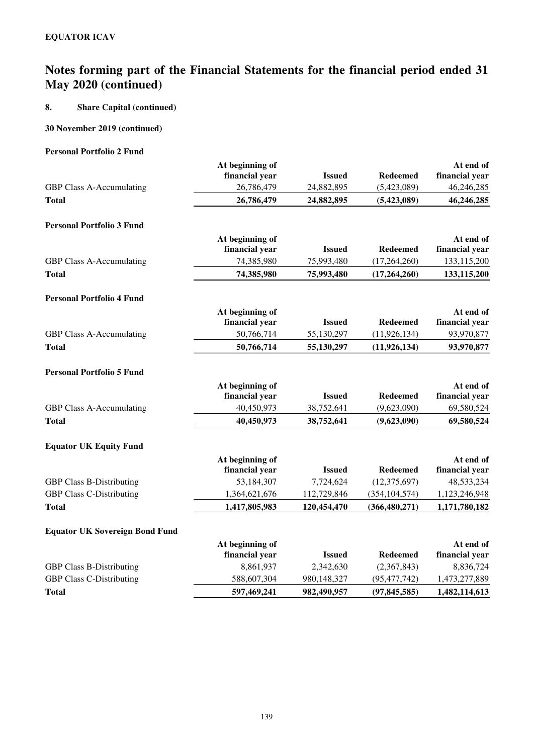## **8. Share Capital (continued)**

### **30 November 2019 (continued)**

### **Personal Portfolio 2 Fund**

|                                       | At beginning of |               |                 | At end of      |
|---------------------------------------|-----------------|---------------|-----------------|----------------|
|                                       | financial year  | <b>Issued</b> | <b>Redeemed</b> | financial year |
| <b>GBP Class A-Accumulating</b>       | 26,786,479      | 24,882,895    | (5,423,089)     | 46,246,285     |
| <b>Total</b>                          | 26,786,479      | 24,882,895    | (5,423,089)     | 46,246,285     |
| <b>Personal Portfolio 3 Fund</b>      |                 |               |                 |                |
|                                       | At beginning of |               |                 | At end of      |
|                                       | financial year  | <b>Issued</b> | <b>Redeemed</b> | financial year |
| <b>GBP Class A-Accumulating</b>       | 74,385,980      | 75,993,480    | (17,264,260)    | 133,115,200    |
| <b>Total</b>                          | 74,385,980      | 75,993,480    | (17,264,260)    | 133,115,200    |
| <b>Personal Portfolio 4 Fund</b>      |                 |               |                 |                |
|                                       | At beginning of |               |                 | At end of      |
|                                       | financial year  | <b>Issued</b> | <b>Redeemed</b> | financial year |
| GBP Class A-Accumulating              | 50,766,714      | 55,130,297    | (11, 926, 134)  | 93,970,877     |
| <b>Total</b>                          | 50,766,714      | 55,130,297    | (11, 926, 134)  | 93,970,877     |
| <b>Personal Portfolio 5 Fund</b>      |                 |               |                 |                |
|                                       | At beginning of |               |                 | At end of      |
|                                       | financial year  | <b>Issued</b> | <b>Redeemed</b> | financial year |
| GBP Class A-Accumulating              | 40,450,973      | 38,752,641    | (9,623,090)     | 69,580,524     |
| <b>Total</b>                          | 40,450,973      | 38,752,641    | (9,623,090)     | 69,580,524     |
| <b>Equator UK Equity Fund</b>         |                 |               |                 |                |
|                                       | At beginning of |               |                 | At end of      |
|                                       | financial year  | <b>Issued</b> | <b>Redeemed</b> | financial year |
| <b>GBP Class B-Distributing</b>       | 53,184,307      | 7,724,624     | (12, 375, 697)  | 48,533,234     |
| <b>GBP Class C-Distributing</b>       | 1,364,621,676   | 112,729,846   | (354, 104, 574) | 1,123,246,948  |
| <b>Total</b>                          | 1,417,805,983   | 120,454,470   | (366, 480, 271) | 1,171,780,182  |
| <b>Equator UK Sovereign Bond Fund</b> |                 |               |                 |                |
|                                       | At beginning of |               |                 | At end of      |
|                                       | financial year  | <b>Issued</b> | <b>Redeemed</b> | financial year |
| <b>GBP Class B-Distributing</b>       | 8,861,937       | 2,342,630     | (2,367,843)     | 8,836,724      |
| <b>GBP Class C-Distributing</b>       | 588,607,304     | 980,148,327   | (95, 477, 742)  | 1,473,277,889  |
| <b>Total</b>                          | 597,469,241     | 982,490,957   | (97, 845, 585)  | 1,482,114,613  |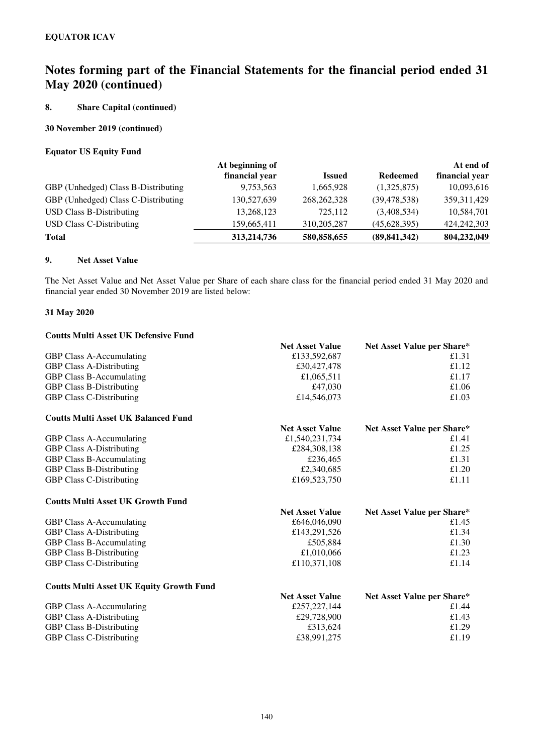### **8. Share Capital (continued)**

### **30 November 2019 (continued)**

### **Equator US Equity Fund**

|                                     | At beginning of |               |                 | At end of      |
|-------------------------------------|-----------------|---------------|-----------------|----------------|
|                                     | financial year  | <b>Issued</b> | <b>Redeemed</b> | financial year |
| GBP (Unhedged) Class B-Distributing | 9,753,563       | 1,665,928     | (1,325,875)     | 10,093,616     |
| GBP (Unhedged) Class C-Distributing | 130,527,639     | 268, 262, 328 | (39, 478, 538)  | 359, 311, 429  |
| <b>USD Class B-Distributing</b>     | 13,268,123      | 725.112       | (3,408,534)     | 10,584,701     |
| USD Class C-Distributing            | 159,665,411     | 310, 205, 287 | (45, 628, 395)  | 424, 242, 303  |
| Total                               | 313,214,736     | 580,858,655   | (89, 841, 342)  | 804,232,049    |

#### **9. Net Asset Value**

The Net Asset Value and Net Asset Value per Share of each share class for the financial period ended 31 May 2020 and financial year ended 30 November 2019 are listed below:

### **31 May 2020**

## **Coutts Multi Asset UK Defensive Fund Net Asset Value Net Asset Value per Share\*** GBP Class A-Accumulating  $£133,592,687$   $£1.31$ GBP Class A-Distributing  $\text{£}30,427,478$   $\text{£}1.12$ GBP Class B-Accumulating  $\text{£}1,065,511$   $\text{£}1.17$ GBP Class B-Distributing  $\text{f47,030}$   $\text{f1.06}$ GBP Class C-Distributing  $\text{£}14,546,073$   $\text{£}1.03$ **Coutts Multi Asset UK Balanced Fund Net Asset Value Net Asset Value per Share\***<br>£1.540.231.734 **£1.41** GBP Class A-Accumulating GBP Class A-Distributing  $\text{£}284,308,138$   $\text{£}1.25$ GBP Class B-Accumulating  $\text{\pounds}236,465$   $\text{\pounds}1.31$ GBP Class B-Distributing  $\text{£}2,340,685$   $\text{£}1.20$ GBP Class C-Distributing  $£169,523,750$   $£1.11$ **Coutts Multi Asset UK Growth Fund Net Asset Value Net Asset Value per Share\*** GBP Class A-Accumulating  $£1.45$ GBP Class A-Distributing  $\text{£}143,291,526$   $\text{£}1.34$ GBP Class B-Accumulating  $£505,884$   $£1.30$ GBP Class B-Distributing  $£1,010,066$   $£1.23$ GBP Class C-Distributing  $\text{£}110,371,108$   $\text{£}1.14$ **Coutts Multi Asset UK Equity Growth Fund**

|                                 | <b>Net Asset Value</b> | Net Asset Value per Share* |
|---------------------------------|------------------------|----------------------------|
| <b>GBP Class A-Accumulating</b> | £257,227,144           | £1.44                      |
| <b>GBP Class A-Distributing</b> | £29,728,900            | £1.43                      |
| <b>GBP Class B-Distributing</b> | £313.624               | £1.29                      |
| <b>GBP Class C-Distributing</b> | £38,991,275            | £1.19                      |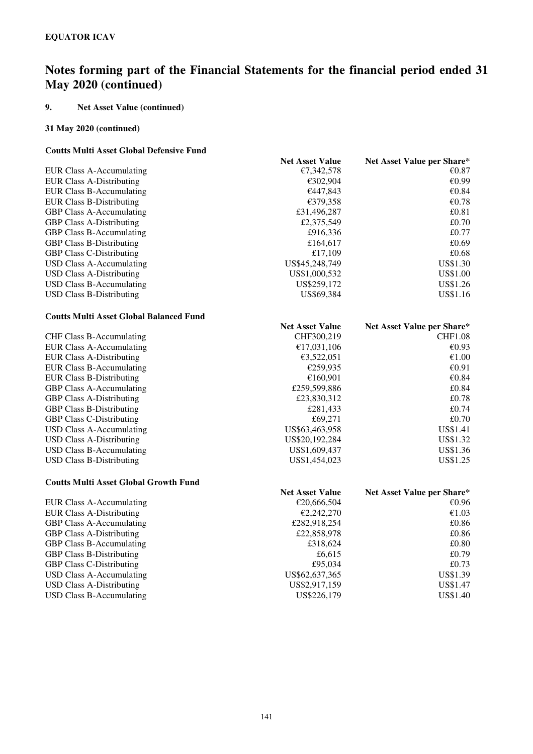## **9. Net Asset Value (continued)**

### **31 May 2020 (continued)**

### **Coutts Multi Asset Global Defensive Fund**

|                                                | <b>Net Asset Value</b> | Net Asset Value per Share* |
|------------------------------------------------|------------------------|----------------------------|
| <b>EUR Class A-Accumulating</b>                | €7,342,578             | € $0.87$                   |
| <b>EUR Class A-Distributing</b>                | €302,904               | €0.99                      |
| <b>EUR Class B-Accumulating</b>                | €447,843               | €0.84                      |
| <b>EUR Class B-Distributing</b>                | €379,358               | €0.78                      |
| <b>GBP Class A-Accumulating</b>                | £31,496,287            | £0.81                      |
| <b>GBP Class A-Distributing</b>                | £2,375,549             | £0.70                      |
| <b>GBP Class B-Accumulating</b>                | £916,336               | £0.77                      |
| <b>GBP Class B-Distributing</b>                | £164,617               | £0.69                      |
| <b>GBP Class C-Distributing</b>                | £17,109                | £0.68                      |
| <b>USD Class A-Accumulating</b>                | US\$45,248,749         | <b>US\$1.30</b>            |
| <b>USD Class A-Distributing</b>                | US\$1,000,532          | <b>US\$1.00</b>            |
| <b>USD Class B-Accumulating</b>                | US\$259,172            | US\$1.26                   |
| <b>USD Class B-Distributing</b>                | US\$69,384             | <b>US\$1.16</b>            |
| <b>Coutts Multi Asset Global Balanced Fund</b> |                        |                            |
|                                                | <b>Net Asset Value</b> | Net Asset Value per Share* |
| <b>CHF Class B-Accumulating</b>                | CHF300,219             | <b>CHF1.08</b>             |
| <b>EUR Class A-Accumulating</b>                | €17,031,106            | €0.93                      |
| <b>EUR Class A-Distributing</b>                | €3,522,051             | $\mathcal{E}1.00$          |
| <b>EUR Class B-Accumulating</b>                | €259,935               | €0.91                      |
| <b>EUR Class B-Distributing</b>                | €160,901               | €0.84                      |
| GBP Class A-Accumulating                       | £259,599,886           | £0.84                      |
| <b>GBP Class A-Distributing</b>                | £23,830,312            | £0.78                      |
| <b>GBP Class B-Distributing</b>                | £281,433               | £0.74                      |
| <b>GBP Class C-Distributing</b>                | £69,271                | £0.70                      |
| <b>USD Class A-Accumulating</b>                | US\$63,463,958         | US\$1.41                   |
| <b>USD Class A-Distributing</b>                | US\$20,192,284         | US\$1.32                   |
| <b>USD Class B-Accumulating</b>                | US\$1,609,437          | US\$1.36                   |
| <b>USD Class B-Distributing</b>                | US\$1,454,023          | US\$1.25                   |
| <b>Coutts Multi Asset Global Growth Fund</b>   |                        |                            |
|                                                | <b>Net Asset Value</b> | Net Asset Value per Share* |
| <b>EUR Class A-Accumulating</b>                | €20,666,504            | €0.96                      |
| <b>EUR Class A-Distributing</b>                | €2,242,270             | €1.03                      |
| GBP Class A-Accumulating                       | £282,918,254           | £0.86                      |
| <b>GBP Class A-Distributing</b>                | £22,858,978            | £0.86                      |
| GBP Class B-Accumulating                       | £318,624               | £0.80                      |
| <b>GBP Class B-Distributing</b>                | £6,615                 | £0.79                      |
| <b>GBP Class C-Distributing</b>                | £95,034                | £0.73                      |
| <b>USD Class A-Accumulating</b>                | US\$62,637,365         | US\$1.39                   |
| <b>USD Class A-Distributing</b>                | US\$2,917,159          | US\$1.47                   |
| <b>USD Class B-Accumulating</b>                | US\$226,179            | <b>US\$1.40</b>            |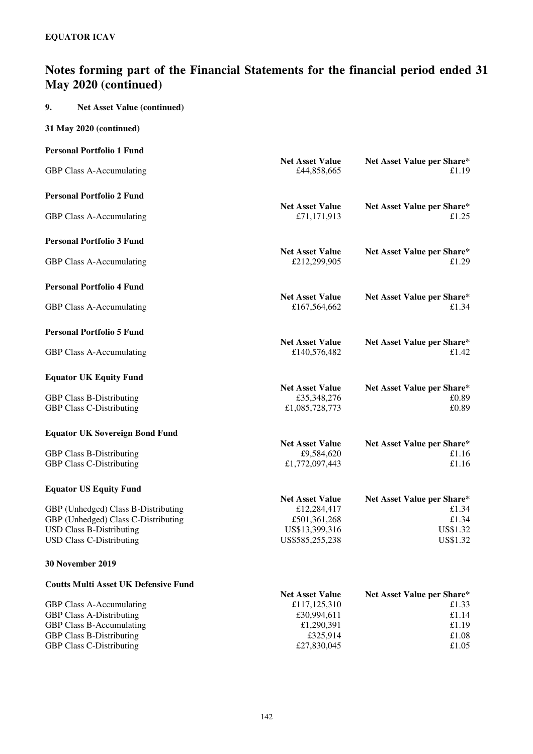## **9. Net Asset Value (continued)**

|  |  |  | 31 May 2020 (continued) |
|--|--|--|-------------------------|
|--|--|--|-------------------------|

| <b>Personal Portfolio 1 Fund</b>                                       |                                        |                                     |
|------------------------------------------------------------------------|----------------------------------------|-------------------------------------|
| GBP Class A-Accumulating                                               | <b>Net Asset Value</b><br>£44,858,665  | Net Asset Value per Share*<br>£1.19 |
| <b>Personal Portfolio 2 Fund</b>                                       |                                        |                                     |
| GBP Class A-Accumulating                                               | <b>Net Asset Value</b><br>£71,171,913  | Net Asset Value per Share*<br>£1.25 |
| <b>Personal Portfolio 3 Fund</b>                                       |                                        |                                     |
| GBP Class A-Accumulating                                               | <b>Net Asset Value</b><br>£212,299,905 | Net Asset Value per Share*<br>£1.29 |
| <b>Personal Portfolio 4 Fund</b>                                       |                                        |                                     |
| GBP Class A-Accumulating                                               | <b>Net Asset Value</b><br>£167,564,662 | Net Asset Value per Share*<br>£1.34 |
| <b>Personal Portfolio 5 Fund</b>                                       |                                        |                                     |
| GBP Class A-Accumulating                                               | <b>Net Asset Value</b><br>£140,576,482 | Net Asset Value per Share*<br>£1.42 |
| <b>Equator UK Equity Fund</b>                                          |                                        |                                     |
|                                                                        | <b>Net Asset Value</b>                 | Net Asset Value per Share*<br>£0.89 |
| <b>GBP Class B-Distributing</b><br><b>GBP Class C-Distributing</b>     | £35,348,276<br>£1,085,728,773          | £0.89                               |
| <b>Equator UK Sovereign Bond Fund</b>                                  |                                        |                                     |
|                                                                        | <b>Net Asset Value</b>                 | Net Asset Value per Share*          |
| <b>GBP Class B-Distributing</b>                                        | £9,584,620                             | £1.16<br>£1.16                      |
| <b>GBP Class C-Distributing</b>                                        | £1,772,097,443                         |                                     |
| <b>Equator US Equity Fund</b>                                          |                                        |                                     |
|                                                                        | <b>Net Asset Value</b>                 | Net Asset Value per Share*          |
| GBP (Unhedged) Class B-Distributing                                    | £12,284,417                            | £1.34                               |
| GBP (Unhedged) Class C-Distributing<br><b>USD Class B-Distributing</b> | £501,361,268<br>US\$13,399,316         | £1.34<br>US\$1.32                   |
| <b>USD Class C-Distributing</b>                                        | US\$585,255,238                        | US\$1.32                            |
| <b>30 November 2019</b>                                                |                                        |                                     |
| <b>Coutts Multi Asset UK Defensive Fund</b>                            |                                        |                                     |
|                                                                        | <b>Net Asset Value</b>                 | Net Asset Value per Share*          |
| GBP Class A-Accumulating<br><b>GBP Class A-Distributing</b>            | £117,125,310<br>£30,994,611            | £1.33<br>£1.14                      |
| <b>GBP Class B-Accumulating</b>                                        | £1,290,391                             | £1.19                               |
| <b>GBP Class B-Distributing</b>                                        | £325,914                               | £1.08                               |
| <b>GBP Class C-Distributing</b>                                        | £27,830,045                            | £1.05                               |
|                                                                        |                                        |                                     |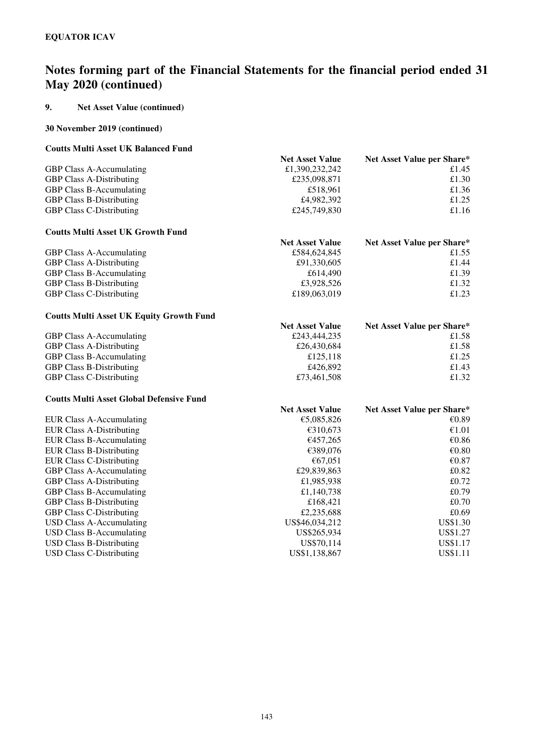## **9. Net Asset Value (continued)**

### **30 November 2019 (continued)**

## **Coutts Multi Asset UK Balanced Fund**

|                                                 | <b>Net Asset Value</b> | Net Asset Value per Share* |
|-------------------------------------------------|------------------------|----------------------------|
| GBP Class A-Accumulating                        | £1,390,232,242         | £1.45                      |
| <b>GBP Class A-Distributing</b>                 | £235,098,871           | £1.30                      |
| <b>GBP Class B-Accumulating</b>                 | £518,961               | £1.36                      |
| <b>GBP Class B-Distributing</b>                 | £4,982,392             | £1.25                      |
| <b>GBP Class C-Distributing</b>                 | £245,749,830           | £1.16                      |
| <b>Coutts Multi Asset UK Growth Fund</b>        |                        |                            |
|                                                 | <b>Net Asset Value</b> | Net Asset Value per Share* |
| GBP Class A-Accumulating                        | £584,624,845           | £1.55                      |
| <b>GBP Class A-Distributing</b>                 | £91,330,605            | £1.44                      |
| <b>GBP Class B-Accumulating</b>                 | £614,490               | £1.39                      |
| <b>GBP Class B-Distributing</b>                 | £3,928,526             | £1.32                      |
| <b>GBP Class C-Distributing</b>                 | £189,063,019           | £1.23                      |
| <b>Coutts Multi Asset UK Equity Growth Fund</b> |                        |                            |
|                                                 | <b>Net Asset Value</b> | Net Asset Value per Share* |
| GBP Class A-Accumulating                        | £243,444,235           | £1.58                      |
| <b>GBP Class A-Distributing</b>                 | £26,430,684            | £1.58                      |
| <b>GBP Class B-Accumulating</b>                 | £125,118               | £1.25                      |
| <b>GBP Class B-Distributing</b>                 | £426,892               | £1.43                      |
| <b>GBP Class C-Distributing</b>                 | £73,461,508            | £1.32                      |
| <b>Coutts Multi Asset Global Defensive Fund</b> |                        |                            |
|                                                 | <b>Net Asset Value</b> | Net Asset Value per Share* |
| <b>EUR Class A-Accumulating</b>                 | €5,085,826             | €0.89                      |
| <b>EUR Class A-Distributing</b>                 | €310,673               | €1.01                      |
| <b>EUR Class B-Accumulating</b>                 | €457,265               | €0.86                      |
| <b>EUR Class B-Distributing</b>                 | €389,076               | $\mathcal{C}0.80$          |
| <b>EUR Class C-Distributing</b>                 | €67,051                | € $0.87$                   |
| <b>GBP Class A-Accumulating</b>                 | £29,839,863            | £0.82                      |
| <b>GBP Class A-Distributing</b>                 | £1,985,938             | £0.72                      |
| <b>GBP Class B-Accumulating</b>                 | £1,140,738             | £0.79                      |
| <b>GBP Class B-Distributing</b>                 | £168,421               | £0.70                      |
| <b>GBP Class C-Distributing</b>                 | £2,235,688             | £0.69                      |
| <b>USD Class A-Accumulating</b>                 | US\$46,034,212         | US\$1.30                   |
| <b>USD Class B-Accumulating</b>                 | US\$265,934            | US\$1.27                   |
| <b>USD Class B-Distributing</b>                 | US\$70,114             | US\$1.17                   |
| <b>USD Class C-Distributing</b>                 | US\$1,138,867          | <b>US\$1.11</b>            |
|                                                 |                        |                            |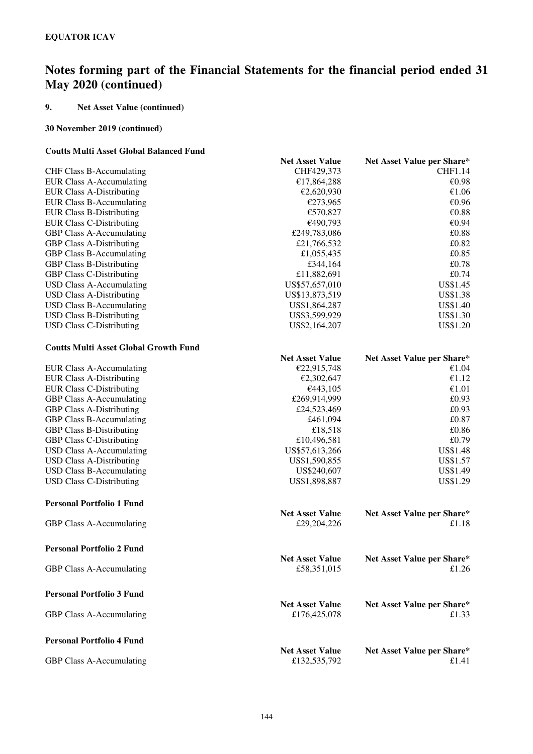## **9. Net Asset Value (continued)**

## **30 November 2019 (continued)**

## **Coutts Multi Asset Global Balanced Fund**

|                                              | <b>Net Asset Value</b> | Net Asset Value per Share* |
|----------------------------------------------|------------------------|----------------------------|
| CHF Class B-Accumulating                     | CHF429,373             | <b>CHF1.14</b>             |
| <b>EUR Class A-Accumulating</b>              | €17,864,288            | €0.98                      |
| <b>EUR Class A-Distributing</b>              | €2,620,930             | €1.06                      |
| <b>EUR Class B-Accumulating</b>              | €273,965               | €0.96                      |
| <b>EUR Class B-Distributing</b>              | €570,827               | €0.88                      |
| <b>EUR Class C-Distributing</b>              | €490,793               | €0.94                      |
| <b>GBP Class A-Accumulating</b>              | £249,783,086           | £0.88                      |
| <b>GBP Class A-Distributing</b>              | £21,766,532            | £0.82                      |
| <b>GBP Class B-Accumulating</b>              | £1,055,435             | £0.85                      |
| <b>GBP Class B-Distributing</b>              | £344,164               | £0.78                      |
| <b>GBP Class C-Distributing</b>              | £11,882,691            | £0.74                      |
| <b>USD Class A-Accumulating</b>              | US\$57,657,010         | US\$1.45                   |
| <b>USD Class A-Distributing</b>              | US\$13,873,519         | US\$1.38                   |
| <b>USD Class B-Accumulating</b>              | US\$1,864,287          | US\$1.40                   |
| <b>USD Class B-Distributing</b>              | US\$3,599,929          | <b>US\$1.30</b>            |
| <b>USD Class C-Distributing</b>              | US\$2,164,207          | <b>US\$1.20</b>            |
| <b>Coutts Multi Asset Global Growth Fund</b> |                        |                            |
|                                              | <b>Net Asset Value</b> | Net Asset Value per Share* |
| <b>EUR Class A-Accumulating</b>              | €22,915,748            | €1.04                      |
| <b>EUR Class A-Distributing</b>              | €2,302,647             | €1.12                      |
| <b>EUR Class C-Distributing</b>              | €443,105               | €1.01                      |
| <b>GBP Class A-Accumulating</b>              | £269,914,999           | £0.93                      |
| <b>GBP Class A-Distributing</b>              | £24,523,469            | £0.93                      |
| GBP Class B-Accumulating                     | £461,094               | £0.87                      |
| <b>GBP Class B-Distributing</b>              | £18,518                | £0.86                      |
| <b>GBP Class C-Distributing</b>              | £10,496,581            | £0.79                      |
| <b>USD Class A-Accumulating</b>              | US\$57,613,266         | <b>US\$1.48</b>            |
| <b>USD Class A-Distributing</b>              | US\$1,590,855          | US\$1.57                   |
| <b>USD Class B-Accumulating</b>              | US\$240,607            | US\$1.49                   |
| <b>USD Class C-Distributing</b>              | US\$1,898,887          | US\$1.29                   |
| <b>Personal Portfolio 1 Fund</b>             |                        |                            |
|                                              | <b>Net Asset Value</b> | Net Asset Value per Share* |
| GBP Class A-Accumulating                     | £29,204,226            | £1.18                      |
| <b>Personal Portfolio 2 Fund</b>             |                        |                            |
|                                              | <b>Net Asset Value</b> | Net Asset Value per Share* |
| GBP Class A-Accumulating                     | £58,351,015            | £1.26                      |
| <b>Personal Portfolio 3 Fund</b>             |                        |                            |
|                                              | <b>Net Asset Value</b> | Net Asset Value per Share* |
| <b>GBP Class A-Accumulating</b>              | £176,425,078           | £1.33                      |
| <b>Personal Portfolio 4 Fund</b>             |                        |                            |
|                                              | <b>Net Asset Value</b> | Net Asset Value per Share* |
| GBP Class A-Accumulating                     | £132,535,792           | £1.41                      |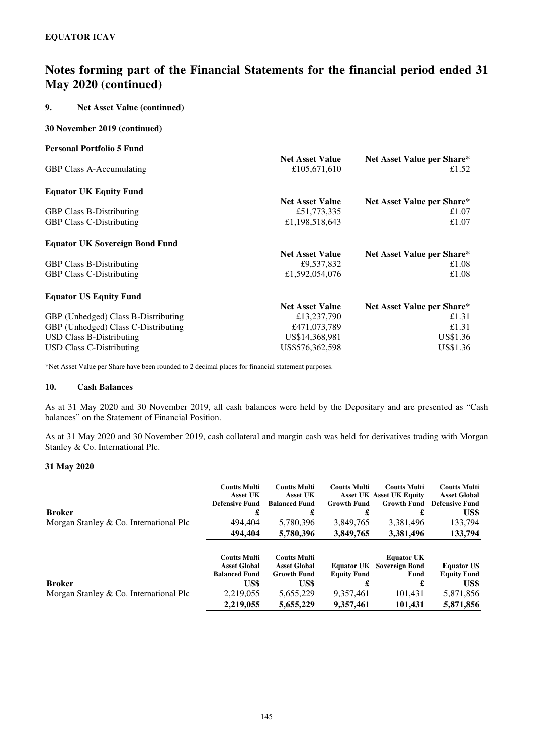## **9. Net Asset Value (continued)**

### **30 November 2019 (continued)**

| <b>Personal Portfolio 5 Fund</b>      |                        |                            |
|---------------------------------------|------------------------|----------------------------|
|                                       | <b>Net Asset Value</b> | Net Asset Value per Share* |
| <b>GBP Class A-Accumulating</b>       | £105,671,610           | £1.52                      |
| <b>Equator UK Equity Fund</b>         |                        |                            |
|                                       | <b>Net Asset Value</b> | Net Asset Value per Share* |
| <b>GBP Class B-Distributing</b>       | £51,773,335            | £1.07                      |
| <b>GBP Class C-Distributing</b>       | £1,198,518,643         | £1.07                      |
| <b>Equator UK Sovereign Bond Fund</b> |                        |                            |
|                                       | <b>Net Asset Value</b> | Net Asset Value per Share* |
| <b>GBP Class B-Distributing</b>       | £9,537,832             | £1.08                      |
| <b>GBP Class C-Distributing</b>       | £1,592,054,076         | £1.08                      |
| <b>Equator US Equity Fund</b>         |                        |                            |
|                                       | <b>Net Asset Value</b> | Net Asset Value per Share* |
| GBP (Unhedged) Class B-Distributing   | £13,237,790            | £1.31                      |
| GBP (Unhedged) Class C-Distributing   | £471,073,789           | £1.31                      |
| <b>USD Class B-Distributing</b>       | US\$14,368,981         | US\$1.36                   |
| USD Class C-Distributing              | US\$576,362,598        | US\$1.36                   |

\*Net Asset Value per Share have been rounded to 2 decimal places for financial statement purposes.

#### **10. Cash Balances**

As at 31 May 2020 and 30 November 2019, all cash balances were held by the Depositary and are presented as "Cash balances" on the Statement of Financial Position.

As at 31 May 2020 and 30 November 2019, cash collateral and margin cash was held for derivatives trading with Morgan Stanley & Co. International Plc.

## **31 May 2020**

|                                        | <b>Coutts Multi</b><br><b>Asset UK</b><br><b>Defensive Fund</b>    | <b>Coutts Multi</b><br><b>Asset UK</b><br><b>Balanced Fund</b>   | <b>Coutts Multi</b><br><b>Growth Fund</b> | <b>Coutts Multi</b><br><b>Asset UK Asset UK Equity</b><br><b>Growth Fund</b> | <b>Coutts Multi</b><br><b>Asset Global</b><br><b>Defensive Fund</b> |
|----------------------------------------|--------------------------------------------------------------------|------------------------------------------------------------------|-------------------------------------------|------------------------------------------------------------------------------|---------------------------------------------------------------------|
| <b>Broker</b>                          | £                                                                  | £                                                                |                                           | £                                                                            | US\$                                                                |
| Morgan Stanley & Co. International Plc | 494,404                                                            | 5,780,396                                                        | 3,849,765                                 | 3,381,496                                                                    | 133,794                                                             |
|                                        | 494,404                                                            | 5,780,396                                                        | 3,849,765                                 | 3,381,496                                                                    | 133,794                                                             |
|                                        | <b>Coutts Multi</b><br><b>Asset Global</b><br><b>Balanced Fund</b> | <b>Coutts Multi</b><br><b>Asset Global</b><br><b>Growth Fund</b> | <b>Equator UK</b><br><b>Equity Fund</b>   | <b>Equator UK</b><br><b>Sovereign Bond</b><br>Fund                           | <b>Equator US</b><br><b>Equity Fund</b>                             |
| <b>Broker</b>                          | US\$                                                               | US\$                                                             |                                           | £                                                                            | US\$                                                                |
| Morgan Stanley & Co. International Plc | 2,219,055                                                          | 5,655,229                                                        | 9,357,461                                 | 101,431                                                                      | 5,871,856                                                           |
|                                        | 2.219.055                                                          | 5,655,229                                                        | 9.357.461                                 | 101,431                                                                      | 5.871.856                                                           |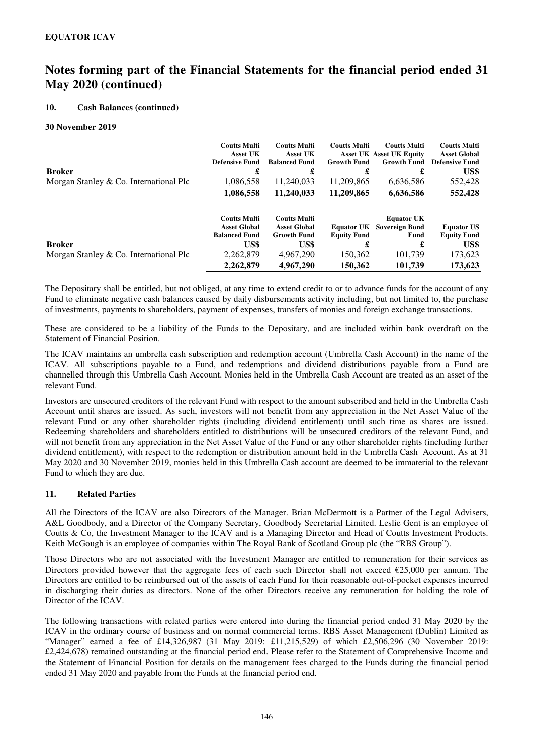## **10. Cash Balances (continued)**

#### **30 November 2019**

|                                          | <b>Coutts Multi</b><br><b>Asset UK</b><br><b>Defensive Fund</b>    | <b>Coutts Multi</b><br><b>Asset UK</b><br><b>Balanced Fund</b>   | <b>Coutts Multi</b><br><b>Growth Fund</b> | <b>Coutts Multi</b><br><b>Asset UK Asset UK Equity</b><br><b>Growth Fund</b> | <b>Coutts Multi</b><br><b>Asset Global</b><br><b>Defensive Fund</b> |
|------------------------------------------|--------------------------------------------------------------------|------------------------------------------------------------------|-------------------------------------------|------------------------------------------------------------------------------|---------------------------------------------------------------------|
| <b>Broker</b>                            | £                                                                  | £                                                                |                                           | £                                                                            | US\$                                                                |
| Morgan Stanley $& Co.$ International Plc | 1,086,558                                                          | 11,240,033                                                       | 11,209,865                                | 6,636,586                                                                    | 552,428                                                             |
|                                          | 1,086,558                                                          | 11,240,033                                                       | 11,209,865                                | 6,636,586                                                                    | 552,428                                                             |
|                                          | <b>Coutts Multi</b><br><b>Asset Global</b><br><b>Balanced Fund</b> | <b>Coutts Multi</b><br><b>Asset Global</b><br><b>Growth Fund</b> | <b>Equator UK</b><br><b>Equity Fund</b>   | <b>Equator UK</b><br><b>Sovereign Bond</b><br>Fund                           | <b>Equator US</b><br><b>Equity Fund</b>                             |
| <b>Broker</b>                            | US\$                                                               | US\$                                                             |                                           | £                                                                            | US\$                                                                |
| Morgan Stanley & Co. International Plc   | 2,262,879                                                          | 4,967,290                                                        | 150,362                                   | 101,739                                                                      | 173,623                                                             |
|                                          | 2,262,879                                                          | 4.967.290                                                        | 150,362                                   | 101,739                                                                      | 173.623                                                             |

The Depositary shall be entitled, but not obliged, at any time to extend credit to or to advance funds for the account of any Fund to eliminate negative cash balances caused by daily disbursements activity including, but not limited to, the purchase of investments, payments to shareholders, payment of expenses, transfers of monies and foreign exchange transactions.

These are considered to be a liability of the Funds to the Depositary, and are included within bank overdraft on the Statement of Financial Position.

The ICAV maintains an umbrella cash subscription and redemption account (Umbrella Cash Account) in the name of the ICAV. All subscriptions payable to a Fund, and redemptions and dividend distributions payable from a Fund are channelled through this Umbrella Cash Account. Monies held in the Umbrella Cash Account are treated as an asset of the relevant Fund.

Investors are unsecured creditors of the relevant Fund with respect to the amount subscribed and held in the Umbrella Cash Account until shares are issued. As such, investors will not benefit from any appreciation in the Net Asset Value of the relevant Fund or any other shareholder rights (including dividend entitlement) until such time as shares are issued. Redeeming shareholders and shareholders entitled to distributions will be unsecured creditors of the relevant Fund, and will not benefit from any appreciation in the Net Asset Value of the Fund or any other shareholder rights (including further dividend entitlement), with respect to the redemption or distribution amount held in the Umbrella Cash Account. As at 31 May 2020 and 30 November 2019, monies held in this Umbrella Cash account are deemed to be immaterial to the relevant Fund to which they are due.

### **11. Related Parties**

All the Directors of the ICAV are also Directors of the Manager. Brian McDermott is a Partner of the Legal Advisers, A&L Goodbody, and a Director of the Company Secretary, Goodbody Secretarial Limited. Leslie Gent is an employee of Coutts & Co, the Investment Manager to the ICAV and is a Managing Director and Head of Coutts Investment Products. Keith McGough is an employee of companies within The Royal Bank of Scotland Group plc (the "RBS Group").

Those Directors who are not associated with the Investment Manager are entitled to remuneration for their services as Directors provided however that the aggregate fees of each such Director shall not exceed  $\epsilon$ 25,000 per annum. The Directors are entitled to be reimbursed out of the assets of each Fund for their reasonable out-of-pocket expenses incurred in discharging their duties as directors. None of the other Directors receive any remuneration for holding the role of Director of the ICAV.

The following transactions with related parties were entered into during the financial period ended 31 May 2020 by the ICAV in the ordinary course of business and on normal commercial terms. RBS Asset Management (Dublin) Limited as "Manager" earned a fee of £14,326,987 (31 May 2019: £11,215,529) of which £2,506,296 (30 November 2019: £2,424,678) remained outstanding at the financial period end. Please refer to the Statement of Comprehensive Income and the Statement of Financial Position for details on the management fees charged to the Funds during the financial period ended 31 May 2020 and payable from the Funds at the financial period end.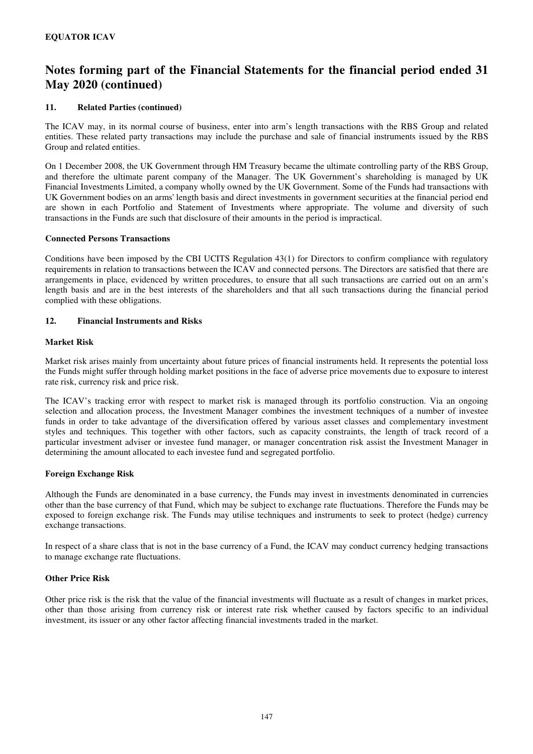## **11. Related Parties (continued)**

The ICAV may, in its normal course of business, enter into arm's length transactions with the RBS Group and related entities. These related party transactions may include the purchase and sale of financial instruments issued by the RBS Group and related entities.

On 1 December 2008, the UK Government through HM Treasury became the ultimate controlling party of the RBS Group, and therefore the ultimate parent company of the Manager. The UK Government's shareholding is managed by UK Financial Investments Limited, a company wholly owned by the UK Government. Some of the Funds had transactions with UK Government bodies on an arms' length basis and direct investments in government securities at the financial period end are shown in each Portfolio and Statement of Investments where appropriate. The volume and diversity of such transactions in the Funds are such that disclosure of their amounts in the period is impractical.

#### **Connected Persons Transactions**

Conditions have been imposed by the CBI UCITS Regulation 43(1) for Directors to confirm compliance with regulatory requirements in relation to transactions between the ICAV and connected persons. The Directors are satisfied that there are arrangements in place, evidenced by written procedures, to ensure that all such transactions are carried out on an arm's length basis and are in the best interests of the shareholders and that all such transactions during the financial period complied with these obligations.

### **12. Financial Instruments and Risks**

### **Market Risk**

Market risk arises mainly from uncertainty about future prices of financial instruments held. It represents the potential loss the Funds might suffer through holding market positions in the face of adverse price movements due to exposure to interest rate risk, currency risk and price risk.

The ICAV's tracking error with respect to market risk is managed through its portfolio construction. Via an ongoing selection and allocation process, the Investment Manager combines the investment techniques of a number of investee funds in order to take advantage of the diversification offered by various asset classes and complementary investment styles and techniques. This together with other factors, such as capacity constraints, the length of track record of a particular investment adviser or investee fund manager, or manager concentration risk assist the Investment Manager in determining the amount allocated to each investee fund and segregated portfolio.

### **Foreign Exchange Risk**

Although the Funds are denominated in a base currency, the Funds may invest in investments denominated in currencies other than the base currency of that Fund, which may be subject to exchange rate fluctuations. Therefore the Funds may be exposed to foreign exchange risk. The Funds may utilise techniques and instruments to seek to protect (hedge) currency exchange transactions.

In respect of a share class that is not in the base currency of a Fund, the ICAV may conduct currency hedging transactions to manage exchange rate fluctuations.

#### **Other Price Risk**

Other price risk is the risk that the value of the financial investments will fluctuate as a result of changes in market prices, other than those arising from currency risk or interest rate risk whether caused by factors specific to an individual investment, its issuer or any other factor affecting financial investments traded in the market.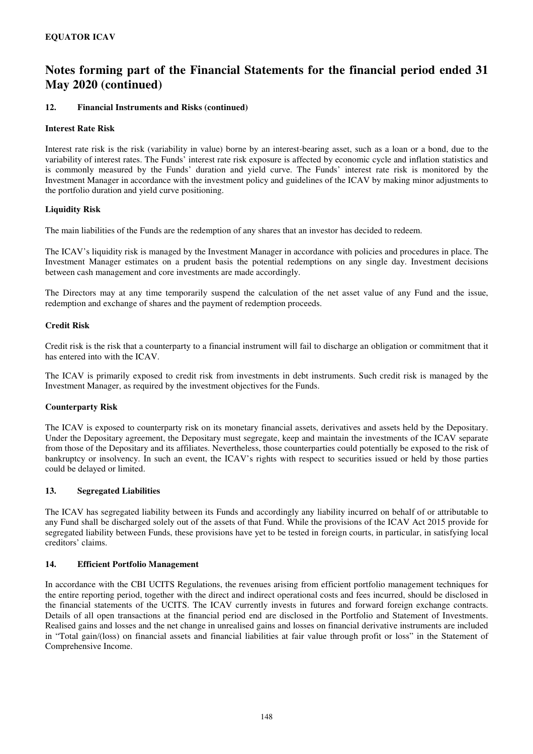### **12. Financial Instruments and Risks (continued)**

### **Interest Rate Risk**

Interest rate risk is the risk (variability in value) borne by an interest-bearing asset, such as a loan or a bond, due to the variability of interest rates. The Funds' interest rate risk exposure is affected by economic cycle and inflation statistics and is commonly measured by the Funds' duration and yield curve. The Funds' interest rate risk is monitored by the Investment Manager in accordance with the investment policy and guidelines of the ICAV by making minor adjustments to the portfolio duration and yield curve positioning.

### **Liquidity Risk**

The main liabilities of the Funds are the redemption of any shares that an investor has decided to redeem.

The ICAV's liquidity risk is managed by the Investment Manager in accordance with policies and procedures in place. The Investment Manager estimates on a prudent basis the potential redemptions on any single day. Investment decisions between cash management and core investments are made accordingly.

The Directors may at any time temporarily suspend the calculation of the net asset value of any Fund and the issue, redemption and exchange of shares and the payment of redemption proceeds.

#### **Credit Risk**

Credit risk is the risk that a counterparty to a financial instrument will fail to discharge an obligation or commitment that it has entered into with the ICAV.

The ICAV is primarily exposed to credit risk from investments in debt instruments. Such credit risk is managed by the Investment Manager, as required by the investment objectives for the Funds.

### **Counterparty Risk**

The ICAV is exposed to counterparty risk on its monetary financial assets, derivatives and assets held by the Depositary. Under the Depositary agreement, the Depositary must segregate, keep and maintain the investments of the ICAV separate from those of the Depositary and its affiliates. Nevertheless, those counterparties could potentially be exposed to the risk of bankruptcy or insolvency. In such an event, the ICAV's rights with respect to securities issued or held by those parties could be delayed or limited.

### **13. Segregated Liabilities**

The ICAV has segregated liability between its Funds and accordingly any liability incurred on behalf of or attributable to any Fund shall be discharged solely out of the assets of that Fund. While the provisions of the ICAV Act 2015 provide for segregated liability between Funds, these provisions have yet to be tested in foreign courts, in particular, in satisfying local creditors' claims.

### **14. Efficient Portfolio Management**

In accordance with the CBI UCITS Regulations, the revenues arising from efficient portfolio management techniques for the entire reporting period, together with the direct and indirect operational costs and fees incurred, should be disclosed in the financial statements of the UCITS. The ICAV currently invests in futures and forward foreign exchange contracts. Details of all open transactions at the financial period end are disclosed in the Portfolio and Statement of Investments. Realised gains and losses and the net change in unrealised gains and losses on financial derivative instruments are included in "Total gain/(loss) on financial assets and financial liabilities at fair value through profit or loss" in the Statement of Comprehensive Income.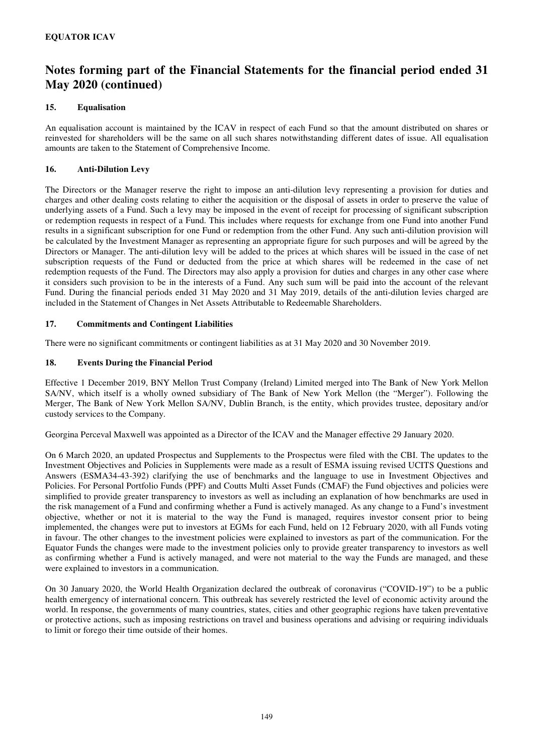## **15. Equalisation**

An equalisation account is maintained by the ICAV in respect of each Fund so that the amount distributed on shares or reinvested for shareholders will be the same on all such shares notwithstanding different dates of issue. All equalisation amounts are taken to the Statement of Comprehensive Income.

## **16. Anti-Dilution Levy**

The Directors or the Manager reserve the right to impose an anti-dilution levy representing a provision for duties and charges and other dealing costs relating to either the acquisition or the disposal of assets in order to preserve the value of underlying assets of a Fund. Such a levy may be imposed in the event of receipt for processing of significant subscription or redemption requests in respect of a Fund. This includes where requests for exchange from one Fund into another Fund results in a significant subscription for one Fund or redemption from the other Fund. Any such anti-dilution provision will be calculated by the Investment Manager as representing an appropriate figure for such purposes and will be agreed by the Directors or Manager. The anti-dilution levy will be added to the prices at which shares will be issued in the case of net subscription requests of the Fund or deducted from the price at which shares will be redeemed in the case of net redemption requests of the Fund. The Directors may also apply a provision for duties and charges in any other case where it considers such provision to be in the interests of a Fund. Any such sum will be paid into the account of the relevant Fund. During the financial periods ended 31 May 2020 and 31 May 2019, details of the anti-dilution levies charged are included in the Statement of Changes in Net Assets Attributable to Redeemable Shareholders.

## **17. Commitments and Contingent Liabilities**

There were no significant commitments or contingent liabilities as at 31 May 2020 and 30 November 2019.

## **18. Events During the Financial Period**

Effective 1 December 2019, BNY Mellon Trust Company (Ireland) Limited merged into The Bank of New York Mellon SA/NV, which itself is a wholly owned subsidiary of The Bank of New York Mellon (the "Merger"). Following the Merger, The Bank of New York Mellon SA/NV, Dublin Branch, is the entity, which provides trustee, depositary and/or custody services to the Company.

Georgina Perceval Maxwell was appointed as a Director of the ICAV and the Manager effective 29 January 2020.

On 6 March 2020, an updated Prospectus and Supplements to the Prospectus were filed with the CBI. The updates to the Investment Objectives and Policies in Supplements were made as a result of ESMA issuing revised UCITS Questions and Answers (ESMA34-43-392) clarifying the use of benchmarks and the language to use in Investment Objectives and Policies. For Personal Portfolio Funds (PPF) and Coutts Multi Asset Funds (CMAF) the Fund objectives and policies were simplified to provide greater transparency to investors as well as including an explanation of how benchmarks are used in the risk management of a Fund and confirming whether a Fund is actively managed. As any change to a Fund's investment objective, whether or not it is material to the way the Fund is managed, requires investor consent prior to being implemented, the changes were put to investors at EGMs for each Fund, held on 12 February 2020, with all Funds voting in favour. The other changes to the investment policies were explained to investors as part of the communication. For the Equator Funds the changes were made to the investment policies only to provide greater transparency to investors as well as confirming whether a Fund is actively managed, and were not material to the way the Funds are managed, and these were explained to investors in a communication.

On 30 January 2020, the World Health Organization declared the outbreak of coronavirus ("COVID-19") to be a public health emergency of international concern. This outbreak has severely restricted the level of economic activity around the world. In response, the governments of many countries, states, cities and other geographic regions have taken preventative or protective actions, such as imposing restrictions on travel and business operations and advising or requiring individuals to limit or forego their time outside of their homes.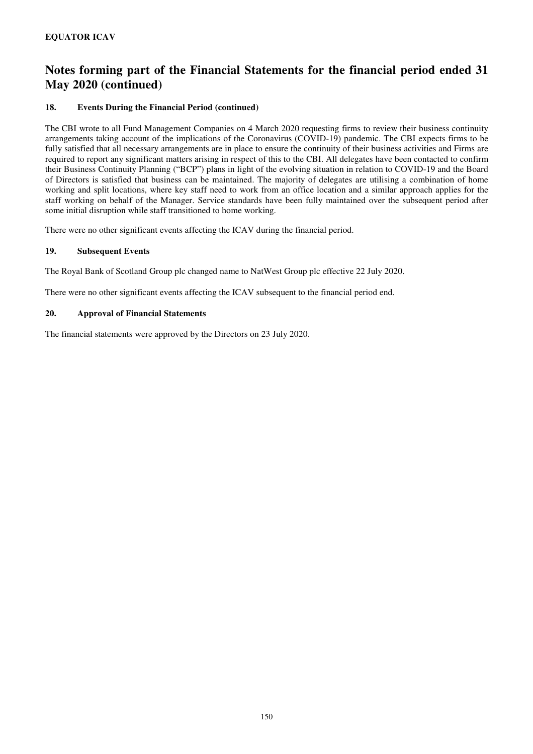## **18. Events During the Financial Period (continued)**

The CBI wrote to all Fund Management Companies on 4 March 2020 requesting firms to review their business continuity arrangements taking account of the implications of the Coronavirus (COVID-19) pandemic. The CBI expects firms to be fully satisfied that all necessary arrangements are in place to ensure the continuity of their business activities and Firms are required to report any significant matters arising in respect of this to the CBI. All delegates have been contacted to confirm their Business Continuity Planning ("BCP") plans in light of the evolving situation in relation to COVID-19 and the Board of Directors is satisfied that business can be maintained. The majority of delegates are utilising a combination of home working and split locations, where key staff need to work from an office location and a similar approach applies for the staff working on behalf of the Manager. Service standards have been fully maintained over the subsequent period after some initial disruption while staff transitioned to home working.

There were no other significant events affecting the ICAV during the financial period.

## **19. Subsequent Events**

The Royal Bank of Scotland Group plc changed name to NatWest Group plc effective 22 July 2020.

There were no other significant events affecting the ICAV subsequent to the financial period end.

### **20. Approval of Financial Statements**

The financial statements were approved by the Directors on 23 July 2020.